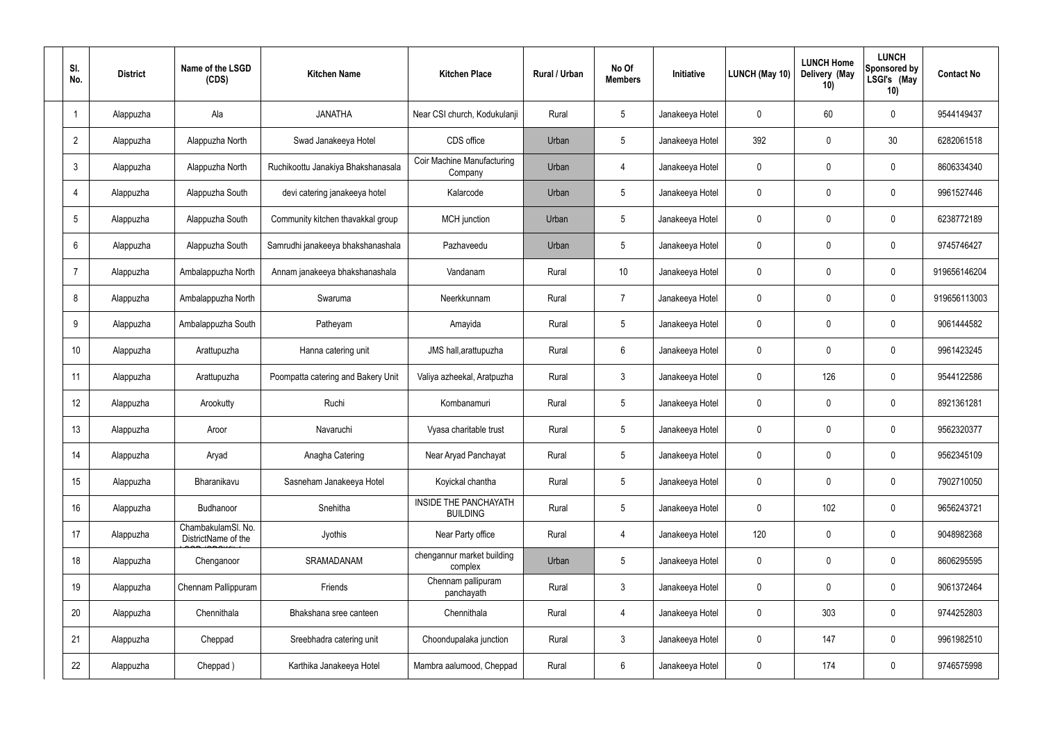| SI.<br>No.      | <b>District</b> | Name of the LSGD<br>(CDS)                 | <b>Kitchen Name</b>                | <b>Kitchen Place</b>                            | Rural / Urban | No Of<br><b>Members</b> | Initiative      | <b>LUNCH (May 10)</b> | <b>LUNCH Home</b><br>Delivery (May<br>10) | <b>LUNCH</b><br>Sponsored by<br>LSGI's (May<br>10) | <b>Contact No</b> |
|-----------------|-----------------|-------------------------------------------|------------------------------------|-------------------------------------------------|---------------|-------------------------|-----------------|-----------------------|-------------------------------------------|----------------------------------------------------|-------------------|
|                 | Alappuzha       | Ala                                       | <b>JANATHA</b>                     | Near CSI church, Kodukulanji                    | Rural         | $5\phantom{.0}$         | Janakeeya Hotel | 0                     | 60                                        | $\mathbf 0$                                        | 9544149437        |
| $\overline{2}$  | Alappuzha       | Alappuzha North                           | Swad Janakeeya Hotel               | CDS office                                      | Urban         | $5\phantom{.0}$         | Janakeeya Hotel | 392                   | 0                                         | 30                                                 | 6282061518        |
| $\mathbf{3}$    | Alappuzha       | Alappuzha North                           | Ruchikoottu Janakiya Bhakshanasala | Coir Machine Manufacturing<br>Company           | Urban         | $\overline{4}$          | Janakeeya Hotel | $\mathbf 0$           | 0                                         | $\mathbf 0$                                        | 8606334340        |
| $\overline{4}$  | Alappuzha       | Alappuzha South                           | devi catering janakeeya hotel      | Kalarcode                                       | Urban         | $5\phantom{.0}$         | Janakeeya Hotel | $\mathbf 0$           | 0                                         | $\mathbf 0$                                        | 9961527446        |
| $5\overline{)}$ | Alappuzha       | Alappuzha South                           | Community kitchen thavakkal group  | <b>MCH</b> junction                             | Urban         | $5\phantom{.0}$         | Janakeeya Hotel | $\mathbf 0$           | 0                                         | $\mathbf 0$                                        | 6238772189        |
| 6               | Alappuzha       | Alappuzha South                           | Samrudhi janakeeya bhakshanashala  | Pazhaveedu                                      | Urban         | $5\phantom{.0}$         | Janakeeya Hotel | $\mathbf 0$           | 0                                         | $\mathbf 0$                                        | 9745746427        |
| -7              | Alappuzha       | Ambalappuzha North                        | Annam janakeeya bhakshanashala     | Vandanam                                        | Rural         | 10 <sup>°</sup>         | Janakeeya Hotel | $\mathbf 0$           | 0                                         | $\mathbf 0$                                        | 919656146204      |
| 8               | Alappuzha       | Ambalappuzha North                        | Swaruma                            | Neerkkunnam                                     | Rural         | $\overline{7}$          | Janakeeya Hotel | $\mathbf 0$           | 0                                         | $\mathbf 0$                                        | 919656113003      |
| 9               | Alappuzha       | Ambalappuzha South                        | Patheyam                           | Amayida                                         | Rural         | $5\phantom{.0}$         | Janakeeya Hotel | $\mathbf 0$           | 0                                         | $\mathbf 0$                                        | 9061444582        |
| 10              | Alappuzha       | Arattupuzha                               | Hanna catering unit                | JMS hall, arattupuzha                           | Rural         | $6\phantom{.}6$         | Janakeeya Hotel | $\mathbf 0$           | $\mathbf 0$                               | $\mathbf 0$                                        | 9961423245        |
| 11              | Alappuzha       | Arattupuzha                               | Poompatta catering and Bakery Unit | Valiya azheekal, Aratpuzha                      | Rural         | $\mathbf{3}$            | Janakeeya Hotel | $\mathbf 0$           | 126                                       | $\mathbf 0$                                        | 9544122586        |
| 12              | Alappuzha       | Arookutty                                 | Ruchi                              | Kombanamuri                                     | Rural         | $5\phantom{.0}$         | Janakeeya Hotel | $\mathbf 0$           | $\mathbf 0$                               | $\mathbf 0$                                        | 8921361281        |
| 13              | Alappuzha       | Aroor                                     | Navaruchi                          | Vyasa charitable trust                          | Rural         | $5\phantom{.0}$         | Janakeeya Hotel | 0                     | $\mathbf 0$                               | 0                                                  | 9562320377        |
| 14              | Alappuzha       | Aryad                                     | Anagha Catering                    | Near Aryad Panchayat                            | Rural         | $5\phantom{.0}$         | Janakeeya Hotel | $\mathbf 0$           | $\mathbf 0$                               | $\mathbf 0$                                        | 9562345109        |
| 15              | Alappuzha       | Bharanikavu                               | Sasneham Janakeeya Hotel           | Koyickal chantha                                | Rural         | $5\phantom{.0}$         | Janakeeya Hotel | $\mathbf 0$           | $\mathbf 0$                               | $\mathbf 0$                                        | 7902710050        |
| 16              | Alappuzha       | Budhanoor                                 | Snehitha                           | <b>INSIDE THE PANCHAYATH</b><br><b>BUILDING</b> | Rural         | $5\phantom{.0}$         | Janakeeya Hotel | $\mathbf 0$           | 102                                       | $\mathbf 0$                                        | 9656243721        |
| 17              | Alappuzha       | ChambakulamSl. No.<br>DistrictName of the | Jyothis                            | Near Party office                               | Rural         | $\overline{4}$          | Janakeeya Hotel | 120                   | 0                                         | $\mathbf 0$                                        | 9048982368        |
| 18              | Alappuzha       | Chenganoor                                | SRAMADANAM                         | chengannur market building<br>complex           | Urban         | $5\phantom{.0}$         | Janakeeya Hotel | $\mathbf 0$           | 0                                         | $\mathbf 0$                                        | 8606295595        |
| 19              | Alappuzha       | Chennam Pallippuram                       | Friends                            | Chennam pallipuram<br>panchayath                | Rural         | $\mathbf{3}$            | Janakeeya Hotel | $\mathbf 0$           | 0                                         | $\mathbf 0$                                        | 9061372464        |
| 20              | Alappuzha       | Chennithala                               | Bhakshana sree canteen             | Chennithala                                     | Rural         | $\overline{4}$          | Janakeeya Hotel | 0                     | 303                                       | $\mathbf 0$                                        | 9744252803        |
| 21              | Alappuzha       | Cheppad                                   | Sreebhadra catering unit           | Choondupalaka junction                          | Rural         | $\mathbf{3}$            | Janakeeya Hotel | $\mathbf 0$           | 147                                       | $\mathbf 0$                                        | 9961982510        |
| 22              | Alappuzha       | Cheppad)                                  | Karthika Janakeeya Hotel           | Mambra aalumood, Cheppad                        | Rural         | $6\,$                   | Janakeeya Hotel | 0                     | 174                                       | $\mathbf 0$                                        | 9746575998        |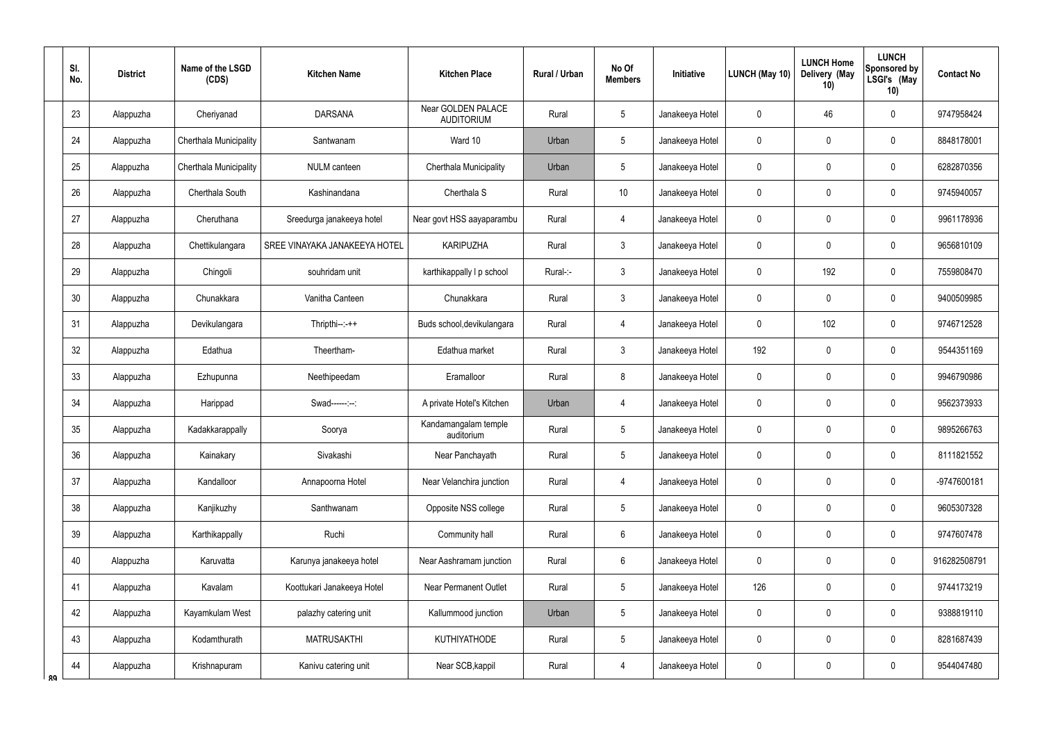|    | SI.<br>No.      | <b>District</b> | Name of the LSGD<br>(CDS) | <b>Kitchen Name</b>           | <b>Kitchen Place</b>                           | <b>Rural / Urban</b> | No Of<br><b>Members</b> | Initiative      | LUNCH (May 10) | <b>LUNCH Home</b><br>Delivery (May<br>10) | <b>LUNCH</b><br>Sponsored by<br>LSGI's (May<br>10) | <b>Contact No</b> |
|----|-----------------|-----------------|---------------------------|-------------------------------|------------------------------------------------|----------------------|-------------------------|-----------------|----------------|-------------------------------------------|----------------------------------------------------|-------------------|
|    | 23              | Alappuzha       | Cheriyanad                | <b>DARSANA</b>                | <b>Near GOLDEN PALACE</b><br><b>AUDITORIUM</b> | Rural                | 5                       | Janakeeya Hotel | 0              | 46                                        | $\mathbf 0$                                        | 9747958424        |
|    | 24              | Alappuzha       | Cherthala Municipality    | Santwanam                     | Ward 10                                        | Urban                | 5                       | Janakeeya Hotel | 0              | 0                                         | $\mathbf 0$                                        | 8848178001        |
|    | 25              | Alappuzha       | Cherthala Municipality    | NULM canteen                  | Cherthala Municipality                         | Urban                | 5                       | Janakeeya Hotel | 0              | 0                                         | $\pmb{0}$                                          | 6282870356        |
|    | 26              | Alappuzha       | Cherthala South           | Kashinandana                  | Cherthala S                                    | Rural                | 10                      | Janakeeya Hotel | 0              | 0                                         | $\mathbf 0$                                        | 9745940057        |
|    | 27              | Alappuzha       | Cheruthana                | Sreedurga janakeeya hotel     | Near govt HSS aayaparambu                      | Rural                | $\overline{4}$          | Janakeeya Hotel | 0              | 0                                         | $\mathbf 0$                                        | 9961178936        |
|    | 28              | Alappuzha       | Chettikulangara           | SREE VINAYAKA JANAKEEYA HOTEL | <b>KARIPUZHA</b>                               | Rural                | 3                       | Janakeeya Hotel | 0              | 0                                         | $\mathbf 0$                                        | 9656810109        |
|    | 29              | Alappuzha       | Chingoli                  | souhridam unit                | karthikappally I p school                      | Rural-:-             | $\mathfrak{Z}$          | Janakeeya Hotel | 0              | 192                                       | $\mathbf 0$                                        | 7559808470        |
|    | 30 <sup>°</sup> | Alappuzha       | Chunakkara                | Vanitha Canteen               | Chunakkara                                     | Rural                | $\mathfrak{Z}$          | Janakeeya Hotel | 0              | 0                                         | $\mathbf 0$                                        | 9400509985        |
|    | 31              | Alappuzha       | Devikulangara             | $Thripthi--++$                | Buds school, devikulangara                     | Rural                | $\overline{4}$          | Janakeeya Hotel | 0              | 102                                       | $\mathbf 0$                                        | 9746712528        |
|    | 32              | Alappuzha       | Edathua                   | Theertham-                    | Edathua market                                 | Rural                | $\mathfrak{Z}$          | Janakeeya Hotel | 192            | $\mathbf 0$                               | $\mathbf 0$                                        | 9544351169        |
|    | 33              | Alappuzha       | Ezhupunna                 | Neethipeedam                  | Eramalloor                                     | Rural                | 8                       | Janakeeya Hotel | 0              | $\mathbf 0$                               | $\pmb{0}$                                          | 9946790986        |
|    | 34              | Alappuzha       | Harippad                  | Swad------:--:                | A private Hotel's Kitchen                      | Urban                | 4                       | Janakeeya Hotel | 0              | $\mathbf 0$                               | $\mathbf 0$                                        | 9562373933        |
|    | 35              | Alappuzha       | Kadakkarappally           | Soorya                        | Kandamangalam temple<br>auditorium             | Rural                | 5                       | Janakeeya Hotel | 0              | $\mathbf 0$                               | $\mathbf 0$                                        | 9895266763        |
|    | 36              | Alappuzha       | Kainakary                 | Sivakashi                     | Near Panchayath                                | Rural                | 5                       | Janakeeya Hotel | 0              | $\pmb{0}$                                 | $\pmb{0}$                                          | 8111821552        |
|    | 37              | Alappuzha       | Kandalloor                | Annapoorna Hotel              | Near Velanchira junction                       | Rural                | $\overline{4}$          | Janakeeya Hotel | 0              | $\pmb{0}$                                 | $\pmb{0}$                                          | -9747600181       |
|    | 38              | Alappuzha       | Kanjikuzhy                | Santhwanam                    | Opposite NSS college                           | Rural                | 5                       | Janakeeya Hotel | 0              | $\boldsymbol{0}$                          | $\pmb{0}$                                          | 9605307328        |
|    | 39              | Alappuzha       | Karthikappally            | Ruchi                         | Community hall                                 | Rural                | $6\overline{6}$         | Janakeeya Hotel | $\mathbf 0$    | $\overline{0}$                            | $\pmb{0}$                                          | 9747607478        |
|    | 40              | Alappuzha       | Karuvatta                 | Karunya janakeeya hotel       | Near Aashramam junction                        | Rural                | $6\overline{6}$         | Janakeeya Hotel | 0              | $\pmb{0}$                                 | $\pmb{0}$                                          | 916282508791      |
|    | 41              | Alappuzha       | Kavalam                   | Koottukari Janakeeya Hotel    | <b>Near Permanent Outlet</b>                   | Rural                | 5                       | Janakeeya Hotel | 126            | $\overline{0}$                            | $\pmb{0}$                                          | 9744173219        |
|    | 42              | Alappuzha       | Kayamkulam West           | palazhy catering unit         | Kallummood junction                            | Urban                | 5                       | Janakeeya Hotel | 0              | $\pmb{0}$                                 | $\pmb{0}$                                          | 9388819110        |
|    | 43              | Alappuzha       | Kodamthurath              | <b>MATRUSAKTHI</b>            | <b>KUTHIYATHODE</b>                            | Rural                | 5                       | Janakeeya Hotel | 0              | $\boldsymbol{0}$                          | $\pmb{0}$                                          | 8281687439        |
| ۵Q | 44              | Alappuzha       | Krishnapuram              | Kanivu catering unit          | Near SCB, kappil                               | Rural                | 4                       | Janakeeya Hotel | 0              | $\pmb{0}$                                 | $\pmb{0}$                                          | 9544047480        |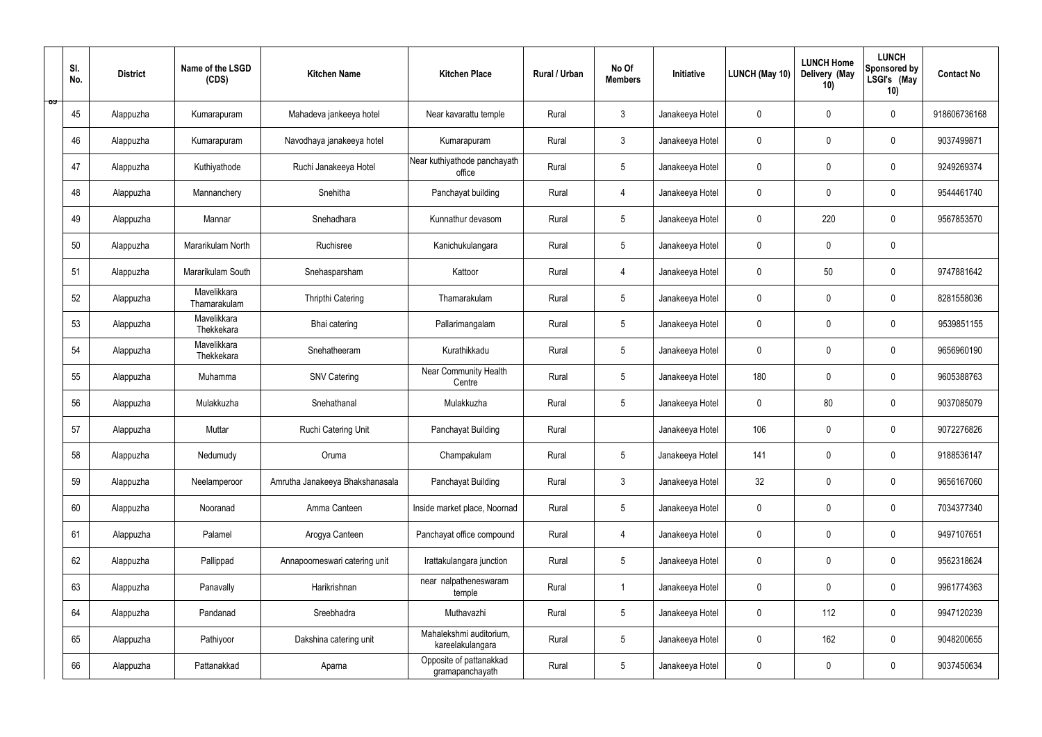|    | SI.<br>No. | <b>District</b> | Name of the LSGD<br>(CDS)   | <b>Kitchen Name</b>             | <b>Kitchen Place</b>                        | Rural / Urban | No Of<br><b>Members</b> | Initiative      | LUNCH (May 10) | <b>LUNCH Home</b><br>Delivery (May<br>10) | <b>LUNCH</b><br>Sponsored by<br>LSGI's (May<br>10) | <b>Contact No</b> |
|----|------------|-----------------|-----------------------------|---------------------------------|---------------------------------------------|---------------|-------------------------|-----------------|----------------|-------------------------------------------|----------------------------------------------------|-------------------|
| ರ್ | 45         | Alappuzha       | Kumarapuram                 | Mahadeva jankeeya hotel         | Near kavarattu temple                       | Rural         | $\mathbf{3}$            | Janakeeya Hotel | $\mathbf 0$    | $\mathbf 0$                               | $\mathbf 0$                                        | 918606736168      |
|    | 46         | Alappuzha       | Kumarapuram                 | Navodhaya janakeeya hotel       | Kumarapuram                                 | Rural         | $\mathbf{3}$            | Janakeeya Hotel | $\mathbf 0$    | $\mathbf 0$                               | $\mathbf 0$                                        | 9037499871        |
|    | 47         | Alappuzha       | Kuthiyathode                | Ruchi Janakeeya Hotel           | Near kuthiyathode panchayath<br>office      | Rural         | 5 <sup>5</sup>          | Janakeeya Hotel | $\mathbf 0$    | $\mathbf 0$                               | $\mathbf 0$                                        | 9249269374        |
|    | 48         | Alappuzha       | Mannanchery                 | Snehitha                        | Panchayat building                          | Rural         | $\overline{4}$          | Janakeeya Hotel | $\mathbf 0$    | $\mathbf 0$                               | $\mathbf 0$                                        | 9544461740        |
|    | 49         | Alappuzha       | Mannar                      | Snehadhara                      | Kunnathur devasom                           | Rural         | $5\phantom{.0}$         | Janakeeya Hotel | $\mathbf 0$    | 220                                       | $\mathbf 0$                                        | 9567853570        |
|    | 50         | Alappuzha       | Mararikulam North           | Ruchisree                       | Kanichukulangara                            | Rural         | $5\overline{)}$         | Janakeeya Hotel | $\mathbf 0$    | $\mathbf 0$                               | $\mathbf 0$                                        |                   |
|    | 51         | Alappuzha       | Mararikulam South           | Snehasparsham                   | Kattoor                                     | Rural         | 4                       | Janakeeya Hotel | $\mathbf 0$    | 50                                        | $\mathbf 0$                                        | 9747881642        |
|    | 52         | Alappuzha       | Mavelikkara<br>Thamarakulam | <b>Thripthi Catering</b>        | Thamarakulam                                | Rural         | $5\phantom{.0}$         | Janakeeya Hotel | $\mathbf 0$    | $\mathbf 0$                               | $\mathbf 0$                                        | 8281558036        |
|    | 53         | Alappuzha       | Mavelikkara<br>Thekkekara   | Bhai catering                   | Pallarimangalam                             | Rural         | 5 <sup>5</sup>          | Janakeeya Hotel | $\mathbf 0$    | $\mathbf 0$                               | $\mathbf 0$                                        | 9539851155        |
|    | 54         | Alappuzha       | Mavelikkara<br>Thekkekara   | Snehatheeram                    | Kurathikkadu                                | Rural         | $5\overline{)}$         | Janakeeya Hotel | $\mathbf 0$    | $\mathbf 0$                               | $\mathbf 0$                                        | 9656960190        |
|    | 55         | Alappuzha       | Muhamma                     | <b>SNV Catering</b>             | Near Community Health<br>Centre             | Rural         | $5\phantom{.0}$         | Janakeeya Hotel | 180            | $\mathbf 0$                               | $\mathbf 0$                                        | 9605388763        |
|    | 56         | Alappuzha       | Mulakkuzha                  | Snehathanal                     | Mulakkuzha                                  | Rural         | $5\phantom{.0}$         | Janakeeya Hotel | $\mathbf 0$    | 80                                        | $\mathbf 0$                                        | 9037085079        |
|    | 57         | Alappuzha       | Muttar                      | Ruchi Catering Unit             | Panchayat Building                          | Rural         |                         | Janakeeya Hotel | 106            | $\mathbf 0$                               | $\mathbf 0$                                        | 9072276826        |
|    | 58         | Alappuzha       | Nedumudy                    | Oruma                           | Champakulam                                 | Rural         | $5\phantom{.0}$         | Janakeeya Hotel | 141            | $\mathbf 0$                               | $\mathbf 0$                                        | 9188536147        |
|    | 59         | Alappuzha       | Neelamperoor                | Amrutha Janakeeya Bhakshanasala | Panchayat Building                          | Rural         | $\mathbf{3}$            | Janakeeya Hotel | 32             | $\pmb{0}$                                 | $\mathbf 0$                                        | 9656167060        |
|    | 60         | Alappuzha       | Nooranad                    | Amma Canteen                    | Inside market place, Noornad                | Rural         | 5 <sup>5</sup>          | Janakeeya Hotel | $\mathbf 0$    | $\mathbf 0$                               | $\mathbf 0$                                        | 7034377340        |
|    | 61         | Alappuzha       | Palamel                     | Arogya Canteen                  | Panchayat office compound                   | Rural         | 4                       | Janakeeya Hotel | $\mathbf 0$    | $\mathbf 0$                               | $\mathbf 0$                                        | 9497107651        |
|    | 62         | Alappuzha       | Pallippad                   | Annapoorneswari catering unit   | Irattakulangara junction                    | Rural         | 5 <sup>5</sup>          | Janakeeya Hotel | $\mathbf 0$    | $\mathbf 0$                               | $\mathbf 0$                                        | 9562318624        |
|    | 63         | Alappuzha       | Panavally                   | Harikrishnan                    | near nalpatheneswaram<br>temple             | Rural         | $\overline{1}$          | Janakeeya Hotel | $\mathbf 0$    | $\mathbf 0$                               | $\mathbf 0$                                        | 9961774363        |
|    | 64         | Alappuzha       | Pandanad                    | Sreebhadra                      | Muthavazhi                                  | Rural         | 5 <sub>5</sub>          | Janakeeya Hotel | $\mathbf 0$    | 112                                       | $\mathbf 0$                                        | 9947120239        |
|    | 65         | Alappuzha       | Pathiyoor                   | Dakshina catering unit          | Mahalekshmi auditorium,<br>kareelakulangara | Rural         | $5\phantom{.0}$         | Janakeeya Hotel | $\mathbf 0$    | 162                                       | $\mathbf 0$                                        | 9048200655        |
|    | 66         | Alappuzha       | Pattanakkad                 | Aparna                          | Opposite of pattanakkad<br>gramapanchayath  | Rural         | 5 <sub>5</sub>          | Janakeeya Hotel | $\pmb{0}$      | $\pmb{0}$                                 | $\boldsymbol{0}$                                   | 9037450634        |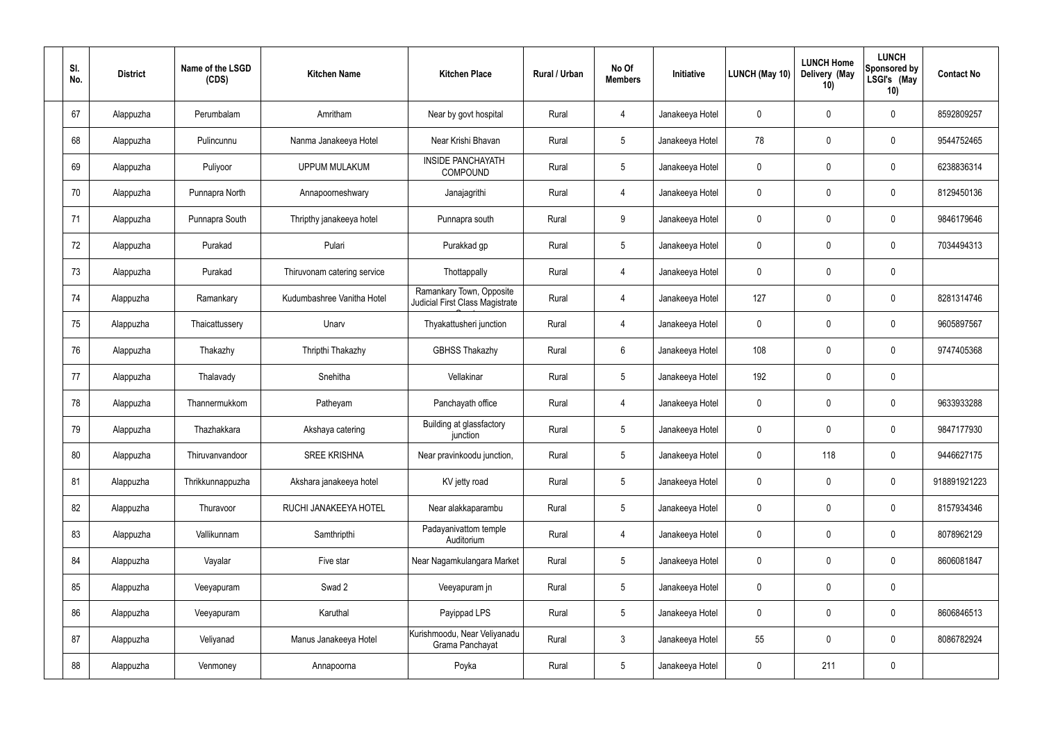| SI.<br>No. | <b>District</b> | Name of the LSGD<br>(CDS) | <b>Kitchen Name</b>         | <b>Kitchen Place</b>                                        | Rural / Urban | No Of<br><b>Members</b> | Initiative      | <b>LUNCH (May 10)</b> | <b>LUNCH Home</b><br>Delivery (May<br>10) | <b>LUNCH</b><br>Sponsored by<br>LSGI's (May<br>10) | <b>Contact No</b> |
|------------|-----------------|---------------------------|-----------------------------|-------------------------------------------------------------|---------------|-------------------------|-----------------|-----------------------|-------------------------------------------|----------------------------------------------------|-------------------|
| 67         | Alappuzha       | Perumbalam                | Amritham                    | Near by govt hospital                                       | Rural         | $\overline{4}$          | Janakeeya Hotel | $\mathbf 0$           | 0                                         | $\mathbf 0$                                        | 8592809257        |
| 68         | Alappuzha       | Pulincunnu                | Nanma Janakeeya Hotel       | Near Krishi Bhavan                                          | Rural         | $5\overline{)}$         | Janakeeya Hotel | 78                    | 0                                         | $\mathbf 0$                                        | 9544752465        |
| 69         | Alappuzha       | Puliyoor                  | <b>UPPUM MULAKUM</b>        | <b>INSIDE PANCHAYATH</b><br><b>COMPOUND</b>                 | Rural         | $5\overline{)}$         | Janakeeya Hotel | $\mathbf 0$           | 0                                         | $\mathbf 0$                                        | 6238836314        |
| 70         | Alappuzha       | Punnapra North            | Annapoorneshwary            | Janajagrithi                                                | Rural         | $\overline{4}$          | Janakeeya Hotel | $\mathbf 0$           | 0                                         | $\mathbf 0$                                        | 8129450136        |
| 71         | Alappuzha       | Punnapra South            | Thripthy janakeeya hotel    | Punnapra south                                              | Rural         | 9                       | Janakeeya Hotel | $\mathbf 0$           | 0                                         | $\mathbf 0$                                        | 9846179646        |
| 72         | Alappuzha       | Purakad                   | Pulari                      | Purakkad gp                                                 | Rural         | $5\phantom{.0}$         | Janakeeya Hotel | $\mathbf 0$           | 0                                         | $\mathbf 0$                                        | 7034494313        |
| 73         | Alappuzha       | Purakad                   | Thiruvonam catering service | Thottappally                                                | Rural         | $\overline{4}$          | Janakeeya Hotel | $\mathbf 0$           | 0                                         | $\mathbf 0$                                        |                   |
| 74         | Alappuzha       | Ramankary                 | Kudumbashree Vanitha Hotel  | Ramankary Town, Opposite<br>Judicial First Class Magistrate | Rural         | $\overline{4}$          | Janakeeya Hotel | 127                   | 0                                         | $\mathbf 0$                                        | 8281314746        |
| 75         | Alappuzha       | Thaicattussery            | Unarv                       | Thyakattusheri junction                                     | Rural         | 4                       | Janakeeya Hotel | $\mathbf 0$           | 0                                         | $\mathbf 0$                                        | 9605897567        |
| 76         | Alappuzha       | Thakazhy                  | Thripthi Thakazhy           | <b>GBHSS Thakazhy</b>                                       | Rural         | $6\overline{6}$         | Janakeeya Hotel | 108                   | 0                                         | $\mathbf 0$                                        | 9747405368        |
| 77         | Alappuzha       | Thalavady                 | Snehitha                    | Vellakinar                                                  | Rural         | $5\phantom{.0}$         | Janakeeya Hotel | 192                   | 0                                         | $\mathbf 0$                                        |                   |
| 78         | Alappuzha       | Thannermukkom             | Patheyam                    | Panchayath office                                           | Rural         | 4                       | Janakeeya Hotel | $\mathbf 0$           | 0                                         | $\mathbf 0$                                        | 9633933288        |
| 79         | Alappuzha       | Thazhakkara               | Akshaya catering            | Building at glassfactory<br>junction                        | Rural         | $5\phantom{.0}$         | Janakeeya Hotel | $\mathbf 0$           | $\mathbf 0$                               | $\mathbf 0$                                        | 9847177930        |
| 80         | Alappuzha       | Thiruvanvandoor           | <b>SREE KRISHNA</b>         | Near pravinkoodu junction,                                  | Rural         | $5\phantom{.0}$         | Janakeeya Hotel | $\mathbf 0$           | 118                                       | $\mathbf 0$                                        | 9446627175        |
| 81         | Alappuzha       | Thrikkunnappuzha          | Akshara janakeeya hotel     | KV jetty road                                               | Rural         | $5\overline{)}$         | Janakeeya Hotel | $\mathbf 0$           | $\pmb{0}$                                 | $\boldsymbol{0}$                                   | 918891921223      |
| 82         | Alappuzha       | Thuravoor                 | RUCHI JANAKEEYA HOTEL       | Near alakkaparambu                                          | Rural         | $5\overline{)}$         | Janakeeya Hotel | $\pmb{0}$             | $\pmb{0}$                                 | $\mathbf 0$                                        | 8157934346        |
| 83         | Alappuzha       | Vallikunnam               | Samthripthi                 | Padayanivattom temple<br>Auditorium                         | Rural         | $\overline{4}$          | Janakeeya Hotel | $\mathbf 0$           | $\pmb{0}$                                 | $\mathbf 0$                                        | 8078962129        |
| 84         | Alappuzha       | Vayalar                   | Five star                   | Near Nagamkulangara Market                                  | Rural         | 5 <sub>5</sub>          | Janakeeya Hotel | $\pmb{0}$             | $\pmb{0}$                                 | $\mathbf 0$                                        | 8606081847        |
| 85         | Alappuzha       | Veeyapuram                | Swad 2                      | Veeyapuram jn                                               | Rural         | $5\overline{)}$         | Janakeeya Hotel | $\mathbf 0$           | $\pmb{0}$                                 | $\mathbf 0$                                        |                   |
| 86         | Alappuzha       | Veeyapuram                | Karuthal                    | Payippad LPS                                                | Rural         | $5\overline{)}$         | Janakeeya Hotel | $\pmb{0}$             | $\pmb{0}$                                 | $\mathbf 0$                                        | 8606846513        |
| 87         | Alappuzha       | Veliyanad                 | Manus Janakeeya Hotel       | Kurishmoodu, Near Veliyanadu<br>Grama Panchayat             | Rural         | $\mathbf{3}$            | Janakeeya Hotel | 55                    | 0                                         | $\mathbf 0$                                        | 8086782924        |
| 88         | Alappuzha       | Venmoney                  | Annapoorna                  | Poyka                                                       | Rural         | $5\phantom{.0}$         | Janakeeya Hotel | $\pmb{0}$             | 211                                       | $\boldsymbol{0}$                                   |                   |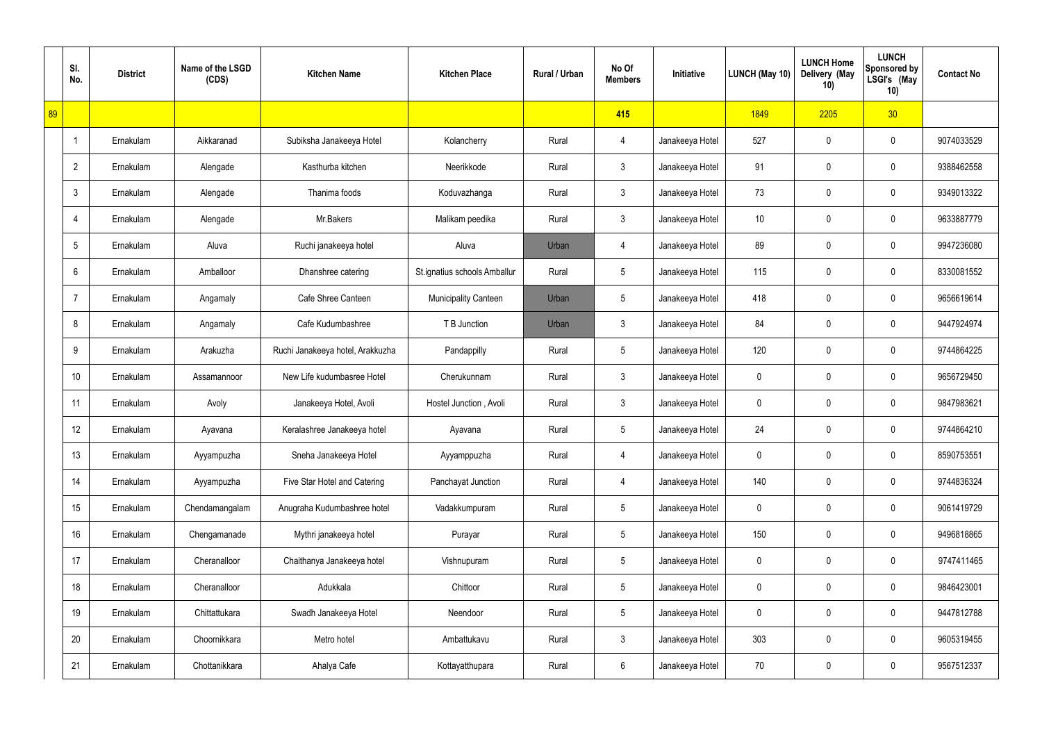|    | SI.<br>No.               | <b>District</b> | Name of the LSGD<br>(CDS) | <b>Kitchen Name</b>              | <b>Kitchen Place</b>         | <b>Rural / Urban</b> | No Of<br><b>Members</b> | Initiative      | LUNCH (May 10) | <b>LUNCH Home</b><br>Delivery (May<br>10) | <b>LUNCH</b><br><b>Sponsored by</b><br>LSGI's (May<br>10) | <b>Contact No</b> |
|----|--------------------------|-----------------|---------------------------|----------------------------------|------------------------------|----------------------|-------------------------|-----------------|----------------|-------------------------------------------|-----------------------------------------------------------|-------------------|
| 89 |                          |                 |                           |                                  |                              |                      | 415                     |                 | 1849           | 2205                                      | 30 <sub>2</sub>                                           |                   |
|    | $\overline{\phantom{a}}$ | Ernakulam       | Aikkaranad                | Subiksha Janakeeya Hotel         | Kolancherry                  | Rural                | 4                       | Janakeeya Hotel | 527            | 0                                         | 0                                                         | 9074033529        |
|    | $\overline{2}$           | Ernakulam       | Alengade                  | Kasthurba kitchen                | Neerikkode                   | Rural                | $\mathfrak{Z}$          | Janakeeya Hotel | 91             | 0                                         | $\pmb{0}$                                                 | 9388462558        |
|    | 3                        | Ernakulam       | Alengade                  | Thanima foods                    | Koduvazhanga                 | Rural                | $\mathfrak{Z}$          | Janakeeya Hotel | 73             | 0                                         | 0                                                         | 9349013322        |
|    | $\overline{4}$           | Ernakulam       | Alengade                  | Mr.Bakers                        | Malikam peedika              | Rural                | $\mathfrak{Z}$          | Janakeeya Hotel | 10             | 0                                         | 0                                                         | 9633887779        |
|    | 5                        | Ernakulam       | Aluva                     | Ruchi janakeeya hotel            | Aluva                        | Urban                | 4                       | Janakeeya Hotel | 89             | 0                                         | $\mathbf 0$                                               | 9947236080        |
|    | 6                        | Ernakulam       | Amballoor                 | Dhanshree catering               | St.ignatius schools Amballur | Rural                | $5\phantom{.0}$         | Janakeeya Hotel | 115            | 0                                         | 0                                                         | 8330081552        |
|    | $\overline{7}$           | Ernakulam       | Angamaly                  | Cafe Shree Canteen               | Municipality Canteen         | Urban                | 5                       | Janakeeya Hotel | 418            | 0                                         | $\mathbf 0$                                               | 9656619614        |
|    | 8                        | Ernakulam       | Angamaly                  | Cafe Kudumbashree                | T B Junction                 | Urban                | $\mathfrak{Z}$          | Janakeeya Hotel | 84             | 0                                         | 0                                                         | 9447924974        |
|    | 9                        | Ernakulam       | Arakuzha                  | Ruchi Janakeeya hotel, Arakkuzha | Pandappilly                  | Rural                | $5\phantom{.0}$         | Janakeeya Hotel | 120            | 0                                         | $\mathbf 0$                                               | 9744864225        |
|    | 10 <sup>°</sup>          | Ernakulam       | Assamannoor               | New Life kudumbasree Hotel       | Cherukunnam                  | Rural                | $\mathfrak{Z}$          | Janakeeya Hotel | $\mathbf 0$    | 0                                         | $\mathbf 0$                                               | 9656729450        |
|    | 11                       | Ernakulam       | Avoly                     | Janakeeya Hotel, Avoli           | Hostel Junction, Avoli       | Rural                | $\mathbf{3}$            | Janakeeya Hotel | 0              | 0                                         | $\mathbf 0$                                               | 9847983621        |
|    | 12                       | Ernakulam       | Ayavana                   | Keralashree Janakeeya hotel      | Ayavana                      | Rural                | $5\phantom{.0}$         | Janakeeya Hotel | 24             | 0                                         | $\mathbf 0$                                               | 9744864210        |
|    | 13                       | Ernakulam       | Ayyampuzha                | Sneha Janakeeya Hotel            | Ayyamppuzha                  | Rural                | 4                       | Janakeeya Hotel | 0              | 0                                         | $\mathbf 0$                                               | 8590753551        |
|    | 14                       | Ernakulam       | Ayyampuzha                | Five Star Hotel and Catering     | Panchayat Junction           | Rural                | $\overline{4}$          | Janakeeya Hotel | 140            | 0                                         | $\mathbf 0$                                               | 9744836324        |
|    | 15                       | Ernakulam       | Chendamangalam            | Anugraha Kudumbashree hotel      | Vadakkumpuram                | Rural                | $5\phantom{.0}$         | Janakeeya Hotel | $\mathbf 0$    | 0                                         | $\mathbf 0$                                               | 9061419729        |
|    | 16                       | Ernakulam       | Chengamanade              | Mythri janakeeya hotel           | Purayar                      | Rural                | $5\phantom{.0}$         | Janakeeya Hotel | 150            | 0                                         | $\mathbf 0$                                               | 9496818865        |
|    | 17                       | Ernakulam       | Cheranalloor              | Chaithanya Janakeeya hotel       | Vishnupuram                  | Rural                | $5\phantom{.0}$         | Janakeeya Hotel | $\mathbf 0$    | 0                                         | $\mathbf 0$                                               | 9747411465        |
|    | 18                       | Ernakulam       | Cheranalloor              | Adukkala                         | Chittoor                     | Rural                | $5\phantom{.0}$         | Janakeeya Hotel | $\mathbf 0$    | 0                                         | $\mathbf 0$                                               | 9846423001        |
|    | 19                       | Ernakulam       | Chittattukara             | Swadh Janakeeya Hotel            | Neendoor                     | Rural                | $5\phantom{.0}$         | Janakeeya Hotel | $\mathbf 0$    | 0                                         | $\mathbf 0$                                               | 9447812788        |
|    | 20                       | Ernakulam       | Choornikkara              | Metro hotel                      | Ambattukavu                  | Rural                | $\mathfrak{Z}$          | Janakeeya Hotel | 303            | 0                                         | $\mathsf{0}$                                              | 9605319455        |
|    | 21                       | Ernakulam       | Chottanikkara             | Ahalya Cafe                      | Kottayatthupara              | Rural                | 6                       | Janakeeya Hotel | 70             | 0                                         | $\mathsf{0}$                                              | 9567512337        |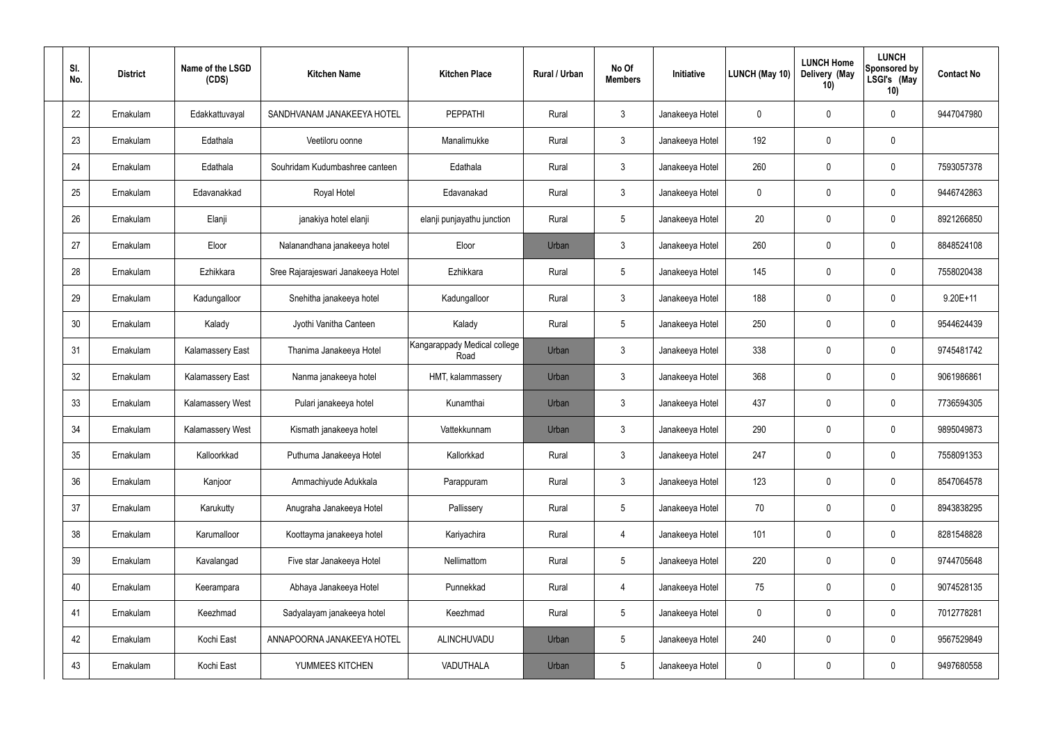| SI.<br>No. | <b>District</b> | Name of the LSGD<br>(CDS) | <b>Kitchen Name</b>                | <b>Kitchen Place</b>                 | Rural / Urban | No Of<br><b>Members</b> | Initiative      | LUNCH (May 10) | <b>LUNCH Home</b><br>Delivery (May<br>10) | <b>LUNCH</b><br>Sponsored by<br>LSGI's (May<br>10) | <b>Contact No</b> |
|------------|-----------------|---------------------------|------------------------------------|--------------------------------------|---------------|-------------------------|-----------------|----------------|-------------------------------------------|----------------------------------------------------|-------------------|
| 22         | Ernakulam       | Edakkattuvayal            | SANDHVANAM JANAKEEYA HOTEL         | <b>PEPPATHI</b>                      | Rural         | $\mathfrak{Z}$          | Janakeeya Hotel | 0              | 0                                         | $\boldsymbol{0}$                                   | 9447047980        |
| 23         | Ernakulam       | Edathala                  | Veetiloru oonne                    | Manalimukke                          | Rural         | $\mathbf{3}$            | Janakeeya Hotel | 192            | 0                                         | $\pmb{0}$                                          |                   |
| 24         | Ernakulam       | Edathala                  | Souhridam Kudumbashree canteen     | Edathala                             | Rural         | $\mathbf{3}$            | Janakeeya Hotel | 260            | 0                                         | $\boldsymbol{0}$                                   | 7593057378        |
| 25         | Ernakulam       | Edavanakkad               | Royal Hotel                        | Edavanakad                           | Rural         | $\mathfrak{Z}$          | Janakeeya Hotel | 0              | 0                                         | $\boldsymbol{0}$                                   | 9446742863        |
| 26         | Ernakulam       | Elanji                    | janakiya hotel elanji              | elanji punjayathu junction           | Rural         | $5\,$                   | Janakeeya Hotel | 20             | 0                                         | $\boldsymbol{0}$                                   | 8921266850        |
| 27         | Ernakulam       | Eloor                     | Nalanandhana janakeeya hotel       | Eloor                                | Urban         | $\mathbf{3}$            | Janakeeya Hotel | 260            | 0                                         | $\boldsymbol{0}$                                   | 8848524108        |
| 28         | Ernakulam       | Ezhikkara                 | Sree Rajarajeswari Janakeeya Hotel | Ezhikkara                            | Rural         | $5\,$                   | Janakeeya Hotel | 145            | $\boldsymbol{0}$                          | $\boldsymbol{0}$                                   | 7558020438        |
| 29         | Ernakulam       | Kadungalloor              | Snehitha janakeeya hotel           | Kadungalloor                         | Rural         | $\mathfrak{Z}$          | Janakeeya Hotel | 188            | 0                                         | $\boldsymbol{0}$                                   | $9.20E + 11$      |
| 30         | Ernakulam       | Kalady                    | Jyothi Vanitha Canteen             | Kalady                               | Rural         | $5\,$                   | Janakeeya Hotel | 250            | $\boldsymbol{0}$                          | $\boldsymbol{0}$                                   | 9544624439        |
| 31         | Ernakulam       | <b>Kalamassery East</b>   | Thanima Janakeeya Hotel            | Kangarappady Medical college<br>Road | Urban         | 3                       | Janakeeya Hotel | 338            | 0                                         | $\boldsymbol{0}$                                   | 9745481742        |
| 32         | Ernakulam       | <b>Kalamassery East</b>   | Nanma janakeeya hotel              | HMT, kalammassery                    | Urban         | $\mathbf{3}$            | Janakeeya Hotel | 368            | 0                                         | $\boldsymbol{0}$                                   | 9061986861        |
| 33         | Ernakulam       | <b>Kalamassery West</b>   | Pulari janakeeya hotel             | Kunamthai                            | Urban         | $\mathbf{3}$            | Janakeeya Hotel | 437            | 0                                         | $\boldsymbol{0}$                                   | 7736594305        |
| 34         | Ernakulam       | Kalamassery West          | Kismath janakeeya hotel            | Vattekkunnam                         | Urban         | 3                       | Janakeeya Hotel | 290            | 0                                         | $\boldsymbol{0}$                                   | 9895049873        |
| 35         | Ernakulam       | Kalloorkkad               | Puthuma Janakeeya Hotel            | Kallorkkad                           | Rural         | $\mathbf{3}$            | Janakeeya Hotel | 247            | 0                                         | $\mathbf 0$                                        | 7558091353        |
| 36         | Ernakulam       | Kanjoor                   | Ammachiyude Adukkala               | Parappuram                           | Rural         | $\mathbf{3}$            | Janakeeya Hotel | 123            | $\mathsf{0}$                              | $\mathbf 0$                                        | 8547064578        |
| 37         | Ernakulam       | Karukutty                 | Anugraha Janakeeya Hotel           | Pallissery                           | Rural         | $5\phantom{.0}$         | Janakeeya Hotel | 70             | 0                                         | $\mathbf 0$                                        | 8943838295        |
| 38         | Ernakulam       | Karumalloor               | Koottayma janakeeya hotel          | Kariyachira                          | Rural         | $\overline{4}$          | Janakeeya Hotel | 101            | 0                                         | $\mathbf 0$                                        | 8281548828        |
| 39         | Ernakulam       | Kavalangad                | Five star Janakeeya Hotel          | Nellimattom                          | Rural         | $5\phantom{.0}$         | Janakeeya Hotel | 220            | 0                                         | $\mathbf 0$                                        | 9744705648        |
| 40         | Ernakulam       | Keerampara                | Abhaya Janakeeya Hotel             | Punnekkad                            | Rural         | 4                       | Janakeeya Hotel | 75             | 0                                         | $\mathbf 0$                                        | 9074528135        |
| 41         | Ernakulam       | Keezhmad                  | Sadyalayam janakeeya hotel         | Keezhmad                             | Rural         | $5\phantom{.0}$         | Janakeeya Hotel | 0              | 0                                         | $\mathbf 0$                                        | 7012778281        |
| 42         | Ernakulam       | Kochi East                | ANNAPOORNA JANAKEEYA HOTEL         | ALINCHUVADU                          | Urban         | $5\phantom{.0}$         | Janakeeya Hotel | 240            | 0                                         | $\mathbf 0$                                        | 9567529849        |
| 43         | Ernakulam       | Kochi East                | YUMMEES KITCHEN                    | VADUTHALA                            | Urban         | $5\,$                   | Janakeeya Hotel | 0              | $\pmb{0}$                                 | $\pmb{0}$                                          | 9497680558        |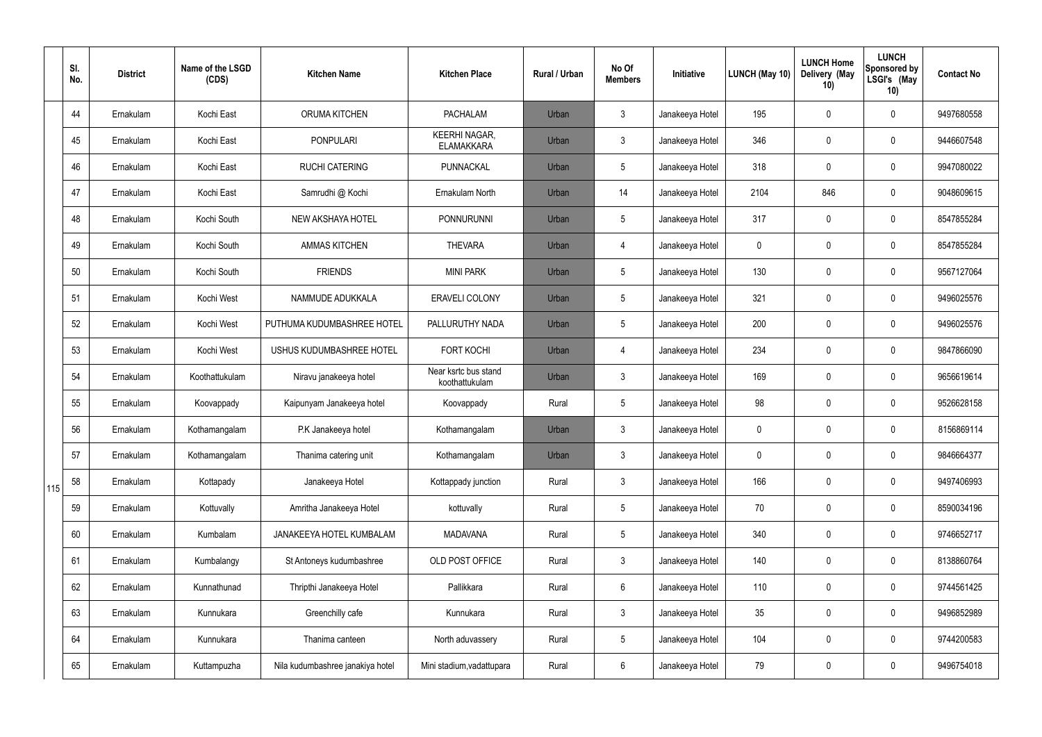|     | SI.<br>No. | <b>District</b> | Name of the LSGD<br>(CDS) | <b>Kitchen Name</b>              | <b>Kitchen Place</b>                      | <b>Rural / Urban</b> | No Of<br><b>Members</b> | Initiative      | LUNCH (May 10) | <b>LUNCH Home</b><br>Delivery (May<br>10) | <b>LUNCH</b><br><b>Sponsored by</b><br>LSGI's (May<br>10) | <b>Contact No</b> |
|-----|------------|-----------------|---------------------------|----------------------------------|-------------------------------------------|----------------------|-------------------------|-----------------|----------------|-------------------------------------------|-----------------------------------------------------------|-------------------|
|     | 44         | Ernakulam       | Kochi East                | <b>ORUMA KITCHEN</b>             | <b>PACHALAM</b>                           | Urban                | 3                       | Janakeeya Hotel | 195            | 0                                         | $\mathbf 0$                                               | 9497680558        |
|     | 45         | Ernakulam       | Kochi East                | <b>PONPULARI</b>                 | <b>KEERHI NAGAR,</b><br><b>ELAMAKKARA</b> | Urban                | $\mathfrak{Z}$          | Janakeeya Hotel | 346            | 0                                         | 0                                                         | 9446607548        |
|     | 46         | Ernakulam       | Kochi East                | <b>RUCHI CATERING</b>            | PUNNACKAL                                 | Urban                | $5\overline{)}$         | Janakeeya Hotel | 318            | 0                                         | $\pmb{0}$                                                 | 9947080022        |
|     | 47         | Ernakulam       | Kochi East                | Samrudhi @ Kochi                 | Ernakulam North                           | Urban                | 14                      | Janakeeya Hotel | 2104           | 846                                       | $\pmb{0}$                                                 | 9048609615        |
|     | 48         | Ernakulam       | Kochi South               | NEW AKSHAYA HOTEL                | <b>PONNURUNNI</b>                         | Urban                | 5                       | Janakeeya Hotel | 317            | 0                                         | $\pmb{0}$                                                 | 8547855284        |
|     | 49         | Ernakulam       | Kochi South               | <b>AMMAS KITCHEN</b>             | <b>THEVARA</b>                            | Urban                | 4                       | Janakeeya Hotel | 0              | 0                                         | $\pmb{0}$                                                 | 8547855284        |
|     | 50         | Ernakulam       | Kochi South               | <b>FRIENDS</b>                   | <b>MINI PARK</b>                          | Urban                | 5                       | Janakeeya Hotel | 130            | 0                                         | $\pmb{0}$                                                 | 9567127064        |
|     | 51         | Ernakulam       | Kochi West                | NAMMUDE ADUKKALA                 | <b>ERAVELI COLONY</b>                     | Urban                | 5                       | Janakeeya Hotel | 321            | 0                                         | $\pmb{0}$                                                 | 9496025576        |
|     | 52         | Ernakulam       | Kochi West                | PUTHUMA KUDUMBASHREE HOTEL       | PALLURUTHY NADA                           | Urban                | $5\overline{)}$         | Janakeeya Hotel | 200            | 0                                         | $\pmb{0}$                                                 | 9496025576        |
|     | 53         | Ernakulam       | Kochi West                | USHUS KUDUMBASHREE HOTEL         | <b>FORT KOCHI</b>                         | Urban                | 4                       | Janakeeya Hotel | 234            | 0                                         | $\pmb{0}$                                                 | 9847866090        |
|     | 54         | Ernakulam       | Koothattukulam            | Niravu janakeeya hotel           | Near ksrtc bus stand<br>koothattukulam    | Urban                | $\mathbf{3}$            | Janakeeya Hotel | 169            | 0                                         | $\pmb{0}$                                                 | 9656619614        |
|     | 55         | Ernakulam       | Koovappady                | Kaipunyam Janakeeya hotel        | Koovappady                                | Rural                | 5                       | Janakeeya Hotel | 98             | 0                                         | $\pmb{0}$                                                 | 9526628158        |
|     | 56         | Ernakulam       | Kothamangalam             | P.K Janakeeya hotel              | Kothamangalam                             | Urban                | 3                       | Janakeeya Hotel | 0              | 0                                         | $\mathbf 0$                                               | 8156869114        |
|     | 57         | Ernakulam       | Kothamangalam             | Thanima catering unit            | Kothamangalam                             | Urban                | $\mathbf{3}$            | Janakeeya Hotel | 0              | 0                                         | $\mathbf 0$                                               | 9846664377        |
| 115 | 58         | Ernakulam       | Kottapady                 | Janakeeya Hotel                  | Kottappady junction                       | Rural                | $\mathbf{3}$            | Janakeeya Hotel | 166            | 0                                         | $\mathsf{0}$                                              | 9497406993        |
|     | 59         | Ernakulam       | Kottuvally                | Amritha Janakeeya Hotel          | kottuvally                                | Rural                | $5\overline{)}$         | Janakeeya Hotel | 70             | 0                                         | $\mathsf{0}$                                              | 8590034196        |
|     | 60         | Ernakulam       | Kumbalam                  | JANAKEEYA HOTEL KUMBALAM         | <b>MADAVANA</b>                           | Rural                | $5\overline{)}$         | Janakeeya Hotel | 340            | 0                                         | $\mathsf{0}$                                              | 9746652717        |
|     | 61         | Ernakulam       | Kumbalangy                | St Antoneys kudumbashree         | OLD POST OFFICE                           | Rural                | $\mathfrak{Z}$          | Janakeeya Hotel | 140            | 0                                         | $\mathsf{0}$                                              | 8138860764        |
|     | 62         | Ernakulam       | Kunnathunad               | Thripthi Janakeeya Hotel         | Pallikkara                                | Rural                | $6\overline{6}$         | Janakeeya Hotel | 110            | 0                                         | $\mathsf{0}$                                              | 9744561425        |
|     | 63         | Ernakulam       | Kunnukara                 | Greenchilly cafe                 | Kunnukara                                 | Rural                | $\mathbf{3}$            | Janakeeya Hotel | 35             | 0                                         | $\mathsf{0}$                                              | 9496852989        |
|     | 64         | Ernakulam       | Kunnukara                 | Thanima canteen                  | North aduvassery                          | Rural                | $5\overline{)}$         | Janakeeya Hotel | 104            | 0                                         | $\mathsf{0}$                                              | 9744200583        |
|     | 65         | Ernakulam       | Kuttampuzha               | Nila kudumbashree janakiya hotel | Mini stadium, vadattupara                 | Rural                | 6                       | Janakeeya Hotel | 79             | 0                                         | $\pmb{0}$                                                 | 9496754018        |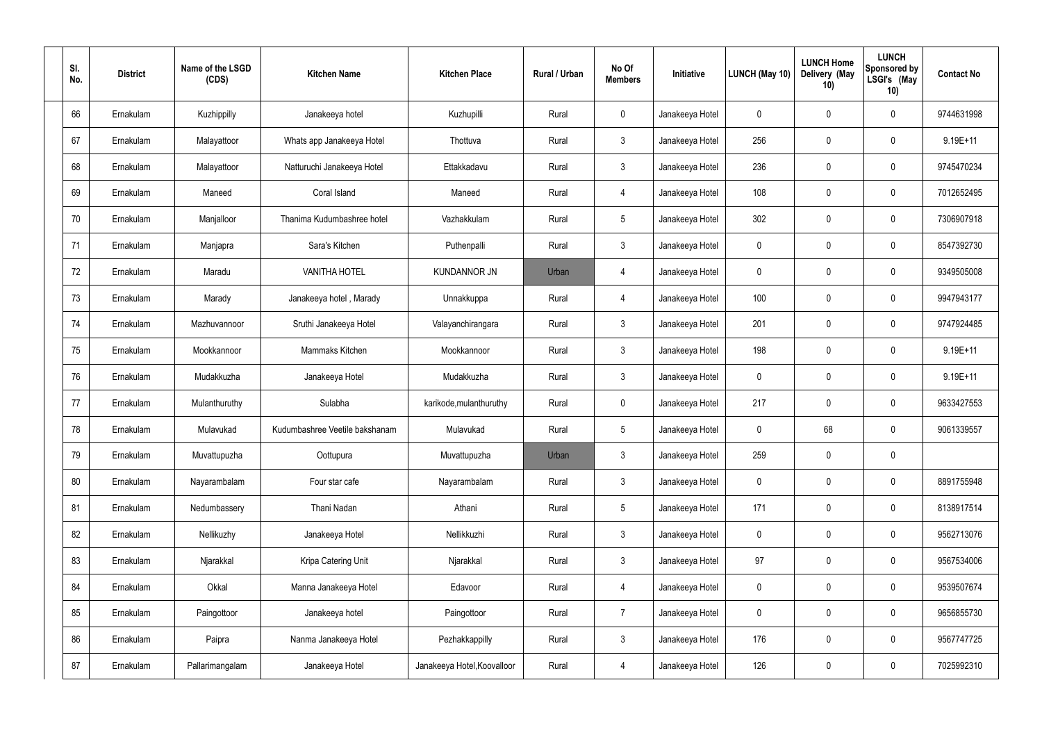| SI.<br>No. | <b>District</b> | Name of the LSGD<br>(CDS) | <b>Kitchen Name</b>            | <b>Kitchen Place</b>        | Rural / Urban | No Of<br><b>Members</b> | Initiative      | LUNCH (May 10) | <b>LUNCH Home</b><br>Delivery (May<br>10) | <b>LUNCH</b><br><b>Sponsored by</b><br>LSGI's (May<br>10) | <b>Contact No</b> |
|------------|-----------------|---------------------------|--------------------------------|-----------------------------|---------------|-------------------------|-----------------|----------------|-------------------------------------------|-----------------------------------------------------------|-------------------|
| 66         | Ernakulam       | Kuzhippilly               | Janakeeya hotel                | Kuzhupilli                  | Rural         | $\mathbf 0$             | Janakeeya Hotel | 0              | 0                                         | $\mathbf 0$                                               | 9744631998        |
| 67         | Ernakulam       | Malayattoor               | Whats app Janakeeya Hotel      | Thottuva                    | Rural         | $\mathfrak{Z}$          | Janakeeya Hotel | 256            | 0                                         | 0                                                         | $9.19E + 11$      |
| 68         | Ernakulam       | Malayattoor               | Natturuchi Janakeeya Hotel     | Ettakkadavu                 | Rural         | $\mathbf{3}$            | Janakeeya Hotel | 236            | 0                                         | $\mathbf 0$                                               | 9745470234        |
| 69         | Ernakulam       | Maneed                    | Coral Island                   | Maneed                      | Rural         | 4                       | Janakeeya Hotel | 108            | 0                                         | $\mathbf 0$                                               | 7012652495        |
| 70         | Ernakulam       | Manjalloor                | Thanima Kudumbashree hotel     | Vazhakkulam                 | Rural         | $\overline{5}$          | Janakeeya Hotel | 302            | 0                                         | $\mathbf 0$                                               | 7306907918        |
| 71         | Ernakulam       | Manjapra                  | Sara's Kitchen                 | Puthenpalli                 | Rural         | 3                       | Janakeeya Hotel | 0              | 0                                         | $\mathbf 0$                                               | 8547392730        |
| 72         | Ernakulam       | Maradu                    | <b>VANITHA HOTEL</b>           | <b>KUNDANNOR JN</b>         | Urban         | 4                       | Janakeeya Hotel | 0              | 0                                         | $\mathbf 0$                                               | 9349505008        |
| 73         | Ernakulam       | Marady                    | Janakeeya hotel, Marady        | Unnakkuppa                  | Rural         | 4                       | Janakeeya Hotel | 100            | 0                                         | $\mathbf 0$                                               | 9947943177        |
| 74         | Ernakulam       | Mazhuvannoor              | Sruthi Janakeeya Hotel         | Valayanchirangara           | Rural         | $\mathbf{3}$            | Janakeeya Hotel | 201            | 0                                         | $\mathbf 0$                                               | 9747924485        |
| 75         | Ernakulam       | Mookkannoor               | Mammaks Kitchen                | Mookkannoor                 | Rural         | 3                       | Janakeeya Hotel | 198            | 0                                         | $\mathbf 0$                                               | $9.19E + 11$      |
| 76         | Ernakulam       | Mudakkuzha                | Janakeeya Hotel                | Mudakkuzha                  | Rural         | 3                       | Janakeeya Hotel | 0              | 0                                         | $\mathbf 0$                                               | $9.19E + 11$      |
| 77         | Ernakulam       | Mulanthuruthy             | Sulabha                        | karikode, mulanthuruthy     | Rural         | $\mathbf 0$             | Janakeeya Hotel | 217            | 0                                         | 0                                                         | 9633427553        |
| 78         | Ernakulam       | Mulavukad                 | Kudumbashree Veetile bakshanam | Mulavukad                   | Rural         | 5                       | Janakeeya Hotel | 0              | 68                                        | $\mathbf 0$                                               | 9061339557        |
| 79         | Ernakulam       | Muvattupuzha              | Oottupura                      | Muvattupuzha                | Urban         | 3                       | Janakeeya Hotel | 259            | $\mathbf 0$                               | $\pmb{0}$                                                 |                   |
| 80         | Ernakulam       | Nayarambalam              | Four star cafe                 | Nayarambalam                | Rural         | $\mathbf{3}$            | Janakeeya Hotel | $\mathbf 0$    | $\mathbf 0$                               | $\mathsf{0}$                                              | 8891755948        |
| 81         | Ernakulam       | Nedumbassery              | Thani Nadan                    | Athani                      | Rural         | $5\phantom{.0}$         | Janakeeya Hotel | 171            | $\pmb{0}$                                 | $\mathsf{0}$                                              | 8138917514        |
| 82         | Ernakulam       | Nellikuzhy                | Janakeeya Hotel                | Nellikkuzhi                 | Rural         | $\mathbf{3}$            | Janakeeya Hotel | 0              | $\mathbf 0$                               | $\mathsf{0}$                                              | 9562713076        |
| 83         | Ernakulam       | Njarakkal                 | Kripa Catering Unit            | Njarakkal                   | Rural         | $\mathbf{3}$            | Janakeeya Hotel | 97             | $\pmb{0}$                                 | $\mathsf{0}$                                              | 9567534006        |
| 84         | Ernakulam       | Okkal                     | Manna Janakeeya Hotel          | Edavoor                     | Rural         | 4                       | Janakeeya Hotel | 0              | $\mathbf 0$                               | $\mathsf{0}$                                              | 9539507674        |
| 85         | Ernakulam       | Paingottoor               | Janakeeya hotel                | Paingottoor                 | Rural         | $\overline{7}$          | Janakeeya Hotel | $\mathbf 0$    | $\pmb{0}$                                 | $\pmb{0}$                                                 | 9656855730        |
| 86         | Ernakulam       | Paipra                    | Nanma Janakeeya Hotel          | Pezhakkappilly              | Rural         | $\mathfrak{Z}$          | Janakeeya Hotel | 176            | $\mathbf 0$                               | $\mathsf{0}$                                              | 9567747725        |
| 87         | Ernakulam       | Pallarimangalam           | Janakeeya Hotel                | Janakeeya Hotel, Koovalloor | Rural         | $\overline{4}$          | Janakeeya Hotel | 126            | $\pmb{0}$                                 | $\mathsf{0}$                                              | 7025992310        |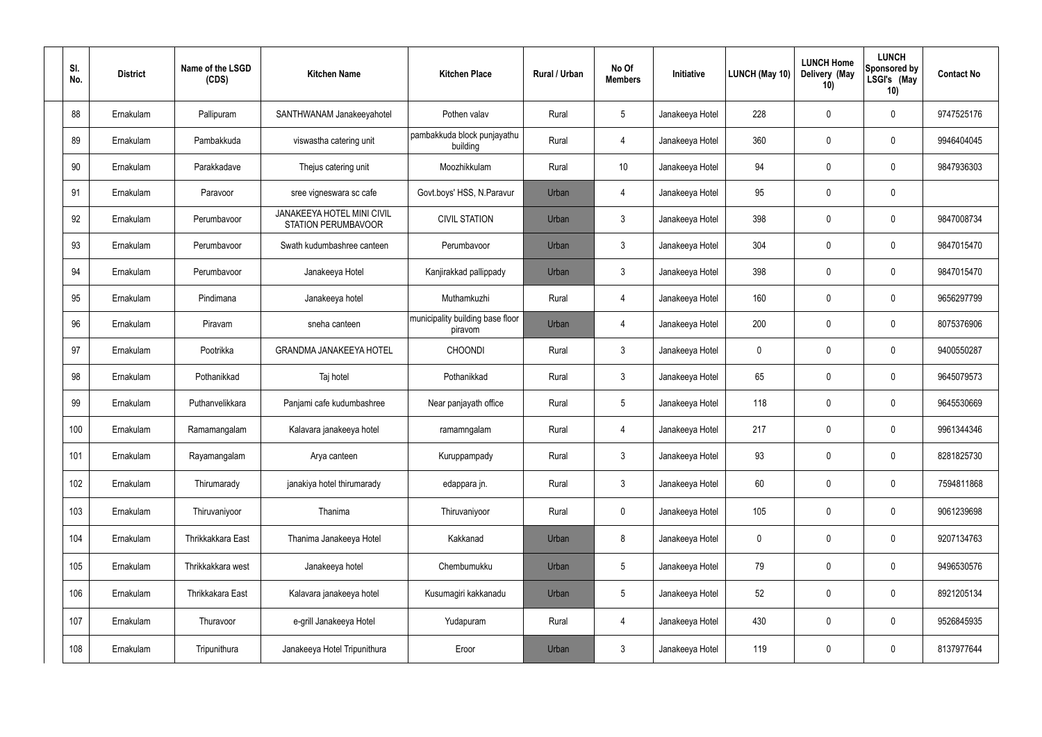| SI.<br>No. | <b>District</b> | Name of the LSGD<br>(CDS) | <b>Kitchen Name</b>                                             | <b>Kitchen Place</b>                        | <b>Rural / Urban</b> | No Of<br><b>Members</b> | Initiative      | LUNCH (May 10) | <b>LUNCH Home</b><br>Delivery (May<br>10) | <b>LUNCH</b><br><b>Sponsored by</b><br>LSGI's (May<br>10) | <b>Contact No</b> |
|------------|-----------------|---------------------------|-----------------------------------------------------------------|---------------------------------------------|----------------------|-------------------------|-----------------|----------------|-------------------------------------------|-----------------------------------------------------------|-------------------|
| 88         | Ernakulam       | Pallipuram                | SANTHWANAM Janakeeyahotel                                       | Pothen valav                                | Rural                | $5\phantom{.0}$         | Janakeeya Hotel | 228            | 0                                         | $\mathbf 0$                                               | 9747525176        |
| 89         | Ernakulam       | Pambakkuda                | viswastha catering unit                                         | pambakkuda block punjayathu<br>building     | Rural                | $\overline{4}$          | Janakeeya Hotel | 360            | 0                                         | $\mathbf 0$                                               | 9946404045        |
| 90         | Ernakulam       | Parakkadave               | Thejus catering unit                                            | Moozhikkulam                                | Rural                | 10                      | Janakeeya Hotel | 94             | 0                                         | $\mathbf 0$                                               | 9847936303        |
| 91         | Ernakulam       | Paravoor                  | sree vigneswara sc cafe                                         | Govt.boys' HSS, N.Paravur                   | Urban                | $\overline{4}$          | Janakeeya Hotel | 95             | 0                                         | $\mathbf 0$                                               |                   |
| 92         | Ernakulam       | Perumbavoor               | <b>JANAKEEYA HOTEL MINI CIVIL</b><br><b>STATION PERUMBAVOOR</b> | <b>CIVIL STATION</b>                        | Urban                | $\mathbf{3}$            | Janakeeya Hotel | 398            | 0                                         | $\mathbf 0$                                               | 9847008734        |
| 93         | Ernakulam       | Perumbavoor               | Swath kudumbashree canteen                                      | Perumbavoor                                 | Urban                | $\mathbf{3}$            | Janakeeya Hotel | 304            | 0                                         | $\mathbf 0$                                               | 9847015470        |
| 94         | Ernakulam       | Perumbavoor               | Janakeeya Hotel                                                 | Kanjirakkad pallippady                      | Urban                | $\mathbf{3}$            | Janakeeya Hotel | 398            | 0                                         | $\mathbf 0$                                               | 9847015470        |
| 95         | Ernakulam       | Pindimana                 | Janakeeya hotel                                                 | Muthamkuzhi                                 | Rural                | $\overline{4}$          | Janakeeya Hotel | 160            | 0                                         | $\mathbf 0$                                               | 9656297799        |
| 96         | Ernakulam       | Piravam                   | sneha canteen                                                   | municipality building base floor<br>piravom | Urban                | 4                       | Janakeeya Hotel | 200            | 0                                         | $\mathbf 0$                                               | 8075376906        |
| 97         | Ernakulam       | Pootrikka                 | <b>GRANDMA JANAKEEYA HOTEL</b>                                  | <b>CHOONDI</b>                              | Rural                | $\mathbf{3}$            | Janakeeya Hotel | 0              | 0                                         | $\mathbf 0$                                               | 9400550287        |
| 98         | Ernakulam       | Pothanikkad               | Taj hotel                                                       | Pothanikkad                                 | Rural                | $\mathbf{3}$            | Janakeeya Hotel | 65             | 0                                         | $\mathbf 0$                                               | 9645079573        |
| 99         | Ernakulam       | Puthanvelikkara           | Panjami cafe kudumbashree                                       | Near panjayath office                       | Rural                | $5\phantom{.0}$         | Janakeeya Hotel | 118            | 0                                         | $\mathbf 0$                                               | 9645530669        |
| 100        | Ernakulam       | Ramamangalam              | Kalavara janakeeya hotel                                        | ramamngalam                                 | Rural                | 4                       | Janakeeya Hotel | 217            | 0                                         | $\mathbf 0$                                               | 9961344346        |
| 101        | Ernakulam       | Rayamangalam              | Arya canteen                                                    | Kuruppampady                                | Rural                | $\mathbf{3}$            | Janakeeya Hotel | 93             | $\mathbf 0$                               | $\pmb{0}$                                                 | 8281825730        |
| 102        | Ernakulam       | Thirumarady               | janakiya hotel thirumarady                                      | edappara jn.                                | Rural                | $\mathbf{3}$            | Janakeeya Hotel | 60             | 0                                         | $\pmb{0}$                                                 | 7594811868        |
| 103        | Ernakulam       | Thiruvaniyoor             | Thanima                                                         | Thiruvaniyoor                               | Rural                | $\mathbf 0$             | Janakeeya Hotel | 105            | 0                                         | $\pmb{0}$                                                 | 9061239698        |
| 104        | Ernakulam       | Thrikkakkara East         | Thanima Janakeeya Hotel                                         | Kakkanad                                    | Urban                | 8                       | Janakeeya Hotel | 0              | 0                                         | $\mathbf 0$                                               | 9207134763        |
| 105        | Ernakulam       | Thrikkakkara west         | Janakeeya hotel                                                 | Chembumukku                                 | Urban                | $5\phantom{.0}$         | Janakeeya Hotel | 79             | $\mathbf 0$                               | $\mathbf 0$                                               | 9496530576        |
| 106        | Ernakulam       | Thrikkakara East          | Kalavara janakeeya hotel                                        | Kusumagiri kakkanadu                        | Urban                | $5\phantom{.0}$         | Janakeeya Hotel | 52             | $\mathbf 0$                               | $\mathbf 0$                                               | 8921205134        |
| 107        | Ernakulam       | Thuravoor                 | e-grill Janakeeya Hotel                                         | Yudapuram                                   | Rural                | $\overline{4}$          | Janakeeya Hotel | 430            | $\pmb{0}$                                 | $\pmb{0}$                                                 | 9526845935        |
| 108        | Ernakulam       | Tripunithura              | Janakeeya Hotel Tripunithura                                    | Eroor                                       | Urban                | $\mathbf{3}$            | Janakeeya Hotel | 119            | 0                                         | $\mathbf 0$                                               | 8137977644        |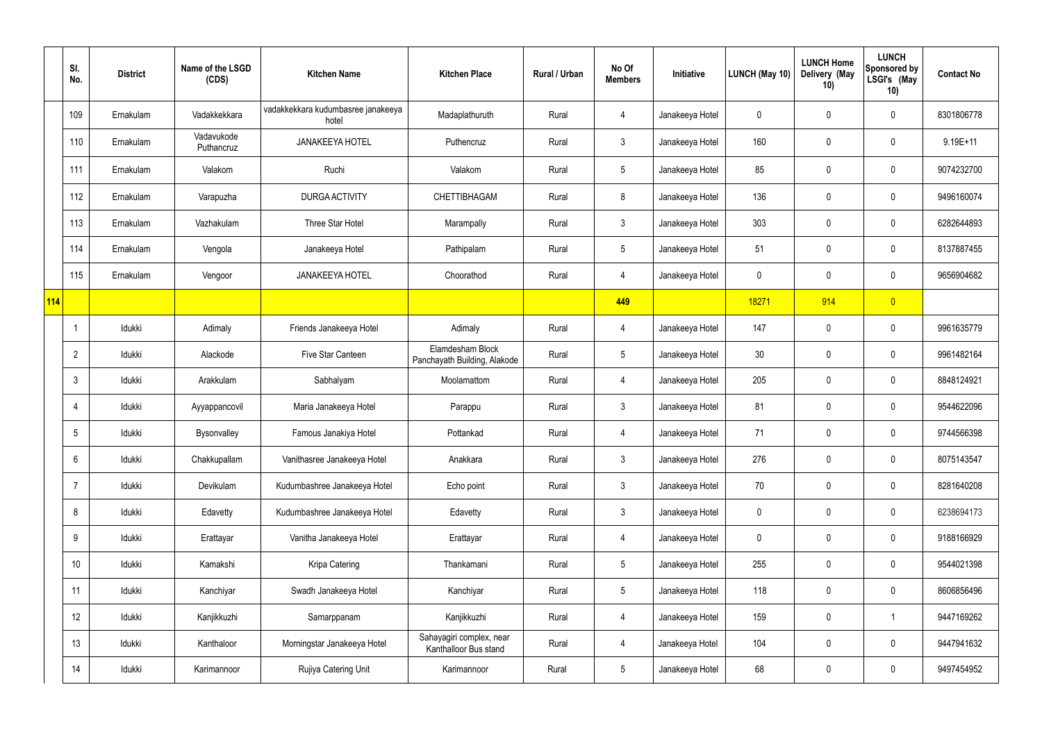|            | SI.<br>No.      | <b>District</b> | Name of the LSGD<br>(CDS) | <b>Kitchen Name</b>                         | <b>Kitchen Place</b>                              | Rural / Urban | No Of<br><b>Members</b> | Initiative      | LUNCH (May 10) | <b>LUNCH Home</b><br>Delivery (May<br>10) | <b>LUNCH</b><br><b>Sponsored by</b><br>LSGI's (May<br>10) | <b>Contact No</b> |
|------------|-----------------|-----------------|---------------------------|---------------------------------------------|---------------------------------------------------|---------------|-------------------------|-----------------|----------------|-------------------------------------------|-----------------------------------------------------------|-------------------|
|            | 109             | Ernakulam       | Vadakkekkara              | vadakkekkara kudumbasree janakeeya<br>hotel | Madaplathuruth                                    | Rural         | 4                       | Janakeeya Hotel | 0              | 0                                         | 0                                                         | 8301806778        |
|            | 110             | Ernakulam       | Vadavukode<br>Puthancruz  | <b>JANAKEEYA HOTEL</b>                      | Puthencruz                                        | Rural         | $\mathfrak{Z}$          | Janakeeya Hotel | 160            | $\mathbf 0$                               | $\pmb{0}$                                                 | $9.19E + 11$      |
|            | 111             | Ernakulam       | Valakom                   | Ruchi                                       | Valakom                                           | Rural         | $5\phantom{.0}$         | Janakeeya Hotel | 85             | 0                                         | 0                                                         | 9074232700        |
|            | 112             | Ernakulam       | Varapuzha                 | <b>DURGA ACTIVITY</b>                       | <b>CHETTIBHAGAM</b>                               | Rural         | 8                       | Janakeeya Hotel | 136            | $\mathbf 0$                               | $\pmb{0}$                                                 | 9496160074        |
|            | 113             | Ernakulam       | Vazhakulam                | Three Star Hotel                            | Marampally                                        | Rural         | $\mathfrak{Z}$          | Janakeeya Hotel | 303            | $\mathbf 0$                               | $\pmb{0}$                                                 | 6282644893        |
|            | 114             | Ernakulam       | Vengola                   | Janakeeya Hotel                             | Pathipalam                                        | Rural         | $5\phantom{.0}$         | Janakeeya Hotel | 51             | 0                                         | $\pmb{0}$                                                 | 8137887455        |
|            | 115             | Ernakulam       | Vengoor                   | <b>JANAKEEYA HOTEL</b>                      | Choorathod                                        | Rural         | 4                       | Janakeeya Hotel | $\mathbf 0$    | 0                                         | $\pmb{0}$                                                 | 9656904682        |
| <b>114</b> |                 |                 |                           |                                             |                                                   |               | 449                     |                 | 18271          | 914                                       | $\overline{0}$                                            |                   |
|            | $\overline{1}$  | Idukki          | Adimaly                   | Friends Janakeeya Hotel                     | Adimaly                                           | Rural         | 4                       | Janakeeya Hotel | 147            | $\mathbf 0$                               | $\pmb{0}$                                                 | 9961635779        |
|            | $\overline{2}$  | Idukki          | Alackode                  | Five Star Canteen                           | Elamdesham Block<br>Panchayath Building, Alakode  | Rural         | $5\phantom{.0}$         | Janakeeya Hotel | 30             | 0                                         | $\pmb{0}$                                                 | 9961482164        |
|            | $\mathbf{3}$    | Idukki          | Arakkulam                 | Sabhalyam                                   | Moolamattom                                       | Rural         | 4                       | Janakeeya Hotel | 205            | 0                                         | $\pmb{0}$                                                 | 8848124921        |
|            | 4               | Idukki          | Ayyappancovil             | Maria Janakeeya Hotel                       | Parappu                                           | Rural         | $\mathfrak{Z}$          | Janakeeya Hotel | 81             | 0                                         | $\pmb{0}$                                                 | 9544622096        |
|            | 5               | Idukki          | Bysonvalley               | Famous Janakiya Hotel                       | Pottankad                                         | Rural         | 4                       | Janakeeya Hotel | 71             | 0                                         | $\mathbf 0$                                               | 9744566398        |
|            | $6\phantom{.}6$ | ldukki          | Chakkupallam              | Vanithasree Janakeeya Hotel                 | Anakkara                                          | Rural         | $\mathbf{3}$            | Janakeeya Hotel | 276            | 0                                         | $\mathbf 0$                                               | 8075143547        |
|            | $\overline{7}$  | Idukki          | Devikulam                 | Kudumbashree Janakeeya Hotel                | Echo point                                        | Rural         | $\mathbf{3}$            | Janakeeya Hotel | 70             | $\mathbf 0$                               | $\mathbf 0$                                               | 8281640208        |
|            | 8               | ldukki          | Edavetty                  | Kudumbashree Janakeeya Hotel                | Edavetty                                          | Rural         | $\mathbf{3}$            | Janakeeya Hotel | $\mathbf 0$    | $\pmb{0}$                                 | $\pmb{0}$                                                 | 6238694173        |
|            | $9\,$           | ldukki          | Erattayar                 | Vanitha Janakeeya Hotel                     | Erattayar                                         | Rural         | 4                       | Janakeeya Hotel | 0              | $\mathbf 0$                               | $\mathbf 0$                                               | 9188166929        |
|            | 10 <sup>°</sup> | ldukki          | Kamakshi                  | Kripa Catering                              | Thankamani                                        | Rural         | $5\phantom{.0}$         | Janakeeya Hotel | 255            | $\pmb{0}$                                 | $\pmb{0}$                                                 | 9544021398        |
|            | 11              | ldukki          | Kanchiyar                 | Swadh Janakeeya Hotel                       | Kanchiyar                                         | Rural         | $5\phantom{.0}$         | Janakeeya Hotel | 118            | $\mathbf 0$                               | $\mathbf 0$                                               | 8606856496        |
|            | 12              | ldukki          | Kanjikkuzhi               | Samarppanam                                 | Kanjikkuzhi                                       | Rural         | 4                       | Janakeeya Hotel | 159            | $\pmb{0}$                                 | $\mathbf{1}$                                              | 9447169262        |
|            | 13              | Idukki          | Kanthaloor                | Morningstar Janakeeya Hotel                 | Sahayagiri complex, near<br>Kanthalloor Bus stand | Rural         | 4                       | Janakeeya Hotel | 104            | $\mathbf 0$                               | $\mathbf 0$                                               | 9447941632        |
|            | 14              | ldukki          | Karimannoor               | Rujiya Catering Unit                        | Karimannoor                                       | Rural         | $\sqrt{5}$              | Janakeeya Hotel | 68             | 0                                         | $\pmb{0}$                                                 | 9497454952        |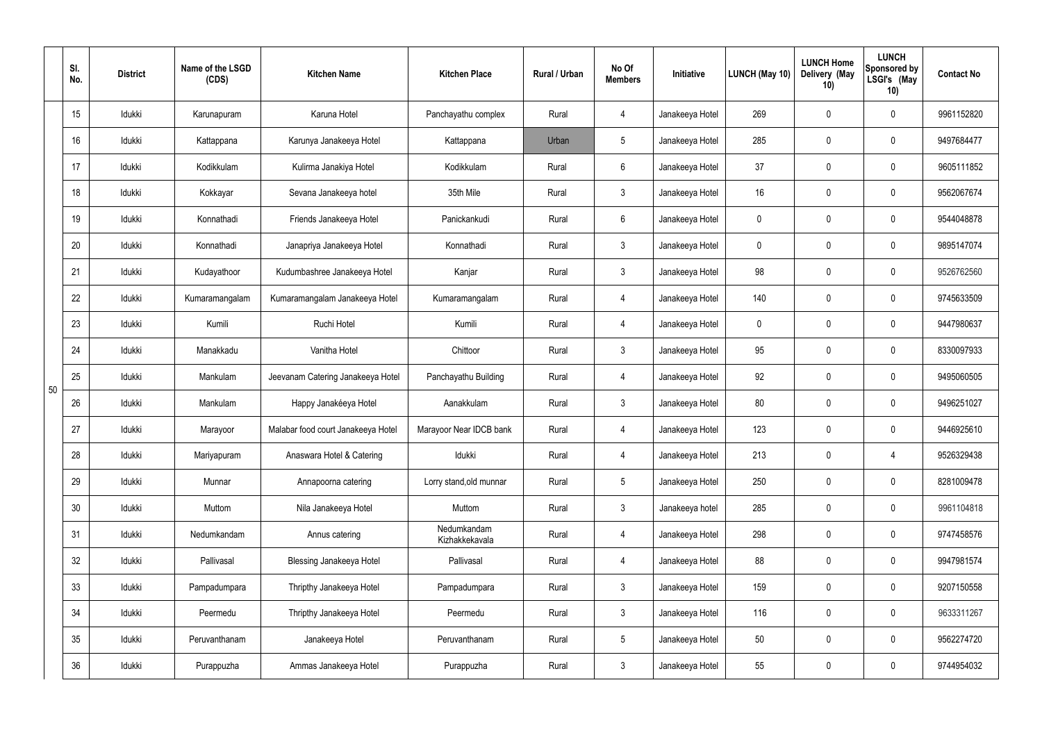|    | SI.<br>No. | <b>District</b> | Name of the LSGD<br>(CDS) | <b>Kitchen Name</b>                | <b>Kitchen Place</b>          | <b>Rural / Urban</b> | No Of<br><b>Members</b> | Initiative      | LUNCH (May 10) | <b>LUNCH Home</b><br>Delivery (May<br>10) | <b>LUNCH</b><br><b>Sponsored by</b><br>LSGI's (May<br>10) | <b>Contact No</b> |
|----|------------|-----------------|---------------------------|------------------------------------|-------------------------------|----------------------|-------------------------|-----------------|----------------|-------------------------------------------|-----------------------------------------------------------|-------------------|
|    | 15         | Idukki          | Karunapuram               | Karuna Hotel                       | Panchayathu complex           | Rural                | 4                       | Janakeeya Hotel | 269            | $\mathbf 0$                               | $\pmb{0}$                                                 | 9961152820        |
|    | 16         | Idukki          | Kattappana                | Karunya Janakeeya Hotel            | Kattappana                    | Urban                | 5                       | Janakeeya Hotel | 285            | $\mathbf 0$                               | $\mathbf 0$                                               | 9497684477        |
|    | 17         | Idukki          | Kodikkulam                | Kulirma Janakiya Hotel             | Kodikkulam                    | Rural                | $6\overline{6}$         | Janakeeya Hotel | 37             | 0                                         | $\pmb{0}$                                                 | 9605111852        |
|    | 18         | Idukki          | Kokkayar                  | Sevana Janakeeya hotel             | 35th Mile                     | Rural                | $\mathbf{3}$            | Janakeeya Hotel | 16             | $\mathbf 0$                               | $\pmb{0}$                                                 | 9562067674        |
|    | 19         | Idukki          | Konnathadi                | Friends Janakeeya Hotel            | Panickankudi                  | Rural                | $6^{\circ}$             | Janakeeya Hotel | 0              | 0                                         | $\pmb{0}$                                                 | 9544048878        |
|    | 20         | Idukki          | Konnathadi                | Janapriya Janakeeya Hotel          | Konnathadi                    | Rural                | $\mathbf{3}$            | Janakeeya Hotel | 0              | $\mathbf 0$                               | $\pmb{0}$                                                 | 9895147074        |
|    | 21         | Idukki          | Kudayathoor               | Kudumbashree Janakeeya Hotel       | Kanjar                        | Rural                | 3 <sup>1</sup>          | Janakeeya Hotel | 98             | 0                                         | $\pmb{0}$                                                 | 9526762560        |
|    | 22         | Idukki          | Kumaramangalam            | Kumaramangalam Janakeeya Hotel     | Kumaramangalam                | Rural                | 4                       | Janakeeya Hotel | 140            | $\mathbf 0$                               | $\mathbf 0$                                               | 9745633509        |
|    | 23         | Idukki          | Kumili                    | Ruchi Hotel                        | Kumili                        | Rural                | 4                       | Janakeeya Hotel | 0              | 0                                         | $\pmb{0}$                                                 | 9447980637        |
|    | 24         | Idukki          | Manakkadu                 | Vanitha Hotel                      | Chittoor                      | Rural                | $\mathfrak{Z}$          | Janakeeya Hotel | 95             | $\mathbf 0$                               | $\pmb{0}$                                                 | 8330097933        |
| 50 | 25         | Idukki          | Mankulam                  | Jeevanam Catering Janakeeya Hotel  | Panchayathu Building          | Rural                | 4                       | Janakeeya Hotel | 92             | $\mathbf 0$                               | $\mathbf 0$                                               | 9495060505        |
|    | 26         | Idukki          | Mankulam                  | Happy Janakéeya Hotel              | Aanakkulam                    | Rural                | $\mathfrak{Z}$          | Janakeeya Hotel | 80             | $\mathbf 0$                               | 0                                                         | 9496251027        |
|    | 27         | Idukki          | Marayoor                  | Malabar food court Janakeeya Hotel | Marayoor Near IDCB bank       | Rural                | 4                       | Janakeeya Hotel | 123            | $\mathbf 0$                               | $\mathbf 0$                                               | 9446925610        |
|    | 28         | Idukki          | Mariyapuram               | Anaswara Hotel & Catering          | Idukki                        | Rural                | 4                       | Janakeeya Hotel | 213            | $\mathbf 0$                               | $\overline{4}$                                            | 9526329438        |
|    | 29         | Idukki          | Munnar                    | Annapoorna catering                | Lorry stand, old munnar       | Rural                | 5 <sub>5</sub>          | Janakeeya Hotel | 250            | $\mathbf 0$                               | $\mathbf 0$                                               | 8281009478        |
|    | 30         | Idukki          | Muttom                    | Nila Janakeeya Hotel               | Muttom                        | Rural                | $\mathfrak{Z}$          | Janakeeya hotel | 285            | $\mathbf 0$                               | $\mathbf 0$                                               | 9961104818        |
|    | 31         | Idukki          | Nedumkandam               | Annus catering                     | Nedumkandam<br>Kizhakkekavala | Rural                | $\overline{4}$          | Janakeeya Hotel | 298            | $\mathbf 0$                               | $\pmb{0}$                                                 | 9747458576        |
|    | 32         | Idukki          | Pallivasal                | <b>Blessing Janakeeya Hotel</b>    | Pallivasal                    | Rural                | $\overline{4}$          | Janakeeya Hotel | 88             | $\mathbf 0$                               | $\mathbf 0$                                               | 9947981574        |
|    | 33         | Idukki          | Pampadumpara              | Thripthy Janakeeya Hotel           | Pampadumpara                  | Rural                | $\mathfrak{Z}$          | Janakeeya Hotel | 159            | $\mathbf 0$                               | $\pmb{0}$                                                 | 9207150558        |
|    | 34         | Idukki          | Peermedu                  | Thripthy Janakeeya Hotel           | Peermedu                      | Rural                | $\mathfrak{Z}$          | Janakeeya Hotel | 116            | $\mathbf 0$                               | $\pmb{0}$                                                 | 9633311267        |
|    | 35         | Idukki          | Peruvanthanam             | Janakeeya Hotel                    | Peruvanthanam                 | Rural                | $5\phantom{.0}$         | Janakeeya Hotel | 50             | $\mathbf 0$                               | $\mathbf 0$                                               | 9562274720        |
|    | 36         | Idukki          | Purappuzha                | Ammas Janakeeya Hotel              | Purappuzha                    | Rural                | $\mathfrak{Z}$          | Janakeeya Hotel | 55             | $\mathbf 0$                               | $\mathbf 0$                                               | 9744954032        |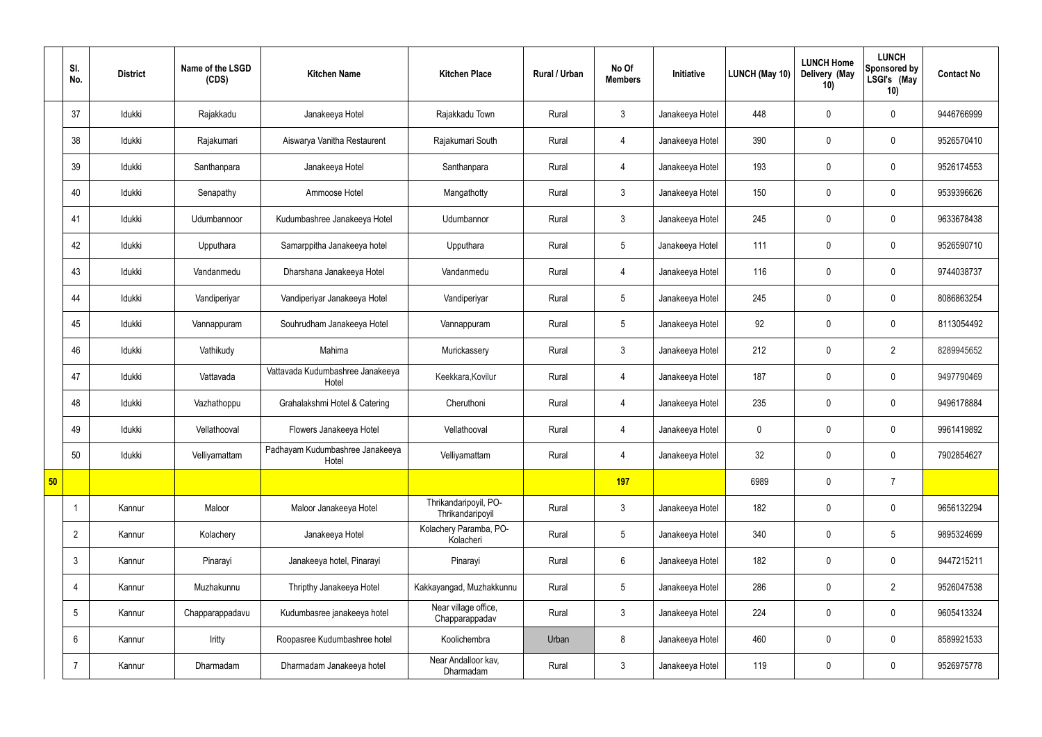|    | SI.<br>No.      | <b>District</b> | Name of the LSGD<br>(CDS) | <b>Kitchen Name</b>                       | <b>Kitchen Place</b>                      | Rural / Urban | No Of<br><b>Members</b> | Initiative      | LUNCH (May 10) | <b>LUNCH Home</b><br>Delivery (May<br>10) | <b>LUNCH</b><br>Sponsored by<br>LSGI's (May<br>10) | <b>Contact No</b> |
|----|-----------------|-----------------|---------------------------|-------------------------------------------|-------------------------------------------|---------------|-------------------------|-----------------|----------------|-------------------------------------------|----------------------------------------------------|-------------------|
|    | 37              | Idukki          | Rajakkadu                 | Janakeeya Hotel                           | Rajakkadu Town                            | Rural         | $\mathbf{3}$            | Janakeeya Hotel | 448            | $\mathbf 0$                               | $\mathbf 0$                                        | 9446766999        |
|    | 38              | Idukki          | Rajakumari                | Aiswarya Vanitha Restaurent               | Rajakumari South                          | Rural         | $\overline{4}$          | Janakeeya Hotel | 390            | $\mathbf 0$                               | $\mathbf 0$                                        | 9526570410        |
|    | 39              | Idukki          | Santhanpara               | Janakeeya Hotel                           | Santhanpara                               | Rural         | $\overline{4}$          | Janakeeya Hotel | 193            | $\mathbf 0$                               | $\mathbf 0$                                        | 9526174553        |
|    | 40              | Idukki          | Senapathy                 | Ammoose Hotel                             | Mangathotty                               | Rural         | $\mathbf{3}$            | Janakeeya Hotel | 150            | $\mathbf 0$                               | $\mathbf 0$                                        | 9539396626        |
|    | 41              | Idukki          | Udumbannoor               | Kudumbashree Janakeeya Hotel              | Udumbannor                                | Rural         | $\mathbf{3}$            | Janakeeya Hotel | 245            | $\mathbf 0$                               | $\mathbf 0$                                        | 9633678438        |
|    | 42              | Idukki          | Upputhara                 | Samarppitha Janakeeya hotel               | Upputhara                                 | Rural         | $5\phantom{.0}$         | Janakeeya Hotel | 111            | $\mathbf 0$                               | $\mathbf 0$                                        | 9526590710        |
|    | 43              | Idukki          | Vandanmedu                | Dharshana Janakeeya Hotel                 | Vandanmedu                                | Rural         | $\overline{4}$          | Janakeeya Hotel | 116            | $\mathbf 0$                               | $\mathbf 0$                                        | 9744038737        |
|    | 44              | Idukki          | Vandiperiyar              | Vandiperiyar Janakeeya Hotel              | Vandiperiyar                              | Rural         | $5\phantom{.0}$         | Janakeeya Hotel | 245            | $\mathbf 0$                               | $\mathbf 0$                                        | 8086863254        |
|    | 45              | Idukki          | Vannappuram               | Souhrudham Janakeeya Hotel                | Vannappuram                               | Rural         | $5\overline{)}$         | Janakeeya Hotel | 92             | $\mathbf 0$                               | $\mathbf 0$                                        | 8113054492        |
|    | 46              | Idukki          | Vathikudy                 | Mahima                                    | Murickassery                              | Rural         | $\mathbf{3}$            | Janakeeya Hotel | 212            | $\mathbf 0$                               | $\overline{2}$                                     | 8289945652        |
|    | 47              | Idukki          | Vattavada                 | Vattavada Kudumbashree Janakeeya<br>Hotel | Keekkara, Kovilur                         | Rural         | $\overline{4}$          | Janakeeya Hotel | 187            | $\mathbf 0$                               | $\mathbf 0$                                        | 9497790469        |
|    | 48              | Idukki          | Vazhathoppu               | Grahalakshmi Hotel & Catering             | Cheruthoni                                | Rural         | $\overline{4}$          | Janakeeya Hotel | 235            | $\mathbf 0$                               | $\mathbf 0$                                        | 9496178884        |
|    | 49              | Idukki          | Vellathooval              | Flowers Janakeeya Hotel                   | Vellathooval                              | Rural         | 4                       | Janakeeya Hotel | $\mathbf 0$    | $\mathbf 0$                               | $\mathbf 0$                                        | 9961419892        |
|    | 50              | Idukki          | Velliyamattam             | Padhayam Kudumbashree Janakeeya<br>Hotel  | Velliyamattam                             | Rural         | 4                       | Janakeeya Hotel | 32             | $\pmb{0}$                                 | $\mathbf 0$                                        | 7902854627        |
| 50 |                 |                 |                           |                                           |                                           |               | 197                     |                 | 6989           | $\pmb{0}$                                 | $\overline{7}$                                     |                   |
|    |                 | Kannur          | Maloor                    | Maloor Janakeeya Hotel                    | Thrikandaripoyil, PO-<br>Thrikandaripoyil | Rural         | $\mathbf{3}$            | Janakeeya Hotel | 182            | $\pmb{0}$                                 | $\mathbf 0$                                        | 9656132294        |
|    | $\overline{2}$  | Kannur          | Kolachery                 | Janakeeya Hotel                           | Kolachery Paramba, PO-<br>Kolacheri       | Rural         | $5\overline{)}$         | Janakeeya Hotel | 340            | $\pmb{0}$                                 | $\sqrt{5}$                                         | 9895324699        |
|    | $\mathbf{3}$    | Kannur          | Pinarayi                  | Janakeeya hotel, Pinarayi                 | Pinarayi                                  | Rural         | $6\overline{6}$         | Janakeeya Hotel | 182            | $\pmb{0}$                                 | $\mathbf 0$                                        | 9447215211        |
|    | $\overline{4}$  | Kannur          | Muzhakunnu                | Thripthy Janakeeya Hotel                  | Kakkayangad, Muzhakkunnu                  | Rural         | $5\overline{)}$         | Janakeeya Hotel | 286            | $\pmb{0}$                                 | $\overline{2}$                                     | 9526047538        |
|    | $5\phantom{.0}$ | Kannur          | Chapparappadavu           | Kudumbasree janakeeya hotel               | Near village office,<br>Chapparappadav    | Rural         | $\mathbf{3}$            | Janakeeya Hotel | 224            | $\pmb{0}$                                 | $\mathbf 0$                                        | 9605413324        |
|    | 6               | Kannur          | Iritty                    | Roopasree Kudumbashree hotel              | Koolichembra                              | Urban         | 8                       | Janakeeya Hotel | 460            | $\pmb{0}$                                 | $\mathbf 0$                                        | 8589921533        |
|    | 7               | Kannur          | Dharmadam                 | Dharmadam Janakeeya hotel                 | Near Andalloor kav,<br>Dharmadam          | Rural         | $\mathbf{3}$            | Janakeeya Hotel | 119            | $\pmb{0}$                                 | $\boldsymbol{0}$                                   | 9526975778        |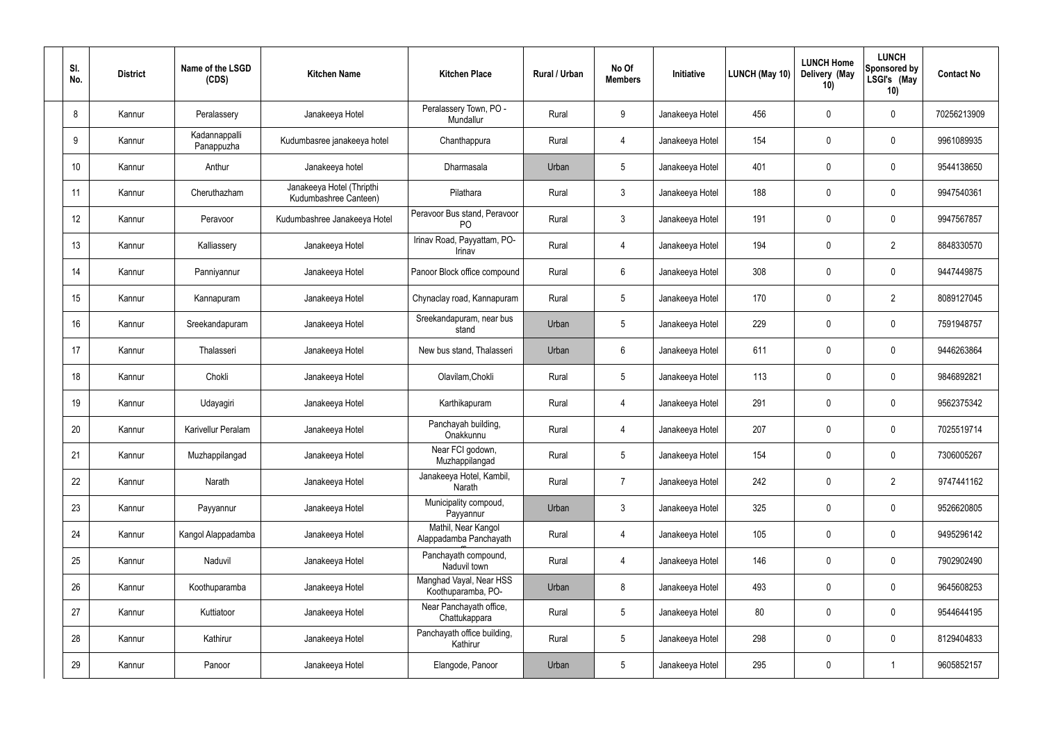| SI.<br>No. | <b>District</b> | Name of the LSGD<br>(CDS)   | <b>Kitchen Name</b>                                | <b>Kitchen Place</b>                           | Rural / Urban | No Of<br><b>Members</b> | Initiative      | <b>LUNCH (May 10)</b> | <b>LUNCH Home</b><br>Delivery (May<br>10) | <b>LUNCH</b><br><b>Sponsored by</b><br>LSGI's (May<br>10) | <b>Contact No</b> |
|------------|-----------------|-----------------------------|----------------------------------------------------|------------------------------------------------|---------------|-------------------------|-----------------|-----------------------|-------------------------------------------|-----------------------------------------------------------|-------------------|
| 8          | Kannur          | Peralassery                 | Janakeeya Hotel                                    | Peralassery Town, PO -<br>Mundallur            | Rural         | 9                       | Janakeeya Hotel | 456                   | 0                                         | $\pmb{0}$                                                 | 70256213909       |
| 9          | Kannur          | Kadannappalli<br>Panappuzha | Kudumbasree janakeeya hotel                        | Chanthappura                                   | Rural         | $\overline{4}$          | Janakeeya Hotel | 154                   | $\mathbf 0$                               | $\pmb{0}$                                                 | 9961089935        |
| 10         | Kannur          | Anthur                      | Janakeeya hotel                                    | Dharmasala                                     | Urban         | $5\phantom{.0}$         | Janakeeya Hotel | 401                   | 0                                         | $\pmb{0}$                                                 | 9544138650        |
| 11         | Kannur          | Cheruthazham                | Janakeeya Hotel (Thripthi<br>Kudumbashree Canteen) | Pilathara                                      | Rural         | $\mathbf{3}$            | Janakeeya Hotel | 188                   | $\mathbf 0$                               | $\pmb{0}$                                                 | 9947540361        |
| 12         | Kannur          | Peravoor                    | Kudumbashree Janakeeya Hotel                       | Peravoor Bus stand, Peravoor<br>P <sub>O</sub> | Rural         | $\mathbf{3}$            | Janakeeya Hotel | 191                   | 0                                         | $\pmb{0}$                                                 | 9947567857        |
| 13         | Kannur          | Kalliassery                 | Janakeeya Hotel                                    | Irinav Road, Payyattam, PO-<br>Irinav          | Rural         | $\overline{4}$          | Janakeeya Hotel | 194                   | 0                                         | $\overline{2}$                                            | 8848330570        |
| 14         | Kannur          | Panniyannur                 | Janakeeya Hotel                                    | Panoor Block office compound                   | Rural         | $6\phantom{.}$          | Janakeeya Hotel | 308                   | 0                                         | $\pmb{0}$                                                 | 9447449875        |
| 15         | Kannur          | Kannapuram                  | Janakeeya Hotel                                    | Chynaclay road, Kannapuram                     | Rural         | $5\phantom{.0}$         | Janakeeya Hotel | 170                   | 0                                         | $\overline{2}$                                            | 8089127045        |
| 16         | Kannur          | Sreekandapuram              | Janakeeya Hotel                                    | Sreekandapuram, near bus<br>stand              | Urban         | $5\phantom{.0}$         | Janakeeya Hotel | 229                   | 0                                         | $\mathbf 0$                                               | 7591948757        |
| 17         | Kannur          | Thalasseri                  | Janakeeya Hotel                                    | New bus stand, Thalasseri                      | Urban         | 6                       | Janakeeya Hotel | 611                   | 0                                         | $\pmb{0}$                                                 | 9446263864        |
| 18         | Kannur          | Chokli                      | Janakeeya Hotel                                    | Olavilam, Chokli                               | Rural         | $5\phantom{.0}$         | Janakeeya Hotel | 113                   | $\mathbf 0$                               | $\pmb{0}$                                                 | 9846892821        |
| 19         | Kannur          | Udayagiri                   | Janakeeya Hotel                                    | Karthikapuram                                  | Rural         | $\overline{4}$          | Janakeeya Hotel | 291                   | 0                                         | $\pmb{0}$                                                 | 9562375342        |
| 20         | Kannur          | Karivellur Peralam          | Janakeeya Hotel                                    | Panchayah building,<br>Onakkunnu               | Rural         | 4                       | Janakeeya Hotel | 207                   | 0                                         | 0                                                         | 7025519714        |
| 21         | Kannur          | Muzhappilangad              | Janakeeya Hotel                                    | Near FCI godown,<br>Muzhappilangad             | Rural         | $5\phantom{.0}$         | Janakeeya Hotel | 154                   | 0                                         | $\pmb{0}$                                                 | 7306005267        |
| 22         | Kannur          | Narath                      | Janakeeya Hotel                                    | Janakeeya Hotel, Kambil,<br>Narath             | Rural         | $\overline{7}$          | Janakeeya Hotel | 242                   | 0                                         | $\overline{2}$                                            | 9747441162        |
| 23         | Kannur          | Payyannur                   | Janakeeya Hotel                                    | Municipality compoud,<br>Payyannur             | Urban         | 3 <sup>1</sup>          | Janakeeya Hotel | 325                   | 0                                         | $\pmb{0}$                                                 | 9526620805        |
| 24         | Kannur          | Kangol Alappadamba          | Janakeeya Hotel                                    | Mathil, Near Kangol<br>Alappadamba Panchayath  | Rural         | $\overline{4}$          | Janakeeya Hotel | 105                   | 0                                         | $\pmb{0}$                                                 | 9495296142        |
| 25         | Kannur          | Naduvil                     | Janakeeya Hotel                                    | Panchayath compound,<br>Naduvil town           | Rural         | $\overline{4}$          | Janakeeya Hotel | 146                   | 0                                         | $\mathbf 0$                                               | 7902902490        |
| 26         | Kannur          | Koothuparamba               | Janakeeya Hotel                                    | Manghad Vayal, Near HSS<br>Koothuparamba, PO-  | Urban         | 8                       | Janakeeya Hotel | 493                   | 0                                         | $\pmb{0}$                                                 | 9645608253        |
| 27         | Kannur          | Kuttiatoor                  | Janakeeya Hotel                                    | Near Panchayath office,<br>Chattukappara       | Rural         | $5\phantom{.0}$         | Janakeeya Hotel | 80                    | $\pmb{0}$                                 | $\pmb{0}$                                                 | 9544644195        |
| 28         | Kannur          | Kathirur                    | Janakeeya Hotel                                    | Panchayath office building,<br>Kathirur        | Rural         | $5\,$                   | Janakeeya Hotel | 298                   | $\pmb{0}$                                 | $\pmb{0}$                                                 | 8129404833        |
| 29         | Kannur          | Panoor                      | Janakeeya Hotel                                    | Elangode, Panoor                               | Urban         | $5\,$                   | Janakeeya Hotel | 295                   | 0                                         | $\mathbf{1}$                                              | 9605852157        |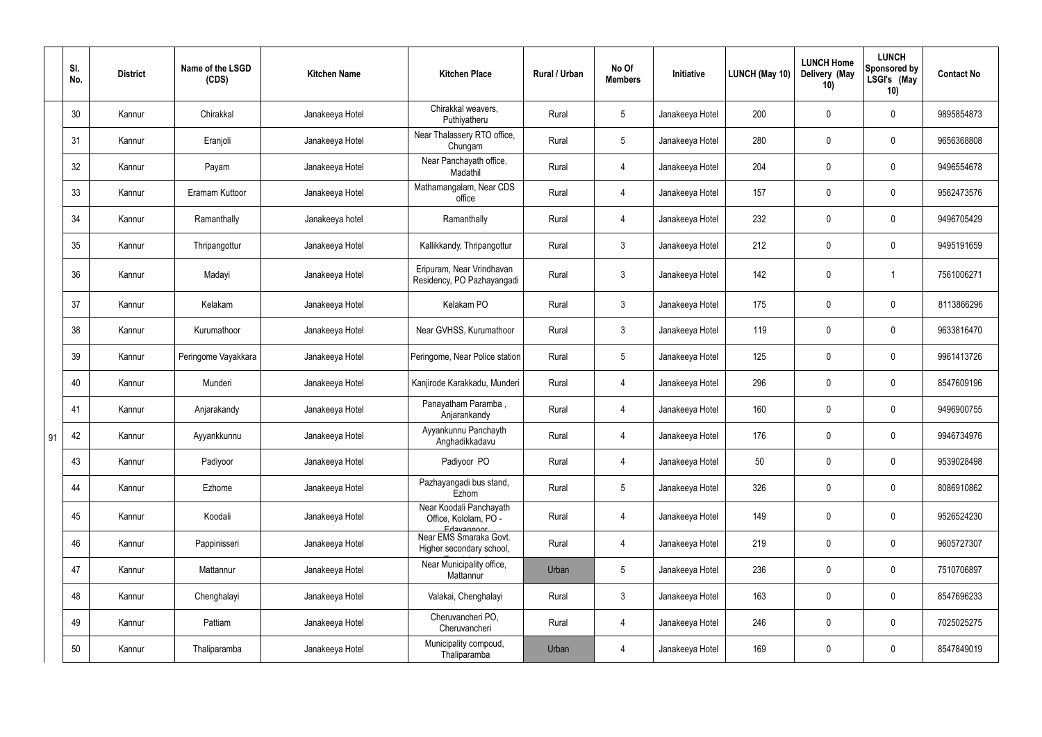|    | SI.<br>No. | <b>District</b> | Name of the LSGD<br>(CDS) | <b>Kitchen Name</b> | <b>Kitchen Place</b>                                           | Rural / Urban | No Of<br><b>Members</b> | Initiative      | <b>LUNCH (May 10)</b> | <b>LUNCH Home</b><br>Delivery (May<br>10) | <b>LUNCH</b><br>Sponsored by<br>LSGI's (May<br>10) | <b>Contact No</b> |
|----|------------|-----------------|---------------------------|---------------------|----------------------------------------------------------------|---------------|-------------------------|-----------------|-----------------------|-------------------------------------------|----------------------------------------------------|-------------------|
|    | 30         | Kannur          | Chirakkal                 | Janakeeya Hotel     | Chirakkal weavers,<br>Puthiyatheru                             | Rural         | $5\overline{)}$         | Janakeeya Hotel | 200                   | 0                                         | $\boldsymbol{0}$                                   | 9895854873        |
|    | 31         | Kannur          | Eranjoli                  | Janakeeya Hotel     | Near Thalassery RTO office,<br>Chungam                         | Rural         | $5\phantom{.0}$         | Janakeeya Hotel | 280                   | $\boldsymbol{0}$                          | $\pmb{0}$                                          | 9656368808        |
|    | 32         | Kannur          | Payam                     | Janakeeya Hotel     | Near Panchayath office,<br>Madathil                            | Rural         | $\overline{4}$          | Janakeeya Hotel | 204                   | $\boldsymbol{0}$                          | $\pmb{0}$                                          | 9496554678        |
|    | 33         | Kannur          | Eramam Kuttoor            | Janakeeya Hotel     | Mathamangalam, Near CDS<br>office                              | Rural         | $\overline{4}$          | Janakeeya Hotel | 157                   | $\boldsymbol{0}$                          | $\boldsymbol{0}$                                   | 9562473576        |
|    | 34         | Kannur          | Ramanthally               | Janakeeya hotel     | Ramanthally                                                    | Rural         | $\overline{4}$          | Janakeeya Hotel | 232                   | 0                                         | $\boldsymbol{0}$                                   | 9496705429        |
|    | 35         | Kannur          | Thripangottur             | Janakeeya Hotel     | Kallikkandy, Thripangottur                                     | Rural         | $\mathbf{3}$            | Janakeeya Hotel | 212                   | $\boldsymbol{0}$                          | $\boldsymbol{0}$                                   | 9495191659        |
|    | 36         | Kannur          | Madayi                    | Janakeeya Hotel     | Eripuram, Near Vrindhavan<br>Residency, PO Pazhayangadi        | Rural         | $\mathbf{3}$            | Janakeeya Hotel | 142                   | $\boldsymbol{0}$                          | -1                                                 | 7561006271        |
|    | 37         | Kannur          | Kelakam                   | Janakeeya Hotel     | Kelakam PO                                                     | Rural         | $\mathfrak{Z}$          | Janakeeya Hotel | 175                   | $\boldsymbol{0}$                          | $\pmb{0}$                                          | 8113866296        |
|    | 38         | Kannur          | Kurumathoor               | Janakeeya Hotel     | Near GVHSS, Kurumathoor                                        | Rural         | $\mathbf{3}$            | Janakeeya Hotel | 119                   | $\boldsymbol{0}$                          | $\pmb{0}$                                          | 9633816470        |
|    | 39         | Kannur          | Peringome Vayakkara       | Janakeeya Hotel     | Peringome, Near Police station                                 | Rural         | $5\overline{)}$         | Janakeeya Hotel | 125                   | $\boldsymbol{0}$                          | $\pmb{0}$                                          | 9961413726        |
|    | 40         | Kannur          | Munderi                   | Janakeeya Hotel     | Kanjirode Karakkadu, Munderi                                   | Rural         | $\overline{4}$          | Janakeeya Hotel | 296                   | $\boldsymbol{0}$                          | $\pmb{0}$                                          | 8547609196        |
|    | 41         | Kannur          | Anjarakandy               | Janakeeya Hotel     | Panayatham Paramba,<br>Anjarankandy                            | Rural         | $\overline{4}$          | Janakeeya Hotel | 160                   | $\boldsymbol{0}$                          | $\boldsymbol{0}$                                   | 9496900755        |
| 91 | 42         | Kannur          | Ayyankkunnu               | Janakeeya Hotel     | Ayyankunnu Panchayth<br>Anghadikkadavu                         | Rural         | $\Delta$                | Janakeeya Hotel | 176                   | $\mathbf 0$                               | 0                                                  | 9946734976        |
|    | 43         | Kannur          | Padiyoor                  | Janakeeya Hotel     | Padiyoor PO                                                    | Rural         | $\overline{4}$          | Janakeeya Hotel | 50                    | $\mathbf 0$                               | $\mathbf 0$                                        | 9539028498        |
|    | 44         | Kannur          | Ezhome                    | Janakeeya Hotel     | Pazhayangadi bus stand,<br>Ezhom                               | Rural         | 5 <sub>5</sub>          | Janakeeya Hotel | 326                   | 0                                         | $\boldsymbol{0}$                                   | 8086910862        |
|    | 45         | Kannur          | Koodali                   | Janakeeya Hotel     | Near Koodali Panchayath<br>Office, Kololam, PO -<br>Edavannoor | Rural         | $\overline{4}$          | Janakeeya Hotel | 149                   | $\boldsymbol{0}$                          | $\pmb{0}$                                          | 9526524230        |
|    | 46         | Kannur          | Pappinisseri              | Janakeeya Hotel     | Near EMS Smaraka Govt.<br>Higher secondary school,             | Rural         | $\overline{4}$          | Janakeeya Hotel | 219                   | 0                                         | $\mathbf 0$                                        | 9605727307        |
|    | 47         | Kannur          | Mattannur                 | Janakeeya Hotel     | Near Municipality office,<br>Mattannur                         | Urban         | $5\phantom{.0}$         | Janakeeya Hotel | 236                   | 0                                         | $\mathbf 0$                                        | 7510706897        |
|    | 48         | Kannur          | Chenghalayi               | Janakeeya Hotel     | Valakai, Chenghalayi                                           | Rural         | $\mathbf{3}$            | Janakeeya Hotel | 163                   | 0                                         | $\pmb{0}$                                          | 8547696233        |
|    | 49         | Kannur          | Pattiam                   | Janakeeya Hotel     | Cheruvancheri PO,<br>Cheruvancheri                             | Rural         | $\overline{4}$          | Janakeeya Hotel | 246                   | 0                                         | $\pmb{0}$                                          | 7025025275        |
|    | 50         | Kannur          | Thaliparamba              | Janakeeya Hotel     | Municipality compoud,<br>Thaliparamba                          | Urban         | 4                       | Janakeeya Hotel | 169                   | 0                                         | $\pmb{0}$                                          | 8547849019        |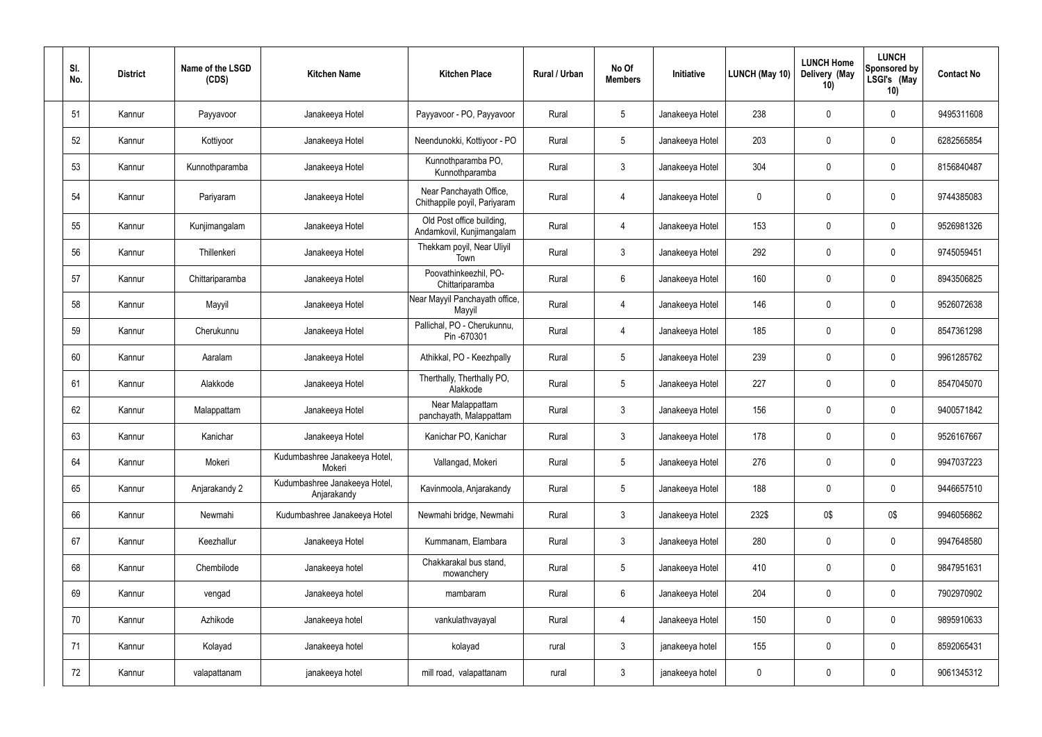| SI.<br>No. | <b>District</b> | Name of the LSGD<br>(CDS) | <b>Kitchen Name</b>                          | <b>Kitchen Place</b>                                    | Rural / Urban | No Of<br><b>Members</b> | Initiative      | <b>LUNCH (May 10)</b> | <b>LUNCH Home</b><br>Delivery (May<br>10) | <b>LUNCH</b><br>Sponsored by<br>LSGI's (May<br>10) | <b>Contact No</b> |
|------------|-----------------|---------------------------|----------------------------------------------|---------------------------------------------------------|---------------|-------------------------|-----------------|-----------------------|-------------------------------------------|----------------------------------------------------|-------------------|
| 51         | Kannur          | Payyavoor                 | Janakeeya Hotel                              | Payyavoor - PO, Payyavoor                               | Rural         | $5\overline{)}$         | Janakeeya Hotel | 238                   | 0                                         | $\mathbf 0$                                        | 9495311608        |
| 52         | Kannur          | Kottiyoor                 | Janakeeya Hotel                              | Neendunokki, Kottiyoor - PO                             | Rural         | $5\phantom{.0}$         | Janakeeya Hotel | 203                   | $\mathbf 0$                               | $\overline{0}$                                     | 6282565854        |
| 53         | Kannur          | Kunnothparamba            | Janakeeya Hotel                              | Kunnothparamba PO,<br>Kunnothparamba                    | Rural         | $\mathbf{3}$            | Janakeeya Hotel | 304                   | 0                                         | $\mathbf 0$                                        | 8156840487        |
| 54         | Kannur          | Pariyaram                 | Janakeeya Hotel                              | Near Panchayath Office,<br>Chithappile poyil, Pariyaram | Rural         | 4                       | Janakeeya Hotel | $\pmb{0}$             | 0                                         | $\mathbf 0$                                        | 9744385083        |
| 55         | Kannur          | Kunjimangalam             | Janakeeya Hotel                              | Old Post office building,<br>Andamkovil, Kunjimangalam  | Rural         | 4                       | Janakeeya Hotel | 153                   | 0                                         | $\overline{0}$                                     | 9526981326        |
| 56         | Kannur          | Thillenkeri               | Janakeeya Hotel                              | Thekkam poyil, Near Uliyil<br>Town                      | Rural         | $\mathbf{3}$            | Janakeeya Hotel | 292                   | 0                                         | $\mathbf 0$                                        | 9745059451        |
| 57         | Kannur          | Chittariparamba           | Janakeeya Hotel                              | Poovathinkeezhil, PO-<br>Chittariparamba                | Rural         | 6                       | Janakeeya Hotel | 160                   | $\mathbf 0$                               | $\mathbf 0$                                        | 8943506825        |
| 58         | Kannur          | Mayyil                    | Janakeeya Hotel                              | Near Mayyil Panchayath office,<br>Mayyil                | Rural         | $\overline{4}$          | Janakeeya Hotel | 146                   | $\mathbf 0$                               | $\mathbf 0$                                        | 9526072638        |
| 59         | Kannur          | Cherukunnu                | Janakeeya Hotel                              | Pallichal, PO - Cherukunnu,<br>Pin -670301              | Rural         | 4                       | Janakeeya Hotel | 185                   | $\mathbf 0$                               | $\mathbf 0$                                        | 8547361298        |
| 60         | Kannur          | Aaralam                   | Janakeeya Hotel                              | Athikkal, PO - Keezhpally                               | Rural         | $5\phantom{.0}$         | Janakeeya Hotel | 239                   | 0                                         | $\mathbf 0$                                        | 9961285762        |
| 61         | Kannur          | Alakkode                  | Janakeeya Hotel                              | Therthally, Therthally PO,<br>Alakkode                  | Rural         | $5\overline{)}$         | Janakeeya Hotel | 227                   | 0                                         | $\mathbf 0$                                        | 8547045070        |
| 62         | Kannur          | Malappattam               | Janakeeya Hotel                              | Near Malappattam<br>panchayath, Malappattam             | Rural         | $\mathbf{3}$            | Janakeeya Hotel | 156                   | 0                                         | $\mathbf 0$                                        | 9400571842        |
| 63         | Kannur          | Kanichar                  | Janakeeya Hotel                              | Kanichar PO, Kanichar                                   | Rural         | 3                       | Janakeeya Hotel | 178                   | $\mathbf 0$                               | 0                                                  | 9526167667        |
| 64         | Kannur          | Mokeri                    | Kudumbashree Janakeeya Hotel,<br>Mokeri      | Vallangad, Mokeri                                       | Rural         | $5\overline{)}$         | Janakeeya Hotel | 276                   | $\mathbf 0$                               | $\mathbf 0$                                        | 9947037223        |
| 65         | Kannur          | Anjarakandy 2             | Kudumbashree Janakeeya Hotel,<br>Anjarakandy | Kavinmoola, Anjarakandy                                 | Rural         | 5 <sub>5</sub>          | Janakeeya Hotel | 188                   | 0                                         | $\overline{0}$                                     | 9446657510        |
| 66         | Kannur          | Newmahi                   | Kudumbashree Janakeeya Hotel                 | Newmahi bridge, Newmahi                                 | Rural         | $\mathbf{3}$            | Janakeeya Hotel | 232\$                 | 0\$                                       | 0\$                                                | 9946056862        |
| 67         | Kannur          | Keezhallur                | Janakeeya Hotel                              | Kummanam, Elambara                                      | Rural         | $\mathbf{3}$            | Janakeeya Hotel | 280                   | 0                                         | $\overline{0}$                                     | 9947648580        |
| 68         | Kannur          | Chembilode                | Janakeeya hotel                              | Chakkarakal bus stand,<br>mowanchery                    | Rural         | $5\overline{)}$         | Janakeeya Hotel | 410                   | 0                                         | $\overline{0}$                                     | 9847951631        |
| 69         | Kannur          | vengad                    | Janakeeya hotel                              | mambaram                                                | Rural         | 6                       | Janakeeya Hotel | 204                   | 0                                         | $\mathbf 0$                                        | 7902970902        |
| 70         | Kannur          | Azhikode                  | Janakeeya hotel                              | vankulathvayayal                                        | Rural         | 4                       | Janakeeya Hotel | 150                   | 0                                         | $\mathbf 0$                                        | 9895910633        |
| 71         | Kannur          | Kolayad                   | Janakeeya hotel                              | kolayad                                                 | rural         | $\mathbf{3}$            | janakeeya hotel | 155                   | 0                                         | $\overline{0}$                                     | 8592065431        |
| 72         | Kannur          | valapattanam              | janakeeya hotel                              | mill road, valapattanam                                 | rural         | $\mathbf{3}$            | janakeeya hotel | $\mathbf 0$           | 0                                         | $\overline{0}$                                     | 9061345312        |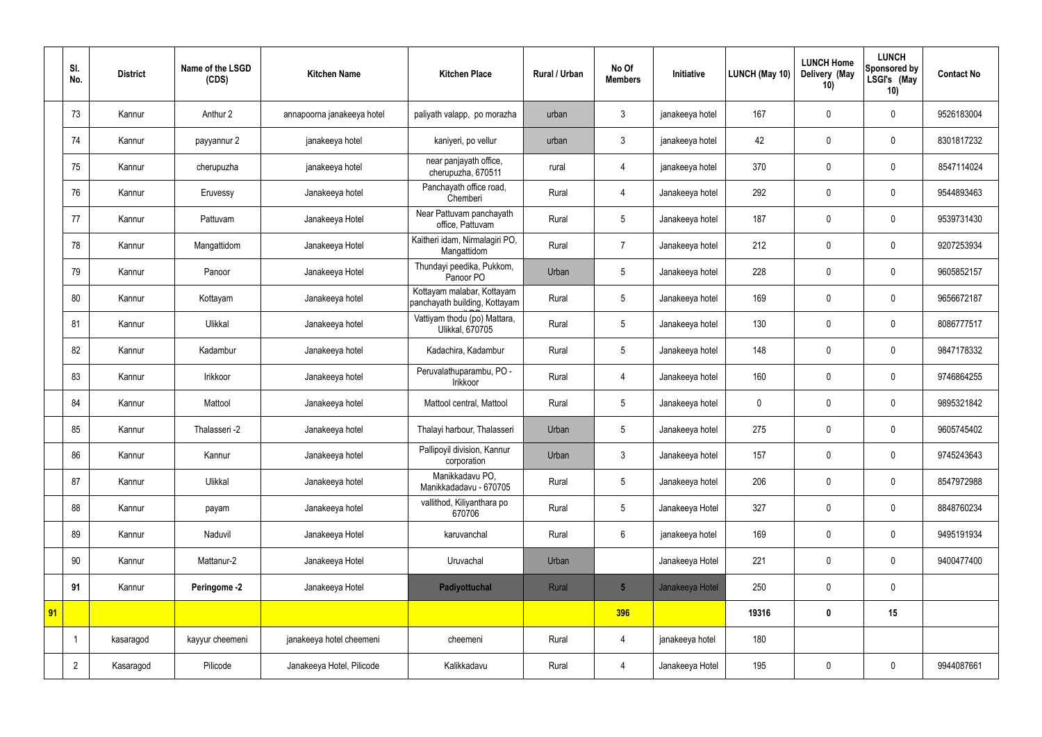|    | SI.<br>No.     | <b>District</b> | Name of the LSGD<br>(CDS) | <b>Kitchen Name</b>        | <b>Kitchen Place</b>                                        | <b>Rural / Urban</b> | No Of<br><b>Members</b> | Initiative      | LUNCH (May 10) | <b>LUNCH Home</b><br>Delivery (May<br>10) | <b>LUNCH</b><br>Sponsored by<br>LSGI's (May<br>10) | <b>Contact No</b> |
|----|----------------|-----------------|---------------------------|----------------------------|-------------------------------------------------------------|----------------------|-------------------------|-----------------|----------------|-------------------------------------------|----------------------------------------------------|-------------------|
|    | 73             | Kannur          | Anthur 2                  | annapoorna janakeeya hotel | paliyath valapp, po morazha                                 | urban                | $\mathfrak{Z}$          | janakeeya hotel | 167            | $\pmb{0}$                                 | $\mathbf 0$                                        | 9526183004        |
|    | 74             | Kannur          | payyannur 2               | janakeeya hotel            | kaniyeri, po vellur                                         | urban                | $\mathfrak{Z}$          | janakeeya hotel | 42             | $\mathbf 0$                               | $\mathbf 0$                                        | 8301817232        |
|    | 75             | Kannur          | cherupuzha                | janakeeya hotel            | near panjayath office,<br>cherupuzha, 670511                | rural                | 4                       | janakeeya hotel | 370            | $\pmb{0}$                                 | $\mathbf 0$                                        | 8547114024        |
|    | 76             | Kannur          | Eruvessy                  | Janakeeya hotel            | Panchayath office road,<br>Chemberi                         | Rural                | 4                       | Janakeeya hotel | 292            | $\mathbf 0$                               | $\mathbf 0$                                        | 9544893463        |
|    | 77             | Kannur          | Pattuvam                  | Janakeeya Hotel            | Near Pattuvam panchayath<br>office, Pattuvam                | Rural                | 5                       | Janakeeya hotel | 187            | $\mathbf 0$                               | $\mathbf 0$                                        | 9539731430        |
|    | 78             | Kannur          | Mangattidom               | Janakeeya Hotel            | Kaitheri idam, Nirmalagiri PO,<br>Mangattidom               | Rural                | $\overline{7}$          | Janakeeya hotel | 212            | $\mathbf 0$                               | $\mathbf 0$                                        | 9207253934        |
|    | 79             | Kannur          | Panoor                    | Janakeeya Hotel            | Thundayi peedika, Pukkom,<br>Panoor PO                      | Urban                | 5                       | Janakeeya hotel | 228            | $\pmb{0}$                                 | $\mathbf 0$                                        | 9605852157        |
|    | 80             | Kannur          | Kottayam                  | Janakeeya hotel            | Kottayam malabar, Kottayam<br>panchayath building, Kottayam | Rural                | 5                       | Janakeeya hotel | 169            | $\mathbf 0$                               | $\mathbf 0$                                        | 9656672187        |
|    | 81             | Kannur          | Ulikkal                   | Janakeeya hotel            | Vattiyam thodu (po) Mattara,<br>Ulikkal, 670705             | Rural                | $5\phantom{.0}$         | Janakeeya hotel | 130            | $\pmb{0}$                                 | $\mathbf 0$                                        | 8086777517        |
|    | 82             | Kannur          | Kadambur                  | Janakeeya hotel            | Kadachira, Kadambur                                         | Rural                | 5                       | Janakeeya hotel | 148            | $\mathbf 0$                               | $\mathbf 0$                                        | 9847178332        |
|    | 83             | Kannur          | Irikkoor                  | Janakeeya hotel            | Peruvalathuparambu, PO -<br>Irikkoor                        | Rural                | $\overline{4}$          | Janakeeya hotel | 160            | $\pmb{0}$                                 | $\mathbf 0$                                        | 9746864255        |
|    | 84             | Kannur          | Mattool                   | Janakeeya hotel            | Mattool central, Mattool                                    | Rural                | 5                       | Janakeeya hotel | $\mathbf 0$    | $\mathbf 0$                               | $\mathbf 0$                                        | 9895321842        |
|    | 85             | Kannur          | Thalasseri -2             | Janakeeya hotel            | Thalayi harbour, Thalasseri                                 | Urban                | 5                       | Janakeeya hotel | 275            | $\mathbf 0$                               | $\mathbf 0$                                        | 9605745402        |
|    | 86             | Kannur          | Kannur                    | Janakeeya hotel            | Pallipoyil division, Kannur<br>corporation                  | Urban                | $\mathbf{3}$            | Janakeeya hotel | 157            | $\pmb{0}$                                 | $\mathbf 0$                                        | 9745243643        |
|    | 87             | Kannur          | Ulikkal                   | Janakeeya hotel            | Manikkadavu PO,<br>Manikkadadavu - 670705                   | Rural                | 5                       | Janakeeya hotel | 206            | $\pmb{0}$                                 | $\mathbf 0$                                        | 8547972988        |
|    | 88             | Kannur          | payam                     | Janakeeya hotel            | vallithod, Kiliyanthara po<br>670706                        | Rural                | $5\overline{)}$         | Janakeeya Hotel | 327            | $\pmb{0}$                                 | $\mathbf 0$                                        | 8848760234        |
|    | 89             | Kannur          | Naduvil                   | Janakeeya Hotel            | karuvanchal                                                 | Rural                | $6\overline{6}$         | janakeeya hotel | 169            | $\pmb{0}$                                 | $\mathbf 0$                                        | 9495191934        |
|    | 90             | Kannur          | Mattanur-2                | Janakeeya Hotel            | Uruvachal                                                   | Urban                |                         | Janakeeya Hotel | 221            | $\pmb{0}$                                 | $\mathbf 0$                                        | 9400477400        |
|    | 91             | Kannur          | Peringome -2              | Janakeeya Hotel            | Padiyottuchal                                               | Rural                | $5\overline{)}$         | Janakeeya Hotel | 250            | $\pmb{0}$                                 | $\mathbf 0$                                        |                   |
| 91 |                |                 |                           |                            |                                                             |                      | 396                     |                 | 19316          | $\pmb{0}$                                 | 15                                                 |                   |
|    |                | kasaragod       | kayyur cheemeni           | janakeeya hotel cheemeni   | cheemeni                                                    | Rural                | $\overline{4}$          | janakeeya hotel | 180            |                                           |                                                    |                   |
|    | $\overline{2}$ | Kasaragod       | Pilicode                  | Janakeeya Hotel, Pilicode  | Kalikkadavu                                                 | Rural                | $\overline{4}$          | Janakeeya Hotel | 195            | $\pmb{0}$                                 | $\mathbf 0$                                        | 9944087661        |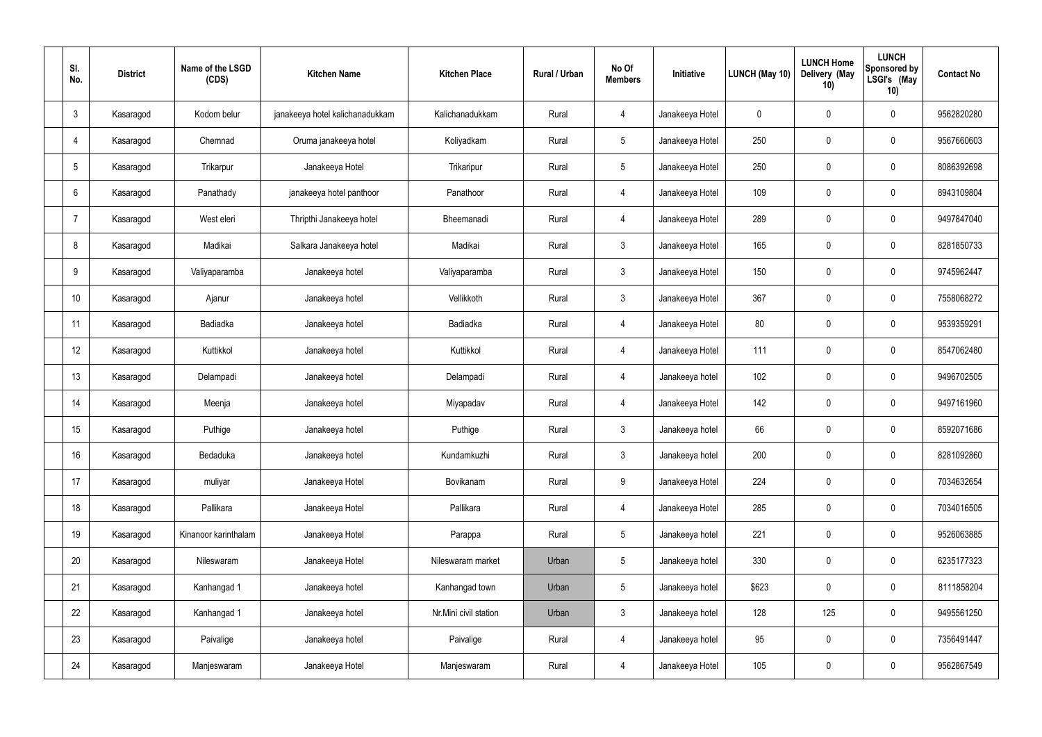| SI.<br>No.       | <b>District</b> | Name of the LSGD<br>(CDS) | <b>Kitchen Name</b>             | <b>Kitchen Place</b>  | <b>Rural / Urban</b> | No Of<br><b>Members</b> | Initiative      | LUNCH (May 10) | <b>LUNCH Home</b><br>Delivery (May<br>10) | <b>LUNCH</b><br>Sponsored by<br>LSGI's (May<br>10) | <b>Contact No</b> |
|------------------|-----------------|---------------------------|---------------------------------|-----------------------|----------------------|-------------------------|-----------------|----------------|-------------------------------------------|----------------------------------------------------|-------------------|
| 3                | Kasaragod       | Kodom belur               | janakeeya hotel kalichanadukkam | Kalichanadukkam       | Rural                | 4                       | Janakeeya Hotel | $\mathbf 0$    | $\mathbf 0$                               | $\mathbf 0$                                        | 9562820280        |
| 4                | Kasaragod       | Chemnad                   | Oruma janakeeya hotel           | Koliyadkam            | Rural                | $5\phantom{.0}$         | Janakeeya Hotel | 250            | $\mathbf 0$                               | $\mathbf 0$                                        | 9567660603        |
| 5                | Kasaragod       | Trikarpur                 | Janakeeya Hotel                 | Trikaripur            | Rural                | $5\overline{)}$         | Janakeeya Hotel | 250            | $\mathbf 0$                               | $\mathbf 0$                                        | 8086392698        |
| 6                | Kasaragod       | Panathady                 | janakeeya hotel panthoor        | Panathoor             | Rural                | 4                       | Janakeeya Hotel | 109            | $\mathbf 0$                               | $\overline{0}$                                     | 8943109804        |
| -7               | Kasaragod       | West eleri                | Thripthi Janakeeya hotel        | Bheemanadi            | Rural                | $\overline{4}$          | Janakeeya Hotel | 289            | $\mathbf 0$                               | $\mathbf 0$                                        | 9497847040        |
| 8                | Kasaragod       | Madikai                   | Salkara Janakeeya hotel         | Madikai               | Rural                | $\mathbf{3}$            | Janakeeya Hotel | 165            | $\mathbf 0$                               | $\mathbf 0$                                        | 8281850733        |
| 9                | Kasaragod       | Valiyaparamba             | Janakeeya hotel                 | Valiyaparamba         | Rural                | $\mathfrak{Z}$          | Janakeeya Hotel | 150            | $\mathbf 0$                               | $\mathbf 0$                                        | 9745962447        |
| 10 <sup>°</sup>  | Kasaragod       | Ajanur                    | Janakeeya hotel                 | Vellikkoth            | Rural                | $\mathbf{3}$            | Janakeeya Hotel | 367            | $\mathbf 0$                               | $\mathbf 0$                                        | 7558068272        |
| 11               | Kasaragod       | Badiadka                  | Janakeeya hotel                 | Badiadka              | Rural                | $\overline{4}$          | Janakeeya Hotel | 80             | $\mathbf 0$                               | $\mathbf 0$                                        | 9539359291        |
| 12               | Kasaragod       | Kuttikkol                 | Janakeeya hotel                 | Kuttikkol             | Rural                | 4                       | Janakeeya Hotel | 111            | $\pmb{0}$                                 | $\mathbf 0$                                        | 8547062480        |
| 13               | Kasaragod       | Delampadi                 | Janakeeya hotel                 | Delampadi             | Rural                | $\overline{4}$          | Janakeeya hotel | 102            | $\pmb{0}$                                 | $\mathbf 0$                                        | 9496702505        |
| 14               | Kasaragod       | Meenja                    | Janakeeya hotel                 | Miyapadav             | Rural                | 4                       | Janakeeya Hotel | 142            | $\mathbf 0$                               | $\mathbf 0$                                        | 9497161960        |
| 15 <sup>15</sup> | Kasaragod       | Puthige                   | Janakeeya hotel                 | Puthige               | Rural                | 3                       | Janakeeya hotel | 66             | $\mathbf 0$                               | $\mathbf 0$                                        | 8592071686        |
| 16               | Kasaragod       | Bedaduka                  | Janakeeya hotel                 | Kundamkuzhi           | Rural                | $\mathfrak{Z}$          | Janakeeya hotel | 200            | $\pmb{0}$                                 | $\mathbf 0$                                        | 8281092860        |
| 17               | Kasaragod       | muliyar                   | Janakeeya Hotel                 | Bovikanam             | Rural                | 9                       | Janakeeya Hotel | 224            | $\pmb{0}$                                 | $\mathbf 0$                                        | 7034632654        |
| 18               | Kasaragod       | Pallikara                 | Janakeeya Hotel                 | Pallikara             | Rural                | $\overline{4}$          | Janakeeya Hotel | 285            | $\pmb{0}$                                 | $\mathbf 0$                                        | 7034016505        |
| 19               | Kasaragod       | Kinanoor karinthalam      | Janakeeya Hotel                 | Parappa               | Rural                | $5\phantom{.0}$         | Janakeeya hotel | 221            | $\pmb{0}$                                 | $\mathbf 0$                                        | 9526063885        |
| 20               | Kasaragod       | Nileswaram                | Janakeeya Hotel                 | Nileswaram market     | Urban                | $5\phantom{.0}$         | Janakeeya hotel | 330            | $\pmb{0}$                                 | $\mathbf 0$                                        | 6235177323        |
| 21               | Kasaragod       | Kanhangad 1               | Janakeeya hotel                 | Kanhangad town        | Urban                | $5\phantom{.0}$         | Janakeeya hotel | \$623          | $\pmb{0}$                                 | $\mathbf 0$                                        | 8111858204        |
| 22               | Kasaragod       | Kanhangad 1               | Janakeeya hotel                 | Nr.Mini civil station | Urban                | $\mathbf{3}$            | Janakeeya hotel | 128            | 125                                       | $\mathbf 0$                                        | 9495561250        |
| 23               | Kasaragod       | Paivalige                 | Janakeeya hotel                 | Paivalige             | Rural                | 4                       | Janakeeya hotel | 95             | $\pmb{0}$                                 | $\mathbf 0$                                        | 7356491447        |
| 24               | Kasaragod       | Manjeswaram               | Janakeeya Hotel                 | Manjeswaram           | Rural                | 4                       | Janakeeya Hotel | 105            | $\pmb{0}$                                 | $\boldsymbol{0}$                                   | 9562867549        |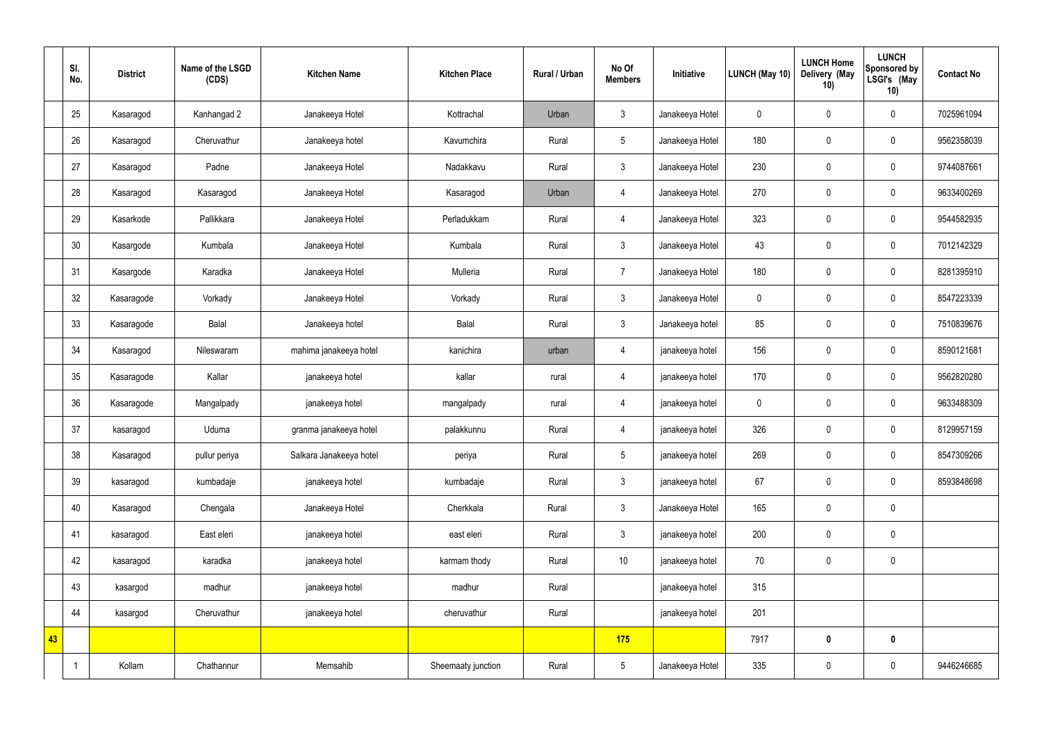|    | SI.<br>No. | <b>District</b> | Name of the LSGD<br>(CDS) | <b>Kitchen Name</b>     | <b>Kitchen Place</b> | Rural / Urban | No Of<br><b>Members</b> | Initiative      | LUNCH (May 10) | <b>LUNCH Home</b><br>Delivery (May<br>10) | <b>LUNCH</b><br>Sponsored by<br>LSGI's (May<br>10) | <b>Contact No</b> |
|----|------------|-----------------|---------------------------|-------------------------|----------------------|---------------|-------------------------|-----------------|----------------|-------------------------------------------|----------------------------------------------------|-------------------|
|    | 25         | Kasaragod       | Kanhangad 2               | Janakeeya Hotel         | Kottrachal           | Urban         | $\mathfrak{Z}$          | Janakeeya Hotel | $\mathbf 0$    | $\pmb{0}$                                 | $\mathbf 0$                                        | 7025961094        |
|    | 26         | Kasaragod       | Cheruvathur               | Janakeeya hotel         | Kavumchira           | Rural         | $5\phantom{.0}$         | Janakeeya Hotel | 180            | $\pmb{0}$                                 | $\mathbf 0$                                        | 9562358039        |
|    | 27         | Kasaragod       | Padne                     | Janakeeya Hotel         | Nadakkavu            | Rural         | $\mathfrak{Z}$          | Janakeeya Hotel | 230            | $\pmb{0}$                                 | $\mathbf 0$                                        | 9744087661        |
|    | 28         | Kasaragod       | Kasaragod                 | Janakeeya Hotel         | Kasaragod            | Urban         | 4                       | Janakeeya Hotel | 270            | $\pmb{0}$                                 | $\mathbf 0$                                        | 9633400269        |
|    | 29         | Kasarkode       | Pallikkara                | Janakeeya Hotel         | Perladukkam          | Rural         | $\overline{4}$          | Janakeeya Hotel | 323            | $\mathbf 0$                               | $\mathbf 0$                                        | 9544582935        |
|    | 30         | Kasargode       | Kumbala                   | Janakeeya Hotel         | Kumbala              | Rural         | $\mathbf{3}$            | Janakeeya Hotel | 43             | $\pmb{0}$                                 | $\mathbf 0$                                        | 7012142329        |
|    | 31         | Kasargode       | Karadka                   | Janakeeya Hotel         | Mulleria             | Rural         | $\overline{7}$          | Janakeeya Hotel | 180            | $\pmb{0}$                                 | $\mathbf 0$                                        | 8281395910        |
|    | 32         | Kasaragode      | Vorkady                   | Janakeeya Hotel         | Vorkady              | Rural         | $\mathfrak{Z}$          | Janakeeya Hotel | $\mathbf 0$    | $\pmb{0}$                                 | $\mathbf 0$                                        | 8547223339        |
|    | 33         | Kasaragode      | Balal                     | Janakeeya hotel         | Balal                | Rural         | $\mathfrak{Z}$          | Janakeeya hotel | 85             | $\pmb{0}$                                 | $\mathbf 0$                                        | 7510839676        |
|    | 34         | Kasaragod       | Nileswaram                | mahima janakeeya hotel  | kanichira            | urban         | $\overline{4}$          | janakeeya hotel | 156            | $\pmb{0}$                                 | $\mathbf 0$                                        | 8590121681        |
|    | 35         | Kasaragode      | Kallar                    | janakeeya hotel         | kallar               | rural         | $\overline{4}$          | janakeeya hotel | 170            | $\pmb{0}$                                 | $\mathbf 0$                                        | 9562820280        |
|    | 36         | Kasaragode      | Mangalpady                | janakeeya hotel         | mangalpady           | rural         | $\overline{4}$          | janakeeya hotel | $\mathbf 0$    | $\pmb{0}$                                 | $\mathbf 0$                                        | 9633488309        |
|    | 37         | kasaragod       | Uduma                     | granma janakeeya hotel  | palakkunnu           | Rural         | 4                       | janakeeya hotel | 326            | $\pmb{0}$                                 | $\mathbf 0$                                        | 8129957159        |
|    | 38         | Kasaragod       | pullur periya             | Salkara Janakeeya hotel | periya               | Rural         | $5\phantom{.0}$         | janakeeya hotel | 269            | $\pmb{0}$                                 | $\mathbf 0$                                        | 8547309266        |
|    | 39         | kasaragod       | kumbadaje                 | janakeeya hotel         | kumbadaje            | Rural         | $\mathbf{3}$            | janakeeya hotel | 67             | $\pmb{0}$                                 | $\mathbf 0$                                        | 8593848698        |
|    | 40         | Kasaragod       | Chengala                  | Janakeeya Hotel         | Cherkkala            | Rural         | $\mathbf{3}$            | Janakeeya Hotel | 165            | $\pmb{0}$                                 | $\mathbf 0$                                        |                   |
|    | 41         | kasaragod       | East eleri                | janakeeya hotel         | east eleri           | Rural         | $\mathbf{3}$            | janakeeya hotel | 200            | $\pmb{0}$                                 | $\mathbf 0$                                        |                   |
|    | 42         | kasaragod       | karadka                   | janakeeya hotel         | karmam thody         | Rural         | $10$                    | janakeeya hotel | 70             | $\pmb{0}$                                 | $\mathbf 0$                                        |                   |
|    | 43         | kasargod        | madhur                    | janakeeya hotel         | madhur               | Rural         |                         | janakeeya hotel | 315            |                                           |                                                    |                   |
|    | 44         | kasargod        | Cheruvathur               | janakeeya hotel         | cheruvathur          | Rural         |                         | janakeeya hotel | 201            |                                           |                                                    |                   |
| 43 |            |                 |                           |                         |                      |               | 175                     |                 | 7917           | $\bm{0}$                                  | $\mathbf 0$                                        |                   |
|    |            | Kollam          | Chathannur                | Memsahib                | Sheemaaty junction   | Rural         | $5\phantom{.0}$         | Janakeeya Hotel | 335            | $\pmb{0}$                                 | $\pmb{0}$                                          | 9446246685        |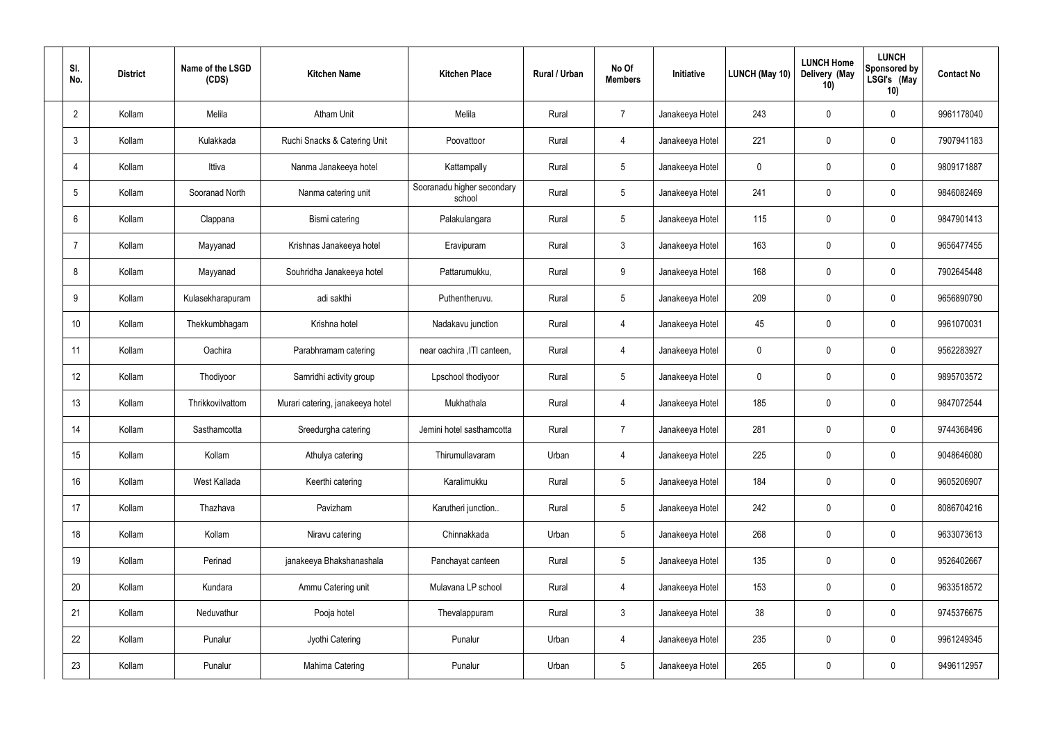| SI.<br>No.      | <b>District</b> | Name of the LSGD<br>(CDS) | <b>Kitchen Name</b>              | <b>Kitchen Place</b>                 | <b>Rural / Urban</b> | No Of<br><b>Members</b> | Initiative      | <b>LUNCH (May 10)</b> | <b>LUNCH Home</b><br>Delivery (May<br>10) | <b>LUNCH</b><br>Sponsored by<br>LSGI's (May<br>10) | <b>Contact No</b> |
|-----------------|-----------------|---------------------------|----------------------------------|--------------------------------------|----------------------|-------------------------|-----------------|-----------------------|-------------------------------------------|----------------------------------------------------|-------------------|
| $\overline{2}$  | Kollam          | Melila                    | <b>Atham Unit</b>                | Melila                               | Rural                | $\overline{7}$          | Janakeeya Hotel | 243                   | 0                                         | $\mathbf 0$                                        | 9961178040        |
| $\mathbf{3}$    | Kollam          | Kulakkada                 | Ruchi Snacks & Catering Unit     | Poovattoor                           | Rural                | 4                       | Janakeeya Hotel | 221                   | 0                                         | $\mathbf 0$                                        | 7907941183        |
| 4               | Kollam          | Ittiva                    | Nanma Janakeeya hotel            | Kattampally                          | Rural                | $5\phantom{.0}$         | Janakeeya Hotel | $\mathbf 0$           | 0                                         | $\mathbf 0$                                        | 9809171887        |
| $5\phantom{.0}$ | Kollam          | Sooranad North            | Nanma catering unit              | Sooranadu higher secondary<br>school | Rural                | $5\phantom{.0}$         | Janakeeya Hotel | 241                   | 0                                         | $\mathbf 0$                                        | 9846082469        |
| 6               | Kollam          | Clappana                  | Bismi catering                   | Palakulangara                        | Rural                | $5\phantom{.0}$         | Janakeeya Hotel | 115                   | 0                                         | $\mathbf 0$                                        | 9847901413        |
| -7              | Kollam          | Mayyanad                  | Krishnas Janakeeya hotel         | Eravipuram                           | Rural                | $\mathbf{3}$            | Janakeeya Hotel | 163                   | $\boldsymbol{0}$                          | $\mathbf 0$                                        | 9656477455        |
| 8               | Kollam          | Mayyanad                  | Souhridha Janakeeya hotel        | Pattarumukku,                        | Rural                | $9\,$                   | Janakeeya Hotel | 168                   | 0                                         | $\mathbf 0$                                        | 7902645448        |
| 9               | Kollam          | Kulasekharapuram          | adi sakthi                       | Puthentheruvu.                       | Rural                | $5\,$                   | Janakeeya Hotel | 209                   | $\boldsymbol{0}$                          | $\mathbf 0$                                        | 9656890790        |
| 10              | Kollam          | Thekkumbhagam             | Krishna hotel                    | Nadakavu junction                    | Rural                | $\overline{4}$          | Janakeeya Hotel | 45                    | 0                                         | $\mathbf 0$                                        | 9961070031        |
| 11              | Kollam          | Oachira                   | Parabhramam catering             | near oachira , ITI canteen,          | Rural                | 4                       | Janakeeya Hotel | $\mathbf 0$           | $\boldsymbol{0}$                          | $\mathbf 0$                                        | 9562283927        |
| 12              | Kollam          | Thodiyoor                 | Samridhi activity group          | Lpschool thodiyoor                   | Rural                | $5\phantom{.0}$         | Janakeeya Hotel | 0                     | $\boldsymbol{0}$                          | $\pmb{0}$                                          | 9895703572        |
| 13              | Kollam          | Thrikkovilvattom          | Murari catering, janakeeya hotel | Mukhathala                           | Rural                | 4                       | Janakeeya Hotel | 185                   | $\boldsymbol{0}$                          | $\mathbf 0$                                        | 9847072544        |
| 14              | Kollam          | Sasthamcotta              | Sreedurgha catering              | Jemini hotel sasthamcotta            | Rural                | $\overline{7}$          | Janakeeya Hotel | 281                   | 0                                         | 0                                                  | 9744368496        |
| 15              | Kollam          | Kollam                    | Athulya catering                 | Thirumullavaram                      | Urban                | $\overline{4}$          | Janakeeya Hotel | 225                   | $\pmb{0}$                                 | $\mathbf 0$                                        | 9048646080        |
| 16              | Kollam          | West Kallada              | Keerthi catering                 | Karalimukku                          | Rural                | $5\phantom{.0}$         | Janakeeya Hotel | 184                   | 0                                         | $\mathbf 0$                                        | 9605206907        |
| 17              | Kollam          | Thazhava                  | Pavizham                         | Karutheri junction                   | Rural                | $5\phantom{.0}$         | Janakeeya Hotel | 242                   | 0                                         | $\mathbf 0$                                        | 8086704216        |
| 18              | Kollam          | Kollam                    | Niravu catering                  | Chinnakkada                          | Urban                | $5\phantom{.0}$         | Janakeeya Hotel | 268                   | 0                                         | $\mathbf 0$                                        | 9633073613        |
| 19              | Kollam          | Perinad                   | janakeeya Bhakshanashala         | Panchayat canteen                    | Rural                | $5\phantom{.0}$         | Janakeeya Hotel | 135                   | 0                                         | $\mathbf 0$                                        | 9526402667        |
| 20              | Kollam          | Kundara                   | Ammu Catering unit               | Mulavana LP school                   | Rural                | $\overline{4}$          | Janakeeya Hotel | 153                   | 0                                         | $\mathbf 0$                                        | 9633518572        |
| 21              | Kollam          | Neduvathur                | Pooja hotel                      | Thevalappuram                        | Rural                | 3 <sup>1</sup>          | Janakeeya Hotel | 38                    | 0                                         | $\mathbf 0$                                        | 9745376675        |
| 22              | Kollam          | Punalur                   | Jyothi Catering                  | Punalur                              | Urban                | $\overline{4}$          | Janakeeya Hotel | 235                   | 0                                         | $\mathbf 0$                                        | 9961249345        |
| 23              | Kollam          | Punalur                   | Mahima Catering                  | Punalur                              | Urban                | $\sqrt{5}$              | Janakeeya Hotel | 265                   | 0                                         | $\mathbf 0$                                        | 9496112957        |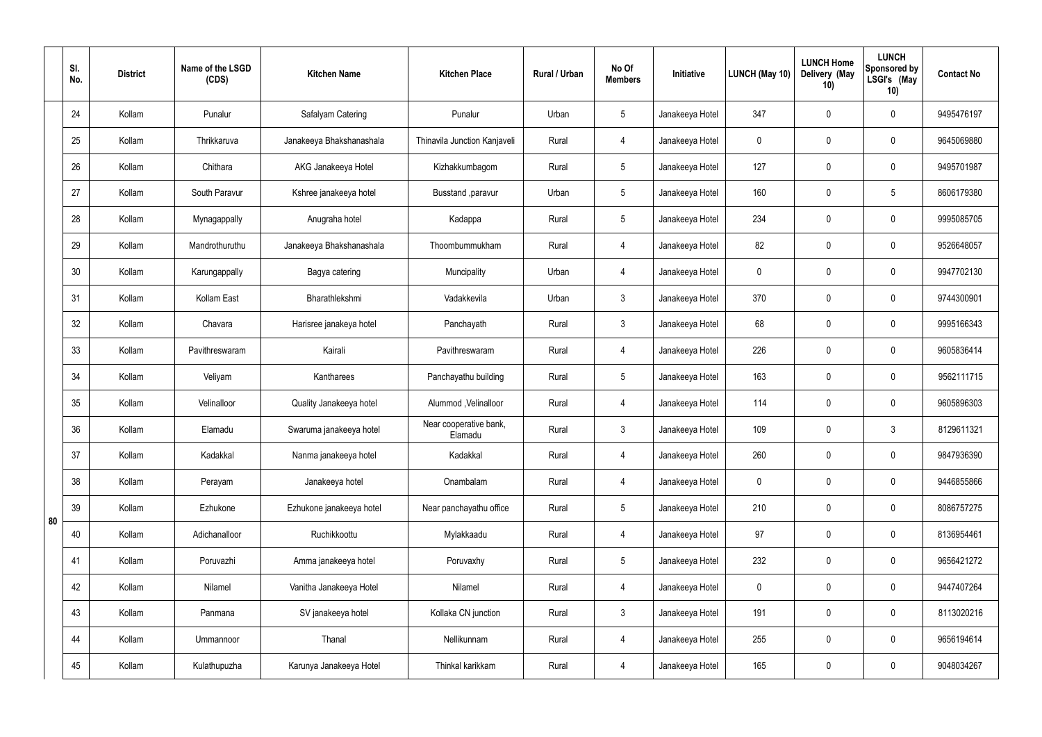|    | SI.<br>No. | <b>District</b> | Name of the LSGD<br>(CDS) | <b>Kitchen Name</b>      | <b>Kitchen Place</b>              | Rural / Urban | No Of<br><b>Members</b> | Initiative      | <b>LUNCH (May 10)</b> | <b>LUNCH Home</b><br>Delivery (May<br>10) | <b>LUNCH</b><br>Sponsored by<br>LSGI's (May<br>10) | <b>Contact No</b> |
|----|------------|-----------------|---------------------------|--------------------------|-----------------------------------|---------------|-------------------------|-----------------|-----------------------|-------------------------------------------|----------------------------------------------------|-------------------|
|    | 24         | Kollam          | Punalur                   | Safalyam Catering        | Punalur                           | Urban         | $5\phantom{.0}$         | Janakeeya Hotel | 347                   | 0                                         | $\mathbf 0$                                        | 9495476197        |
|    | 25         | Kollam          | Thrikkaruva               | Janakeeya Bhakshanashala | Thinavila Junction Kanjaveli      | Rural         | 4                       | Janakeeya Hotel | 0                     | $\mathbf 0$                               | $\mathbf 0$                                        | 9645069880        |
|    | 26         | Kollam          | Chithara                  | AKG Janakeeya Hotel      | Kizhakkumbagom                    | Rural         | $5\phantom{.0}$         | Janakeeya Hotel | 127                   | 0                                         | $\mathbf 0$                                        | 9495701987        |
|    | 27         | Kollam          | South Paravur             | Kshree janakeeya hotel   | Busstand , paravur                | Urban         | $5\phantom{.0}$         | Janakeeya Hotel | 160                   | $\mathbf 0$                               | $5\phantom{.0}$                                    | 8606179380        |
|    | 28         | Kollam          | Mynagappally              | Anugraha hotel           | Kadappa                           | Rural         | $5\overline{)}$         | Janakeeya Hotel | 234                   | $\mathbf 0$                               | $\mathbf 0$                                        | 9995085705        |
|    | 29         | Kollam          | Mandrothuruthu            | Janakeeya Bhakshanashala | Thoombummukham                    | Rural         | $\overline{4}$          | Janakeeya Hotel | 82                    | $\mathbf 0$                               | $\mathbf 0$                                        | 9526648057        |
|    | 30         | Kollam          | Karungappally             | Bagya catering           | Muncipality                       | Urban         | $\overline{4}$          | Janakeeya Hotel | 0                     | $\mathbf 0$                               | $\mathbf 0$                                        | 9947702130        |
|    | 31         | Kollam          | Kollam East               | Bharathlekshmi           | Vadakkevila                       | Urban         | $\mathbf{3}$            | Janakeeya Hotel | 370                   | $\mathbf 0$                               | $\mathbf 0$                                        | 9744300901        |
|    | 32         | Kollam          | Chavara                   | Harisree janakeya hotel  | Panchayath                        | Rural         | $\mathbf{3}$            | Janakeeya Hotel | 68                    | $\mathbf 0$                               | $\mathbf 0$                                        | 9995166343        |
|    | 33         | Kollam          | Pavithreswaram            | Kairali                  | Pavithreswaram                    | Rural         | 4                       | Janakeeya Hotel | 226                   | 0                                         | $\mathbf 0$                                        | 9605836414        |
|    | 34         | Kollam          | Veliyam                   | Kantharees               | Panchayathu building              | Rural         | $5\phantom{.0}$         | Janakeeya Hotel | 163                   | 0                                         | $\mathbf 0$                                        | 9562111715        |
|    | 35         | Kollam          | Velinalloor               | Quality Janakeeya hotel  | Alummod, Velinalloor              | Rural         | 4                       | Janakeeya Hotel | 114                   | $\mathbf 0$                               | $\mathbf 0$                                        | 9605896303        |
|    | 36         | Kollam          | Elamadu                   | Swaruma janakeeya hotel  | Near cooperative bank,<br>Elamadu | Rural         | $\mathbf{3}$            | Janakeeya Hotel | 109                   | 0                                         | 3                                                  | 8129611321        |
|    | 37         | Kollam          | Kadakkal                  | Nanma janakeeya hotel    | Kadakkal                          | Rural         | $\overline{4}$          | Janakeeya Hotel | 260                   | $\mathbf 0$                               | $\mathbf 0$                                        | 9847936390        |
|    | 38         | Kollam          | Perayam                   | Janakeeya hotel          | Onambalam                         | Rural         | $\overline{4}$          | Janakeeya Hotel | $\mathbf 0$           | $\mathbf 0$                               | $\mathbf 0$                                        | 9446855866        |
| 80 | 39         | Kollam          | Ezhukone                  | Ezhukone janakeeya hotel | Near panchayathu office           | Rural         | $5\overline{)}$         | Janakeeya Hotel | 210                   | 0                                         | $\mathbf 0$                                        | 8086757275        |
|    | 40         | Kollam          | Adichanalloor             | Ruchikkoottu             | Mylakkaadu                        | Rural         | $\overline{4}$          | Janakeeya Hotel | 97                    | 0                                         | $\mathbf 0$                                        | 8136954461        |
|    | 41         | Kollam          | Poruvazhi                 | Amma janakeeya hotel     | Poruvaxhy                         | Rural         | $5\overline{)}$         | Janakeeya Hotel | 232                   | 0                                         | $\mathbf 0$                                        | 9656421272        |
|    | 42         | Kollam          | Nilamel                   | Vanitha Janakeeya Hotel  | Nilamel                           | Rural         | $\overline{4}$          | Janakeeya Hotel | $\mathbf 0$           | 0                                         | $\mathbf 0$                                        | 9447407264        |
|    | 43         | Kollam          | Panmana                   | SV janakeeya hotel       | Kollaka CN junction               | Rural         | $\mathbf{3}$            | Janakeeya Hotel | 191                   | 0                                         | $\mathbf 0$                                        | 8113020216        |
|    | 44         | Kollam          | Ummannoor                 | Thanal                   | Nellikunnam                       | Rural         | $\overline{4}$          | Janakeeya Hotel | 255                   | 0                                         | $\mathbf 0$                                        | 9656194614        |
|    | 45         | Kollam          | Kulathupuzha              | Karunya Janakeeya Hotel  | Thinkal karikkam                  | Rural         | 4                       | Janakeeya Hotel | 165                   | 0                                         | $\overline{0}$                                     | 9048034267        |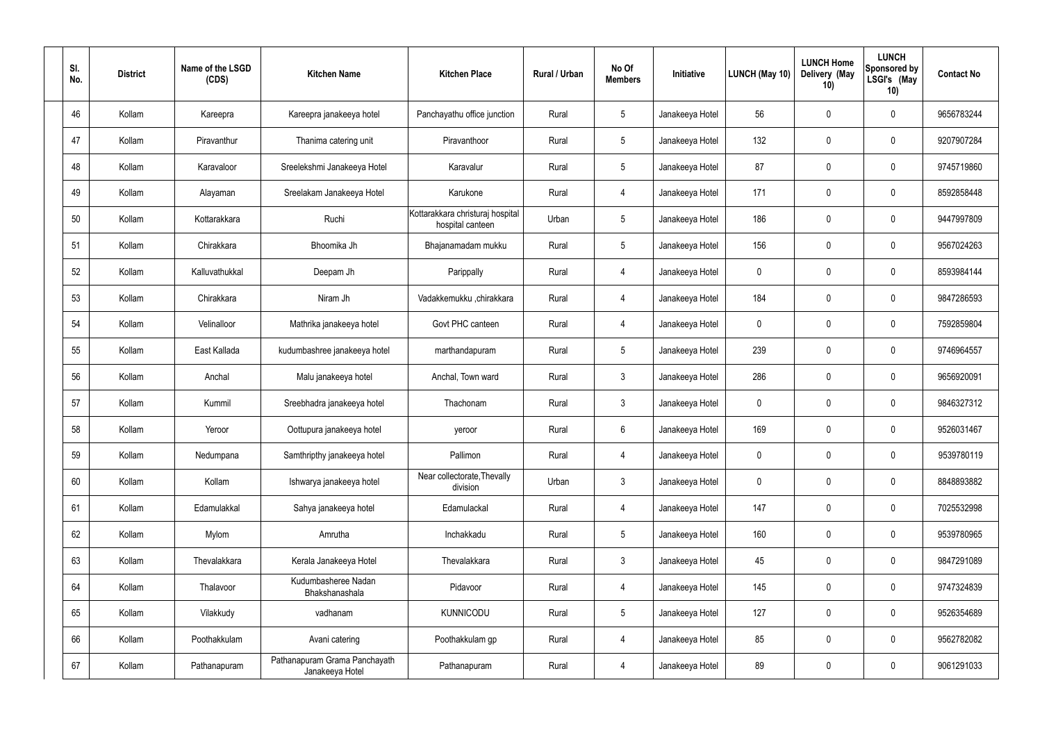| SI.<br>No. | <b>District</b> | Name of the LSGD<br>(CDS) | <b>Kitchen Name</b>                              | <b>Kitchen Place</b>                                 | Rural / Urban | No Of<br><b>Members</b> | Initiative      | LUNCH (May 10) | <b>LUNCH Home</b><br>Delivery (May<br>10) | <b>LUNCH</b><br>Sponsored by<br>LSGI's (May<br>10) | <b>Contact No</b> |
|------------|-----------------|---------------------------|--------------------------------------------------|------------------------------------------------------|---------------|-------------------------|-----------------|----------------|-------------------------------------------|----------------------------------------------------|-------------------|
| 46         | Kollam          | Kareepra                  | Kareepra janakeeya hotel                         | Panchayathu office junction                          | Rural         | $5\phantom{.0}$         | Janakeeya Hotel | 56             | 0                                         | $\boldsymbol{0}$                                   | 9656783244        |
| 47         | Kollam          | Piravanthur               | Thanima catering unit                            | Piravanthoor                                         | Rural         | $5\phantom{.0}$         | Janakeeya Hotel | 132            | 0                                         | $\pmb{0}$                                          | 9207907284        |
| 48         | Kollam          | Karavaloor                | Sreelekshmi Janakeeya Hotel                      | Karavalur                                            | Rural         | $5\,$                   | Janakeeya Hotel | 87             | 0                                         | $\boldsymbol{0}$                                   | 9745719860        |
| 49         | Kollam          | Alayaman                  | Sreelakam Janakeeya Hotel                        | Karukone                                             | Rural         | $\overline{4}$          | Janakeeya Hotel | 171            | 0                                         | $\boldsymbol{0}$                                   | 8592858448        |
| 50         | Kollam          | Kottarakkara              | Ruchi                                            | Kottarakkara christuraj hospital<br>hospital canteen | Urban         | $5\,$                   | Janakeeya Hotel | 186            | $\boldsymbol{0}$                          | $\boldsymbol{0}$                                   | 9447997809        |
| 51         | Kollam          | Chirakkara                | Bhoomika Jh                                      | Bhajanamadam mukku                                   | Rural         | $5\phantom{.0}$         | Janakeeya Hotel | 156            | 0                                         | $\boldsymbol{0}$                                   | 9567024263        |
| 52         | Kollam          | Kalluvathukkal            | Deepam Jh                                        | Parippally                                           | Rural         | 4                       | Janakeeya Hotel | 0              | $\boldsymbol{0}$                          | $\boldsymbol{0}$                                   | 8593984144        |
| 53         | Kollam          | Chirakkara                | Niram Jh                                         | Vadakkemukku ,chirakkara                             | Rural         | 4                       | Janakeeya Hotel | 184            | $\boldsymbol{0}$                          | $\mathbf 0$                                        | 9847286593        |
| 54         | Kollam          | Velinalloor               | Mathrika janakeeya hotel                         | Govt PHC canteen                                     | Rural         | 4                       | Janakeeya Hotel | 0              | $\boldsymbol{0}$                          | $\boldsymbol{0}$                                   | 7592859804        |
| 55         | Kollam          | East Kallada              | kudumbashree janakeeya hotel                     | marthandapuram                                       | Rural         | $5\phantom{.0}$         | Janakeeya Hotel | 239            | 0                                         | $\mathbf 0$                                        | 9746964557        |
| 56         | Kollam          | Anchal                    | Malu janakeeya hotel                             | Anchal, Town ward                                    | Rural         | $\mathbf{3}$            | Janakeeya Hotel | 286            | 0                                         | $\boldsymbol{0}$                                   | 9656920091        |
| 57         | Kollam          | Kummil                    | Sreebhadra janakeeya hotel                       | Thachonam                                            | Rural         | $\mathbf{3}$            | Janakeeya Hotel | 0              | 0                                         | $\boldsymbol{0}$                                   | 9846327312        |
| 58         | Kollam          | Yeroor                    | Oottupura janakeeya hotel                        | yeroor                                               | Rural         | 6                       | Janakeeya Hotel | 169            | $\mathbf 0$                               | $\boldsymbol{0}$                                   | 9526031467        |
| 59         | Kollam          | Nedumpana                 | Samthripthy janakeeya hotel                      | Pallimon                                             | Rural         | $\overline{4}$          | Janakeeya Hotel | 0              | $\mathbf 0$                               | $\mathbf 0$                                        | 9539780119        |
| 60         | Kollam          | Kollam                    | Ishwarya janakeeya hotel                         | Near collectorate, Thevally<br>division              | Urban         | $\mathbf{3}$            | Janakeeya Hotel | $\mathbf 0$    | $\mathsf{0}$                              | $\mathbf 0$                                        | 8848893882        |
| 61         | Kollam          | Edamulakkal               | Sahya janakeeya hotel                            | Edamulackal                                          | Rural         | 4                       | Janakeeya Hotel | 147            | 0                                         | $\mathbf 0$                                        | 7025532998        |
| 62         | Kollam          | Mylom                     | Amrutha                                          | Inchakkadu                                           | Rural         | $5\phantom{.0}$         | Janakeeya Hotel | 160            | $\mathsf{0}$                              | $\mathbf 0$                                        | 9539780965        |
| 63         | Kollam          | Thevalakkara              | Kerala Janakeeya Hotel                           | Thevalakkara                                         | Rural         | $\mathbf{3}$            | Janakeeya Hotel | 45             | 0                                         | $\mathbf 0$                                        | 9847291089        |
| 64         | Kollam          | Thalavoor                 | Kudumbasheree Nadan<br>Bhakshanashala            | Pidavoor                                             | Rural         | 4                       | Janakeeya Hotel | 145            | $\mathbf 0$                               | $\mathbf 0$                                        | 9747324839        |
| 65         | Kollam          | Vilakkudy                 | vadhanam                                         | <b>KUNNICODU</b>                                     | Rural         | $5\phantom{.0}$         | Janakeeya Hotel | 127            | 0                                         | $\mathbf 0$                                        | 9526354689        |
| 66         | Kollam          | Poothakkulam              | Avani catering                                   | Poothakkulam gp                                      | Rural         | $\overline{4}$          | Janakeeya Hotel | 85             | $\mathbf 0$                               | $\mathbf 0$                                        | 9562782082        |
| 67         | Kollam          | Pathanapuram              | Pathanapuram Grama Panchayath<br>Janakeeya Hotel | Pathanapuram                                         | Rural         | $\overline{4}$          | Janakeeya Hotel | 89             | 0                                         | $\pmb{0}$                                          | 9061291033        |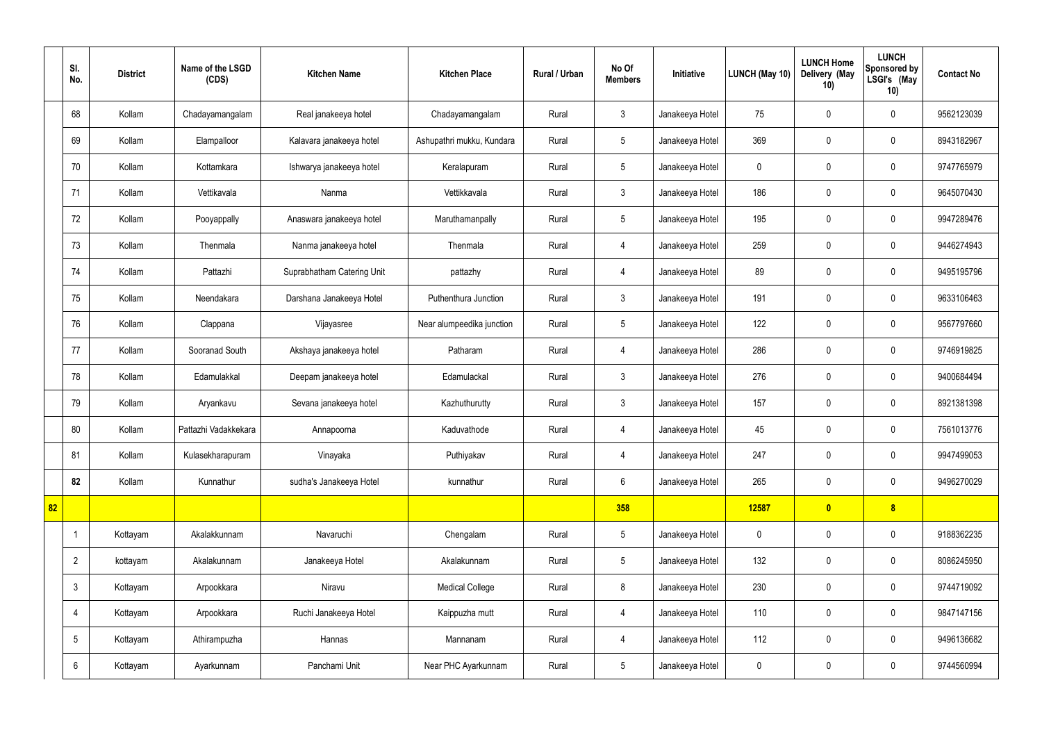|    | SI.<br>No.     | <b>District</b> | Name of the LSGD<br>(CDS) | <b>Kitchen Name</b>        | <b>Kitchen Place</b>      | Rural / Urban | No Of<br><b>Members</b> | Initiative      | LUNCH (May 10) | <b>LUNCH Home</b><br>Delivery (May<br>10) | <b>LUNCH</b><br>Sponsored by<br>LSGI's (May<br>10) | <b>Contact No</b> |
|----|----------------|-----------------|---------------------------|----------------------------|---------------------------|---------------|-------------------------|-----------------|----------------|-------------------------------------------|----------------------------------------------------|-------------------|
|    | 68             | Kollam          | Chadayamangalam           | Real janakeeya hotel       | Chadayamangalam           | Rural         | $\mathfrak{Z}$          | Janakeeya Hotel | 75             | $\mathbf 0$                               | $\mathbf 0$                                        | 9562123039        |
|    | 69             | Kollam          | Elampalloor               | Kalavara janakeeya hotel   | Ashupathri mukku, Kundara | Rural         | $5\phantom{.0}$         | Janakeeya Hotel | 369            | $\pmb{0}$                                 | $\mathbf 0$                                        | 8943182967        |
|    | 70             | Kollam          | Kottamkara                | Ishwarya janakeeya hotel   | Keralapuram               | Rural         | $5\phantom{.0}$         | Janakeeya Hotel | $\mathbf 0$    | $\mathbf 0$                               | $\mathbf 0$                                        | 9747765979        |
|    | 71             | Kollam          | Vettikavala               | Nanma                      | Vettikkavala              | Rural         | $\mathbf{3}$            | Janakeeya Hotel | 186            | $\mathbf 0$                               | $\mathbf 0$                                        | 9645070430        |
|    | 72             | Kollam          | Pooyappally               | Anaswara janakeeya hotel   | Maruthamanpally           | Rural         | $5\phantom{.0}$         | Janakeeya Hotel | 195            | $\mathbf 0$                               | $\mathbf 0$                                        | 9947289476        |
|    | 73             | Kollam          | Thenmala                  | Nanma janakeeya hotel      | Thenmala                  | Rural         | 4                       | Janakeeya Hotel | 259            | $\mathbf 0$                               | $\mathbf 0$                                        | 9446274943        |
|    | 74             | Kollam          | Pattazhi                  | Suprabhatham Catering Unit | pattazhy                  | Rural         | 4                       | Janakeeya Hotel | 89             | $\mathbf 0$                               | $\mathbf 0$                                        | 9495195796        |
|    | 75             | Kollam          | Neendakara                | Darshana Janakeeya Hotel   | Puthenthura Junction      | Rural         | $\mathbf{3}$            | Janakeeya Hotel | 191            | $\mathbf 0$                               | $\mathbf 0$                                        | 9633106463        |
|    | 76             | Kollam          | Clappana                  | Vijayasree                 | Near alumpeedika junction | Rural         | $5\phantom{.0}$         | Janakeeya Hotel | 122            | $\pmb{0}$                                 | $\mathbf 0$                                        | 9567797660        |
|    | 77             | Kollam          | Sooranad South            | Akshaya janakeeya hotel    | Patharam                  | Rural         | $\overline{4}$          | Janakeeya Hotel | 286            | $\pmb{0}$                                 | $\mathbf 0$                                        | 9746919825        |
|    | 78             | Kollam          | Edamulakkal               | Deepam janakeeya hotel     | Edamulackal               | Rural         | $\mathfrak{Z}$          | Janakeeya Hotel | 276            | $\pmb{0}$                                 | $\mathbf 0$                                        | 9400684494        |
|    | 79             | Kollam          | Aryankavu                 | Sevana janakeeya hotel     | Kazhuthurutty             | Rural         | $\mathbf{3}$            | Janakeeya Hotel | 157            | $\pmb{0}$                                 | $\mathbf 0$                                        | 8921381398        |
|    | 80             | Kollam          | Pattazhi Vadakkekara      | Annapoorna                 | Kaduvathode               | Rural         | 4                       | Janakeeya Hotel | 45             | $\mathbf 0$                               | $\mathbf 0$                                        | 7561013776        |
|    | 81             | Kollam          | Kulasekharapuram          | Vinayaka                   | Puthiyakav                | Rural         | 4                       | Janakeeya Hotel | 247            | $\pmb{0}$                                 | $\mathbf 0$                                        | 9947499053        |
|    | 82             | Kollam          | Kunnathur                 | sudha's Janakeeya Hotel    | kunnathur                 | Rural         | $6\overline{6}$         | Janakeeya Hotel | 265            | $\pmb{0}$                                 | $\mathbf 0$                                        | 9496270029        |
| 82 |                |                 |                           |                            |                           |               | 358                     |                 | 12587          | $\bullet$                                 | 8                                                  |                   |
|    | -1             | Kottayam        | Akalakkunnam              | Navaruchi                  | Chengalam                 | Rural         | $5\phantom{.0}$         | Janakeeya Hotel | $\mathbf 0$    | $\pmb{0}$                                 | $\mathbf 0$                                        | 9188362235        |
|    | $\overline{2}$ | kottayam        | Akalakunnam               | Janakeeya Hotel            | Akalakunnam               | Rural         | $5\phantom{.0}$         | Janakeeya Hotel | 132            | $\pmb{0}$                                 | $\mathbf 0$                                        | 8086245950        |
|    | $\mathbf{3}$   | Kottayam        | Arpookkara                | Niravu                     | <b>Medical College</b>    | Rural         | 8                       | Janakeeya Hotel | 230            | $\pmb{0}$                                 | $\mathbf 0$                                        | 9744719092        |
|    | $\overline{4}$ | Kottayam        | Arpookkara                | Ruchi Janakeeya Hotel      | Kaippuzha mutt            | Rural         | $\overline{4}$          | Janakeeya Hotel | 110            | $\pmb{0}$                                 | $\mathbf 0$                                        | 9847147156        |
|    | 5              | Kottayam        | Athirampuzha              | Hannas                     | Mannanam                  | Rural         | 4                       | Janakeeya Hotel | 112            | $\pmb{0}$                                 | $\mathbf 0$                                        | 9496136682        |
|    | 6              | Kottayam        | Ayarkunnam                | Panchami Unit              | Near PHC Ayarkunnam       | Rural         | $5\phantom{.0}$         | Janakeeya Hotel | $\pmb{0}$      | $\pmb{0}$                                 | $\boldsymbol{0}$                                   | 9744560994        |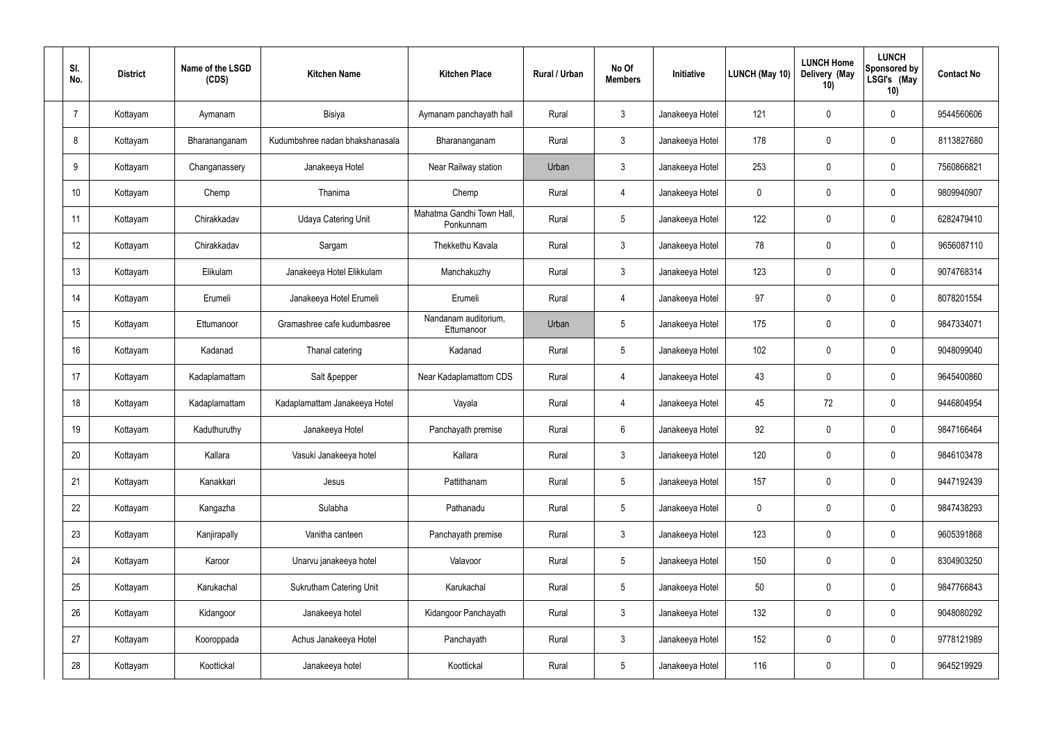| SI.<br>No.     | <b>District</b> | Name of the LSGD<br>(CDS) | <b>Kitchen Name</b>             | <b>Kitchen Place</b>                   | <b>Rural / Urban</b> | No Of<br><b>Members</b> | Initiative      | <b>LUNCH (May 10)</b> | <b>LUNCH Home</b><br>Delivery (May<br>10) | <b>LUNCH</b><br>Sponsored by<br>LSGI's (May<br>10) | <b>Contact No</b> |
|----------------|-----------------|---------------------------|---------------------------------|----------------------------------------|----------------------|-------------------------|-----------------|-----------------------|-------------------------------------------|----------------------------------------------------|-------------------|
| $\overline{7}$ | Kottayam        | Aymanam                   | Bisiya                          | Aymanam panchayath hall                | Rural                | $\mathbf{3}$            | Janakeeya Hotel | 121                   | $\mathbf 0$                               | $\mathbf 0$                                        | 9544560606        |
| 8              | Kottayam        | Bharananganam             | Kudumbshree nadan bhakshanasala | Bharananganam                          | Rural                | $\mathbf{3}$            | Janakeeya Hotel | 178                   | $\mathbf 0$                               | $\mathbf 0$                                        | 8113827680        |
| 9              | Kottayam        | Changanassery             | Janakeeya Hotel                 | Near Railway station                   | Urban                | $\mathbf{3}$            | Janakeeya Hotel | 253                   | $\mathbf 0$                               | $\mathbf 0$                                        | 7560866821        |
| 10             | Kottayam        | Chemp                     | Thanima                         | Chemp                                  | Rural                | $\overline{4}$          | Janakeeya Hotel | $\mathbf 0$           | 0                                         | $\mathbf 0$                                        | 9809940907        |
| 11             | Kottayam        | Chirakkadav               | <b>Udaya Catering Unit</b>      | Mahatma Gandhi Town Hall,<br>Ponkunnam | Rural                | $5\phantom{.0}$         | Janakeeya Hotel | 122                   | $\mathbf 0$                               | $\mathbf 0$                                        | 6282479410        |
| 12             | Kottayam        | Chirakkadav               | Sargam                          | Thekkethu Kavala                       | Rural                | $\mathbf{3}$            | Janakeeya Hotel | 78                    | 0                                         | $\mathbf 0$                                        | 9656087110        |
| 13             | Kottayam        | Elikulam                  | Janakeeya Hotel Elikkulam       | Manchakuzhy                            | Rural                | $\mathbf{3}$            | Janakeeya Hotel | 123                   | $\mathbf 0$                               | $\mathbf 0$                                        | 9074768314        |
| 14             | Kottayam        | Erumeli                   | Janakeeya Hotel Erumeli         | Erumeli                                | Rural                | $\overline{4}$          | Janakeeya Hotel | 97                    | 0                                         | $\mathbf 0$                                        | 8078201554        |
| 15             | Kottayam        | Ettumanoor                | Gramashree cafe kudumbasree     | Nandanam auditorium,<br>Ettumanoor     | Urban                | $5\phantom{.0}$         | Janakeeya Hotel | 175                   | $\mathbf 0$                               | $\mathbf 0$                                        | 9847334071        |
| 16             | Kottayam        | Kadanad                   | Thanal catering                 | Kadanad                                | Rural                | $5\phantom{.0}$         | Janakeeya Hotel | 102                   | $\mathbf 0$                               | $\mathbf 0$                                        | 9048099040        |
| 17             | Kottayam        | Kadaplamattam             | Salt &pepper                    | Near Kadaplamattom CDS                 | Rural                | $\overline{4}$          | Janakeeya Hotel | 43                    | $\mathbf 0$                               | $\mathbf 0$                                        | 9645400860        |
| 18             | Kottayam        | Kadaplamattam             | Kadaplamattam Janakeeya Hotel   | Vayala                                 | Rural                | 4                       | Janakeeya Hotel | 45                    | 72                                        | $\mathbf 0$                                        | 9446804954        |
| 19             | Kottayam        | Kaduthuruthy              | Janakeeya Hotel                 | Panchayath premise                     | Rural                | 6                       | Janakeeya Hotel | 92                    | $\mathbf 0$                               | $\mathbf 0$                                        | 9847166464        |
| 20             | Kottayam        | Kallara                   | Vasuki Janakeeya hotel          | Kallara                                | Rural                | $\mathbf{3}$            | Janakeeya Hotel | 120                   | 0                                         | $\mathbf 0$                                        | 9846103478        |
| 21             | Kottayam        | Kanakkari                 | Jesus                           | Pattithanam                            | Rural                | $5\phantom{.0}$         | Janakeeya Hotel | 157                   | 0                                         | $\mathbf 0$                                        | 9447192439        |
| 22             | Kottayam        | Kangazha                  | Sulabha                         | Pathanadu                              | Rural                | $5\phantom{.0}$         | Janakeeya Hotel | $\pmb{0}$             | 0                                         | $\mathbf 0$                                        | 9847438293        |
| 23             | Kottayam        | Kanjirapally              | Vanitha canteen                 | Panchayath premise                     | Rural                | $\mathfrak{Z}$          | Janakeeya Hotel | 123                   | 0                                         | $\mathbf 0$                                        | 9605391868        |
| 24             | Kottayam        | Karoor                    | Unarvu janakeeya hotel          | Valavoor                               | Rural                | $5\,$                   | Janakeeya Hotel | 150                   | $\pmb{0}$                                 | $\mathbf 0$                                        | 8304903250        |
| 25             | Kottayam        | Karukachal                | <b>Sukrutham Catering Unit</b>  | Karukachal                             | Rural                | $5\phantom{.0}$         | Janakeeya Hotel | 50                    | 0                                         | $\mathbf 0$                                        | 9847766843        |
| 26             | Kottayam        | Kidangoor                 | Janakeeya hotel                 | Kidangoor Panchayath                   | Rural                | $\mathfrak{Z}$          | Janakeeya Hotel | 132                   | $\pmb{0}$                                 | $\mathbf 0$                                        | 9048080292        |
| 27             | Kottayam        | Kooroppada                | Achus Janakeeya Hotel           | Panchayath                             | Rural                | $\mathbf{3}$            | Janakeeya Hotel | 152                   | 0                                         | $\mathbf 0$                                        | 9778121989        |
| 28             | Kottayam        | Koottickal                | Janakeeya hotel                 | Koottickal                             | Rural                | $5\overline{)}$         | Janakeeya Hotel | 116                   | $\pmb{0}$                                 | $\mathbf 0$                                        | 9645219929        |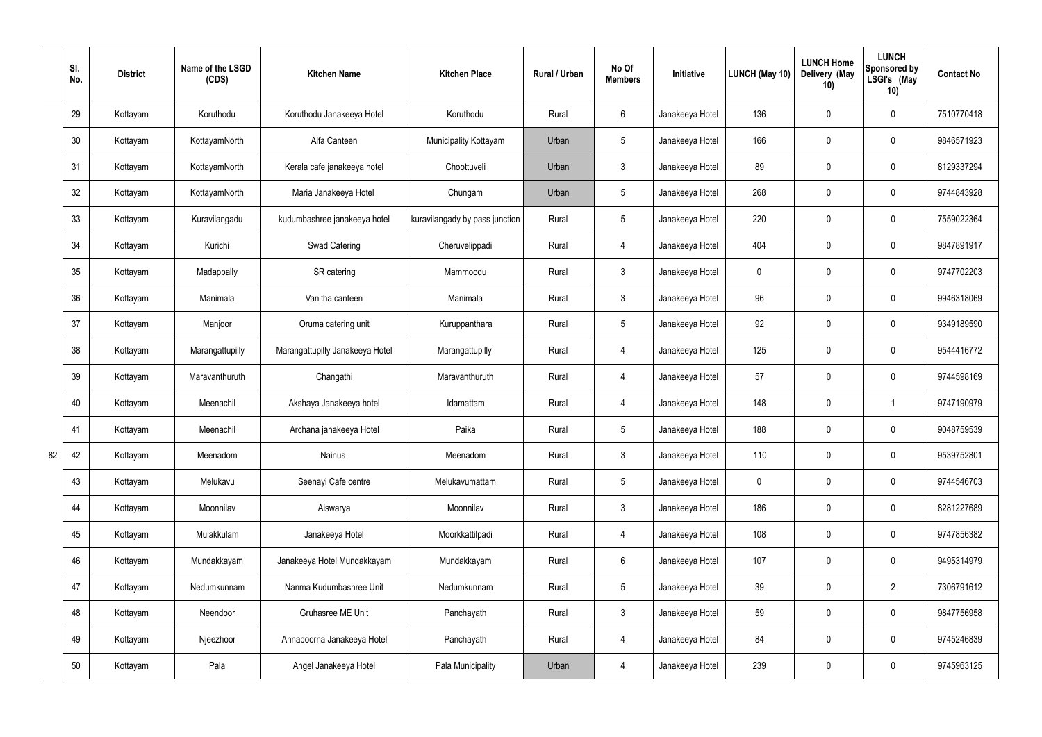|    | SI.<br>No. | <b>District</b> | Name of the LSGD<br>(CDS) | <b>Kitchen Name</b>             | <b>Kitchen Place</b>           | Rural / Urban | No Of<br><b>Members</b> | Initiative      | LUNCH (May 10) | <b>LUNCH Home</b><br>Delivery (May<br>10) | <b>LUNCH</b><br>Sponsored by<br>LSGI's (May<br>10) | <b>Contact No</b> |
|----|------------|-----------------|---------------------------|---------------------------------|--------------------------------|---------------|-------------------------|-----------------|----------------|-------------------------------------------|----------------------------------------------------|-------------------|
|    | 29         | Kottayam        | Koruthodu                 | Koruthodu Janakeeya Hotel       | Koruthodu                      | Rural         | $6\phantom{.}6$         | Janakeeya Hotel | 136            | 0                                         | $\mathbf 0$                                        | 7510770418        |
|    | 30         | Kottayam        | KottayamNorth             | Alfa Canteen                    | Municipality Kottayam          | Urban         | $5\phantom{.0}$         | Janakeeya Hotel | 166            | 0                                         | $\boldsymbol{0}$                                   | 9846571923        |
|    | 31         | Kottayam        | KottayamNorth             | Kerala cafe janakeeya hotel     | Choottuveli                    | Urban         | $\mathbf{3}$            | Janakeeya Hotel | 89             | 0                                         | $\mathbf 0$                                        | 8129337294        |
|    | 32         | Kottayam        | KottayamNorth             | Maria Janakeeya Hotel           | Chungam                        | Urban         | $5\phantom{.0}$         | Janakeeya Hotel | 268            | 0                                         | $\mathbf 0$                                        | 9744843928        |
|    | 33         | Kottayam        | Kuravilangadu             | kudumbashree janakeeya hotel    | kuravilangady by pass junction | Rural         | $5\phantom{.0}$         | Janakeeya Hotel | 220            | 0                                         | $\mathbf 0$                                        | 7559022364        |
|    | 34         | Kottayam        | Kurichi                   | <b>Swad Catering</b>            | Cheruvelippadi                 | Rural         | 4                       | Janakeeya Hotel | 404            | 0                                         | $\mathbf 0$                                        | 9847891917        |
|    | 35         | Kottayam        | Madappally                | SR catering                     | Mammoodu                       | Rural         | $\mathbf{3}$            | Janakeeya Hotel | $\mathbf 0$    | 0                                         | $\mathbf 0$                                        | 9747702203        |
|    | 36         | Kottayam        | Manimala                  | Vanitha canteen                 | Manimala                       | Rural         | $\mathbf{3}$            | Janakeeya Hotel | 96             | 0                                         | $\mathbf 0$                                        | 9946318069        |
|    | 37         | Kottayam        | Manjoor                   | Oruma catering unit             | Kuruppanthara                  | Rural         | $5\phantom{.0}$         | Janakeeya Hotel | 92             | 0                                         | $\mathbf 0$                                        | 9349189590        |
|    | 38         | Kottayam        | Marangattupilly           | Marangattupilly Janakeeya Hotel | Marangattupilly                | Rural         | 4                       | Janakeeya Hotel | 125            | 0                                         | $\mathbf 0$                                        | 9544416772        |
|    | 39         | Kottayam        | Maravanthuruth            | Changathi                       | Maravanthuruth                 | Rural         | $\overline{4}$          | Janakeeya Hotel | 57             | 0                                         | $\mathbf 0$                                        | 9744598169        |
|    | 40         | Kottayam        | Meenachil                 | Akshaya Janakeeya hotel         | Idamattam                      | Rural         | 4                       | Janakeeya Hotel | 148            | 0                                         | $\mathbf 1$                                        | 9747190979        |
|    | 41         | Kottayam        | Meenachil                 | Archana janakeeya Hotel         | Paika                          | Rural         | $5\phantom{.0}$         | Janakeeya Hotel | 188            | 0                                         | $\mathbf 0$                                        | 9048759539        |
| 82 | 42         | Kottayam        | Meenadom                  | Nainus                          | Meenadom                       | Rural         | $\mathbf{3}$            | Janakeeya Hotel | 110            | 0                                         | $\pmb{0}$                                          | 9539752801        |
|    | 43         | Kottayam        | Melukavu                  | Seenayi Cafe centre             | Melukavumattam                 | Rural         | $5\overline{)}$         | Janakeeya Hotel | 0              | 0                                         | $\pmb{0}$                                          | 9744546703        |
|    | 44         | Kottayam        | Moonnilav                 | Aiswarya                        | Moonnilav                      | Rural         | $\mathbf{3}$            | Janakeeya Hotel | 186            | 0                                         | $\mathbf 0$                                        | 8281227689        |
|    | 45         | Kottayam        | Mulakkulam                | Janakeeya Hotel                 | Moorkkattilpadi                | Rural         | $\overline{4}$          | Janakeeya Hotel | 108            | 0                                         | $\pmb{0}$                                          | 9747856382        |
|    | 46         | Kottayam        | Mundakkayam               | Janakeeya Hotel Mundakkayam     | Mundakkayam                    | Rural         | $6\overline{6}$         | Janakeeya Hotel | 107            | 0                                         | $\pmb{0}$                                          | 9495314979        |
|    | 47         | Kottayam        | Nedumkunnam               | Nanma Kudumbashree Unit         | Nedumkunnam                    | Rural         | $5\phantom{.0}$         | Janakeeya Hotel | 39             | 0                                         | $\overline{2}$                                     | 7306791612        |
|    | 48         | Kottayam        | Neendoor                  | Gruhasree ME Unit               | Panchayath                     | Rural         | $\mathfrak{Z}$          | Janakeeya Hotel | 59             | 0                                         | $\pmb{0}$                                          | 9847756958        |
|    | 49         | Kottayam        | Njeezhoor                 | Annapoorna Janakeeya Hotel      | Panchayath                     | Rural         | $\overline{4}$          | Janakeeya Hotel | 84             | 0                                         | $\pmb{0}$                                          | 9745246839        |
|    | 50         | Kottayam        | Pala                      | Angel Janakeeya Hotel           | Pala Municipality              | Urban         | $\overline{4}$          | Janakeeya Hotel | 239            | 0                                         | $\pmb{0}$                                          | 9745963125        |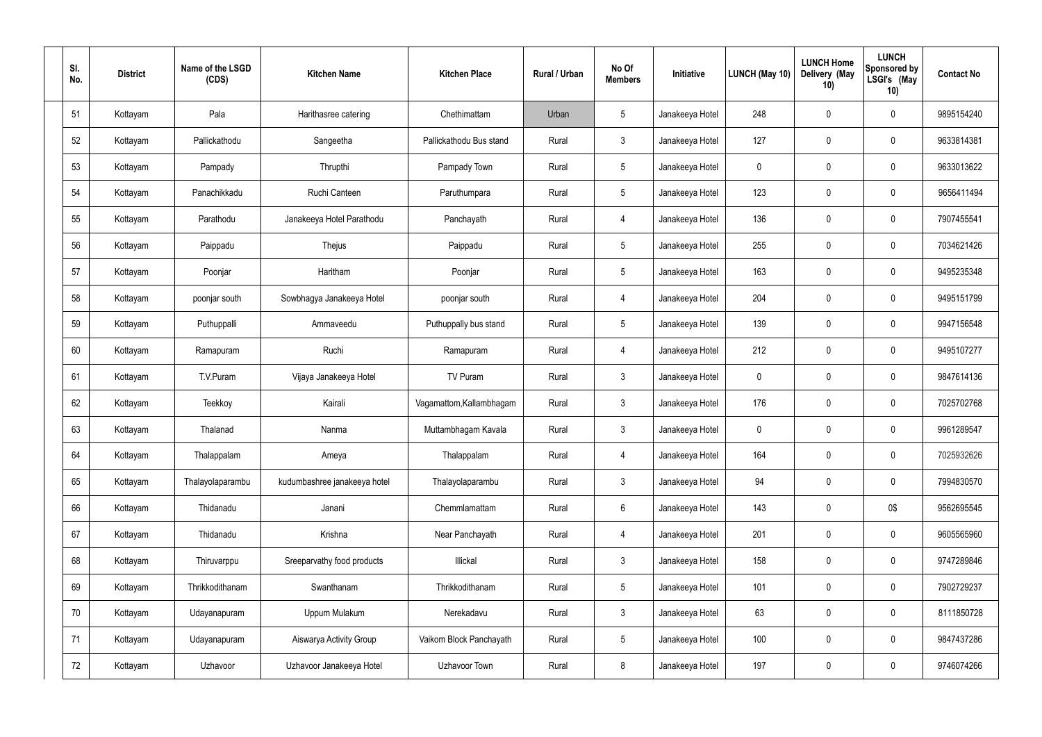| SI.<br>No. | <b>District</b> | Name of the LSGD<br>(CDS) | <b>Kitchen Name</b>          | <b>Kitchen Place</b>     | <b>Rural / Urban</b> | No Of<br><b>Members</b> | Initiative      | LUNCH (May 10) | <b>LUNCH Home</b><br>Delivery (May<br>10) | <b>LUNCH</b><br><b>Sponsored by</b><br>LSGI's (May<br>10) | <b>Contact No</b> |
|------------|-----------------|---------------------------|------------------------------|--------------------------|----------------------|-------------------------|-----------------|----------------|-------------------------------------------|-----------------------------------------------------------|-------------------|
| 51         | Kottayam        | Pala                      | Harithasree catering         | Chethimattam             | Urban                | $5\phantom{.0}$         | Janakeeya Hotel | 248            | $\mathbf 0$                               | $\mathbf 0$                                               | 9895154240        |
| 52         | Kottayam        | Pallickathodu             | Sangeetha                    | Pallickathodu Bus stand  | Rural                | $\mathbf{3}$            | Janakeeya Hotel | 127            | $\overline{0}$                            | 0                                                         | 9633814381        |
| 53         | Kottayam        | Pampady                   | Thrupthi                     | Pampady Town             | Rural                | $5\phantom{.0}$         | Janakeeya Hotel | 0              | $\mathbf 0$                               | $\mathbf 0$                                               | 9633013622        |
| 54         | Kottayam        | Panachikkadu              | Ruchi Canteen                | Paruthumpara             | Rural                | $5\phantom{.0}$         | Janakeeya Hotel | 123            | $\mathbf 0$                               | 0                                                         | 9656411494        |
| 55         | Kottayam        | Parathodu                 | Janakeeya Hotel Parathodu    | Panchayath               | Rural                | $\overline{4}$          | Janakeeya Hotel | 136            | $\mathbf 0$                               | 0                                                         | 7907455541        |
| 56         | Kottayam        | Paippadu                  | Thejus                       | Paippadu                 | Rural                | $5\phantom{.0}$         | Janakeeya Hotel | 255            | $\mathbf 0$                               | $\pmb{0}$                                                 | 7034621426        |
| 57         | Kottayam        | Poonjar                   | Haritham                     | Poonjar                  | Rural                | $5\phantom{.0}$         | Janakeeya Hotel | 163            | $\mathbf 0$                               | $\pmb{0}$                                                 | 9495235348        |
| 58         | Kottayam        | poonjar south             | Sowbhagya Janakeeya Hotel    | poonjar south            | Rural                | 4                       | Janakeeya Hotel | 204            | $\overline{0}$                            | 0                                                         | 9495151799        |
| 59         | Kottayam        | Puthuppalli               | Ammaveedu                    | Puthuppally bus stand    | Rural                | $5\phantom{.0}$         | Janakeeya Hotel | 139            | $\mathbf 0$                               | $\mathbf 0$                                               | 9947156548        |
| 60         | Kottayam        | Ramapuram                 | Ruchi                        | Ramapuram                | Rural                | $\overline{4}$          | Janakeeya Hotel | 212            | $\overline{0}$                            | $\pmb{0}$                                                 | 9495107277        |
| 61         | Kottayam        | T.V.Puram                 | Vijaya Janakeeya Hotel       | TV Puram                 | Rural                | $\mathbf{3}$            | Janakeeya Hotel | 0              | $\mathbf 0$                               | $\pmb{0}$                                                 | 9847614136        |
| 62         | Kottayam        | Teekkoy                   | Kairali                      | Vagamattom, Kallambhagam | Rural                | $\mathbf{3}$            | Janakeeya Hotel | 176            | $\mathbf 0$                               | $\pmb{0}$                                                 | 7025702768        |
| 63         | Kottayam        | Thalanad                  | Nanma                        | Muttambhagam Kavala      | Rural                | $\mathbf{3}$            | Janakeeya Hotel | 0              | $\mathbf 0$                               | $\mathbf 0$                                               | 9961289547        |
| 64         | Kottayam        | Thalappalam               | Ameya                        | Thalappalam              | Rural                | 4                       | Janakeeya Hotel | 164            | $\mathbf 0$                               | $\mathbf 0$                                               | 7025932626        |
| 65         | Kottayam        | Thalayolaparambu          | kudumbashree janakeeya hotel | Thalayolaparambu         | Rural                | $\mathbf{3}$            | Janakeeya Hotel | 94             | $\mathbf 0$                               | $\pmb{0}$                                                 | 7994830570        |
| 66         | Kottayam        | Thidanadu                 | Janani                       | Chemmlamattam            | Rural                | $6\phantom{.}6$         | Janakeeya Hotel | 143            | $\pmb{0}$                                 | 0\$                                                       | 9562695545        |
| 67         | Kottayam        | Thidanadu                 | Krishna                      | Near Panchayath          | Rural                | $\overline{4}$          | Janakeeya Hotel | 201            | $\pmb{0}$                                 | $\pmb{0}$                                                 | 9605565960        |
| 68         | Kottayam        | Thiruvarppu               | Sreeparvathy food products   | Illickal                 | Rural                | $\mathfrak{Z}$          | Janakeeya Hotel | 158            | $\pmb{0}$                                 | $\pmb{0}$                                                 | 9747289846        |
| 69         | Kottayam        | Thrikkodithanam           | Swanthanam                   | Thrikkodithanam          | Rural                | $5\phantom{.0}$         | Janakeeya Hotel | 101            | $\overline{0}$                            | $\pmb{0}$                                                 | 7902729237        |
| 70         | Kottayam        | Udayanapuram              | Uppum Mulakum                | Nerekadavu               | Rural                | $\mathbf{3}$            | Janakeeya Hotel | 63             | $\pmb{0}$                                 | $\pmb{0}$                                                 | 8111850728        |
| 71         | Kottayam        | Udayanapuram              | Aiswarya Activity Group      | Vaikom Block Panchayath  | Rural                | 5                       | Janakeeya Hotel | 100            | $\pmb{0}$                                 | $\pmb{0}$                                                 | 9847437286        |
| 72         | Kottayam        | Uzhavoor                  | Uzhavoor Janakeeya Hotel     | Uzhavoor Town            | Rural                | $\,8\,$                 | Janakeeya Hotel | 197            | $\pmb{0}$                                 | $\pmb{0}$                                                 | 9746074266        |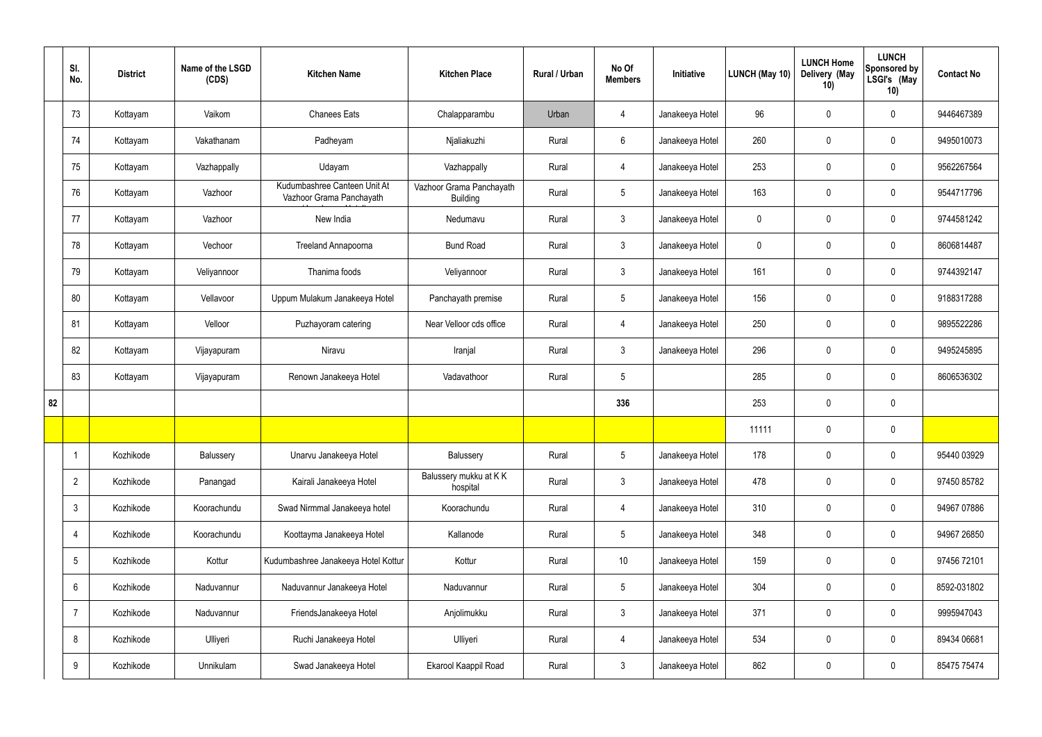|    | SI.<br>No.      | <b>District</b> | Name of the LSGD<br>(CDS) | <b>Kitchen Name</b>                                      | <b>Kitchen Place</b>                        | Rural / Urban | No Of<br><b>Members</b> | Initiative      | LUNCH (May 10) | <b>LUNCH Home</b><br>Delivery (May<br>10) | <b>LUNCH</b><br>Sponsored by<br>LSGI's (May<br>10) | <b>Contact No</b> |
|----|-----------------|-----------------|---------------------------|----------------------------------------------------------|---------------------------------------------|---------------|-------------------------|-----------------|----------------|-------------------------------------------|----------------------------------------------------|-------------------|
|    | 73              | Kottayam        | Vaikom                    | <b>Chanees Eats</b>                                      | Chalapparambu                               | Urban         | 4                       | Janakeeya Hotel | 96             | $\pmb{0}$                                 | $\mathbf 0$                                        | 9446467389        |
|    | 74              | Kottayam        | Vakathanam                | Padheyam                                                 | Njaliakuzhi                                 | Rural         | $6\phantom{.}6$         | Janakeeya Hotel | 260            | $\mathbf 0$                               | $\mathbf 0$                                        | 9495010073        |
|    | 75              | Kottayam        | Vazhappally               | Udayam                                                   | Vazhappally                                 | Rural         | $\overline{4}$          | Janakeeya Hotel | 253            | $\mathbf 0$                               | $\mathbf 0$                                        | 9562267564        |
|    | 76              | Kottayam        | Vazhoor                   | Kudumbashree Canteen Unit At<br>Vazhoor Grama Panchayath | Vazhoor Grama Panchayath<br><b>Building</b> | Rural         | $5\phantom{.0}$         | Janakeeya Hotel | 163            | $\mathbf 0$                               | $\mathbf 0$                                        | 9544717796        |
|    | 77              | Kottayam        | Vazhoor                   | New India                                                | Nedumavu                                    | Rural         | $\mathbf{3}$            | Janakeeya Hotel | $\mathbf 0$    | $\mathbf 0$                               | $\mathbf 0$                                        | 9744581242        |
|    | 78              | Kottayam        | Vechoor                   | <b>Treeland Annapoorna</b>                               | <b>Bund Road</b>                            | Rural         | $\mathbf{3}$            | Janakeeya Hotel | $\mathbf 0$    | $\mathbf 0$                               | $\mathbf 0$                                        | 8606814487        |
|    | 79              | Kottayam        | Veliyannoor               | Thanima foods                                            | Veliyannoor                                 | Rural         | $\mathbf{3}$            | Janakeeya Hotel | 161            | $\mathbf 0$                               | $\mathbf 0$                                        | 9744392147        |
|    | 80              | Kottayam        | Vellavoor                 | Uppum Mulakum Janakeeya Hotel                            | Panchayath premise                          | Rural         | $5\phantom{.0}$         | Janakeeya Hotel | 156            | $\mathbf 0$                               | $\mathbf 0$                                        | 9188317288        |
|    | 81              | Kottayam        | Velloor                   | Puzhayoram catering                                      | Near Velloor cds office                     | Rural         | $\overline{4}$          | Janakeeya Hotel | 250            | $\pmb{0}$                                 | $\mathbf 0$                                        | 9895522286        |
|    | 82              | Kottayam        | Vijayapuram               | Niravu                                                   | Iranjal                                     | Rural         | $\mathbf{3}$            | Janakeeya Hotel | 296            | $\pmb{0}$                                 | $\mathbf 0$                                        | 9495245895        |
|    | 83              | Kottayam        | Vijayapuram               | Renown Janakeeya Hotel                                   | Vadavathoor                                 | Rural         | $\sqrt{5}$              |                 | 285            | $\pmb{0}$                                 | $\mathbf 0$                                        | 8606536302        |
| 82 |                 |                 |                           |                                                          |                                             |               | 336                     |                 | 253            | $\mathbf 0$                               | $\mathbf 0$                                        |                   |
|    |                 |                 |                           |                                                          |                                             |               |                         |                 | 11111          | $\mathbf 0$                               | $\mathbf 0$                                        |                   |
|    |                 | Kozhikode       | Balussery                 | Unarvu Janakeeya Hotel                                   | Balussery                                   | Rural         | $5\phantom{.0}$         | Janakeeya Hotel | 178            | $\pmb{0}$                                 | $\mathbf 0$                                        | 95440 03929       |
|    | $\overline{2}$  | Kozhikode       | Panangad                  | Kairali Janakeeya Hotel                                  | Balussery mukku at KK<br>hospital           | Rural         | $\mathbf{3}$            | Janakeeya Hotel | 478            | $\pmb{0}$                                 | $\mathbf 0$                                        | 97450 85782       |
|    | $\mathbf{3}$    | Kozhikode       | Koorachundu               | Swad Nirmmal Janakeeya hotel                             | Koorachundu                                 | Rural         | $\overline{4}$          | Janakeeya Hotel | 310            | $\pmb{0}$                                 | $\mathbf 0$                                        | 94967 07886       |
|    | 4               | Kozhikode       | Koorachundu               | Koottayma Janakeeya Hotel                                | Kallanode                                   | Rural         | $5\overline{)}$         | Janakeeya Hotel | 348            | $\pmb{0}$                                 | $\mathbf 0$                                        | 94967 26850       |
|    | $5\phantom{.0}$ | Kozhikode       | Kottur                    | Kudumbashree Janakeeya Hotel Kottur                      | Kottur                                      | Rural         | $10$                    | Janakeeya Hotel | 159            | $\pmb{0}$                                 | $\mathbf 0$                                        | 97456 72101       |
|    | $6\phantom{.}6$ | Kozhikode       | Naduvannur                | Naduvannur Janakeeya Hotel                               | Naduvannur                                  | Rural         | $5\phantom{.0}$         | Janakeeya Hotel | 304            | $\pmb{0}$                                 | $\mathbf 0$                                        | 8592-031802       |
|    | $\overline{7}$  | Kozhikode       | Naduvannur                | FriendsJanakeeya Hotel                                   | Anjolimukku                                 | Rural         | $\mathbf{3}$            | Janakeeya Hotel | 371            | $\pmb{0}$                                 | $\mathbf 0$                                        | 9995947043        |
|    | 8               | Kozhikode       | Ulliyeri                  | Ruchi Janakeeya Hotel                                    | Ulliyeri                                    | Rural         | $\overline{4}$          | Janakeeya Hotel | 534            | $\pmb{0}$                                 | $\mathbf 0$                                        | 89434 06681       |
|    | 9               | Kozhikode       | Unnikulam                 | Swad Janakeeya Hotel                                     | Ekarool Kaappil Road                        | Rural         | $\mathbf{3}$            | Janakeeya Hotel | 862            | $\pmb{0}$                                 | $\boldsymbol{0}$                                   | 85475 75474       |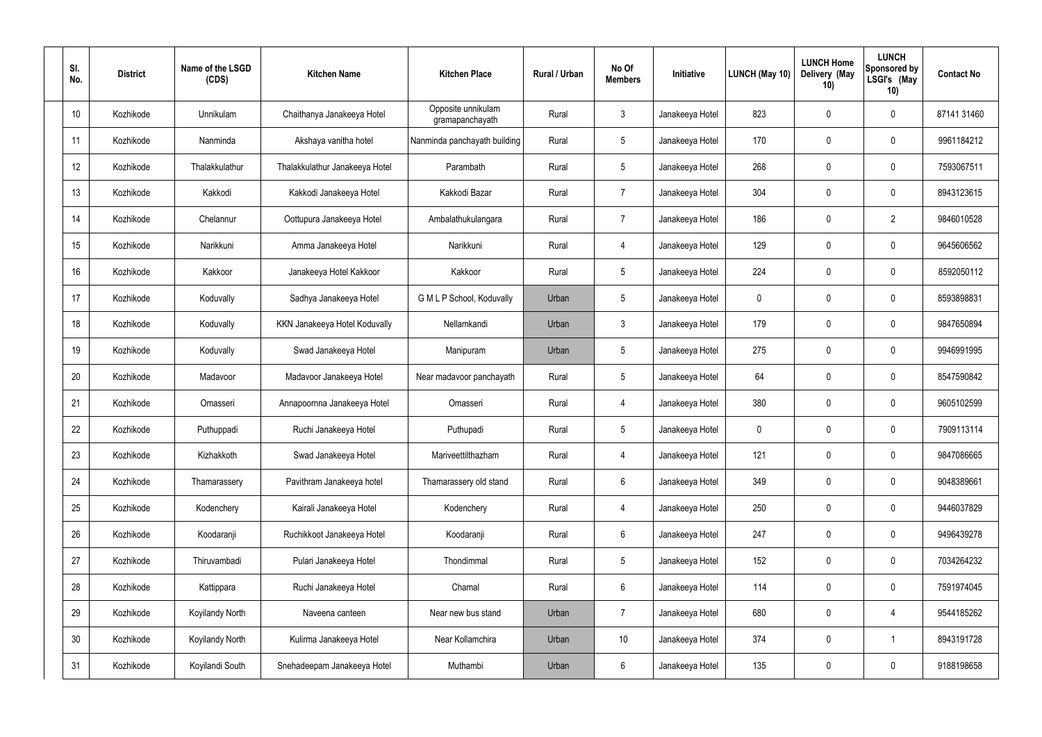| SI.<br>No. | <b>District</b> | Name of the LSGD<br>(CDS) | <b>Kitchen Name</b>            | <b>Kitchen Place</b>                  | Rural / Urban | No Of<br><b>Members</b> | Initiative      | LUNCH (May 10) | <b>LUNCH Home</b><br>Delivery (May<br>10) | <b>LUNCH</b><br>Sponsored by<br>LSGI's (May<br>10) | <b>Contact No</b> |
|------------|-----------------|---------------------------|--------------------------------|---------------------------------------|---------------|-------------------------|-----------------|----------------|-------------------------------------------|----------------------------------------------------|-------------------|
| 10         | Kozhikode       | Unnikulam                 | Chaithanya Janakeeya Hotel     | Opposite unnikulam<br>gramapanchayath | Rural         | $\mathbf{3}$            | Janakeeya Hotel | 823            | 0                                         | 0                                                  | 87141 31460       |
| 11         | Kozhikode       | Nanminda                  | Akshaya vanitha hotel          | Nanminda panchayath building          | Rural         | $5\phantom{.0}$         | Janakeeya Hotel | 170            | 0                                         | $\boldsymbol{0}$                                   | 9961184212        |
| 12         | Kozhikode       | Thalakkulathur            | Thalakkulathur Janakeeya Hotel | Parambath                             | Rural         | $5\overline{)}$         | Janakeeya Hotel | 268            | 0                                         | $\mathbf 0$                                        | 7593067511        |
| 13         | Kozhikode       | Kakkodi                   | Kakkodi Janakeeya Hotel        | Kakkodi Bazar                         | Rural         | $\overline{7}$          | Janakeeya Hotel | 304            | 0                                         | $\boldsymbol{0}$                                   | 8943123615        |
| 14         | Kozhikode       | Chelannur                 | Oottupura Janakeeya Hotel      | Ambalathukulangara                    | Rural         | $\overline{7}$          | Janakeeya Hotel | 186            | 0                                         | $\overline{2}$                                     | 9846010528        |
| 15         | Kozhikode       | Narikkuni                 | Amma Janakeeya Hotel           | Narikkuni                             | Rural         | 4                       | Janakeeya Hotel | 129            | 0                                         | $\boldsymbol{0}$                                   | 9645606562        |
| 16         | Kozhikode       | Kakkoor                   | Janakeeya Hotel Kakkoor        | Kakkoor                               | Rural         | $5\phantom{.0}$         | Janakeeya Hotel | 224            | $\mathbf 0$                               | $\mathbf 0$                                        | 8592050112        |
| 17         | Kozhikode       | Koduvally                 | Sadhya Janakeeya Hotel         | G M L P School, Koduvally             | Urban         | $5\phantom{.0}$         | Janakeeya Hotel | $\mathbf 0$    | 0                                         | $\boldsymbol{0}$                                   | 8593898831        |
| 18         | Kozhikode       | Koduvally                 | KKN Janakeeya Hotel Koduvally  | Nellamkandi                           | Urban         | $\mathbf{3}$            | Janakeeya Hotel | 179            | 0                                         | $\boldsymbol{0}$                                   | 9847650894        |
| 19         | Kozhikode       | Koduvally                 | Swad Janakeeya Hotel           | Manipuram                             | Urban         | $5\phantom{.0}$         | Janakeeya Hotel | 275            | 0                                         | $\mathbf 0$                                        | 9946991995        |
| 20         | Kozhikode       | Madavoor                  | Madavoor Janakeeya Hotel       | Near madavoor panchayath              | Rural         | $5\,$                   | Janakeeya Hotel | 64             | $\mathbf 0$                               | $\boldsymbol{0}$                                   | 8547590842        |
| 21         | Kozhikode       | Omasseri                  | Annapoornna Janakeeya Hotel    | Omasseri                              | Rural         | 4                       | Janakeeya Hotel | 380            | 0                                         | $\boldsymbol{0}$                                   | 9605102599        |
| 22         | Kozhikode       | Puthuppadi                | Ruchi Janakeeya Hotel          | Puthupadi                             | Rural         | 5                       | Janakeeya Hotel | 0              | $\mathbf 0$                               | 0                                                  | 7909113114        |
| 23         | Kozhikode       | Kizhakkoth                | Swad Janakeeya Hotel           | Mariveettilthazham                    | Rural         | $\overline{4}$          | Janakeeya Hotel | 121            | $\mathbf 0$                               | $\mathbf 0$                                        | 9847086665        |
| 24         | Kozhikode       | Thamarassery              | Pavithram Janakeeya hotel      | Thamarassery old stand                | Rural         | $6\,$                   | Janakeeya Hotel | 349            | $\mathsf{0}$                              | $\mathbf 0$                                        | 9048389661        |
| 25         | Kozhikode       | Kodenchery                | Kairali Janakeeya Hotel        | Kodenchery                            | Rural         | $\overline{4}$          | Janakeeya Hotel | 250            | 0                                         | $\mathbf 0$                                        | 9446037829        |
| 26         | Kozhikode       | Koodaranji                | Ruchikkoot Janakeeya Hotel     | Koodaranji                            | Rural         | $6\,$                   | Janakeeya Hotel | 247            | 0                                         | $\mathbf 0$                                        | 9496439278        |
| 27         | Kozhikode       | Thiruvambadi              | Pulari Janakeeya Hotel         | Thondimmal                            | Rural         | $5\phantom{.0}$         | Janakeeya Hotel | 152            | 0                                         | $\mathbf 0$                                        | 7034264232        |
| 28         | Kozhikode       | Kattippara                | Ruchi Janakeeya Hotel          | Chamal                                | Rural         | $6\,$                   | Janakeeya Hotel | 114            | 0                                         | $\mathbf 0$                                        | 7591974045        |
| 29         | Kozhikode       | Koyilandy North           | Naveena canteen                | Near new bus stand                    | Urban         | $\overline{7}$          | Janakeeya Hotel | 680            | $\pmb{0}$                                 | 4                                                  | 9544185262        |
| 30         | Kozhikode       | Koyilandy North           | Kulirma Janakeeya Hotel        | Near Kollamchira                      | Urban         | 10 <sup>°</sup>         | Janakeeya Hotel | 374            | 0                                         | $\overline{1}$                                     | 8943191728        |
| 31         | Kozhikode       | Koyilandi South           | Snehadeepam Janakeeya Hotel    | Muthambi                              | Urban         | $\,6\,$                 | Janakeeya Hotel | 135            | $\pmb{0}$                                 | $\pmb{0}$                                          | 9188198658        |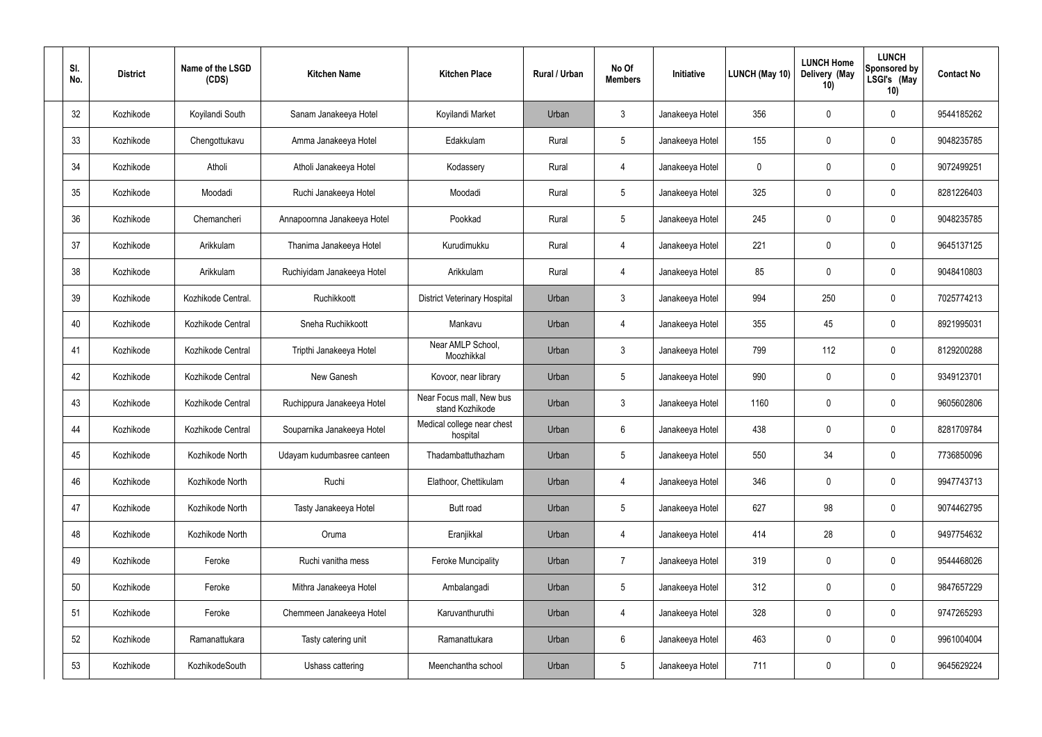| SI.<br>No. | <b>District</b> | Name of the LSGD<br>(CDS) | <b>Kitchen Name</b>         | <b>Kitchen Place</b>                        | Rural / Urban | No Of<br><b>Members</b> | Initiative      | LUNCH (May 10) | <b>LUNCH Home</b><br>Delivery (May<br>10) | <b>LUNCH</b><br>Sponsored by<br>LSGI's (May<br>10) | <b>Contact No</b> |
|------------|-----------------|---------------------------|-----------------------------|---------------------------------------------|---------------|-------------------------|-----------------|----------------|-------------------------------------------|----------------------------------------------------|-------------------|
| 32         | Kozhikode       | Koyilandi South           | Sanam Janakeeya Hotel       | Koyilandi Market                            | Urban         | 3                       | Janakeeya Hotel | 356            | 0                                         | $\pmb{0}$                                          | 9544185262        |
| 33         | Kozhikode       | Chengottukavu             | Amma Janakeeya Hotel        | Edakkulam                                   | Rural         | $5\phantom{.0}$         | Janakeeya Hotel | 155            | 0                                         | $\pmb{0}$                                          | 9048235785        |
| 34         | Kozhikode       | Atholi                    | Atholi Janakeeya Hotel      | Kodassery                                   | Rural         | 4                       | Janakeeya Hotel | 0              | $\boldsymbol{0}$                          | $\pmb{0}$                                          | 9072499251        |
| 35         | Kozhikode       | Moodadi                   | Ruchi Janakeeya Hotel       | Moodadi                                     | Rural         | $5\phantom{.0}$         | Janakeeya Hotel | 325            | $\boldsymbol{0}$                          | $\pmb{0}$                                          | 8281226403        |
| 36         | Kozhikode       | Chemancheri               | Annapoornna Janakeeya Hotel | Pookkad                                     | Rural         | $5\,$                   | Janakeeya Hotel | 245            | $\boldsymbol{0}$                          | $\pmb{0}$                                          | 9048235785        |
| 37         | Kozhikode       | Arikkulam                 | Thanima Janakeeya Hotel     | Kurudimukku                                 | Rural         | $\overline{4}$          | Janakeeya Hotel | 221            | $\boldsymbol{0}$                          | $\pmb{0}$                                          | 9645137125        |
| 38         | Kozhikode       | Arikkulam                 | Ruchiyidam Janakeeya Hotel  | Arikkulam                                   | Rural         | 4                       | Janakeeya Hotel | 85             | 0                                         | $\mathbf 0$                                        | 9048410803        |
| 39         | Kozhikode       | Kozhikode Central.        | Ruchikkoott                 | <b>District Veterinary Hospital</b>         | Urban         | 3                       | Janakeeya Hotel | 994            | 250                                       | $\mathbf 0$                                        | 7025774213        |
| 40         | Kozhikode       | Kozhikode Central         | Sneha Ruchikkoott           | Mankavu                                     | Urban         | $\overline{4}$          | Janakeeya Hotel | 355            | 45                                        | $\boldsymbol{0}$                                   | 8921995031        |
| 41         | Kozhikode       | Kozhikode Central         | Tripthi Janakeeya Hotel     | Near AMLP School,<br>Moozhikkal             | Urban         | 3                       | Janakeeya Hotel | 799            | 112                                       | $\pmb{0}$                                          | 8129200288        |
| 42         | Kozhikode       | Kozhikode Central         | New Ganesh                  | Kovoor, near library                        | Urban         | $5\,$                   | Janakeeya Hotel | 990            | $\mathbf 0$                               | $\pmb{0}$                                          | 9349123701        |
| 43         | Kozhikode       | Kozhikode Central         | Ruchippura Janakeeya Hotel  | Near Focus mall, New bus<br>stand Kozhikode | Urban         | 3                       | Janakeeya Hotel | 1160           | $\boldsymbol{0}$                          | $\pmb{0}$                                          | 9605602806        |
| 44         | Kozhikode       | Kozhikode Central         | Souparnika Janakeeya Hotel  | Medical college near chest<br>hospital      | Urban         | 6                       | Janakeeya Hotel | 438            | 0                                         | 0                                                  | 8281709784        |
| 45         | Kozhikode       | Kozhikode North           | Udayam kudumbasree canteen  | Thadambattuthazham                          | Urban         | $5\,$                   | Janakeeya Hotel | 550            | 34                                        | $\pmb{0}$                                          | 7736850096        |
| 46         | Kozhikode       | Kozhikode North           | Ruchi                       | Elathoor, Chettikulam                       | Urban         | $\overline{4}$          | Janakeeya Hotel | 346            | 0                                         | $\pmb{0}$                                          | 9947743713        |
| 47         | Kozhikode       | Kozhikode North           | Tasty Janakeeya Hotel       | Butt road                                   | Urban         | $5\phantom{.0}$         | Janakeeya Hotel | 627            | 98                                        | $\mathbf 0$                                        | 9074462795        |
| 48         | Kozhikode       | Kozhikode North           | Oruma                       | Eranjikkal                                  | Urban         | $\overline{4}$          | Janakeeya Hotel | 414            | 28                                        | $\mathbf 0$                                        | 9497754632        |
| 49         | Kozhikode       | Feroke                    | Ruchi vanitha mess          | <b>Feroke Muncipality</b>                   | Urban         | $\overline{7}$          | Janakeeya Hotel | 319            | 0                                         | $\mathbf 0$                                        | 9544468026        |
| 50         | Kozhikode       | Feroke                    | Mithra Janakeeya Hotel      | Ambalangadi                                 | Urban         | $5\,$                   | Janakeeya Hotel | 312            | 0                                         | $\mathbf 0$                                        | 9847657229        |
| 51         | Kozhikode       | Feroke                    | Chemmeen Janakeeya Hotel    | Karuvanthuruthi                             | Urban         | $\overline{4}$          | Janakeeya Hotel | 328            | 0                                         | $\pmb{0}$                                          | 9747265293        |
| 52         | Kozhikode       | Ramanattukara             | Tasty catering unit         | Ramanattukara                               | Urban         | $\,6\,$                 | Janakeeya Hotel | 463            | 0                                         | $\pmb{0}$                                          | 9961004004        |
| 53         | Kozhikode       | KozhikodeSouth            | Ushass cattering            | Meenchantha school                          | Urban         | $\sqrt{5}$              | Janakeeya Hotel | 711            | 0                                         | $\boldsymbol{0}$                                   | 9645629224        |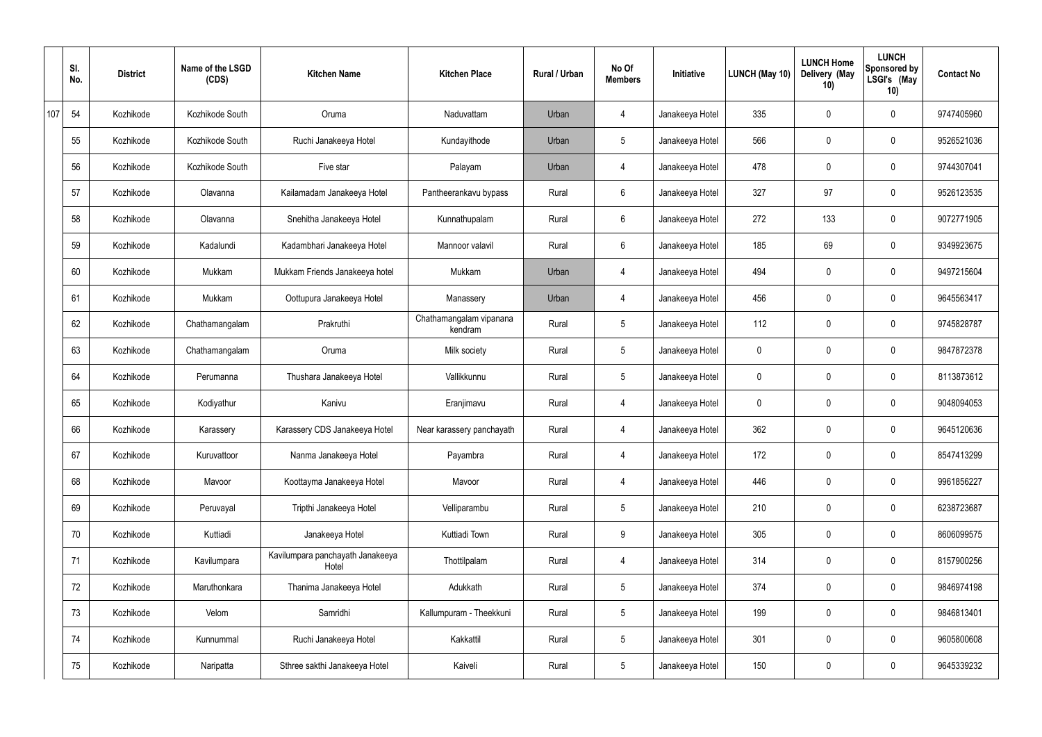|     | SI.<br>No. | <b>District</b> | Name of the LSGD<br>(CDS) | <b>Kitchen Name</b>                       | <b>Kitchen Place</b>               | Rural / Urban | No Of<br><b>Members</b> | Initiative      | LUNCH (May 10) | <b>LUNCH Home</b><br>Delivery (May<br>10) | <b>LUNCH</b><br>Sponsored by<br>LSGI's (May<br>10) | <b>Contact No</b> |
|-----|------------|-----------------|---------------------------|-------------------------------------------|------------------------------------|---------------|-------------------------|-----------------|----------------|-------------------------------------------|----------------------------------------------------|-------------------|
| 107 | 54         | Kozhikode       | Kozhikode South           | Oruma                                     | Naduvattam                         | Urban         | 4                       | Janakeeya Hotel | 335            | 0                                         | $\mathbf 0$                                        | 9747405960        |
|     | 55         | Kozhikode       | Kozhikode South           | Ruchi Janakeeya Hotel                     | Kundayithode                       | Urban         | $5\phantom{.0}$         | Janakeeya Hotel | 566            | 0                                         | $\pmb{0}$                                          | 9526521036        |
|     | 56         | Kozhikode       | Kozhikode South           | Five star                                 | Palayam                            | Urban         | 4                       | Janakeeya Hotel | 478            | 0                                         | $\mathbf 0$                                        | 9744307041        |
|     | 57         | Kozhikode       | Olavanna                  | Kailamadam Janakeeya Hotel                | Pantheerankavu bypass              | Rural         | $6\overline{6}$         | Janakeeya Hotel | 327            | 97                                        | $\pmb{0}$                                          | 9526123535        |
|     | 58         | Kozhikode       | Olavanna                  | Snehitha Janakeeya Hotel                  | Kunnathupalam                      | Rural         | $6\overline{6}$         | Janakeeya Hotel | 272            | 133                                       | $\mathbf 0$                                        | 9072771905        |
|     | 59         | Kozhikode       | Kadalundi                 | Kadambhari Janakeeya Hotel                | Mannoor valavil                    | Rural         | $6\overline{6}$         | Janakeeya Hotel | 185            | 69                                        | $\pmb{0}$                                          | 9349923675        |
|     | 60         | Kozhikode       | Mukkam                    | Mukkam Friends Janakeeya hotel            | Mukkam                             | Urban         | 4                       | Janakeeya Hotel | 494            | 0                                         | $\mathbf 0$                                        | 9497215604        |
|     | 61         | Kozhikode       | Mukkam                    | Oottupura Janakeeya Hotel                 | Manassery                          | Urban         | 4                       | Janakeeya Hotel | 456            | 0                                         | $\pmb{0}$                                          | 9645563417        |
|     | 62         | Kozhikode       | Chathamangalam            | Prakruthi                                 | Chathamangalam vipanana<br>kendram | Rural         | $5\,$                   | Janakeeya Hotel | 112            | 0                                         | $\mathbf 0$                                        | 9745828787        |
|     | 63         | Kozhikode       | Chathamangalam            | Oruma                                     | Milk society                       | Rural         | $5\phantom{.0}$         | Janakeeya Hotel | $\mathbf 0$    | 0                                         | $\mathbf 0$                                        | 9847872378        |
|     | 64         | Kozhikode       | Perumanna                 | Thushara Janakeeya Hotel                  | Vallikkunnu                        | Rural         | $5\phantom{.0}$         | Janakeeya Hotel | 0              | 0                                         | $\mathbf 0$                                        | 8113873612        |
|     | 65         | Kozhikode       | Kodiyathur                | Kanivu                                    | Eranjimavu                         | Rural         | 4                       | Janakeeya Hotel | 0              | 0                                         | $\mathbf 0$                                        | 9048094053        |
|     | 66         | Kozhikode       | Karassery                 | Karassery CDS Janakeeya Hotel             | Near karassery panchayath          | Rural         | 4                       | Janakeeya Hotel | 362            | 0                                         | $\mathbf 0$                                        | 9645120636        |
|     | 67         | Kozhikode       | Kuruvattoor               | Nanma Janakeeya Hotel                     | Payambra                           | Rural         | 4                       | Janakeeya Hotel | 172            | 0                                         | $\pmb{0}$                                          | 8547413299        |
|     | 68         | Kozhikode       | Mavoor                    | Koottayma Janakeeya Hotel                 | Mavoor                             | Rural         | $\overline{4}$          | Janakeeya Hotel | 446            | 0                                         | $\mathbf 0$                                        | 9961856227        |
|     | 69         | Kozhikode       | Peruvayal                 | Tripthi Janakeeya Hotel                   | Velliparambu                       | Rural         | $5\phantom{.0}$         | Janakeeya Hotel | 210            | 0                                         | $\mathbf 0$                                        | 6238723687        |
|     | 70         | Kozhikode       | Kuttiadi                  | Janakeeya Hotel                           | Kuttiadi Town                      | Rural         | 9                       | Janakeeya Hotel | 305            | 0                                         | $\mathbf 0$                                        | 8606099575        |
|     | 71         | Kozhikode       | Kavilumpara               | Kavilumpara panchayath Janakeeya<br>Hotel | Thottilpalam                       | Rural         | $\overline{4}$          | Janakeeya Hotel | 314            | 0                                         | $\mathbf 0$                                        | 8157900256        |
|     | 72         | Kozhikode       | Maruthonkara              | Thanima Janakeeya Hotel                   | Adukkath                           | Rural         | $5\phantom{.0}$         | Janakeeya Hotel | 374            | 0                                         | $\mathbf 0$                                        | 9846974198        |
|     | 73         | Kozhikode       | Velom                     | Samridhi                                  | Kallumpuram - Theekkuni            | Rural         | $5\phantom{.0}$         | Janakeeya Hotel | 199            | 0                                         | $\mathbf 0$                                        | 9846813401        |
|     | 74         | Kozhikode       | Kunnummal                 | Ruchi Janakeeya Hotel                     | Kakkattil                          | Rural         | $5\,$                   | Janakeeya Hotel | 301            | $\pmb{0}$                                 | $\pmb{0}$                                          | 9605800608        |
|     | 75         | Kozhikode       | Naripatta                 | Sthree sakthi Janakeeya Hotel             | Kaiveli                            | Rural         | $5\,$                   | Janakeeya Hotel | 150            | 0                                         | $\pmb{0}$                                          | 9645339232        |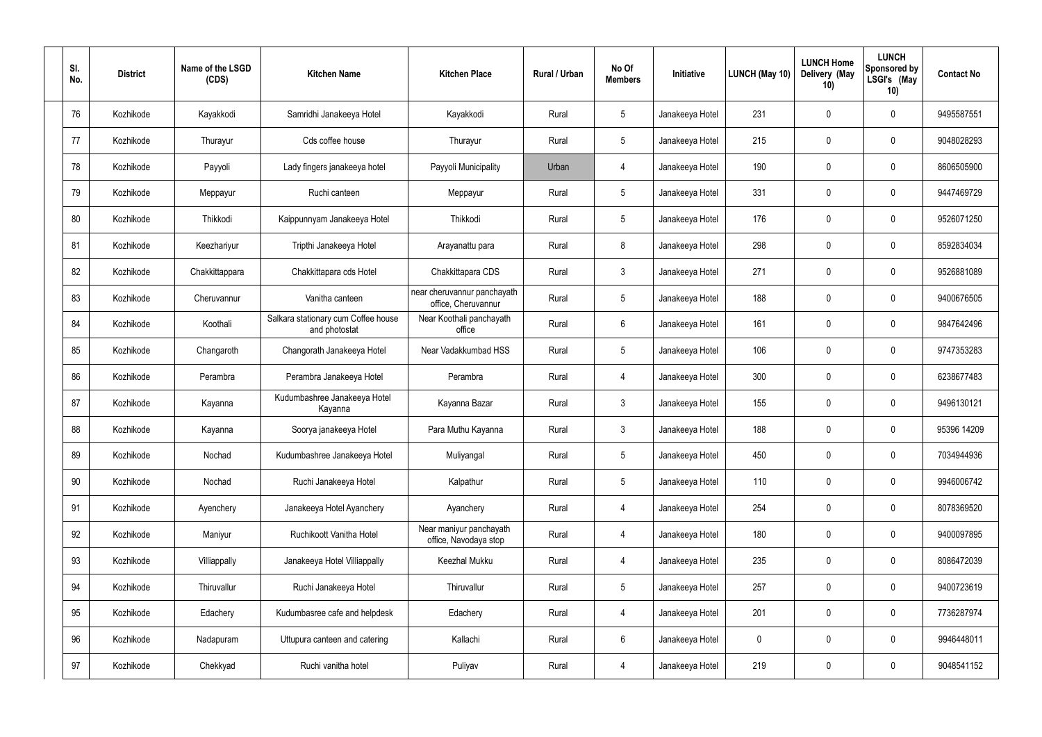| SI.<br>No. | <b>District</b> | Name of the LSGD<br>(CDS) | <b>Kitchen Name</b>                                  | <b>Kitchen Place</b>                               | Rural / Urban | No Of<br><b>Members</b> | Initiative      | LUNCH (May 10) | <b>LUNCH Home</b><br>Delivery (May<br>10) | <b>LUNCH</b><br>Sponsored by<br>LSGI's (May<br>10) | <b>Contact No</b> |
|------------|-----------------|---------------------------|------------------------------------------------------|----------------------------------------------------|---------------|-------------------------|-----------------|----------------|-------------------------------------------|----------------------------------------------------|-------------------|
| 76         | Kozhikode       | Kayakkodi                 | Samridhi Janakeeya Hotel                             | Kayakkodi                                          | Rural         | $5\phantom{.0}$         | Janakeeya Hotel | 231            | $\mathbf 0$                               | 0                                                  | 9495587551        |
| 77         | Kozhikode       | Thurayur                  | Cds coffee house                                     | Thurayur                                           | Rural         | $5\phantom{.0}$         | Janakeeya Hotel | 215            | 0                                         | $\mathbf 0$                                        | 9048028293        |
| 78         | Kozhikode       | Payyoli                   | Lady fingers janakeeya hotel                         | Payyoli Municipality                               | Urban         | 4                       | Janakeeya Hotel | 190            | $\mathbf 0$                               | $\mathbf 0$                                        | 8606505900        |
| 79         | Kozhikode       | Meppayur                  | Ruchi canteen                                        | Meppayur                                           | Rural         | $5\phantom{.0}$         | Janakeeya Hotel | 331            | 0                                         | $\mathbf 0$                                        | 9447469729        |
| 80         | Kozhikode       | Thikkodi                  | Kaippunnyam Janakeeya Hotel                          | Thikkodi                                           | Rural         | $5\phantom{.0}$         | Janakeeya Hotel | 176            | $\mathbf 0$                               | $\mathbf 0$                                        | 9526071250        |
| 81         | Kozhikode       | Keezhariyur               | Tripthi Janakeeya Hotel                              | Arayanattu para                                    | Rural         | 8                       | Janakeeya Hotel | 298            | 0                                         | $\mathbf 0$                                        | 8592834034        |
| 82         | Kozhikode       | Chakkittappara            | Chakkittapara cds Hotel                              | Chakkittapara CDS                                  | Rural         | $\mathbf{3}$            | Janakeeya Hotel | 271            | $\mathbf 0$                               | $\mathbf 0$                                        | 9526881089        |
| 83         | Kozhikode       | Cheruvannur               | Vanitha canteen                                      | near cheruvannur panchayath<br>office, Cheruvannur | Rural         | $5\phantom{.0}$         | Janakeeya Hotel | 188            | 0                                         | $\boldsymbol{0}$                                   | 9400676505        |
| 84         | Kozhikode       | Koothali                  | Salkara stationary cum Coffee house<br>and photostat | Near Koothali panchayath<br>office                 | Rural         | $6\,$                   | Janakeeya Hotel | 161            | $\mathbf 0$                               | $\boldsymbol{0}$                                   | 9847642496        |
| 85         | Kozhikode       | Changaroth                | Changorath Janakeeya Hotel                           | Near Vadakkumbad HSS                               | Rural         | $5\phantom{.0}$         | Janakeeya Hotel | 106            | 0                                         | $\mathbf 0$                                        | 9747353283        |
| 86         | Kozhikode       | Perambra                  | Perambra Janakeeya Hotel                             | Perambra                                           | Rural         | 4                       | Janakeeya Hotel | 300            | $\mathbf 0$                               | $\mathbf 0$                                        | 6238677483        |
| 87         | Kozhikode       | Kayanna                   | Kudumbashree Janakeeya Hotel<br>Kayanna              | Kayanna Bazar                                      | Rural         | $\mathbf{3}$            | Janakeeya Hotel | 155            | $\mathbf 0$                               | $\boldsymbol{0}$                                   | 9496130121        |
| 88         | Kozhikode       | Kayanna                   | Soorya janakeeya Hotel                               | Para Muthu Kayanna                                 | Rural         | $\mathbf{3}$            | Janakeeya Hotel | 188            | $\mathbf 0$                               | $\mathbf 0$                                        | 95396 14209       |
| 89         | Kozhikode       | Nochad                    | Kudumbashree Janakeeya Hotel                         | Muliyangal                                         | Rural         | $5\,$                   | Janakeeya Hotel | 450            | $\mathbf 0$                               | $\mathbf 0$                                        | 7034944936        |
| 90         | Kozhikode       | Nochad                    | Ruchi Janakeeya Hotel                                | Kalpathur                                          | Rural         | $5\phantom{.0}$         | Janakeeya Hotel | 110            | $\mathbf 0$                               | $\mathbf 0$                                        | 9946006742        |
| 91         | Kozhikode       | Ayenchery                 | Janakeeya Hotel Ayanchery                            | Ayanchery                                          | Rural         | $\overline{4}$          | Janakeeya Hotel | 254            | 0                                         | $\mathbf 0$                                        | 8078369520        |
| 92         | Kozhikode       | Maniyur                   | Ruchikoott Vanitha Hotel                             | Near maniyur panchayath<br>office, Navodaya stop   | Rural         | $\overline{4}$          | Janakeeya Hotel | 180            | 0                                         | $\mathbf 0$                                        | 9400097895        |
| 93         | Kozhikode       | Villiappally              | Janakeeya Hotel Villiappally                         | Keezhal Mukku                                      | Rural         | $\overline{4}$          | Janakeeya Hotel | 235            | 0                                         | $\mathbf 0$                                        | 8086472039        |
| 94         | Kozhikode       | Thiruvallur               | Ruchi Janakeeya Hotel                                | Thiruvallur                                        | Rural         | $5\,$                   | Janakeeya Hotel | 257            | 0                                         | $\mathbf 0$                                        | 9400723619        |
| 95         | Kozhikode       | Edachery                  | Kudumbasree cafe and helpdesk                        | Edachery                                           | Rural         | $\overline{4}$          | Janakeeya Hotel | 201            | $\pmb{0}$                                 | $\mathbf 0$                                        | 7736287974        |
| 96         | Kozhikode       | Nadapuram                 | Uttupura canteen and catering                        | Kallachi                                           | Rural         | $6\phantom{.}6$         | Janakeeya Hotel | $\mathbf 0$    | 0                                         | $\mathbf 0$                                        | 9946448011        |
| 97         | Kozhikode       | Chekkyad                  | Ruchi vanitha hotel                                  | Puliyav                                            | Rural         | $\overline{4}$          | Janakeeya Hotel | 219            | $\pmb{0}$                                 | $\pmb{0}$                                          | 9048541152        |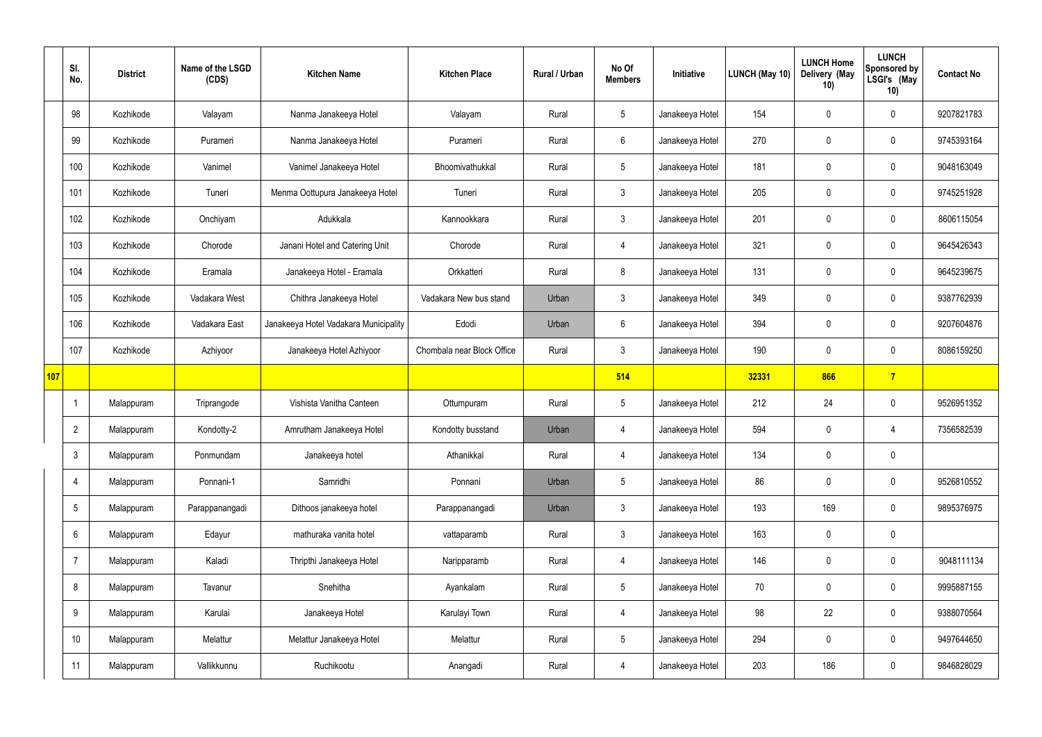|     | SI.<br>No.      | <b>District</b> | Name of the LSGD<br>(CDS) | <b>Kitchen Name</b>                   | <b>Kitchen Place</b>       | Rural / Urban | No Of<br><b>Members</b> | Initiative      | <b>LUNCH (May 10)</b> | <b>LUNCH Home</b><br>Delivery (May<br>10) | <b>LUNCH</b><br>Sponsored by<br>LSGI's (May<br>10) | <b>Contact No</b> |
|-----|-----------------|-----------------|---------------------------|---------------------------------------|----------------------------|---------------|-------------------------|-----------------|-----------------------|-------------------------------------------|----------------------------------------------------|-------------------|
|     | 98              | Kozhikode       | Valayam                   | Nanma Janakeeya Hotel                 | Valayam                    | Rural         | $5\overline{)}$         | Janakeeya Hotel | 154                   | $\mathbf 0$                               | $\mathbf 0$                                        | 9207821783        |
|     | 99              | Kozhikode       | Purameri                  | Nanma Janakeeya Hotel                 | Purameri                   | Rural         | $6\overline{6}$         | Janakeeya Hotel | 270                   | $\mathbf 0$                               | $\mathbf 0$                                        | 9745393164        |
|     | 100             | Kozhikode       | Vanimel                   | Vanimel Janakeeya Hotel               | Bhoomivathukkal            | Rural         | $5\overline{)}$         | Janakeeya Hotel | 181                   | $\mathbf 0$                               | $\mathbf 0$                                        | 9048163049        |
|     | 101             | Kozhikode       | Tuneri                    | Menma Oottupura Janakeeya Hotel       | Tuneri                     | Rural         | $\mathbf{3}$            | Janakeeya Hotel | 205                   | $\mathbf 0$                               | $\mathbf 0$                                        | 9745251928        |
|     | 102             | Kozhikode       | Onchiyam                  | Adukkala                              | Kannookkara                | Rural         | 3                       | Janakeeya Hotel | 201                   | $\mathbf 0$                               | $\mathbf 0$                                        | 8606115054        |
|     | 103             | Kozhikode       | Chorode                   | Janani Hotel and Catering Unit        | Chorode                    | Rural         | $\overline{4}$          | Janakeeya Hotel | 321                   | $\mathbf 0$                               | $\mathbf 0$                                        | 9645426343        |
|     | 104             | Kozhikode       | Eramala                   | Janakeeya Hotel - Eramala             | Orkkatteri                 | Rural         | 8                       | Janakeeya Hotel | 131                   | $\mathbf 0$                               | $\mathbf 0$                                        | 9645239675        |
|     | 105             | Kozhikode       | Vadakara West             | Chithra Janakeeya Hotel               | Vadakara New bus stand     | Urban         | $\mathbf{3}$            | Janakeeya Hotel | 349                   | $\mathbf 0$                               | $\mathbf 0$                                        | 9387762939        |
|     | 106             | Kozhikode       | Vadakara East             | Janakeeya Hotel Vadakara Municipality | Edodi                      | Urban         | $6\overline{6}$         | Janakeeya Hotel | 394                   | $\mathbf 0$                               | $\mathbf 0$                                        | 9207604876        |
|     | 107             | Kozhikode       | Azhiyoor                  | Janakeeya Hotel Azhiyoor              | Chombala near Block Office | Rural         | $\mathbf{3}$            | Janakeeya Hotel | 190                   | $\mathbf 0$                               | $\mathbf 0$                                        | 8086159250        |
| 107 |                 |                 |                           |                                       |                            |               | 514                     |                 | 32331                 | 866                                       | $\overline{7}$                                     |                   |
|     |                 | Malappuram      | Triprangode               | Vishista Vanitha Canteen              | Ottumpuram                 | Rural         | $5\overline{)}$         | Janakeeya Hotel | 212                   | 24                                        | $\mathbf 0$                                        | 9526951352        |
|     | $\overline{2}$  | Malappuram      | Kondotty-2                | Amrutham Janakeeya Hotel              | Kondotty busstand          | Urban         | 4                       | Janakeeya Hotel | 594                   | $\mathbf 0$                               | 4                                                  | 7356582539        |
|     | $\mathfrak{Z}$  | Malappuram      | Ponmundam                 | Janakeeya hotel                       | Athanikkal                 | Rural         | $\overline{4}$          | Janakeeya Hotel | 134                   | $\pmb{0}$                                 | $\mathbf 0$                                        |                   |
|     | 4               | Malappuram      | Ponnani-1                 | Samridhi                              | Ponnani                    | Urban         | 5 <sup>5</sup>          | Janakeeya Hotel | 86                    | $\pmb{0}$                                 | $\mathbf 0$                                        | 9526810552        |
|     | $5\phantom{.0}$ | Malappuram      | Parappanangadi            | Dithoos janakeeya hotel               | Parappanangadi             | Urban         | $3\phantom{.0}$         | Janakeeya Hotel | 193                   | 169                                       | $\mathbf 0$                                        | 9895376975        |
|     | 6               | Malappuram      | Edayur                    | mathuraka vanita hotel                | vattaparamb                | Rural         | $\mathbf{3}$            | Janakeeya Hotel | 163                   | $\pmb{0}$                                 | $\mathbf 0$                                        |                   |
|     | $\overline{7}$  | Malappuram      | Kaladi                    | Thripthi Janakeeya Hotel              | Naripparamb                | Rural         | $\overline{4}$          | Janakeeya Hotel | 146                   | $\pmb{0}$                                 | $\mathbf 0$                                        | 9048111134        |
|     | 8               | Malappuram      | Tavanur                   | Snehitha                              | Ayankalam                  | Rural         | 5 <sub>5</sub>          | Janakeeya Hotel | 70                    | $\pmb{0}$                                 | $\mathbf 0$                                        | 9995887155        |
|     | 9               | Malappuram      | Karulai                   | Janakeeya Hotel                       | Karulayi Town              | Rural         | $\overline{4}$          | Janakeeya Hotel | 98                    | 22                                        | $\pmb{0}$                                          | 9388070564        |
|     | 10 <sup>°</sup> | Malappuram      | Melattur                  | Melattur Janakeeya Hotel              | Melattur                   | Rural         | $5\overline{)}$         | Janakeeya Hotel | 294                   | $\pmb{0}$                                 | $\mathbf 0$                                        | 9497644650        |
|     | 11              | Malappuram      | Vallikkunnu               | Ruchikootu                            | Anangadi                   | Rural         | $\overline{4}$          | Janakeeya Hotel | 203                   | 186                                       | $\boldsymbol{0}$                                   | 9846828029        |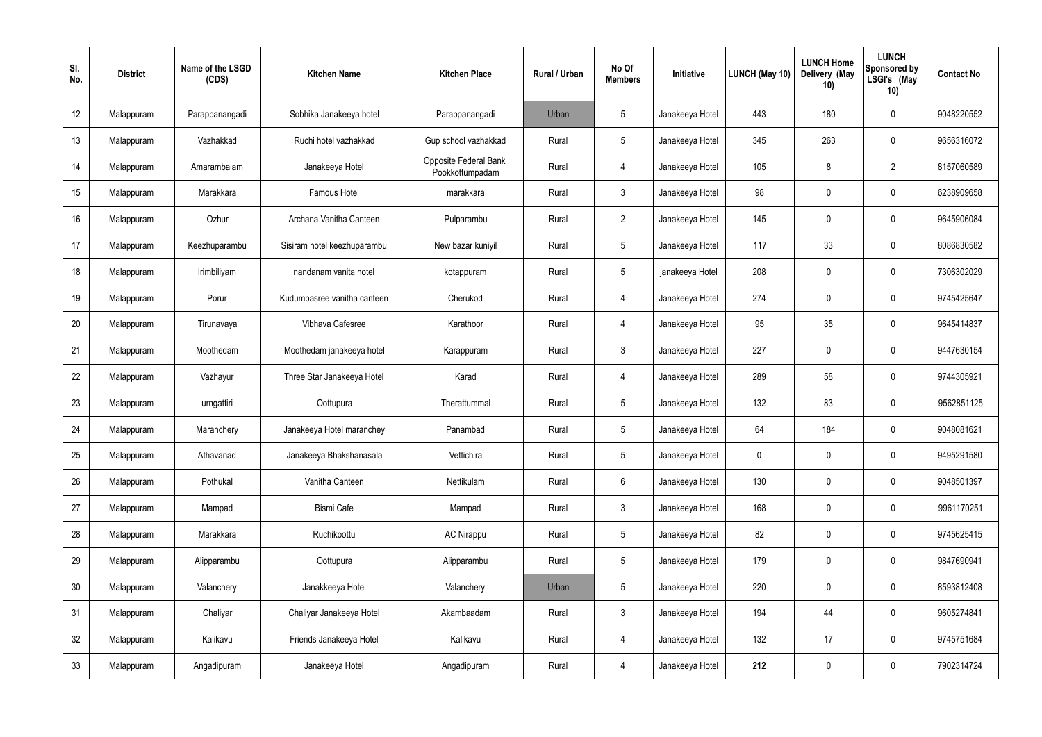| SI.<br>No.      | <b>District</b> | Name of the LSGD<br>(CDS) | <b>Kitchen Name</b>         | <b>Kitchen Place</b>                     | Rural / Urban | No Of<br><b>Members</b> | Initiative      | LUNCH (May 10) | <b>LUNCH Home</b><br>Delivery (May<br>10) | <b>LUNCH</b><br>Sponsored by<br>LSGI's (May<br>10) | <b>Contact No</b> |
|-----------------|-----------------|---------------------------|-----------------------------|------------------------------------------|---------------|-------------------------|-----------------|----------------|-------------------------------------------|----------------------------------------------------|-------------------|
| 12              | Malappuram      | Parappanangadi            | Sobhika Janakeeya hotel     | Parappanangadi                           | Urban         | $5\phantom{.0}$         | Janakeeya Hotel | 443            | 180                                       | $\boldsymbol{0}$                                   | 9048220552        |
| 13              | Malappuram      | Vazhakkad                 | Ruchi hotel vazhakkad       | Gup school vazhakkad                     | Rural         | $5\phantom{.0}$         | Janakeeya Hotel | 345            | 263                                       | $\boldsymbol{0}$                                   | 9656316072        |
| 14              | Malappuram      | Amarambalam               | Janakeeya Hotel             | Opposite Federal Bank<br>Pookkottumpadam | Rural         | $\overline{4}$          | Janakeeya Hotel | 105            | 8                                         | $\overline{2}$                                     | 8157060589        |
| 15              | Malappuram      | Marakkara                 | Famous Hotel                | marakkara                                | Rural         | $\mathbf{3}$            | Janakeeya Hotel | 98             | 0                                         | $\boldsymbol{0}$                                   | 6238909658        |
| 16              | Malappuram      | Ozhur                     | Archana Vanitha Canteen     | Pulparambu                               | Rural         | $2^{\circ}$             | Janakeeya Hotel | 145            | $\mathbf 0$                               | $\boldsymbol{0}$                                   | 9645906084        |
| 17              | Malappuram      | Keezhuparambu             | Sisiram hotel keezhuparambu | New bazar kuniyil                        | Rural         | $5\phantom{.0}$         | Janakeeya Hotel | 117            | 33                                        | $\boldsymbol{0}$                                   | 8086830582        |
| 18              | Malappuram      | Irimbiliyam               | nandanam vanita hotel       | kotappuram                               | Rural         | $5\overline{)}$         | janakeeya Hotel | 208            | $\mathbf 0$                               | $\boldsymbol{0}$                                   | 7306302029        |
| 19              | Malappuram      | Porur                     | Kudumbasree vanitha canteen | Cherukod                                 | Rural         | $\overline{4}$          | Janakeeya Hotel | 274            | 0                                         | $\boldsymbol{0}$                                   | 9745425647        |
| 20              | Malappuram      | Tirunavaya                | Vibhava Cafesree            | Karathoor                                | Rural         | $\overline{4}$          | Janakeeya Hotel | 95             | 35                                        | $\boldsymbol{0}$                                   | 9645414837        |
| 21              | Malappuram      | Moothedam                 | Moothedam janakeeya hotel   | Karappuram                               | Rural         | $\mathbf{3}$            | Janakeeya Hotel | 227            | 0                                         | $\mathbf 0$                                        | 9447630154        |
| 22              | Malappuram      | Vazhayur                  | Three Star Janakeeya Hotel  | Karad                                    | Rural         | 4                       | Janakeeya Hotel | 289            | 58                                        | $\mathbf 0$                                        | 9744305921        |
| 23              | Malappuram      | urngattiri                | Oottupura                   | Therattummal                             | Rural         | $5\phantom{.0}$         | Janakeeya Hotel | 132            | 83                                        | $\pmb{0}$                                          | 9562851125        |
| 24              | Malappuram      | Maranchery                | Janakeeya Hotel maranchey   | Panambad                                 | Rural         | $5\phantom{.0}$         | Janakeeya Hotel | 64             | 184                                       | 0                                                  | 9048081621        |
| 25              | Malappuram      | Athavanad                 | Janakeeya Bhakshanasala     | Vettichira                               | Rural         | $5\phantom{.0}$         | Janakeeya Hotel | $\pmb{0}$      | 0                                         | $\mathbf 0$                                        | 9495291580        |
| 26              | Malappuram      | Pothukal                  | Vanitha Canteen             | Nettikulam                               | Rural         | $6\phantom{.}6$         | Janakeeya Hotel | 130            | 0                                         | $\pmb{0}$                                          | 9048501397        |
| 27              | Malappuram      | Mampad                    | <b>Bismi Cafe</b>           | Mampad                                   | Rural         | 3 <sup>1</sup>          | Janakeeya Hotel | 168            | $\pmb{0}$                                 | $\mathbf 0$                                        | 9961170251        |
| 28              | Malappuram      | Marakkara                 | Ruchikoottu                 | <b>AC Nirappu</b>                        | Rural         | $5\,$                   | Janakeeya Hotel | 82             | 0                                         | $\pmb{0}$                                          | 9745625415        |
| 29              | Malappuram      | Alipparambu               | Oottupura                   | Alipparambu                              | Rural         | $5\phantom{.0}$         | Janakeeya Hotel | 179            | $\pmb{0}$                                 | $\mathbf 0$                                        | 9847690941        |
| 30 <sub>o</sub> | Malappuram      | Valanchery                | Janakkeeya Hotel            | Valanchery                               | Urban         | $\sqrt{5}$              | Janakeeya Hotel | 220            | $\pmb{0}$                                 | $\pmb{0}$                                          | 8593812408        |
| 31              | Malappuram      | Chaliyar                  | Chaliyar Janakeeya Hotel    | Akambaadam                               | Rural         | $\mathbf{3}$            | Janakeeya Hotel | 194            | 44                                        | $\pmb{0}$                                          | 9605274841        |
| 32              | Malappuram      | Kalikavu                  | Friends Janakeeya Hotel     | Kalikavu                                 | Rural         | $\overline{4}$          | Janakeeya Hotel | 132            | 17                                        | $\mathbf 0$                                        | 9745751684        |
| 33              | Malappuram      | Angadipuram               | Janakeeya Hotel             | Angadipuram                              | Rural         | $\overline{4}$          | Janakeeya Hotel | 212            | $\pmb{0}$                                 | $\pmb{0}$                                          | 7902314724        |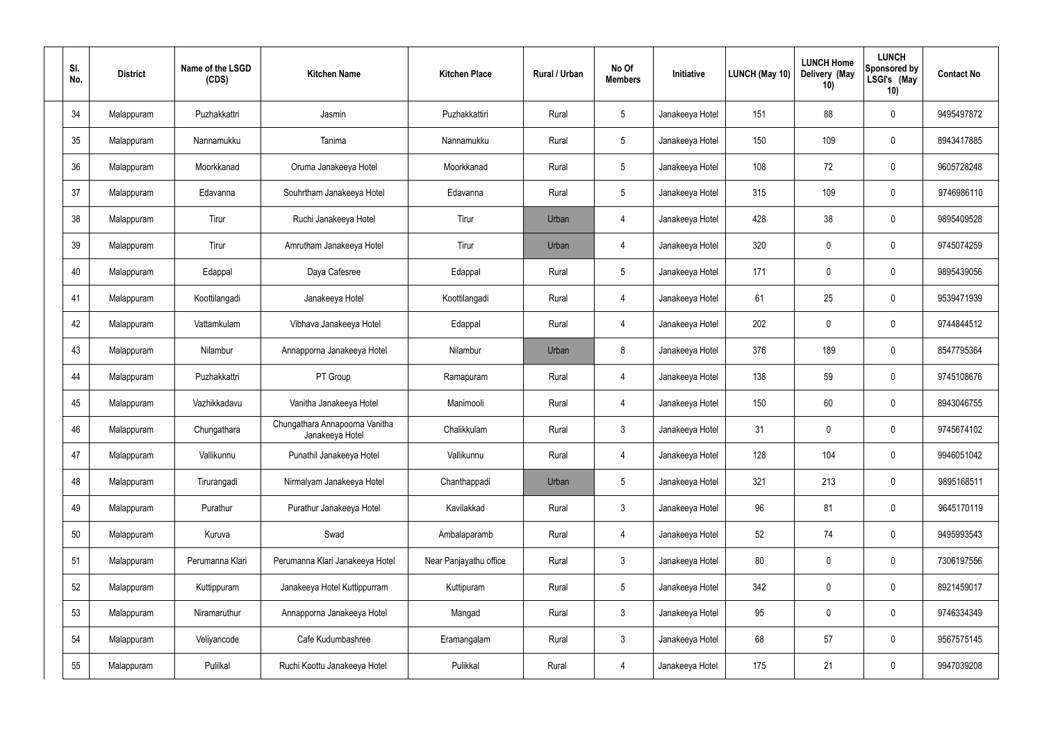| SI.<br>No. | <b>District</b> | Name of the LSGD<br>(CDS) | <b>Kitchen Name</b>                               | <b>Kitchen Place</b>   | Rural / Urban | No Of<br><b>Members</b> | Initiative      | LUNCH (May 10) | <b>LUNCH Home</b><br>Delivery (May<br>10) | <b>LUNCH</b><br>Sponsored by<br>LSGI's (May<br>10) | <b>Contact No</b> |
|------------|-----------------|---------------------------|---------------------------------------------------|------------------------|---------------|-------------------------|-----------------|----------------|-------------------------------------------|----------------------------------------------------|-------------------|
| 34         | Malappuram      | Puzhakkattri              | Jasmin                                            | Puzhakkattiri          | Rural         | $5\,$                   | Janakeeya Hotel | 151            | 88                                        | $\boldsymbol{0}$                                   | 9495497872        |
| 35         | Malappuram      | Nannamukku                | Tanima                                            | Nannamukku             | Rural         | $5\phantom{.0}$         | Janakeeya Hotel | 150            | 109                                       | $\mathbf 0$                                        | 8943417885        |
| 36         | Malappuram      | Moorkkanad                | Oruma Janakeeya Hotel                             | Moorkkanad             | Rural         | $5\phantom{.0}$         | Janakeeya Hotel | 108            | 72                                        | $\boldsymbol{0}$                                   | 9605728248        |
| 37         | Malappuram      | Edavanna                  | Souhrtham Janakeeya Hotel                         | Edavanna               | Rural         | $5\phantom{.0}$         | Janakeeya Hotel | 315            | 109                                       | $\mathbf 0$                                        | 9746986110        |
| 38         | Malappuram      | Tirur                     | Ruchi Janakeeya Hotel                             | Tirur                  | Urban         | 4                       | Janakeeya Hotel | 428            | 38                                        | $\boldsymbol{0}$                                   | 9895409528        |
| 39         | Malappuram      | Tirur                     | Amrutham Janakeeya Hotel                          | Tirur                  | Urban         | 4                       | Janakeeya Hotel | 320            | $\mathbf 0$                               | $\mathbf 0$                                        | 9745074259        |
| 40         | Malappuram      | Edappal                   | Daya Cafesree                                     | Edappal                | Rural         | $5\phantom{.0}$         | Janakeeya Hotel | 171            | $\mathbf 0$                               | $\boldsymbol{0}$                                   | 9895439056        |
| 41         | Malappuram      | Koottilangadi             | Janakeeya Hotel                                   | Koottilangadi          | Rural         | 4                       | Janakeeya Hotel | 61             | 25                                        | $\mathbf 0$                                        | 9539471939        |
| 42         | Malappuram      | Vattamkulam               | Vibhava Janakeeya Hotel                           | Edappal                | Rural         | 4                       | Janakeeya Hotel | 202            | 0                                         | $\boldsymbol{0}$                                   | 9744844512        |
| 43         | Malappuram      | Nilambur                  | Annapporna Janakeeya Hotel                        | Nilambur               | Urban         | 8                       | Janakeeya Hotel | 376            | 189                                       | $\mathbf 0$                                        | 8547795364        |
| 44         | Malappuram      | Puzhakkattri              | PT Group                                          | Ramapuram              | Rural         | 4                       | Janakeeya Hotel | 138            | 59                                        | $\mathbf 0$                                        | 9745108676        |
| 45         | Malappuram      | Vazhikkadavu              | Vanitha Janakeeya Hotel                           | Manimooli              | Rural         | 4                       | Janakeeya Hotel | 150            | 60                                        | $\mathbf 0$                                        | 8943046755        |
| 46         | Malappuram      | Chungathara               | Chungathara Annapoorna Vanitha<br>Janakeeya Hotel | Chalikkulam            | Rural         | $\mathbf{3}$            | Janakeeya Hotel | 31             | $\mathbf 0$                               | $\boldsymbol{0}$                                   | 9745674102        |
| 47         | Malappuram      | Vallikunnu                | Punathil Janakeeya Hotel                          | Vallikunnu             | Rural         | $\overline{4}$          | Janakeeya Hotel | 128            | 104                                       | $\pmb{0}$                                          | 9946051042        |
| 48         | Malappuram      | Tirurangadi               | Nirmalyam Janakeeya Hotel                         | Chanthappadi           | Urban         | $5\phantom{.0}$         | Janakeeya Hotel | 321            | 213                                       | $\pmb{0}$                                          | 9895168511        |
| 49         | Malappuram      | Purathur                  | Purathur Janakeeya Hotel                          | Kavilakkad             | Rural         | $3\phantom{.0}$         | Janakeeya Hotel | 96             | 81                                        | $\pmb{0}$                                          | 9645170119        |
| 50         | Malappuram      | Kuruva                    | Swad                                              | Ambalaparamb           | Rural         | $\overline{4}$          | Janakeeya Hotel | 52             | 74                                        | $\pmb{0}$                                          | 9495993543        |
| 51         | Malappuram      | Perumanna Klari           | Perumanna Klari Janakeeya Hotel                   | Near Panjayathu office | Rural         | $3\phantom{.0}$         | Janakeeya Hotel | $80\,$         | $\pmb{0}$                                 | $\pmb{0}$                                          | 7306197556        |
| 52         | Malappuram      | Kuttippuram               | Janakeeya Hotel Kuttippurram                      | Kuttipuram             | Rural         | $5\phantom{.0}$         | Janakeeya Hotel | 342            | $\pmb{0}$                                 | $\pmb{0}$                                          | 8921459017        |
| 53         | Malappuram      | Niramaruthur              | Annapporna Janakeeya Hotel                        | Mangad                 | Rural         | $\mathfrak{Z}$          | Janakeeya Hotel | 95             | $\pmb{0}$                                 | $\pmb{0}$                                          | 9746334349        |
| 54         | Malappuram      | Veliyancode               | Cafe Kudumbashree                                 | Eramangalam            | Rural         | $\mathbf{3}$            | Janakeeya Hotel | 68             | 57                                        | $\pmb{0}$                                          | 9567575145        |
| 55         | Malappuram      | Pulilkal                  | Ruchi Koottu Janakeeya Hotel                      | Pulikkal               | Rural         | $\overline{4}$          | Janakeeya Hotel | 175            | 21                                        | $\pmb{0}$                                          | 9947039208        |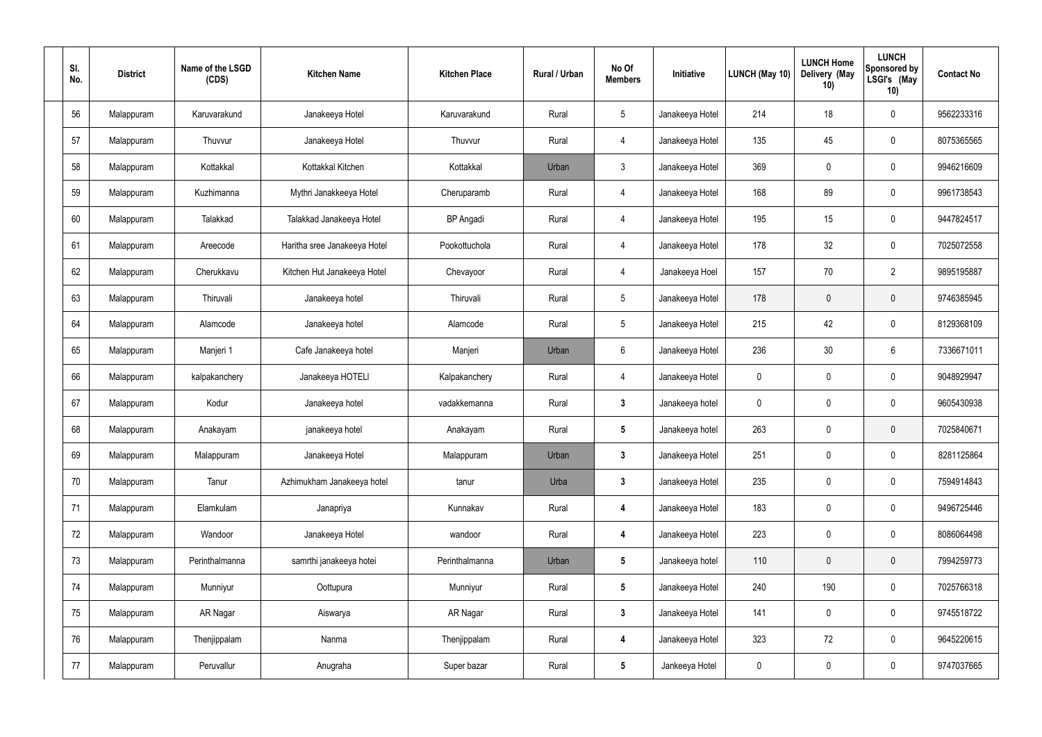| SI.<br>No. | <b>District</b> | Name of the LSGD<br>(CDS) | <b>Kitchen Name</b>          | <b>Kitchen Place</b> | Rural / Urban | No Of<br><b>Members</b> | Initiative      | LUNCH (May 10) | <b>LUNCH Home</b><br>Delivery (May<br>10) | <b>LUNCH</b><br>Sponsored by<br>LSGI's (May<br>10) | <b>Contact No</b> |
|------------|-----------------|---------------------------|------------------------------|----------------------|---------------|-------------------------|-----------------|----------------|-------------------------------------------|----------------------------------------------------|-------------------|
| 56         | Malappuram      | Karuvarakund              | Janakeeya Hotel              | Karuvarakund         | Rural         | $\sqrt{5}$              | Janakeeya Hotel | 214            | 18                                        | $\boldsymbol{0}$                                   | 9562233316        |
| 57         | Malappuram      | Thuvvur                   | Janakeeya Hotel              | Thuvvur              | Rural         | $\overline{4}$          | Janakeeya Hotel | 135            | 45                                        | $\mathbf 0$                                        | 8075365565        |
| 58         | Malappuram      | Kottakkal                 | Kottakkal Kitchen            | Kottakkal            | Urban         | $\mathfrak{Z}$          | Janakeeya Hotel | 369            | $\boldsymbol{0}$                          | $\boldsymbol{0}$                                   | 9946216609        |
| 59         | Malappuram      | Kuzhimanna                | Mythri Janakkeeya Hotel      | Cheruparamb          | Rural         | 4                       | Janakeeya Hotel | 168            | 89                                        | $\mathbf 0$                                        | 9961738543        |
| 60         | Malappuram      | Talakkad                  | Talakkad Janakeeya Hotel     | <b>BP</b> Angadi     | Rural         | 4                       | Janakeeya Hotel | 195            | 15                                        | $\boldsymbol{0}$                                   | 9447824517        |
| 61         | Malappuram      | Areecode                  | Haritha sree Janakeeya Hotel | Pookottuchola        | Rural         | 4                       | Janakeeya Hotel | 178            | 32                                        | $\mathbf 0$                                        | 7025072558        |
| 62         | Malappuram      | Cherukkavu                | Kitchen Hut Janakeeya Hotel  | Chevayoor            | Rural         | $\overline{4}$          | Janakeeya Hoel  | 157            | 70                                        | $\overline{2}$                                     | 9895195887        |
| 63         | Malappuram      | Thiruvali                 | Janakeeya hotel              | Thiruvali            | Rural         | $5\phantom{.0}$         | Janakeeya Hotel | 178            | 0                                         | $\mathbf 0$                                        | 9746385945        |
| 64         | Malappuram      | Alamcode                  | Janakeeya hotel              | Alamcode             | Rural         | $5\phantom{.0}$         | Janakeeya Hotel | 215            | 42                                        | $\boldsymbol{0}$                                   | 8129368109        |
| 65         | Malappuram      | Manjeri 1                 | Cafe Janakeeya hotel         | Manjeri              | Urban         | 6                       | Janakeeya Hotel | 236            | 30                                        | 6                                                  | 7336671011        |
| 66         | Malappuram      | kalpakanchery             | Janakeeya HOTELI             | Kalpakanchery        | Rural         | 4                       | Janakeeya Hotel | 0              | 0                                         | $\boldsymbol{0}$                                   | 9048929947        |
| 67         | Malappuram      | Kodur                     | Janakeeya hotel              | vadakkemanna         | Rural         | $\mathbf{3}$            | Janakeeya hotel | 0              | 0                                         | $\boldsymbol{0}$                                   | 9605430938        |
| 68         | Malappuram      | Anakayam                  | janakeeya hotel              | Anakayam             | Rural         | $5\phantom{.0}$         | Janakeeya hotel | 263            | $\mathbf 0$                               | $\mathbf 0$                                        | 7025840671        |
| 69         | Malappuram      | Malappuram                | Janakeeya Hotel              | Malappuram           | Urban         | $\mathbf{3}$            | Janakeeya Hotel | 251            | 0                                         | $\mathbf 0$                                        | 8281125864        |
| 70         | Malappuram      | Tanur                     | Azhimukham Janakeeya hotel   | tanur                | Urba          | 3 <sup>1</sup>          | Janakeeya Hotel | 235            | 0                                         | $\mathbf 0$                                        | 7594914843        |
| 71         | Malappuram      | Elamkulam                 | Janapriya                    | Kunnakav             | Rural         | $\overline{\mathbf{4}}$ | Janakeeya Hotel | 183            | 0                                         | $\mathbf 0$                                        | 9496725446        |
| 72         | Malappuram      | Wandoor                   | Janakeeya Hotel              | wandoor              | Rural         | 4                       | Janakeeya Hotel | 223            | 0                                         | $\mathbf 0$                                        | 8086064498        |
| 73         | Malappuram      | Perinthalmanna            | samrthi janakeeya hotei      | Perinthalmanna       | Urban         | $5\phantom{.0}$         | Janakeeya hotel | 110            | $\mathbf 0$                               | $\overline{0}$                                     | 7994259773        |
| 74         | Malappuram      | Munniyur                  | Oottupura                    | Munniyur             | Rural         | $5\phantom{.0}$         | Janakeeya Hotel | 240            | 190                                       | $\mathbf 0$                                        | 7025766318        |
| 75         | Malappuram      | AR Nagar                  | Aiswarya                     | AR Nagar             | Rural         | 3 <sup>1</sup>          | Janakeeya Hotel | 141            | 0                                         | $\mathbf 0$                                        | 9745518722        |
| 76         | Malappuram      | Thenjippalam              | Nanma                        | Thenjippalam         | Rural         | $\overline{\mathbf{4}}$ | Janakeeya Hotel | 323            | 72                                        | $\pmb{0}$                                          | 9645220615        |
| 77         | Malappuram      | Peruvallur                | Anugraha                     | Super bazar          | Rural         | $5\phantom{.0}$         | Jankeeya Hotel  | 0              | $\pmb{0}$                                 | $\pmb{0}$                                          | 9747037665        |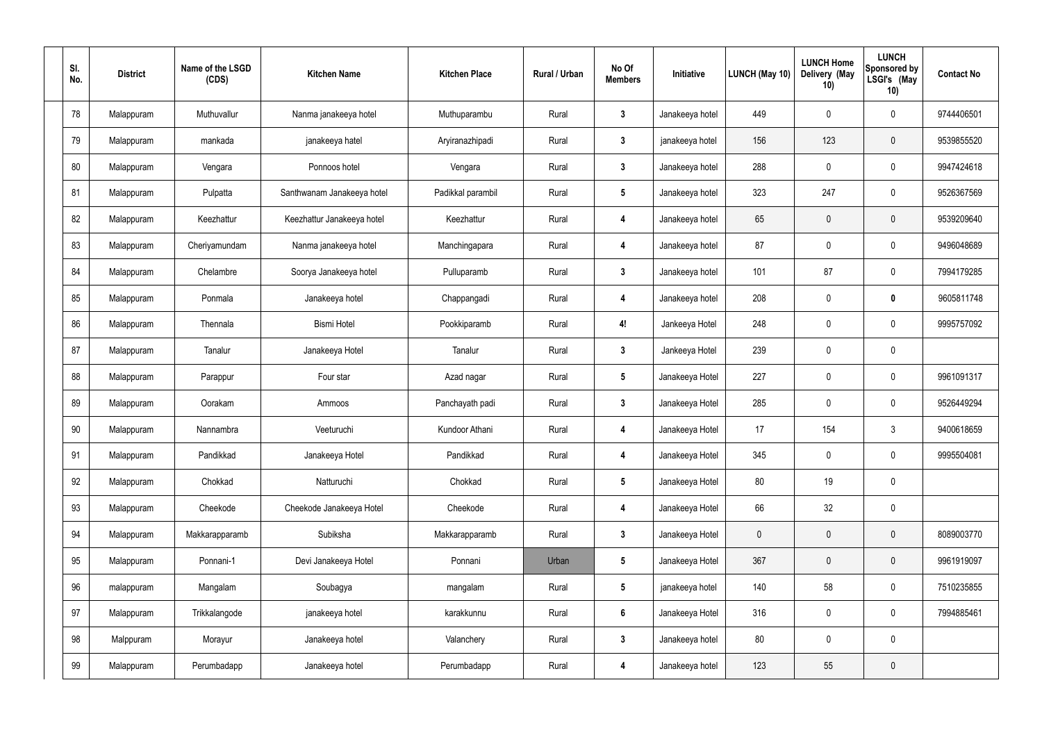| SI.<br>No. | <b>District</b> | Name of the LSGD<br>(CDS) | <b>Kitchen Name</b>        | <b>Kitchen Place</b> | Rural / Urban | No Of<br><b>Members</b> | Initiative      | <b>LUNCH (May 10)</b> | <b>LUNCH Home</b><br>Delivery (May<br>10) | <b>LUNCH</b><br><b>Sponsored by</b><br>LSGI's (May<br>10) | <b>Contact No</b> |
|------------|-----------------|---------------------------|----------------------------|----------------------|---------------|-------------------------|-----------------|-----------------------|-------------------------------------------|-----------------------------------------------------------|-------------------|
| 78         | Malappuram      | Muthuvallur               | Nanma janakeeya hotel      | Muthuparambu         | Rural         | $\boldsymbol{3}$        | Janakeeya hotel | 449                   | 0                                         | 0                                                         | 9744406501        |
| 79         | Malappuram      | mankada                   | janakeeya hatel            | Aryiranazhipadi      | Rural         | $\mathbf{3}$            | janakeeya hotel | 156                   | 123                                       | $\pmb{0}$                                                 | 9539855520        |
| 80         | Malappuram      | Vengara                   | Ponnoos hotel              | Vengara              | Rural         | $\mathbf{3}$            | Janakeeya hotel | 288                   | 0                                         | 0                                                         | 9947424618        |
| 81         | Malappuram      | Pulpatta                  | Santhwanam Janakeeya hotel | Padikkal parambil    | Rural         | $\sqrt{5}$              | Janakeeya hotel | 323                   | 247                                       | 0                                                         | 9526367569        |
| 82         | Malappuram      | Keezhattur                | Keezhattur Janakeeya hotel | Keezhattur           | Rural         | $\boldsymbol{4}$        | Janakeeya hotel | 65                    | $\mathbf 0$                               | $\mathbf 0$                                               | 9539209640        |
| 83         | Malappuram      | Cheriyamundam             | Nanma janakeeya hotel      | Manchingapara        | Rural         | $\overline{4}$          | Janakeeya hotel | 87                    | $\mathbf 0$                               | 0                                                         | 9496048689        |
| 84         | Malappuram      | Chelambre                 | Soorya Janakeeya hotel     | Pulluparamb          | Rural         | $\mathbf{3}$            | Janakeeya hotel | 101                   | 87                                        | 0                                                         | 7994179285        |
| 85         | Malappuram      | Ponmala                   | Janakeeya hotel            | Chappangadi          | Rural         | $\overline{4}$          | Janakeeya hotel | 208                   | 0                                         | 0                                                         | 9605811748        |
| 86         | Malappuram      | Thennala                  | <b>Bismi Hotel</b>         | Pookkiparamb         | Rural         | 4!                      | Jankeeya Hotel  | 248                   | 0                                         | 0                                                         | 9995757092        |
| 87         | Malappuram      | Tanalur                   | Janakeeya Hotel            | Tanalur              | Rural         | $\boldsymbol{3}$        | Jankeeya Hotel  | 239                   | $\mathbf 0$                               | 0                                                         |                   |
| 88         | Malappuram      | Parappur                  | Four star                  | Azad nagar           | Rural         | $5\phantom{.0}$         | Janakeeya Hotel | 227                   | $\mathbf 0$                               | 0                                                         | 9961091317        |
| 89         | Malappuram      | Oorakam                   | Ammoos                     | Panchayath padi      | Rural         | $\boldsymbol{3}$        | Janakeeya Hotel | 285                   | $\boldsymbol{0}$                          | 0                                                         | 9526449294        |
| 90         | Malappuram      | Nannambra                 | Veeturuchi                 | Kundoor Athani       | Rural         | 4                       | Janakeeya Hotel | 17                    | 154                                       | 3                                                         | 9400618659        |
| 91         | Malappuram      | Pandikkad                 | Janakeeya Hotel            | Pandikkad            | Rural         | $\overline{4}$          | Janakeeya Hotel | 345                   | $\mathbf 0$                               | 0                                                         | 9995504081        |
| 92         | Malappuram      | Chokkad                   | Natturuchi                 | Chokkad              | Rural         | $5\phantom{.0}$         | Janakeeya Hotel | 80                    | 19                                        | 0                                                         |                   |
| 93         | Malappuram      | Cheekode                  | Cheekode Janakeeya Hotel   | Cheekode             | Rural         | $\boldsymbol{4}$        | Janakeeya Hotel | 66                    | 32                                        | 0                                                         |                   |
| 94         | Malappuram      | Makkarapparamb            | Subiksha                   | Makkarapparamb       | Rural         | $\mathbf{3}$            | Janakeeya Hotel | $\mathbf 0$           | $\pmb{0}$                                 | $\pmb{0}$                                                 | 8089003770        |
| 95         | Malappuram      | Ponnani-1                 | Devi Janakeeya Hotel       | Ponnani              | Urban         | $5\phantom{.0}$         | Janakeeya Hotel | 367                   | $\pmb{0}$                                 | $\pmb{0}$                                                 | 9961919097        |
| 96         | malappuram      | Mangalam                  | Soubagya                   | mangalam             | Rural         | $5\phantom{.0}$         | janakeeya hotel | 140                   | 58                                        | 0                                                         | 7510235855        |
| 97         | Malappuram      | Trikkalangode             | janakeeya hotel            | karakkunnu           | Rural         | $6\phantom{.}6$         | Janakeeya Hotel | 316                   | $\pmb{0}$                                 | $\mathbf 0$                                               | 7994885461        |
| 98         | Malppuram       | Morayur                   | Janakeeya hotel            | Valanchery           | Rural         | $\mathbf{3}$            | Janakeeya hotel | 80                    | $\mathbf 0$                               | 0                                                         |                   |
| 99         | Malappuram      | Perumbadapp               | Janakeeya hotel            | Perumbadapp          | Rural         | $\boldsymbol{4}$        | Janakeeya hotel | 123                   | 55                                        | $\pmb{0}$                                                 |                   |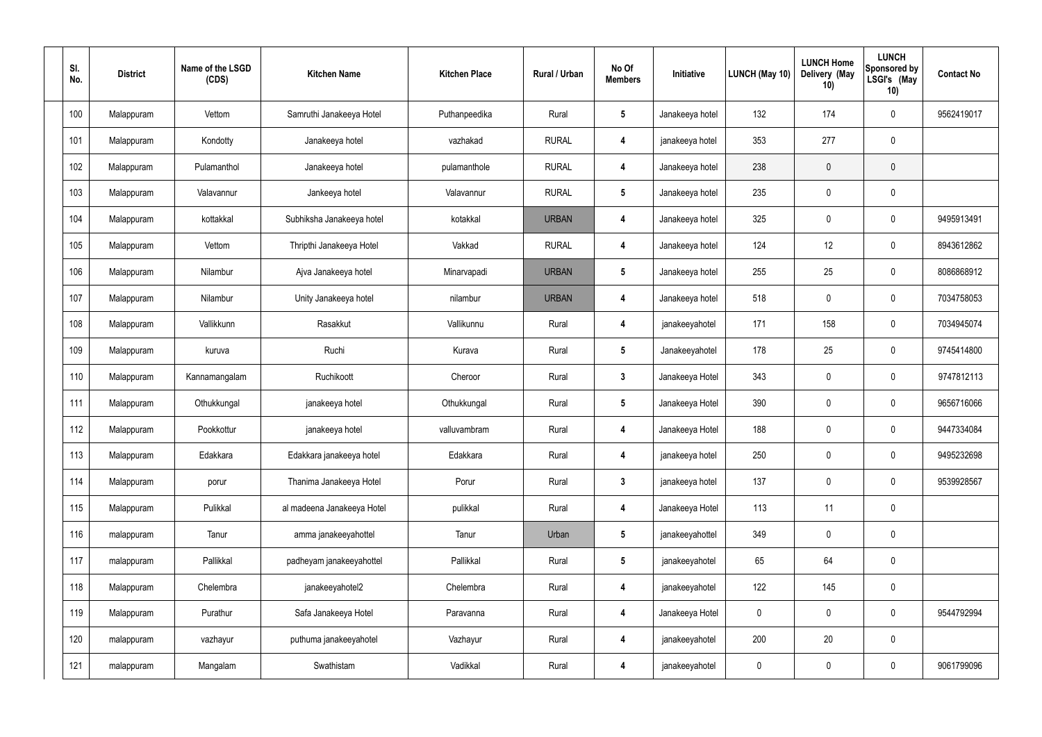| SI.<br>No. | <b>District</b> | Name of the LSGD<br>(CDS) | <b>Kitchen Name</b>        | <b>Kitchen Place</b> | Rural / Urban | No Of<br><b>Members</b> | Initiative      | LUNCH (May 10) | <b>LUNCH Home</b><br>Delivery (May<br>10) | <b>LUNCH</b><br><b>Sponsored by</b><br>LSGI's (May<br>10) | <b>Contact No</b> |
|------------|-----------------|---------------------------|----------------------------|----------------------|---------------|-------------------------|-----------------|----------------|-------------------------------------------|-----------------------------------------------------------|-------------------|
| 100        | Malappuram      | Vettom                    | Samruthi Janakeeya Hotel   | Puthanpeedika        | Rural         | $\sqrt{5}$              | Janakeeya hotel | 132            | 174                                       | 0                                                         | 9562419017        |
| 101        | Malappuram      | Kondotty                  | Janakeeya hotel            | vazhakad             | <b>RURAL</b>  | $\overline{\mathbf{4}}$ | janakeeya hotel | 353            | 277                                       | 0                                                         |                   |
| 102        | Malappuram      | Pulamanthol               | Janakeeya hotel            | pulamanthole         | <b>RURAL</b>  | $\overline{\mathbf{4}}$ | Janakeeya hotel | 238            | $\mathbf 0$                               | $\pmb{0}$                                                 |                   |
| 103        | Malappuram      | Valavannur                | Jankeeya hotel             | Valavannur           | <b>RURAL</b>  | $\sqrt{5}$              | Janakeeya hotel | 235            | $\mathbf 0$                               | 0                                                         |                   |
| 104        | Malappuram      | kottakkal                 | Subhiksha Janakeeya hotel  | kotakkal             | <b>URBAN</b>  | $\overline{\mathbf{4}}$ | Janakeeya hotel | 325            | $\mathbf 0$                               | 0                                                         | 9495913491        |
| 105        | Malappuram      | Vettom                    | Thripthi Janakeeya Hotel   | Vakkad               | <b>RURAL</b>  | $\overline{\mathbf{4}}$ | Janakeeya hotel | 124            | 12                                        | 0                                                         | 8943612862        |
| 106        | Malappuram      | Nilambur                  | Ajva Janakeeya hotel       | Minarvapadi          | <b>URBAN</b>  | $\sqrt{5}$              | Janakeeya hotel | 255            | 25                                        | 0                                                         | 8086868912        |
| 107        | Malappuram      | Nilambur                  | Unity Janakeeya hotel      | nilambur             | <b>URBAN</b>  | 4                       | Janakeeya hotel | 518            | 0                                         | 0                                                         | 7034758053        |
| 108        | Malappuram      | Vallikkunn                | Rasakkut                   | Vallikunnu           | Rural         | $\overline{\mathbf{4}}$ | janakeeyahotel  | 171            | 158                                       | 0                                                         | 7034945074        |
| 109        | Malappuram      | kuruva                    | Ruchi                      | Kurava               | Rural         | $\sqrt{5}$              | Janakeeyahotel  | 178            | 25                                        | 0                                                         | 9745414800        |
| 110        | Malappuram      | Kannamangalam             | Ruchikoott                 | Cheroor              | Rural         | $\mathbf{3}$            | Janakeeya Hotel | 343            | $\mathbf 0$                               | 0                                                         | 9747812113        |
| 111        | Malappuram      | Othukkungal               | janakeeya hotel            | Othukkungal          | Rural         | $\sqrt{5}$              | Janakeeya Hotel | 390            | $\boldsymbol{0}$                          | 0                                                         | 9656716066        |
| 112        | Malappuram      | Pookkottur                | janakeeya hotel            | valluvambram         | Rural         | 4                       | Janakeeya Hotel | 188            | $\mathbf 0$                               | 0                                                         | 9447334084        |
| 113        | Malappuram      | Edakkara                  | Edakkara janakeeya hotel   | Edakkara             | Rural         | $\overline{4}$          | janakeeya hotel | 250            | $\pmb{0}$                                 | 0                                                         | 9495232698        |
| 114        | Malappuram      | porur                     | Thanima Janakeeya Hotel    | Porur                | Rural         | $3\phantom{a}$          | janakeeya hotel | 137            | $\mathbf 0$                               | $\mathbf 0$                                               | 9539928567        |
| 115        | Malappuram      | Pulikkal                  | al madeena Janakeeya Hotel | pulikkal             | Rural         | $\boldsymbol{4}$        | Janakeeya Hotel | 113            | 11                                        | 0                                                         |                   |
| 116        | malappuram      | Tanur                     | amma janakeeyahottel       | Tanur                | Urban         | $5\phantom{.0}$         | janakeeyahottel | 349            | $\pmb{0}$                                 | $\pmb{0}$                                                 |                   |
| 117        | malappuram      | Pallikkal                 | padheyam janakeeyahottel   | Pallikkal            | Rural         | $5\phantom{.0}$         | janakeeyahotel  | 65             | 64                                        | 0                                                         |                   |
| 118        | Malappuram      | Chelembra                 | janakeeyahotel2            | Chelembra            | Rural         | $\boldsymbol{4}$        | janakeeyahotel  | 122            | 145                                       | 0                                                         |                   |
| 119        | Malappuram      | Purathur                  | Safa Janakeeya Hotel       | Paravanna            | Rural         | $\boldsymbol{4}$        | Janakeeya Hotel | $\mathbf 0$    | $\pmb{0}$                                 | $\mathbf 0$                                               | 9544792994        |
| 120        | malappuram      | vazhayur                  | puthuma janakeeyahotel     | Vazhayur             | Rural         | $\boldsymbol{4}$        | janakeeyahotel  | 200            | 20                                        | $\pmb{0}$                                                 |                   |
| 121        | malappuram      | Mangalam                  | Swathistam                 | Vadikkal             | Rural         | $\boldsymbol{4}$        | janakeeyahotel  | $\mathbf 0$    | $\pmb{0}$                                 | 0                                                         | 9061799096        |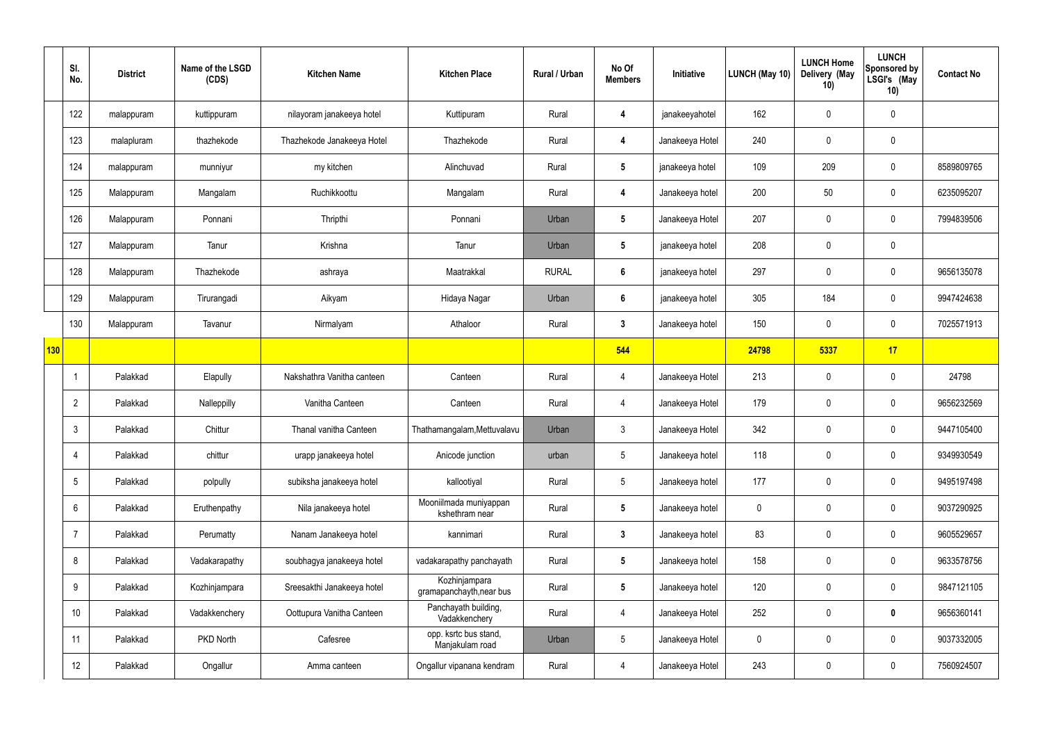|             | SI.<br>No.     | <b>District</b> | Name of the LSGD<br>(CDS) | <b>Kitchen Name</b>        | <b>Kitchen Place</b>                      | Rural / Urban | No Of<br><b>Members</b> | Initiative      | <b>LUNCH (May 10)</b> | <b>LUNCH Home</b><br>Delivery (May<br>10) | <b>LUNCH</b><br><b>Sponsored by</b><br>LSGI's (May<br>10) | <b>Contact No</b> |
|-------------|----------------|-----------------|---------------------------|----------------------------|-------------------------------------------|---------------|-------------------------|-----------------|-----------------------|-------------------------------------------|-----------------------------------------------------------|-------------------|
|             | 122            | malappuram      | kuttippuram               | nilayoram janakeeya hotel  | Kuttipuram                                | Rural         | 4                       | janakeeyahotel  | 162                   | 0                                         | $\mathbf 0$                                               |                   |
|             | 123            | malapluram      | thazhekode                | Thazhekode Janakeeya Hotel | Thazhekode                                | Rural         | 4                       | Janakeeya Hotel | 240                   | 0                                         | $\pmb{0}$                                                 |                   |
|             | 124            | malappuram      | munniyur                  | my kitchen                 | Alinchuvad                                | Rural         | $5\phantom{.0}$         | janakeeya hotel | 109                   | 209                                       | $\pmb{0}$                                                 | 8589809765        |
|             | 125            | Malappuram      | Mangalam                  | Ruchikkoottu               | Mangalam                                  | Rural         | 4                       | Janakeeya hotel | 200                   | 50                                        | $\pmb{0}$                                                 | 6235095207        |
|             | 126            | Malappuram      | Ponnani                   | Thripthi                   | Ponnani                                   | Urban         | $5\overline{)}$         | Janakeeya Hotel | 207                   | 0                                         | $\pmb{0}$                                                 | 7994839506        |
|             | 127            | Malappuram      | Tanur                     | Krishna                    | Tanur                                     | Urban         | $5\phantom{.0}$         | janakeeya hotel | 208                   | 0                                         | $\pmb{0}$                                                 |                   |
|             | 128            | Malappuram      | Thazhekode                | ashraya                    | Maatrakkal                                | <b>RURAL</b>  | $6\phantom{a}$          | janakeeya hotel | 297                   | 0                                         | $\pmb{0}$                                                 | 9656135078        |
|             | 129            | Malappuram      | Tirurangadi               | Aikyam                     | Hidaya Nagar                              | Urban         | $6\phantom{1}$          | janakeeya hotel | 305                   | 184                                       | $\mathbf 0$                                               | 9947424638        |
|             | 130            | Malappuram      | Tavanur                   | Nirmalyam                  | Athaloor                                  | Rural         | $3\phantom{a}$          | Janakeeya hotel | 150                   | 0                                         | $\pmb{0}$                                                 | 7025571913        |
| $\vert$ 130 |                |                 |                           |                            |                                           |               | 544                     |                 | 24798                 | 5337                                      | 17                                                        |                   |
|             |                | Palakkad        | Elapully                  | Nakshathra Vanitha canteen | Canteen                                   | Rural         | 4                       | Janakeeya Hotel | 213                   | 0                                         | $\boldsymbol{0}$                                          | 24798             |
|             | $\overline{2}$ | Palakkad        | Nalleppilly               | Vanitha Canteen            | Canteen                                   | Rural         | 4                       | Janakeeya Hotel | 179                   | 0                                         | $\boldsymbol{0}$                                          | 9656232569        |
|             | 3              | Palakkad        | Chittur                   | Thanal vanitha Canteen     | Thathamangalam, Mettuvalavu               | Urban         | $\mathbf{3}$            | Janakeeya Hotel | 342                   | 0                                         | $\mathbf 0$                                               | 9447105400        |
|             | $\overline{4}$ | Palakkad        | chittur                   | urapp janakeeya hotel      | Anicode junction                          | urban         | $5\phantom{.0}$         | Janakeeya hotel | 118                   | 0                                         | $\mathbf 0$                                               | 9349930549        |
|             | 5              | Palakkad        | polpully                  | subiksha janakeeya hotel   | kallootiyal                               | Rural         | $5\phantom{.0}$         | Janakeeya hotel | 177                   | 0                                         | $\mathbf 0$                                               | 9495197498        |
|             | 6              | Palakkad        | Eruthenpathy              | Nila janakeeya hotel       | Mooniilmada muniyappan<br>kshethram near  | Rural         | $5\phantom{.0}$         | Janakeeya hotel | $\pmb{0}$             | 0                                         | $\mathbf 0$                                               | 9037290925        |
|             | $\overline{7}$ | Palakkad        | Perumatty                 | Nanam Janakeeya hotel      | kannimari                                 | Rural         | $\mathbf{3}$            | Janakeeya hotel | 83                    | 0                                         | $\mathbf 0$                                               | 9605529657        |
|             | 8              | Palakkad        | Vadakarapathy             | soubhagya janakeeya hotel  | vadakarapathy panchayath                  | Rural         | $5\overline{)}$         | Janakeeya hotel | 158                   | 0                                         | $\mathbf 0$                                               | 9633578756        |
|             | 9              | Palakkad        | Kozhinjampara             | Sreesakthi Janakeeya hotel | Kozhinjampara<br>gramapanchayth, near bus | Rural         | $5\phantom{.0}$         | Janakeeya hotel | 120                   | 0                                         | $\mathbf 0$                                               | 9847121105        |
|             | 10             | Palakkad        | Vadakkenchery             | Oottupura Vanitha Canteen  | Panchayath building,<br>Vadakkenchery     | Rural         | $\overline{4}$          | Janakeeya Hotel | 252                   | 0                                         | $\mathbf 0$                                               | 9656360141        |
|             | 11             | Palakkad        | PKD North                 | Cafesree                   | opp. ksrtc bus stand,<br>Manjakulam road  | Urban         | $5\phantom{.0}$         | Janakeeya Hotel | $\pmb{0}$             | 0                                         | $\pmb{0}$                                                 | 9037332005        |
|             | 12             | Palakkad        | Ongallur                  | Amma canteen               | Ongallur vipanana kendram                 | Rural         | 4                       | Janakeeya Hotel | 243                   | 0                                         | $\pmb{0}$                                                 | 7560924507        |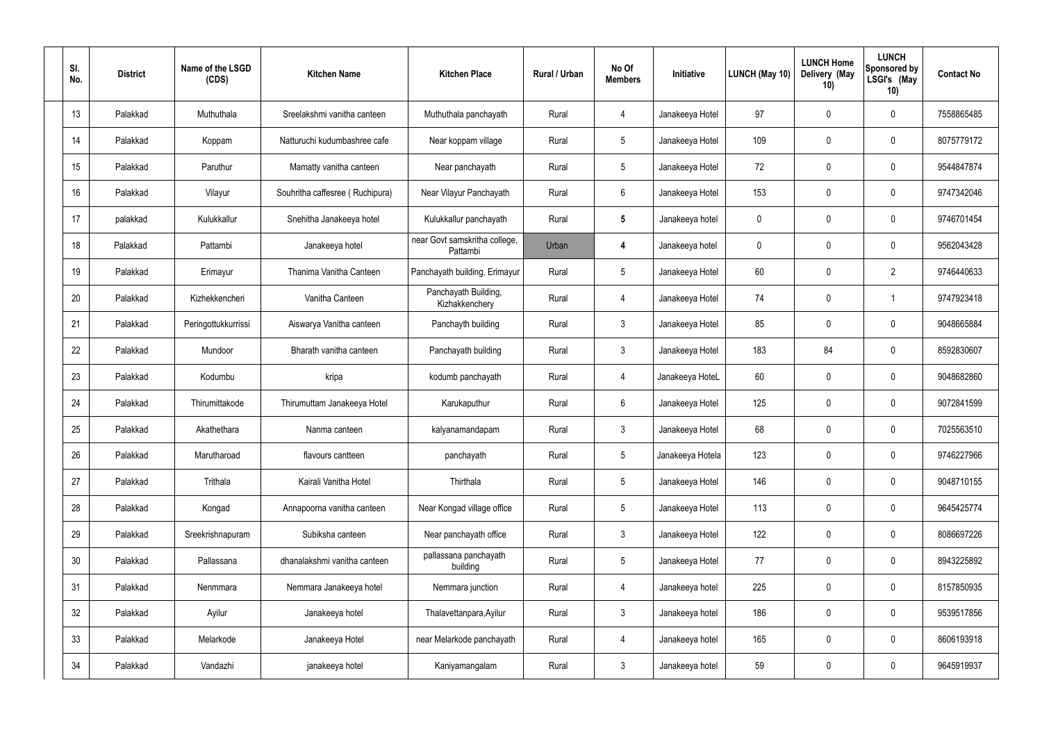| SI.<br>No. | <b>District</b> | Name of the LSGD<br>(CDS) | <b>Kitchen Name</b>             | <b>Kitchen Place</b>                      | Rural / Urban | No Of<br><b>Members</b> | Initiative       | LUNCH (May 10) | <b>LUNCH Home</b><br>Delivery (May<br>10) | <b>LUNCH</b><br>Sponsored by<br>LSGI's (May<br>10) | <b>Contact No</b> |
|------------|-----------------|---------------------------|---------------------------------|-------------------------------------------|---------------|-------------------------|------------------|----------------|-------------------------------------------|----------------------------------------------------|-------------------|
| 13         | Palakkad        | Muthuthala                | Sreelakshmi vanitha canteen     | Muthuthala panchayath                     | Rural         | 4                       | Janakeeya Hotel  | 97             | 0                                         | 0                                                  | 7558865485        |
| 14         | Palakkad        | Koppam                    | Natturuchi kudumbashree cafe    | Near koppam village                       | Rural         | $5\phantom{.0}$         | Janakeeya Hotel  | 109            | 0                                         | $\boldsymbol{0}$                                   | 8075779172        |
| 15         | Palakkad        | Paruthur                  | Mamatty vanitha canteen         | Near panchayath                           | Rural         | $5\overline{)}$         | Janakeeya Hotel  | 72             | 0                                         | $\mathbf 0$                                        | 9544847874        |
| 16         | Palakkad        | Vilayur                   | Souhritha caffesree (Ruchipura) | Near Vilayur Panchayath                   | Rural         | 6                       | Janakeeya Hotel  | 153            | $\mathbf{0}$                              | $\boldsymbol{0}$                                   | 9747342046        |
| 17         | palakkad        | Kulukkallur               | Snehitha Janakeeya hotel        | Kulukkallur panchayath                    | Rural         | $5\phantom{.0}$         | Janakeeya hotel  | $\mathbf 0$    | 0                                         | $\mathbf 0$                                        | 9746701454        |
| 18         | Palakkad        | Pattambi                  | Janakeeya hotel                 | near Govt samskritha college,<br>Pattambi | Urban         | 4                       | Janakeeya hotel  | $\mathbf 0$    | $\mathbf{0}$                              | $\boldsymbol{0}$                                   | 9562043428        |
| 19         | Palakkad        | Erimayur                  | Thanima Vanitha Canteen         | Panchayath building, Erimayur             | Rural         | $5\phantom{.0}$         | Janakeeya Hotel  | 60             | 0                                         | $\overline{2}$                                     | 9746440633        |
| 20         | Palakkad        | Kizhekkencheri            | Vanitha Canteen                 | Panchayath Building,<br>Kizhakkenchery    | Rural         | 4                       | Janakeeya Hotel  | 74             | 0                                         | -1                                                 | 9747923418        |
| 21         | Palakkad        | Peringottukkurrissi       | Aiswarya Vanitha canteen        | Panchayth building                        | Rural         | $\mathbf{3}$            | Janakeeya Hotel  | 85             | 0                                         | $\mathbf 0$                                        | 9048665884        |
| 22         | Palakkad        | Mundoor                   | Bharath vanitha canteen         | Panchayath building                       | Rural         | 3                       | Janakeeya Hotel  | 183            | 84                                        | $\boldsymbol{0}$                                   | 8592830607        |
| 23         | Palakkad        | Kodumbu                   | kripa                           | kodumb panchayath                         | Rural         | 4                       | Janakeeya HoteL  | 60             | $\mathbf 0$                               | $\boldsymbol{0}$                                   | 9048682860        |
| 24         | Palakkad        | Thirumittakode            | Thirumuttam Janakeeya Hotel     | Karukaputhur                              | Rural         | 6                       | Janakeeya Hotel  | 125            | 0                                         | $\boldsymbol{0}$                                   | 9072841599        |
| 25         | Palakkad        | Akathethara               | Nanma canteen                   | kalyanamandapam                           | Rural         | 3                       | Janakeeya Hotel  | 68             | $\mathbf 0$                               | 0                                                  | 7025563510        |
| 26         | Palakkad        | Marutharoad               | flavours cantteen               | panchayath                                | Rural         | $5\phantom{.0}$         | Janakeeya Hotela | 123            | $\mathbf 0$                               | $\mathbf 0$                                        | 9746227966        |
| 27         | Palakkad        | Trithala                  | Kairali Vanitha Hotel           | Thirthala                                 | Rural         | $5\overline{)}$         | Janakeeya Hotel  | 146            | $\mathbf 0$                               | $\mathbf 0$                                        | 9048710155        |
| 28         | Palakkad        | Kongad                    | Annapoorna vanitha canteen      | Near Kongad village office                | Rural         | $5\phantom{.0}$         | Janakeeya Hotel  | 113            | 0                                         | $\mathbf 0$                                        | 9645425774        |
| 29         | Palakkad        | Sreekrishnapuram          | Subiksha canteen                | Near panchayath office                    | Rural         | $3\phantom{a}$          | Janakeeya Hotel  | 122            | 0                                         | $\mathbf 0$                                        | 8086697226        |
| 30         | Palakkad        | Pallassana                | dhanalakshmi vanitha canteen    | pallassana panchayath<br>building         | Rural         | $5\phantom{.0}$         | Janakeeya Hotel  | 77             | 0                                         | $\mathbf 0$                                        | 8943225892        |
| 31         | Palakkad        | Nenmmara                  | Nemmara Janakeeya hotel         | Nemmara junction                          | Rural         | 4                       | Janakeeya hotel  | 225            | 0                                         | $\mathbf 0$                                        | 8157850935        |
| 32         | Palakkad        | Ayilur                    | Janakeeya hotel                 | Thalavettanpara, Ayilur                   | Rural         | $\mathfrak{Z}$          | Janakeeya hotel  | 186            | 0                                         | $\mathbf 0$                                        | 9539517856        |
| 33         | Palakkad        | Melarkode                 | Janakeeya Hotel                 | near Melarkode panchayath                 | Rural         | $\overline{4}$          | Janakeeya hotel  | 165            | 0                                         | $\mathbf 0$                                        | 8606193918        |
| 34         | Palakkad        | Vandazhi                  | janakeeya hotel                 | Kaniyamangalam                            | Rural         | $\mathfrak{Z}$          | Janakeeya hotel  | 59             | $\pmb{0}$                                 | $\pmb{0}$                                          | 9645919937        |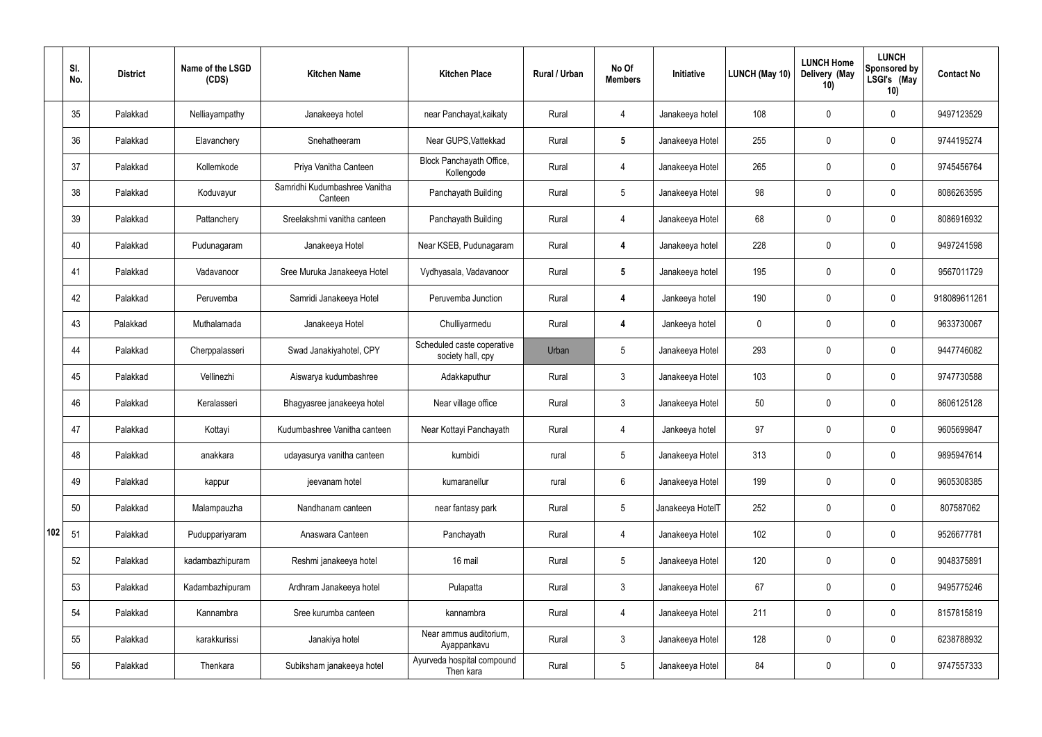|     | SI.<br>No. | <b>District</b> | Name of the LSGD<br>(CDS) | <b>Kitchen Name</b>                      | <b>Kitchen Place</b>                            | Rural / Urban | No Of<br><b>Members</b> | Initiative       | LUNCH (May 10) | <b>LUNCH Home</b><br>Delivery (May<br>10) | <b>LUNCH</b><br>Sponsored by<br>LSGI's (May<br>10) | <b>Contact No</b> |
|-----|------------|-----------------|---------------------------|------------------------------------------|-------------------------------------------------|---------------|-------------------------|------------------|----------------|-------------------------------------------|----------------------------------------------------|-------------------|
|     | 35         | Palakkad        | Nelliayampathy            | Janakeeya hotel                          | near Panchayat, kaikaty                         | Rural         | 4                       | Janakeeya hotel  | 108            | 0                                         | $\mathbf 0$                                        | 9497123529        |
|     | 36         | Palakkad        | Elavanchery               | Snehatheeram                             | Near GUPS, Vattekkad                            | Rural         | $5\phantom{.0}$         | Janakeeya Hotel  | 255            | 0                                         | $\mathbf 0$                                        | 9744195274        |
|     | 37         | Palakkad        | Kollemkode                | Priya Vanitha Canteen                    | Block Panchayath Office,<br>Kollengode          | Rural         | $\overline{4}$          | Janakeeya Hotel  | 265            | 0                                         | $\mathbf 0$                                        | 9745456764        |
|     | 38         | Palakkad        | Koduvayur                 | Samridhi Kudumbashree Vanitha<br>Canteen | Panchayath Building                             | Rural         | $5\overline{)}$         | Janakeeya Hotel  | 98             | 0                                         | $\mathbf 0$                                        | 8086263595        |
|     | 39         | Palakkad        | Pattanchery               | Sreelakshmi vanitha canteen              | Panchayath Building                             | Rural         | 4                       | Janakeeya Hotel  | 68             | 0                                         | $\mathbf 0$                                        | 8086916932        |
|     | 40         | Palakkad        | Pudunagaram               | Janakeeya Hotel                          | Near KSEB, Pudunagaram                          | Rural         | $\overline{4}$          | Janakeeya hotel  | 228            | 0                                         | $\mathbf 0$                                        | 9497241598        |
|     | 41         | Palakkad        | Vadavanoor                | Sree Muruka Janakeeya Hotel              | Vydhyasala, Vadavanoor                          | Rural         | $5\phantom{.0}$         | Janakeeya hotel  | 195            | 0                                         | $\mathbf 0$                                        | 9567011729        |
|     | 42         | Palakkad        | Peruvemba                 | Samridi Janakeeya Hotel                  | Peruvemba Junction                              | Rural         | 4                       | Jankeeya hotel   | 190            | 0                                         | $\mathbf 0$                                        | 918089611261      |
|     | 43         | Palakkad        | Muthalamada               | Janakeeya Hotel                          | Chulliyarmedu                                   | Rural         | $\overline{4}$          | Jankeeya hotel   | 0              | 0                                         | $\mathbf 0$                                        | 9633730067        |
|     | 44         | Palakkad        | Cherppalasseri            | Swad Janakiyahotel, CPY                  | Scheduled caste coperative<br>society hall, cpy | Urban         | 5                       | Janakeeya Hotel  | 293            | 0                                         | $\mathbf 0$                                        | 9447746082        |
|     | 45         | Palakkad        | Vellinezhi                | Aiswarya kudumbashree                    | Adakkaputhur                                    | Rural         | $\mathbf{3}$            | Janakeeya Hotel  | 103            | 0                                         | $\mathbf 0$                                        | 9747730588        |
|     | 46         | Palakkad        | Keralasseri               | Bhagyasree janakeeya hotel               | Near village office                             | Rural         | $\mathbf{3}$            | Janakeeya Hotel  | 50             | 0                                         | $\mathbf 0$                                        | 8606125128        |
|     | 47         | Palakkad        | Kottayi                   | Kudumbashree Vanitha canteen             | Near Kottayi Panchayath                         | Rural         | 4                       | Jankeeya hotel   | 97             | 0                                         | 0                                                  | 9605699847        |
|     | 48         | Palakkad        | anakkara                  | udayasurya vanitha canteen               | kumbidi                                         | rural         | $5\phantom{.0}$         | Janakeeya Hotel  | 313            | $\mathbf 0$                               | $\mathbf 0$                                        | 9895947614        |
|     | 49         | Palakkad        | kappur                    | jeevanam hotel                           | kumaranellur                                    | rural         | $6\overline{6}$         | Janakeeya Hotel  | 199            | 0                                         | $\mathbf 0$                                        | 9605308385        |
|     | 50         | Palakkad        | Malampauzha               | Nandhanam canteen                        | near fantasy park                               | Rural         | $5\phantom{.0}$         | Janakeeya HotelT | 252            | $\mathbf 0$                               | $\mathbf 0$                                        | 807587062         |
| 102 | 51         | Palakkad        | Puduppariyaram            | Anaswara Canteen                         | Panchayath                                      | Rural         | 4                       | Janakeeya Hotel  | 102            | $\mathbf 0$                               | $\mathbf 0$                                        | 9526677781        |
|     | 52         | Palakkad        | kadambazhipuram           | Reshmi janakeeya hotel                   | 16 mail                                         | Rural         | $5\phantom{.0}$         | Janakeeya Hotel  | 120            | 0                                         | $\pmb{0}$                                          | 9048375891        |
|     | 53         | Palakkad        | Kadambazhipuram           | Ardhram Janakeeya hotel                  | Pulapatta                                       | Rural         | $\mathbf{3}$            | Janakeeya Hotel  | 67             | 0                                         | $\mathbf 0$                                        | 9495775246        |
|     | 54         | Palakkad        | Kannambra                 | Sree kurumba canteen                     | kannambra                                       | Rural         | $\overline{4}$          | Janakeeya Hotel  | 211            | 0                                         | $\mathbf 0$                                        | 8157815819        |
|     | 55         | Palakkad        | karakkurissi              | Janakiya hotel                           | Near ammus auditorium,<br>Ayappankavu           | Rural         | $\mathbf{3}$            | Janakeeya Hotel  | 128            | 0                                         | $\mathbf 0$                                        | 6238788932        |
|     | 56         | Palakkad        | Thenkara                  | Subiksham janakeeya hotel                | Ayurveda hospital compound<br>Then kara         | Rural         | 5 <sub>5</sub>          | Janakeeya Hotel  | 84             | 0                                         | $\boldsymbol{0}$                                   | 9747557333        |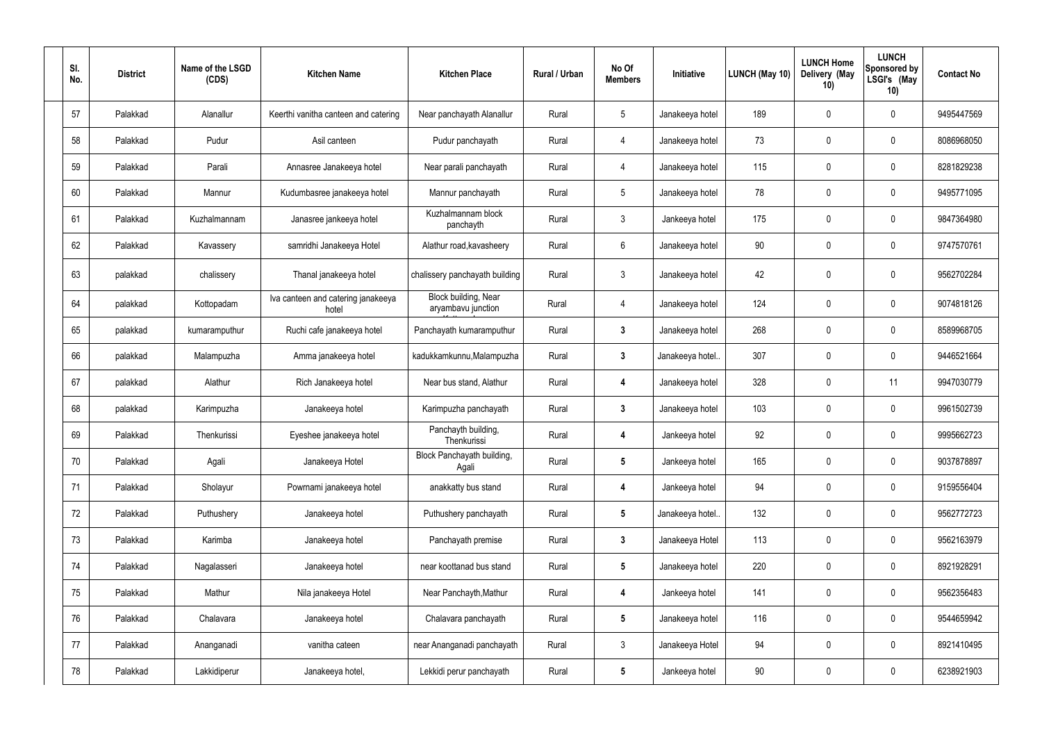| SI.<br>No. | <b>District</b> | Name of the LSGD<br>(CDS) | <b>Kitchen Name</b>                         | <b>Kitchen Place</b>                       | Rural / Urban | No Of<br><b>Members</b> | Initiative       | LUNCH (May 10) | <b>LUNCH Home</b><br>Delivery (May<br>10) | <b>LUNCH</b><br><b>Sponsored by</b><br>LSGI's (May<br>10) | <b>Contact No</b> |
|------------|-----------------|---------------------------|---------------------------------------------|--------------------------------------------|---------------|-------------------------|------------------|----------------|-------------------------------------------|-----------------------------------------------------------|-------------------|
| 57         | Palakkad        | Alanallur                 | Keerthi vanitha canteen and catering        | Near panchayath Alanallur                  | Rural         | $5\,$                   | Janakeeya hotel  | 189            | 0                                         | $\mathbf 0$                                               | 9495447569        |
| 58         | Palakkad        | Pudur                     | Asil canteen                                | Pudur panchayath                           | Rural         | $\overline{4}$          | Janakeeya hotel  | 73             | 0                                         | $\pmb{0}$                                                 | 8086968050        |
| 59         | Palakkad        | Parali                    | Annasree Janakeeya hotel                    | Near parali panchayath                     | Rural         | $\overline{4}$          | Janakeeya hotel  | 115            | 0                                         | $\pmb{0}$                                                 | 8281829238        |
| 60         | Palakkad        | Mannur                    | Kudumbasree janakeeya hotel                 | Mannur panchayath                          | Rural         | $5\phantom{.0}$         | Janakeeya hotel  | 78             | 0                                         | $\pmb{0}$                                                 | 9495771095        |
| 61         | Palakkad        | Kuzhalmannam              | Janasree jankeeya hotel                     | Kuzhalmannam block<br>panchayth            | Rural         | $\mathbf{3}$            | Jankeeya hotel   | 175            | 0                                         | $\pmb{0}$                                                 | 9847364980        |
| 62         | Palakkad        | Kavassery                 | samridhi Janakeeya Hotel                    | Alathur road, kavasheery                   | Rural         | $6\,$                   | Janakeeya hotel  | 90             | 0                                         | $\pmb{0}$                                                 | 9747570761        |
| 63         | palakkad        | chalissery                | Thanal janakeeya hotel                      | chalissery panchayath building             | Rural         | $\mathbf{3}$            | Janakeeya hotel  | 42             | 0                                         | $\pmb{0}$                                                 | 9562702284        |
| 64         | palakkad        | Kottopadam                | Iva canteen and catering janakeeya<br>hotel | Block building, Near<br>aryambavu junction | Rural         | 4                       | Janakeeya hotel  | 124            | 0                                         | $\boldsymbol{0}$                                          | 9074818126        |
| 65         | palakkad        | kumaramputhur             | Ruchi cafe janakeeya hotel                  | Panchayath kumaramputhur                   | Rural         | $\mathbf{3}$            | Janakeeya hotel  | 268            | 0                                         | $\pmb{0}$                                                 | 8589968705        |
| 66         | palakkad        | Malampuzha                | Amma janakeeya hotel                        | kadukkamkunnu, Malampuzha                  | Rural         | $3\phantom{a}$          | Janakeeya hotel. | 307            | 0                                         | $\pmb{0}$                                                 | 9446521664        |
| 67         | palakkad        | Alathur                   | Rich Janakeeya hotel                        | Near bus stand, Alathur                    | Rural         | 4                       | Janakeeya hotel  | 328            | 0                                         | 11                                                        | 9947030779        |
| 68         | palakkad        | Karimpuzha                | Janakeeya hotel                             | Karimpuzha panchayath                      | Rural         | $\mathbf{3}$            | Janakeeya hotel  | 103            | 0                                         | $\pmb{0}$                                                 | 9961502739        |
| 69         | Palakkad        | Thenkurissi               | Eyeshee janakeeya hotel                     | Panchayth building,<br>Thenkurissi         | Rural         | 4                       | Jankeeya hotel   | 92             | 0                                         | $\Omega$                                                  | 9995662723        |
| 70         | Palakkad        | Agali                     | Janakeeya Hotel                             | Block Panchayath building,<br>Agali        | Rural         | $5\phantom{.0}$         | Jankeeya hotel   | 165            | 0                                         | $\pmb{0}$                                                 | 9037878897        |
| 71         | Palakkad        | Sholayur                  | Powrnami janakeeya hotel                    | anakkatty bus stand                        | Rural         | $\overline{\mathbf{4}}$ | Jankeeya hotel   | 94             | 0                                         | $\pmb{0}$                                                 | 9159556404        |
| 72         | Palakkad        | Puthushery                | Janakeeya hotel                             | Puthushery panchayath                      | Rural         | $5\phantom{.0}$         | Janakeeya hotel  | 132            | 0                                         | $\pmb{0}$                                                 | 9562772723        |
| 73         | Palakkad        | Karimba                   | Janakeeya hotel                             | Panchayath premise                         | Rural         | $3\phantom{a}$          | Janakeeya Hotel  | 113            | 0                                         | $\pmb{0}$                                                 | 9562163979        |
| 74         | Palakkad        | Nagalasseri               | Janakeeya hotel                             | near koottanad bus stand                   | Rural         | $5\phantom{.0}$         | Janakeeya hotel  | 220            | 0                                         | $\boldsymbol{0}$                                          | 8921928291        |
| 75         | Palakkad        | Mathur                    | Nila janakeeya Hotel                        | Near Panchayth, Mathur                     | Rural         | $\overline{\mathbf{4}}$ | Jankeeya hotel   | 141            | 0                                         | $\pmb{0}$                                                 | 9562356483        |
| 76         | Palakkad        | Chalavara                 | Janakeeya hotel                             | Chalavara panchayath                       | Rural         | $5\phantom{.0}$         | Janakeeya hotel  | 116            | 0                                         | $\pmb{0}$                                                 | 9544659942        |
| 77         | Palakkad        | Ananganadi                | vanitha cateen                              | near Ananganadi panchayath                 | Rural         | $\mathbf{3}$            | Janakeeya Hotel  | 94             | 0                                         | $\pmb{0}$                                                 | 8921410495        |
| 78         | Palakkad        | Lakkidiperur              | Janakeeya hotel,                            | Lekkidi perur panchayath                   | Rural         | $5\phantom{.0}$         | Jankeeya hotel   | 90             | 0                                         | $\boldsymbol{0}$                                          | 6238921903        |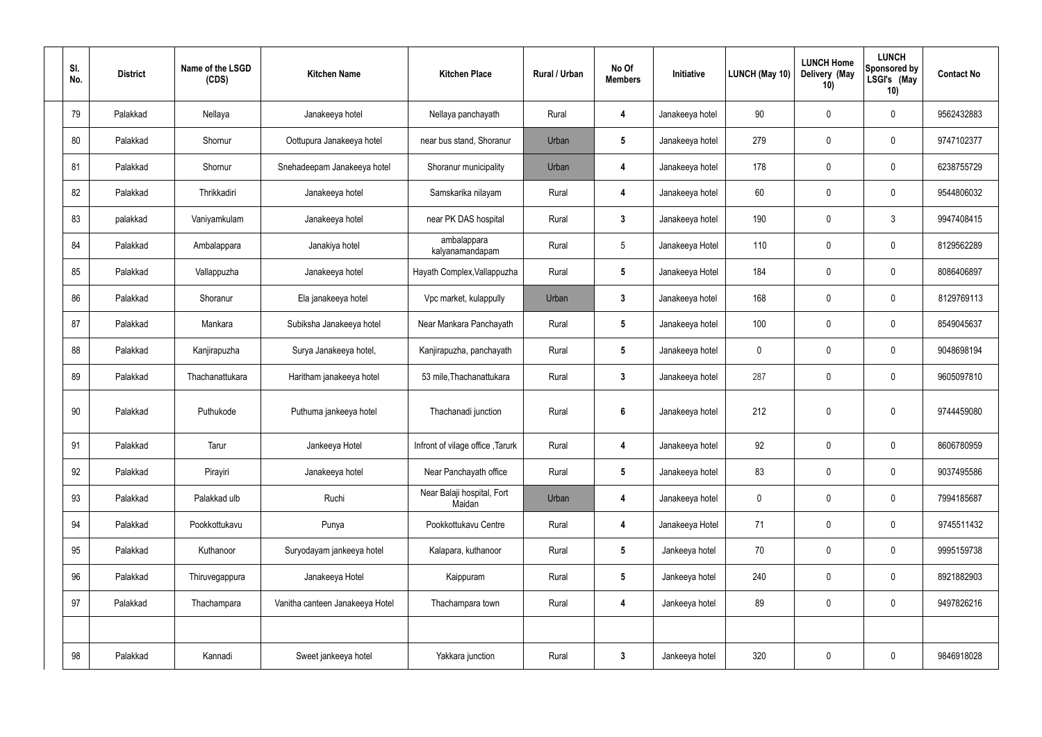| SI.<br>No. | <b>District</b> | Name of the LSGD<br>(CDS) | <b>Kitchen Name</b>             | <b>Kitchen Place</b>                 | Rural / Urban | No Of<br><b>Members</b> | Initiative      | LUNCH (May 10) | <b>LUNCH Home</b><br>Delivery (May<br>10) | <b>LUNCH</b><br>Sponsored by<br>LSGI's (May<br>10) | <b>Contact No</b> |
|------------|-----------------|---------------------------|---------------------------------|--------------------------------------|---------------|-------------------------|-----------------|----------------|-------------------------------------------|----------------------------------------------------|-------------------|
| 79         | Palakkad        | Nellaya                   | Janakeeya hotel                 | Nellaya panchayath                   | Rural         | 4                       | Janakeeya hotel | 90             | $\mathbf 0$                               | 0                                                  | 9562432883        |
| 80         | Palakkad        | Shornur                   | Oottupura Janakeeya hotel       | near bus stand, Shoranur             | Urban         | 5                       | Janakeeya hotel | 279            | $\mathbf 0$                               | 0                                                  | 9747102377        |
| 81         | Palakkad        | Shornur                   | Snehadeepam Janakeeya hotel     | Shoranur municipality                | Urban         | 4                       | Janakeeya hotel | 178            | $\mathbf 0$                               | 0                                                  | 6238755729        |
| 82         | Palakkad        | Thrikkadiri               | Janakeeya hotel                 | Samskarika nilayam                   | Rural         | 4                       | Janakeeya hotel | 60             | $\mathbf 0$                               | 0                                                  | 9544806032        |
| 83         | palakkad        | Vaniyamkulam              | Janakeeya hotel                 | near PK DAS hospital                 | Rural         | $\mathbf{3}$            | Janakeeya hotel | 190            | $\mathbf 0$                               | $\mathfrak{Z}$                                     | 9947408415        |
| 84         | Palakkad        | Ambalappara               | Janakiya hotel                  | ambalappara<br>kalyanamandapam       | Rural         | $5\phantom{.0}$         | Janakeeya Hotel | 110            | $\mathbf 0$                               | 0                                                  | 8129562289        |
| 85         | Palakkad        | Vallappuzha               | Janakeeya hotel                 | Hayath Complex, Vallappuzha          | Rural         | $\sqrt{5}$              | Janakeeya Hotel | 184            | 0                                         | 0                                                  | 8086406897        |
| 86         | Palakkad        | Shoranur                  | Ela janakeeya hotel             | Vpc market, kulappully               | Urban         | $\mathbf{3}$            | Janakeeya hotel | 168            | 0                                         | 0                                                  | 8129769113        |
| 87         | Palakkad        | Mankara                   | Subiksha Janakeeya hotel        | Near Mankara Panchayath              | Rural         | $\sqrt{5}$              | Janakeeya hotel | 100            | 0                                         | 0                                                  | 8549045637        |
| 88         | Palakkad        | Kanjirapuzha              | Surya Janakeeya hotel,          | Kanjirapuzha, panchayath             | Rural         | $\sqrt{5}$              | Janakeeya hotel | $\mathbf 0$    | $\mathbf 0$                               | 0                                                  | 9048698194        |
| 89         | Palakkad        | Thachanattukara           | Haritham janakeeya hotel        | 53 mile, Thachanattukara             | Rural         | $\boldsymbol{3}$        | Janakeeya hotel | 287            | $\boldsymbol{0}$                          | 0                                                  | 9605097810        |
| 90         | Palakkad        | Puthukode                 | Puthuma jankeeya hotel          | Thachanadi junction                  | Rural         | $6\phantom{1}6$         | Janakeeya hotel | 212            | $\boldsymbol{0}$                          | 0                                                  | 9744459080        |
| 91         | Palakkad        | Tarur                     | Jankeeya Hotel                  | Infront of vilage office, Tarurk     | Rural         | 4                       | Janakeeya hotel | 92             | $\pmb{0}$                                 | 0                                                  | 8606780959        |
| 92         | Palakkad        | Pirayiri                  | Janakeeya hotel                 | Near Panchayath office               | Rural         | $5\phantom{.0}$         | Janakeeya hotel | 83             | $\boldsymbol{0}$                          | 0                                                  | 9037495586        |
| 93         | Palakkad        | Palakkad ulb              | Ruchi                           | Near Balaji hospital, Fort<br>Maidan | Urban         | 4                       | Janakeeya hotel | $\mathbf 0$    | $\boldsymbol{0}$                          | 0                                                  | 7994185687        |
| 94         | Palakkad        | Pookkottukavu             | Punya                           | Pookkottukavu Centre                 | Rural         | 4                       | Janakeeya Hotel | 71             | $\boldsymbol{0}$                          | 0                                                  | 9745511432        |
| 95         | Palakkad        | Kuthanoor                 | Suryodayam jankeeya hotel       | Kalapara, kuthanoor                  | Rural         | $5\phantom{.0}$         | Jankeeya hotel  | 70             | $\boldsymbol{0}$                          | 0                                                  | 9995159738        |
| 96         | Palakkad        | Thiruvegappura            | Janakeeya Hotel                 | Kaippuram                            | Rural         | $5\phantom{.0}$         | Jankeeya hotel  | 240            | $\boldsymbol{0}$                          | 0                                                  | 8921882903        |
| 97         | Palakkad        | Thachampara               | Vanitha canteen Janakeeya Hotel | Thachampara town                     | Rural         | 4                       | Jankeeya hotel  | 89             | $\boldsymbol{0}$                          | 0                                                  | 9497826216        |
|            |                 |                           |                                 |                                      |               |                         |                 |                |                                           |                                                    |                   |
| 98         | Palakkad        | Kannadi                   | Sweet jankeeya hotel            | Yakkara junction                     | Rural         | $\boldsymbol{3}$        | Jankeeya hotel  | 320            | $\boldsymbol{0}$                          | 0                                                  | 9846918028        |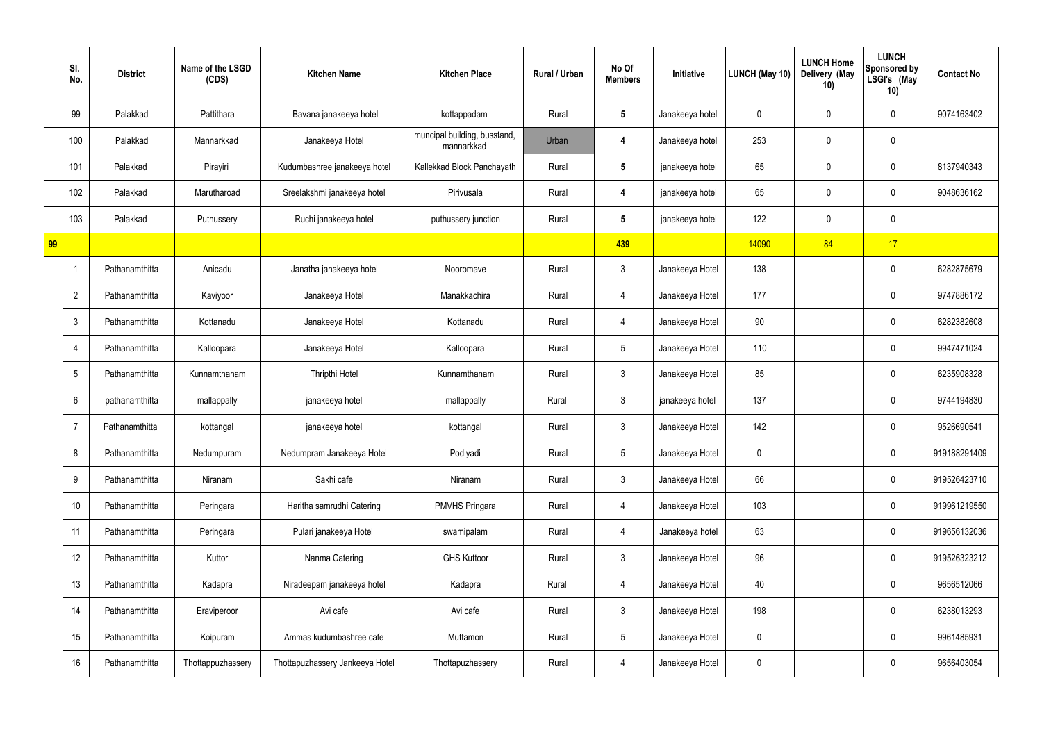|    | SI.<br>No.       | <b>District</b> | Name of the LSGD<br>(CDS) | <b>Kitchen Name</b>             | <b>Kitchen Place</b>                       | <b>Rural / Urban</b> | No Of<br><b>Members</b> | Initiative      | LUNCH (May 10) | <b>LUNCH Home</b><br>Delivery (May<br>10) | <b>LUNCH</b><br>Sponsored by<br>LSGI's (May<br>10) | <b>Contact No</b> |
|----|------------------|-----------------|---------------------------|---------------------------------|--------------------------------------------|----------------------|-------------------------|-----------------|----------------|-------------------------------------------|----------------------------------------------------|-------------------|
|    | 99               | Palakkad        | Pattithara                | Bavana janakeeya hotel          | kottappadam                                | Rural                | 5                       | Janakeeya hotel | 0              | 0                                         | 0                                                  | 9074163402        |
|    | 100              | Palakkad        | Mannarkkad                | Janakeeya Hotel                 | muncipal building, busstand,<br>mannarkkad | Urban                | 4                       | Janakeeya hotel | 253            | $\mathbf 0$                               | 0                                                  |                   |
|    | 101              | Palakkad        | Pirayiri                  | Kudumbashree janakeeya hotel    | Kallekkad Block Panchayath                 | Rural                | $5\phantom{.0}$         | janakeeya hotel | 65             | 0                                         | 0                                                  | 8137940343        |
|    | 102              | Palakkad        | Marutharoad               | Sreelakshmi janakeeya hotel     | Pirivusala                                 | Rural                | 4                       | janakeeya hotel | 65             | $\mathbf 0$                               | 0                                                  | 9048636162        |
|    | 103              | Palakkad        | Puthussery                | Ruchi janakeeya hotel           | puthussery junction                        | Rural                | $5\phantom{.0}$         | janakeeya hotel | 122            | $\mathbf 0$                               | 0                                                  |                   |
| 99 |                  |                 |                           |                                 |                                            |                      | 439                     |                 | 14090          | 84                                        | 17                                                 |                   |
|    | $\overline{1}$   | Pathanamthitta  | Anicadu                   | Janatha janakeeya hotel         | Nooromave                                  | Rural                | $\mathbf{3}$            | Janakeeya Hotel | 138            |                                           | 0                                                  | 6282875679        |
|    | $\overline{2}$   | Pathanamthitta  | Kaviyoor                  | Janakeeya Hotel                 | Manakkachira                               | Rural                | 4                       | Janakeeya Hotel | 177            |                                           | 0                                                  | 9747886172        |
|    | $\mathfrak{Z}$   | Pathanamthitta  | Kottanadu                 | Janakeeya Hotel                 | Kottanadu                                  | Rural                | 4                       | Janakeeya Hotel | 90             |                                           | 0                                                  | 6282382608        |
|    | $\overline{4}$   | Pathanamthitta  | Kalloopara                | Janakeeya Hotel                 | Kalloopara                                 | Rural                | 5                       | Janakeeya Hotel | 110            |                                           | 0                                                  | 9947471024        |
|    | $5\phantom{.0}$  | Pathanamthitta  | Kunnamthanam              | <b>Thripthi Hotel</b>           | Kunnamthanam                               | Rural                | $\mathbf{3}$            | Janakeeya Hotel | 85             |                                           | 0                                                  | 6235908328        |
|    | $6\phantom{1}$   | pathanamthitta  | mallappally               | janakeeya hotel                 | mallappally                                | Rural                | 3                       | janakeeya hotel | 137            |                                           | 0                                                  | 9744194830        |
|    | $\overline{7}$   | Pathanamthitta  | kottangal                 | janakeeya hotel                 | kottangal                                  | Rural                | 3                       | Janakeeya Hotel | 142            |                                           | 0                                                  | 9526690541        |
|    | 8                | Pathanamthitta  | Nedumpuram                | Nedumpram Janakeeya Hotel       | Podiyadi                                   | Rural                | $5\phantom{.0}$         | Janakeeya Hotel | 0              |                                           | 0                                                  | 919188291409      |
|    | $\boldsymbol{9}$ | Pathanamthitta  | Niranam                   | Sakhi cafe                      | Niranam                                    | Rural                | $\mathbf{3}$            | Janakeeya Hotel | 66             |                                           | 0                                                  | 919526423710      |
|    | 10               | Pathanamthitta  | Peringara                 | Haritha samrudhi Catering       | <b>PMVHS Pringara</b>                      | Rural                | 4                       | Janakeeya Hotel | 103            |                                           | 0                                                  | 919961219550      |
|    | 11               | Pathanamthitta  | Peringara                 | Pulari janakeeya Hotel          | swamipalam                                 | Rural                | 4                       | Janakeeya hotel | 63             |                                           | 0                                                  | 919656132036      |
|    | 12               | Pathanamthitta  | Kuttor                    | Nanma Catering                  | <b>GHS Kuttoor</b>                         | Rural                | $\mathbf{3}$            | Janakeeya Hotel | 96             |                                           | 0                                                  | 919526323212      |
|    | 13               | Pathanamthitta  | Kadapra                   | Niradeepam janakeeya hotel      | Kadapra                                    | Rural                | 4                       | Janakeeya Hotel | 40             |                                           | 0                                                  | 9656512066        |
|    | 14               | Pathanamthitta  | Eraviperoor               | Avi cafe                        | Avi cafe                                   | Rural                | $\mathbf{3}$            | Janakeeya Hotel | 198            |                                           | 0                                                  | 6238013293        |
|    | 15               | Pathanamthitta  | Koipuram                  | Ammas kudumbashree cafe         | Muttamon                                   | Rural                | $\overline{5}$          | Janakeeya Hotel | 0              |                                           | 0                                                  | 9961485931        |
|    | 16               | Pathanamthitta  | Thottappuzhassery         | Thottapuzhassery Jankeeya Hotel | Thottapuzhassery                           | Rural                | 4                       | Janakeeya Hotel | 0              |                                           | 0                                                  | 9656403054        |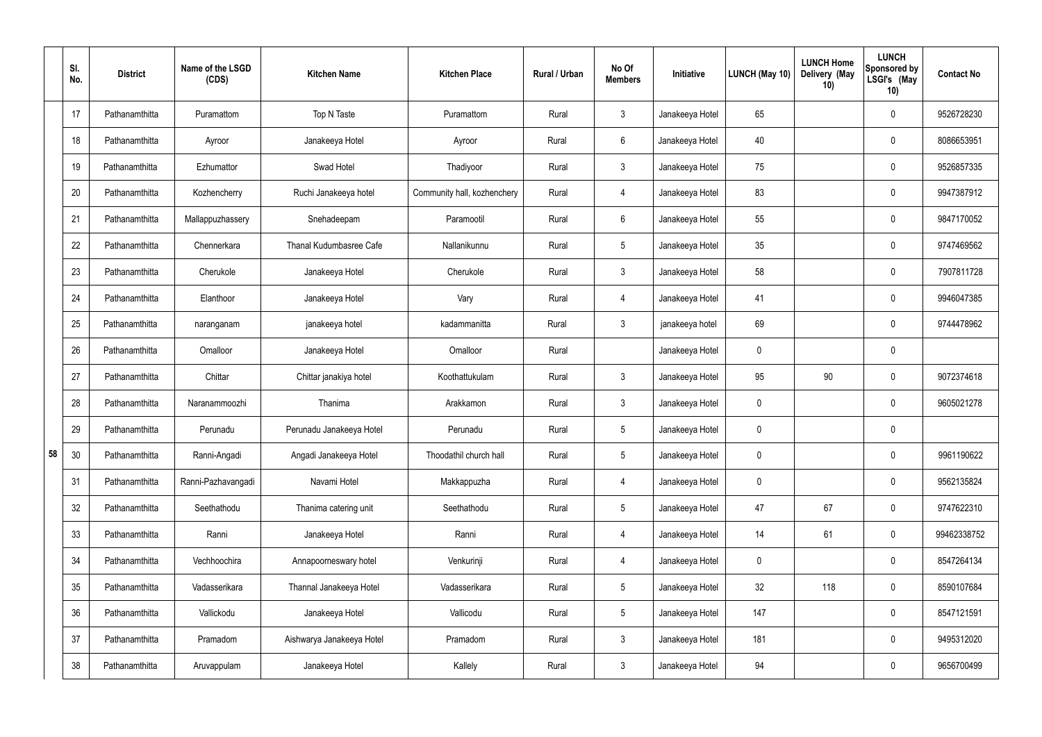|    | SI.<br>No. | <b>District</b> | Name of the LSGD<br>(CDS) | <b>Kitchen Name</b>       | <b>Kitchen Place</b>        | Rural / Urban | No Of<br><b>Members</b> | Initiative      | LUNCH (May 10) | <b>LUNCH Home</b><br>Delivery (May<br>10) | <b>LUNCH</b><br><b>Sponsored by</b><br>LSGI's (May<br>10) | <b>Contact No</b> |
|----|------------|-----------------|---------------------------|---------------------------|-----------------------------|---------------|-------------------------|-----------------|----------------|-------------------------------------------|-----------------------------------------------------------|-------------------|
|    | 17         | Pathanamthitta  | Puramattom                | Top N Taste               | Puramattom                  | Rural         | $\mathbf{3}$            | Janakeeya Hotel | 65             |                                           | $\mathbf 0$                                               | 9526728230        |
|    | 18         | Pathanamthitta  | Ayroor                    | Janakeeya Hotel           | Ayroor                      | Rural         | $6\overline{6}$         | Janakeeya Hotel | 40             |                                           | $\boldsymbol{0}$                                          | 8086653951        |
|    | 19         | Pathanamthitta  | Ezhumattor                | Swad Hotel                | Thadiyoor                   | Rural         | $\mathbf{3}$            | Janakeeya Hotel | 75             |                                           | $\mathbf 0$                                               | 9526857335        |
|    | 20         | Pathanamthitta  | Kozhencherry              | Ruchi Janakeeya hotel     | Community hall, kozhenchery | Rural         | 4                       | Janakeeya Hotel | 83             |                                           | $\mathbf 0$                                               | 9947387912        |
|    | 21         | Pathanamthitta  | Mallappuzhassery          | Snehadeepam               | Paramootil                  | Rural         | $6\overline{6}$         | Janakeeya Hotel | 55             |                                           | $\mathbf 0$                                               | 9847170052        |
|    | 22         | Pathanamthitta  | Chennerkara               | Thanal Kudumbasree Cafe   | Nallanikunnu                | Rural         | $5\overline{)}$         | Janakeeya Hotel | 35             |                                           | $\mathbf 0$                                               | 9747469562        |
|    | 23         | Pathanamthitta  | Cherukole                 | Janakeeya Hotel           | Cherukole                   | Rural         | 3 <sup>1</sup>          | Janakeeya Hotel | 58             |                                           | $\mathbf 0$                                               | 7907811728        |
|    | 24         | Pathanamthitta  | Elanthoor                 | Janakeeya Hotel           | Vary                        | Rural         | 4                       | Janakeeya Hotel | 41             |                                           | $\boldsymbol{0}$                                          | 9946047385        |
|    | 25         | Pathanamthitta  | naranganam                | janakeeya hotel           | kadammanitta                | Rural         | 3 <sup>1</sup>          | janakeeya hotel | 69             |                                           | $\mathbf 0$                                               | 9744478962        |
|    | 26         | Pathanamthitta  | Omalloor                  | Janakeeya Hotel           | Omalloor                    | Rural         |                         | Janakeeya Hotel | 0              |                                           | $\pmb{0}$                                                 |                   |
|    | 27         | Pathanamthitta  | Chittar                   | Chittar janakiya hotel    | Koothattukulam              | Rural         | $\mathbf{3}$            | Janakeeya Hotel | 95             | 90                                        | $\boldsymbol{0}$                                          | 9072374618        |
|    | 28         | Pathanamthitta  | Naranammoozhi             | Thanima                   | Arakkamon                   | Rural         | $\mathbf{3}$            | Janakeeya Hotel | 0              |                                           | $\mathbf 0$                                               | 9605021278        |
|    | 29         | Pathanamthitta  | Perunadu                  | Perunadu Janakeeya Hotel  | Perunadu                    | Rural         | $5\phantom{.0}$         | Janakeeya Hotel | 0              |                                           | $\boldsymbol{0}$                                          |                   |
| 58 | 30         | Pathanamthitta  | Ranni-Angadi              | Angadi Janakeeya Hotel    | Thoodathil church hall      | Rural         | $5\phantom{.0}$         | Janakeeya Hotel | 0              |                                           | $\pmb{0}$                                                 | 9961190622        |
|    | 31         | Pathanamthitta  | Ranni-Pazhavangadi        | Navami Hotel              | Makkappuzha                 | Rural         | 4                       | Janakeeya Hotel | 0              |                                           | $\pmb{0}$                                                 | 9562135824        |
|    | 32         | Pathanamthitta  | Seethathodu               | Thanima catering unit     | Seethathodu                 | Rural         | $5\phantom{.0}$         | Janakeeya Hotel | 47             | 67                                        | $\pmb{0}$                                                 | 9747622310        |
|    | 33         | Pathanamthitta  | Ranni                     | Janakeeya Hotel           | Ranni                       | Rural         | 4                       | Janakeeya Hotel | 14             | 61                                        | $\pmb{0}$                                                 | 99462338752       |
|    | 34         | Pathanamthitta  | Vechhoochira              | Annapoorneswary hotel     | Venkurinji                  | Rural         | $\overline{4}$          | Janakeeya Hotel | 0              |                                           | $\pmb{0}$                                                 | 8547264134        |
|    | 35         | Pathanamthitta  | Vadasserikara             | Thannal Janakeeya Hotel   | Vadasserikara               | Rural         | $5\,$                   | Janakeeya Hotel | 32             | 118                                       | $\pmb{0}$                                                 | 8590107684        |
|    | 36         | Pathanamthitta  | Vallickodu                | Janakeeya Hotel           | Vallicodu                   | Rural         | $5\phantom{.0}$         | Janakeeya Hotel | 147            |                                           | $\pmb{0}$                                                 | 8547121591        |
|    | 37         | Pathanamthitta  | Pramadom                  | Aishwarya Janakeeya Hotel | Pramadom                    | Rural         | $\mathbf{3}$            | Janakeeya Hotel | 181            |                                           | $\pmb{0}$                                                 | 9495312020        |
|    | 38         | Pathanamthitta  | Aruvappulam               | Janakeeya Hotel           | Kallely                     | Rural         | $\mathbf{3}$            | Janakeeya Hotel | 94             |                                           | $\pmb{0}$                                                 | 9656700499        |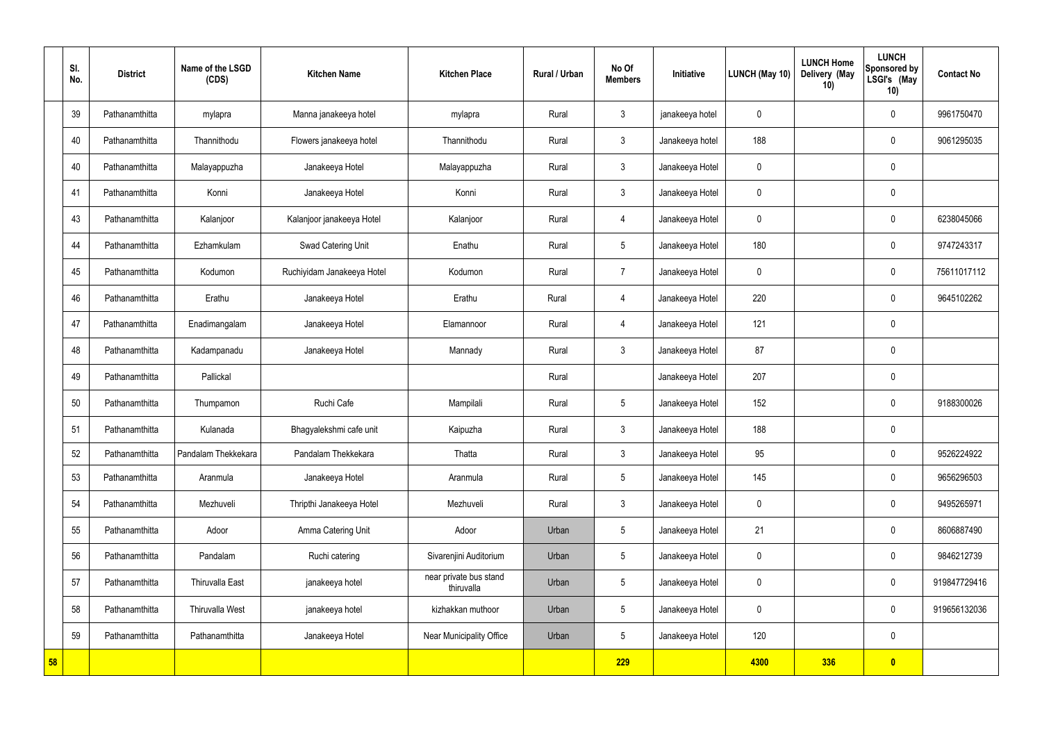|    | SI.<br>No. | <b>District</b> | Name of the LSGD<br>(CDS) | <b>Kitchen Name</b>        | <b>Kitchen Place</b>                 | Rural / Urban | No Of<br><b>Members</b> | Initiative      | <b>LUNCH (May 10)</b> | <b>LUNCH Home</b><br>Delivery (May<br>10) | <b>LUNCH</b><br>Sponsored by<br>LSGI's (May<br>10) | <b>Contact No</b> |
|----|------------|-----------------|---------------------------|----------------------------|--------------------------------------|---------------|-------------------------|-----------------|-----------------------|-------------------------------------------|----------------------------------------------------|-------------------|
|    | 39         | Pathanamthitta  | mylapra                   | Manna janakeeya hotel      | mylapra                              | Rural         | $\mathbf{3}$            | janakeeya hotel | $\mathbf 0$           |                                           | $\mathbf 0$                                        | 9961750470        |
|    | 40         | Pathanamthitta  | Thannithodu               | Flowers janakeeya hotel    | Thannithodu                          | Rural         | $\mathbf{3}$            | Janakeeya hotel | 188                   |                                           | $\mathbf 0$                                        | 9061295035        |
|    | 40         | Pathanamthitta  | Malayappuzha              | Janakeeya Hotel            | Malayappuzha                         | Rural         | $\mathbf{3}$            | Janakeeya Hotel | $\mathbf 0$           |                                           | $\mathbf 0$                                        |                   |
|    | 41         | Pathanamthitta  | Konni                     | Janakeeya Hotel            | Konni                                | Rural         | $\mathbf{3}$            | Janakeeya Hotel | $\mathbf 0$           |                                           | $\mathbf 0$                                        |                   |
|    | 43         | Pathanamthitta  | Kalanjoor                 | Kalanjoor janakeeya Hotel  | Kalanjoor                            | Rural         | $\overline{4}$          | Janakeeya Hotel | $\mathbf 0$           |                                           | $\mathbf 0$                                        | 6238045066        |
|    | 44         | Pathanamthitta  | Ezhamkulam                | Swad Catering Unit         | Enathu                               | Rural         | $5\overline{)}$         | Janakeeya Hotel | 180                   |                                           | $\mathbf 0$                                        | 9747243317        |
|    | 45         | Pathanamthitta  | Kodumon                   | Ruchiyidam Janakeeya Hotel | Kodumon                              | Rural         | $\overline{7}$          | Janakeeya Hotel | $\mathbf 0$           |                                           | $\mathbf 0$                                        | 75611017112       |
|    | 46         | Pathanamthitta  | Erathu                    | Janakeeya Hotel            | Erathu                               | Rural         | 4                       | Janakeeya Hotel | 220                   |                                           | $\mathbf 0$                                        | 9645102262        |
|    | 47         | Pathanamthitta  | Enadimangalam             | Janakeeya Hotel            | Elamannoor                           | Rural         | 4                       | Janakeeya Hotel | 121                   |                                           | $\mathbf 0$                                        |                   |
|    | 48         | Pathanamthitta  | Kadampanadu               | Janakeeya Hotel            | Mannady                              | Rural         | $\mathbf{3}$            | Janakeeya Hotel | 87                    |                                           | $\mathbf 0$                                        |                   |
|    | 49         | Pathanamthitta  | Pallickal                 |                            |                                      | Rural         |                         | Janakeeya Hotel | 207                   |                                           | $\mathbf 0$                                        |                   |
|    | 50         | Pathanamthitta  | Thumpamon                 | Ruchi Cafe                 | Mampilali                            | Rural         | $5\phantom{.0}$         | Janakeeya Hotel | 152                   |                                           | $\mathbf 0$                                        | 9188300026        |
|    | 51         | Pathanamthitta  | Kulanada                  | Bhagyalekshmi cafe unit    | Kaipuzha                             | Rural         | $\mathfrak{Z}$          | Janakeeya Hotel | 188                   |                                           | $\mathbf 0$                                        |                   |
|    | 52         | Pathanamthitta  | Pandalam Thekkekara       | Pandalam Thekkekara        | Thatta                               | Rural         | $\mathbf{3}$            | Janakeeya Hotel | 95                    |                                           | $\mathbf 0$                                        | 9526224922        |
|    | 53         | Pathanamthitta  | Aranmula                  | Janakeeya Hotel            | Aranmula                             | Rural         | $5\phantom{.0}$         | Janakeeya Hotel | 145                   |                                           | $\mathbf 0$                                        | 9656296503        |
|    | 54         | Pathanamthitta  | Mezhuveli                 | Thripthi Janakeeya Hotel   | Mezhuveli                            | Rural         | $\mathbf{3}$            | Janakeeya Hotel | $\pmb{0}$             |                                           | $\mathbf 0$                                        | 9495265971        |
|    | 55         | Pathanamthitta  | Adoor                     | Amma Catering Unit         | Adoor                                | Urban         | $5\phantom{.0}$         | Janakeeya Hotel | 21                    |                                           | $\mathbf 0$                                        | 8606887490        |
|    | 56         | Pathanamthitta  | Pandalam                  | Ruchi catering             | Sivarenjini Auditorium               | Urban         | $5\phantom{.0}$         | Janakeeya Hotel | $\pmb{0}$             |                                           | $\mathbf 0$                                        | 9846212739        |
|    | 57         | Pathanamthitta  | <b>Thiruvalla East</b>    | janakeeya hotel            | near private bus stand<br>thiruvalla | Urban         | $5\phantom{.0}$         | Janakeeya Hotel | $\pmb{0}$             |                                           | $\mathbf 0$                                        | 919847729416      |
|    | 58         | Pathanamthitta  | <b>Thiruvalla West</b>    | janakeeya hotel            | kizhakkan muthoor                    | Urban         | $5\phantom{.0}$         | Janakeeya Hotel | $\mathbf 0$           |                                           | $\mathbf 0$                                        | 919656132036      |
|    | 59         | Pathanamthitta  | Pathanamthitta            | Janakeeya Hotel            | Near Municipality Office             | Urban         | $5\phantom{.0}$         | Janakeeya Hotel | 120                   |                                           | $\mathbf 0$                                        |                   |
| 58 |            |                 |                           |                            |                                      |               | 229                     |                 | 4300                  | <b>336</b>                                | $\bullet$                                          |                   |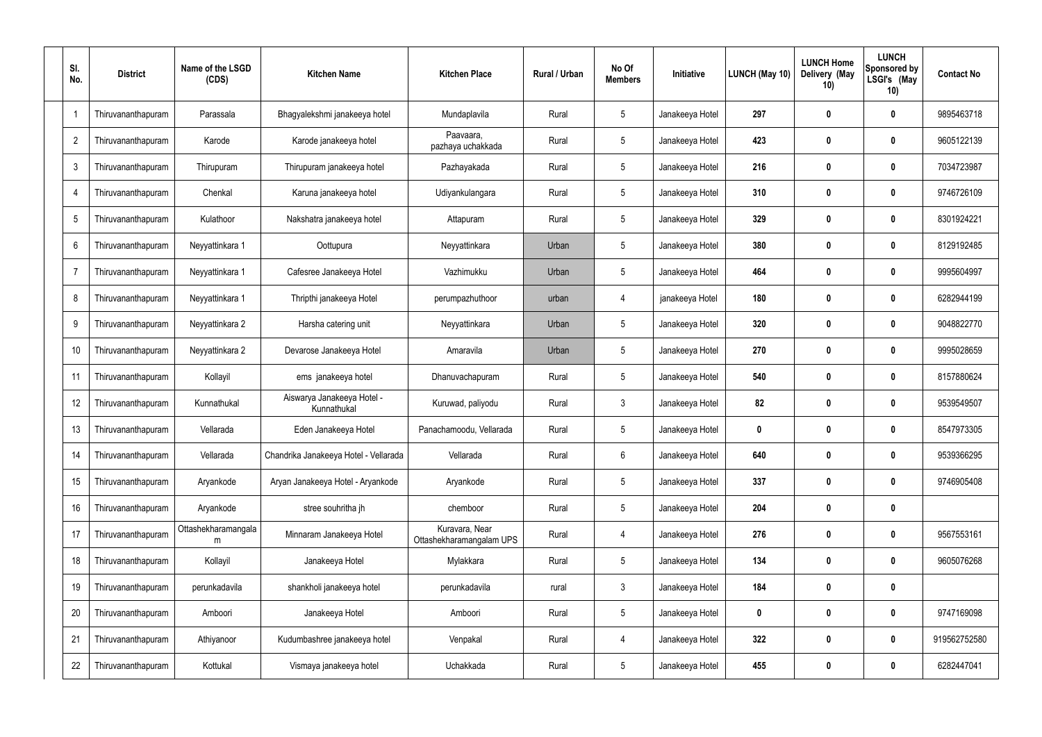| SI.<br>No.     | <b>District</b>    | Name of the LSGD<br>(CDS) | <b>Kitchen Name</b>                       | <b>Kitchen Place</b>                       | <b>Rural / Urban</b> | No Of<br><b>Members</b> | Initiative      | LUNCH (May 10) | <b>LUNCH Home</b><br>Delivery (May<br>10) | <b>LUNCH</b><br>Sponsored by<br>LSGI's (May<br>10) | <b>Contact No</b> |
|----------------|--------------------|---------------------------|-------------------------------------------|--------------------------------------------|----------------------|-------------------------|-----------------|----------------|-------------------------------------------|----------------------------------------------------|-------------------|
|                | Thiruvananthapuram | Parassala                 | Bhagyalekshmi janakeeya hotel             | Mundaplavila                               | Rural                | $5\phantom{.0}$         | Janakeeya Hotel | 297            | 0                                         | $\boldsymbol{0}$                                   | 9895463718        |
| $\overline{2}$ | Thiruvananthapuram | Karode                    | Karode janakeeya hotel                    | Paavaara,<br>pazhaya uchakkada             | Rural                | $5\phantom{.0}$         | Janakeeya Hotel | 423            | 0                                         | $\mathbf 0$                                        | 9605122139        |
| $\mathbf{3}$   | Thiruvananthapuram | Thirupuram                | Thirupuram janakeeya hotel                | Pazhayakada                                | Rural                | $5\phantom{.0}$         | Janakeeya Hotel | 216            | 0                                         | $\mathbf 0$                                        | 7034723987        |
|                | Thiruvananthapuram | Chenkal                   | Karuna janakeeya hotel                    | Udiyankulangara                            | Rural                | $5\phantom{.0}$         | Janakeeya Hotel | 310            | 0                                         | $\mathbf 0$                                        | 9746726109        |
| 5              | Thiruvananthapuram | Kulathoor                 | Nakshatra janakeeya hotel                 | Attapuram                                  | Rural                | $5\phantom{.0}$         | Janakeeya Hotel | 329            | 0                                         | $\mathbf 0$                                        | 8301924221        |
| 6              | Thiruvananthapuram | Neyyattinkara 1           | Oottupura                                 | Neyyattinkara                              | Urban                | $5\phantom{.0}$         | Janakeeya Hotel | 380            | 0                                         | $\mathbf 0$                                        | 8129192485        |
| $\overline{7}$ | Thiruvananthapuram | Neyyattinkara 1           | Cafesree Janakeeya Hotel                  | Vazhimukku                                 | Urban                | $5\phantom{.0}$         | Janakeeya Hotel | 464            | 0                                         | $\mathbf 0$                                        | 9995604997        |
| 8              | Thiruvananthapuram | Neyyattinkara 1           | Thripthi janakeeya Hotel                  | perumpazhuthoor                            | urban                | 4                       | janakeeya Hotel | 180            | 0                                         | $\mathbf 0$                                        | 6282944199        |
| 9              | Thiruvananthapuram | Neyyattinkara 2           | Harsha catering unit                      | Neyyattinkara                              | Urban                | $5\phantom{.0}$         | Janakeeya Hotel | 320            | 0                                         | $\mathbf 0$                                        | 9048822770        |
| 10             | Thiruvananthapuram | Neyyattinkara 2           | Devarose Janakeeya Hotel                  | Amaravila                                  | Urban                | $5\phantom{.0}$         | Janakeeya Hotel | 270            | 0                                         | $\mathbf 0$                                        | 9995028659        |
| 11             | Thiruvananthapuram | Kollayil                  | ems janakeeya hotel                       | Dhanuvachapuram                            | Rural                | $5\phantom{.0}$         | Janakeeya Hotel | 540            | $\boldsymbol{0}$                          | $\mathbf 0$                                        | 8157880624        |
| 12             | Thiruvananthapuram | Kunnathukal               | Aiswarya Janakeeya Hotel -<br>Kunnathukal | Kuruwad, paliyodu                          | Rural                | $\mathbf{3}$            | Janakeeya Hotel | 82             | 0                                         | $\mathbf 0$                                        | 9539549507        |
| 13             | Thiruvananthapuram | Vellarada                 | Eden Janakeeya Hotel                      | Panachamoodu, Vellarada                    | Rural                | $5\phantom{.0}$         | Janakeeya Hotel | 0              | 0                                         | 0                                                  | 8547973305        |
| 14             | Thiruvananthapuram | Vellarada                 | Chandrika Janakeeya Hotel - Vellarada     | Vellarada                                  | Rural                | 6                       | Janakeeya Hotel | 640            | $\boldsymbol{0}$                          | $\mathbf 0$                                        | 9539366295        |
| 15             | Thiruvananthapuram | Aryankode                 | Aryan Janakeeya Hotel - Aryankode         | Aryankode                                  | Rural                | $5\phantom{.0}$         | Janakeeya Hotel | 337            | $\boldsymbol{0}$                          | $\mathbf 0$                                        | 9746905408        |
| 16             | Thiruvananthapuram | Aryankode                 | stree souhritha jh                        | chemboor                                   | Rural                | $5\phantom{.0}$         | Janakeeya Hotel | 204            | $\boldsymbol{0}$                          | $\pmb{0}$                                          |                   |
| 17             | Thiruvananthapuram | Ottashekharamangala<br>m  | Minnaram Janakeeya Hotel                  | Kuravara, Near<br>Ottashekharamangalam UPS | Rural                | $\overline{4}$          | Janakeeya Hotel | 276            | $\boldsymbol{0}$                          | $\pmb{0}$                                          | 9567553161        |
| 18             | Thiruvananthapuram | Kollayil                  | Janakeeya Hotel                           | Mylakkara                                  | Rural                | $5\phantom{.0}$         | Janakeeya Hotel | 134            | $\boldsymbol{0}$                          | $\pmb{0}$                                          | 9605076268        |
| 19             | Thiruvananthapuram | perunkadavila             | shankholi janakeeya hotel                 | perunkadavila                              | rural                | $\mathbf{3}$            | Janakeeya Hotel | 184            | $\boldsymbol{0}$                          | $\pmb{0}$                                          |                   |
| 20             | Thiruvananthapuram | Amboori                   | Janakeeya Hotel                           | Amboori                                    | Rural                | $5\phantom{.0}$         | Janakeeya Hotel | 0              | $\boldsymbol{0}$                          | $\pmb{0}$                                          | 9747169098        |
| 21             | Thiruvananthapuram | Athiyanoor                | Kudumbashree janakeeya hotel              | Venpakal                                   | Rural                | $\overline{4}$          | Janakeeya Hotel | 322            | $\boldsymbol{0}$                          | $\mathbf 0$                                        | 919562752580      |
| 22             | Thiruvananthapuram | Kottukal                  | Vismaya janakeeya hotel                   | Uchakkada                                  | Rural                | $5\,$                   | Janakeeya Hotel | 455            | $\boldsymbol{0}$                          | $\pmb{0}$                                          | 6282447041        |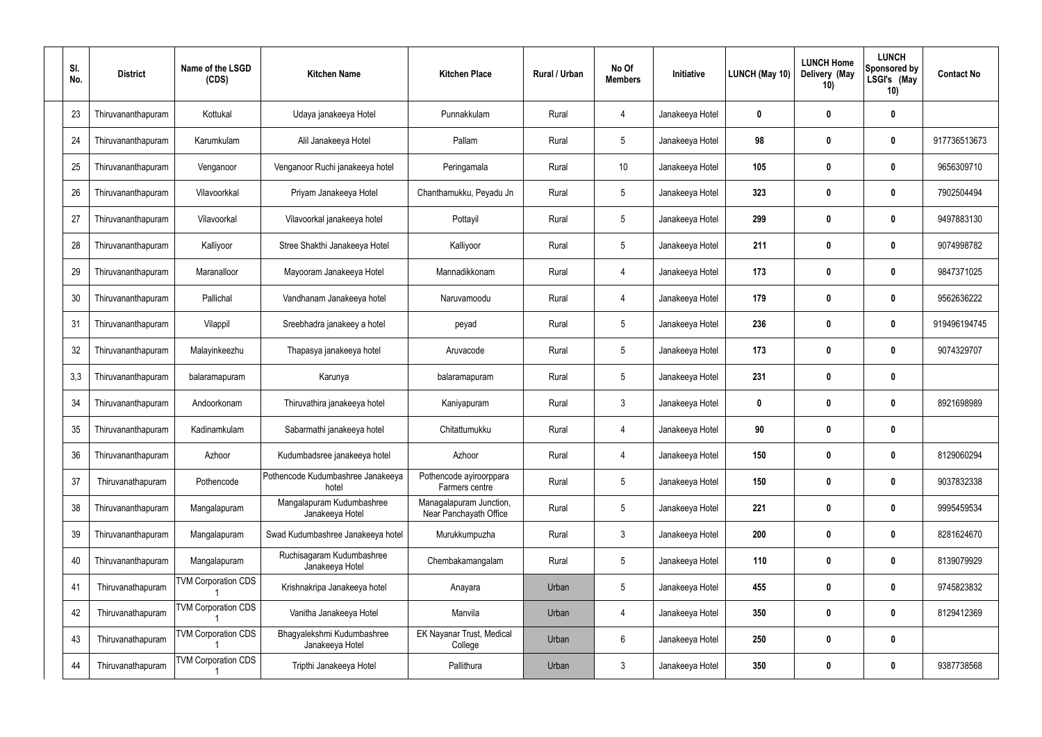| SI.<br>No. | <b>District</b>    | Name of the LSGD<br>(CDS)  | <b>Kitchen Name</b>                           | <b>Kitchen Place</b>                              | Rural / Urban | No Of<br><b>Members</b> | Initiative      | LUNCH (May 10) | <b>LUNCH Home</b><br>Delivery (May<br>10) | <b>LUNCH</b><br>Sponsored by<br>LSGI's (May<br>10) | <b>Contact No</b> |
|------------|--------------------|----------------------------|-----------------------------------------------|---------------------------------------------------|---------------|-------------------------|-----------------|----------------|-------------------------------------------|----------------------------------------------------|-------------------|
| 23         | Thiruvananthapuram | Kottukal                   | Udaya janakeeya Hotel                         | Punnakkulam                                       | Rural         | $\overline{4}$          | Janakeeya Hotel | 0              | $\boldsymbol{0}$                          | $\boldsymbol{0}$                                   |                   |
| 24         | Thiruvananthapuram | Karumkulam                 | Alil Janakeeya Hotel                          | Pallam                                            | Rural         | $5\phantom{.0}$         | Janakeeya Hotel | 98             | $\boldsymbol{0}$                          | $\boldsymbol{0}$                                   | 917736513673      |
| 25         | Thiruvananthapuram | Venganoor                  | Venganoor Ruchi janakeeya hotel               | Peringamala                                       | Rural         | 10 <sup>°</sup>         | Janakeeya Hotel | 105            | $\boldsymbol{0}$                          | 0                                                  | 9656309710        |
| 26         | Thiruvananthapuram | Vilavoorkkal               | Priyam Janakeeya Hotel                        | Chanthamukku, Peyadu Jn                           | Rural         | $5\phantom{.0}$         | Janakeeya Hotel | 323            | $\boldsymbol{0}$                          | 0                                                  | 7902504494        |
| 27         | Thiruvananthapuram | Vilavoorkal                | Vilavoorkal janakeeya hotel                   | Pottayil                                          | Rural         | $5\phantom{.0}$         | Janakeeya Hotel | 299            | $\boldsymbol{0}$                          | $\mathbf 0$                                        | 9497883130        |
| 28         | Thiruvananthapuram | Kalliyoor                  | Stree Shakthi Janakeeya Hotel                 | Kalliyoor                                         | Rural         | $5\phantom{.0}$         | Janakeeya Hotel | 211            | $\mathbf 0$                               | 0                                                  | 9074998782        |
| 29         | Thiruvananthapuram | Maranalloor                | Mayooram Janakeeya Hotel                      | Mannadikkonam                                     | Rural         | $\overline{4}$          | Janakeeya Hotel | 173            | $\boldsymbol{0}$                          | 0                                                  | 9847371025        |
| 30         | Thiruvananthapuram | Pallichal                  | Vandhanam Janakeeya hotel                     | Naruvamoodu                                       | Rural         | 4                       | Janakeeya Hotel | 179            | $\boldsymbol{0}$                          | 0                                                  | 9562636222        |
| 31         | Thiruvananthapuram | Vilappil                   | Sreebhadra janakeey a hotel                   | peyad                                             | Rural         | $5\phantom{.0}$         | Janakeeya Hotel | 236            | $\boldsymbol{0}$                          | $\mathbf 0$                                        | 919496194745      |
| 32         | Thiruvananthapuram | Malayinkeezhu              | Thapasya janakeeya hotel                      | Aruvacode                                         | Rural         | $5\phantom{.0}$         | Janakeeya Hotel | 173            | $\mathbf 0$                               | $\boldsymbol{0}$                                   | 9074329707        |
| 3,3        | Thiruvananthapuram | balaramapuram              | Karunya                                       | balaramapuram                                     | Rural         | 5                       | Janakeeya Hotel | 231            | $\boldsymbol{0}$                          | $\boldsymbol{0}$                                   |                   |
| 34         | Thiruvananthapuram | Andoorkonam                | Thiruvathira janakeeya hotel                  | Kaniyapuram                                       | Rural         | $\mathbf{3}$            | Janakeeya Hotel | $\bf{0}$       | $\boldsymbol{0}$                          | 0                                                  | 8921698989        |
| 35         | Thiruvananthapuram | Kadinamkulam               | Sabarmathi janakeeya hotel                    | Chitattumukku                                     | Rural         | 4                       | Janakeeya Hotel | 90             | $\boldsymbol{0}$                          | 0                                                  |                   |
| 36         | Thiruvananthapuram | Azhoor                     | Kudumbadsree janakeeya hotel                  | Azhoor                                            | Rural         | $\overline{4}$          | Janakeeya Hotel | 150            | $\boldsymbol{0}$                          | $\mathbf 0$                                        | 8129060294        |
| 37         | Thiruvanathapuram  | Pothencode                 | Pothencode Kudumbashree Janakeeya<br>hotel    | Pothencode ayiroorppara<br>Farmers centre         | Rural         | $5\phantom{.0}$         | Janakeeya Hotel | 150            | $\mathbf 0$                               | $\pmb{0}$                                          | 9037832338        |
| 38         | Thiruvananthapuram | Mangalapuram               | Mangalapuram Kudumbashree<br>Janakeeya Hotel  | Managalapuram Junction,<br>Near Panchayath Office | Rural         | $\overline{5}$          | Janakeeya Hotel | 221            | $\boldsymbol{0}$                          | $\pmb{0}$                                          | 9995459534        |
| 39         | Thiruvananthapuram | Mangalapuram               | Swad Kudumbashree Janakeeya hotel             | Murukkumpuzha                                     | Rural         | $\mathbf{3}$            | Janakeeya Hotel | 200            | $\mathbf 0$                               | $\pmb{0}$                                          | 8281624670        |
| 40         | Thiruvananthapuram | Mangalapuram               | Ruchisagaram Kudumbashree<br>Janakeeya Hotel  | Chembakamangalam                                  | Rural         | $5\phantom{.0}$         | Janakeeya Hotel | 110            | $\boldsymbol{0}$                          | $\pmb{0}$                                          | 8139079929        |
| 41         | Thiruvanathapuram  | <b>TVM Corporation CDS</b> | Krishnakripa Janakeeya hotel                  | Anayara                                           | Urban         | $5\phantom{.0}$         | Janakeeya Hotel | 455            | $\boldsymbol{0}$                          | $\pmb{0}$                                          | 9745823832        |
| 42         | Thiruvanathapuram  | <b>TVM Corporation CDS</b> | Vanitha Janakeeya Hotel                       | Manvila                                           | Urban         | $\overline{4}$          | Janakeeya Hotel | 350            | $\boldsymbol{0}$                          | $\pmb{0}$                                          | 8129412369        |
| 43         | Thiruvanathapuram  | <b>TVM Corporation CDS</b> | Bhagyalekshmi Kudumbashree<br>Janakeeya Hotel | <b>EK Nayanar Trust, Medical</b><br>College       | Urban         | $6\phantom{.}6$         | Janakeeya Hotel | 250            | $\boldsymbol{0}$                          | $\pmb{0}$                                          |                   |
| 44         | Thiruvanathapuram  | <b>TVM Corporation CDS</b> | Tripthi Janakeeya Hotel                       | Pallithura                                        | Urban         | $\mathfrak{Z}$          | Janakeeya Hotel | 350            | $\boldsymbol{0}$                          | $\boldsymbol{0}$                                   | 9387738568        |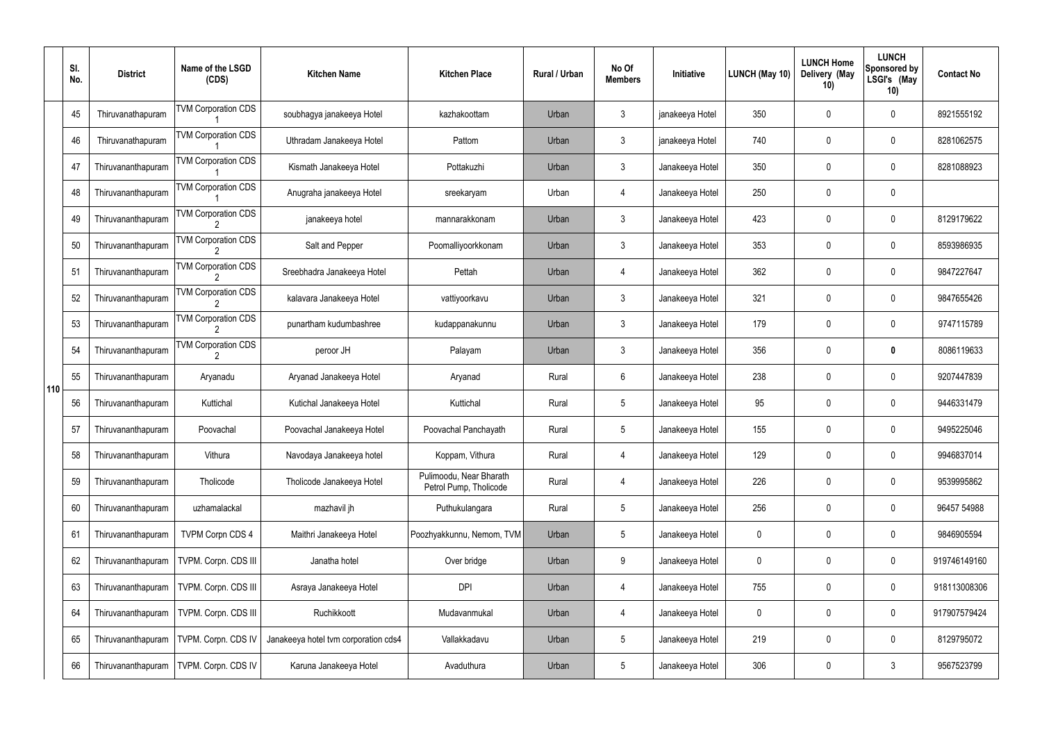|     | SI.<br>No. | <b>District</b>    | Name of the LSGD<br>(CDS)  | <b>Kitchen Name</b>                  | <b>Kitchen Place</b>                              | Rural / Urban | No Of<br><b>Members</b> | Initiative      | <b>LUNCH (May 10)</b> | <b>LUNCH Home</b><br>Delivery (May<br>10) | <b>LUNCH</b><br>Sponsored by<br>LSGI's (May<br>10) | <b>Contact No</b> |
|-----|------------|--------------------|----------------------------|--------------------------------------|---------------------------------------------------|---------------|-------------------------|-----------------|-----------------------|-------------------------------------------|----------------------------------------------------|-------------------|
|     | 45         | Thiruvanathapuram  | <b>TVM Corporation CDS</b> | soubhagya janakeeya Hotel            | kazhakoottam                                      | Urban         | $\mathbf{3}$            | janakeeya Hotel | 350                   | 0                                         | $\mathbf 0$                                        | 8921555192        |
|     | 46         | Thiruvanathapuram  | <b>TVM Corporation CDS</b> | Uthradam Janakeeya Hotel             | Pattom                                            | Urban         | $\mathbf{3}$            | janakeeya Hotel | 740                   | $\mathbf 0$                               | $\mathbf 0$                                        | 8281062575        |
|     | 47         | Thiruvananthapuram | <b>TVM Corporation CDS</b> | Kismath Janakeeya Hotel              | Pottakuzhi                                        | Urban         | $\mathbf{3}$            | Janakeeya Hotel | 350                   | 0                                         | $\mathbf 0$                                        | 8281088923        |
|     | 48         | Thiruvananthapuram | <b>TVM Corporation CDS</b> | Anugraha janakeeya Hotel             | sreekaryam                                        | Urban         | 4                       | Janakeeya Hotel | 250                   | $\mathbf 0$                               | $\mathbf 0$                                        |                   |
|     | 49         | Thiruvananthapuram | <b>TVM Corporation CDS</b> | janakeeya hotel                      | mannarakkonam                                     | Urban         | $\mathbf{3}$            | Janakeeya Hotel | 423                   | 0                                         | $\mathbf 0$                                        | 8129179622        |
|     | 50         | Thiruvananthapuram | <b>TVM Corporation CDS</b> | Salt and Pepper                      | Poomalliyoorkkonam                                | Urban         | $\mathbf{3}$            | Janakeeya Hotel | 353                   | $\mathbf 0$                               | $\mathbf 0$                                        | 8593986935        |
|     | 51         | Thiruvananthapuram | <b>TVM Corporation CDS</b> | Sreebhadra Janakeeya Hotel           | Pettah                                            | Urban         | 4                       | Janakeeya Hotel | 362                   | 0                                         | $\mathbf 0$                                        | 9847227647        |
|     | 52         | Thiruvananthapuram | <b>TVM Corporation CDS</b> | kalavara Janakeeya Hotel             | vattiyoorkavu                                     | Urban         | $\mathbf{3}$            | Janakeeya Hotel | 321                   | $\mathbf 0$                               | $\mathbf 0$                                        | 9847655426        |
|     | 53         | Thiruvananthapuram | <b>TVM Corporation CDS</b> | punartham kudumbashree               | kudappanakunnu                                    | Urban         | $\mathbf{3}$            | Janakeeya Hotel | 179                   | 0                                         | $\mathbf 0$                                        | 9747115789        |
|     | 54         | Thiruvananthapuram | <b>TVM Corporation CDS</b> | peroor JH                            | Palayam                                           | Urban         | $\mathbf{3}$            | Janakeeya Hotel | 356                   | $\mathbf 0$                               | $\boldsymbol{0}$                                   | 8086119633        |
| 110 | 55         | Thiruvananthapuram | Aryanadu                   | Aryanad Janakeeya Hotel              | Aryanad                                           | Rural         | 6                       | Janakeeya Hotel | 238                   | 0                                         | $\mathbf 0$                                        | 9207447839        |
|     | 56         | Thiruvananthapuram | Kuttichal                  | Kutichal Janakeeya Hotel             | Kuttichal                                         | Rural         | $5\overline{)}$         | Janakeeya Hotel | 95                    | $\mathbf 0$                               | $\mathbf 0$                                        | 9446331479        |
|     | 57         | Thiruvananthapuram | Poovachal                  | Poovachal Janakeeya Hotel            | Poovachal Panchayath                              | Rural         | $5\phantom{.0}$         | Janakeeya Hotel | 155                   | $\mathbf 0$                               | 0                                                  | 9495225046        |
|     | 58         | Thiruvananthapuram | Vithura                    | Navodaya Janakeeya hotel             | Koppam, Vithura                                   | Rural         | 4                       | Janakeeya Hotel | 129                   | 0                                         | $\mathbf 0$                                        | 9946837014        |
|     | 59         | Thiruvananthapuram | Tholicode                  | Tholicode Janakeeya Hotel            | Pulimoodu, Near Bharath<br>Petrol Pump, Tholicode | Rural         | 4                       | Janakeeya Hotel | 226                   | 0                                         | $\mathbf 0$                                        | 9539995862        |
|     | 60         | Thiruvananthapuram | uzhamalackal               | mazhavil jh                          | Puthukulangara                                    | Rural         | $5\phantom{.0}$         | Janakeeya Hotel | 256                   | 0                                         | $\mathbf 0$                                        | 96457 54988       |
|     | 61         | Thiruvananthapuram | <b>TVPM Corpn CDS 4</b>    | Maithri Janakeeya Hotel              | Poozhyakkunnu, Nemom, TVM                         | Urban         | $5\overline{)}$         | Janakeeya Hotel | 0                     | 0                                         | $\mathbf 0$                                        | 9846905594        |
|     | 62         | Thiruvananthapuram | TVPM. Corpn. CDS III       | Janatha hotel                        | Over bridge                                       | Urban         | 9                       | Janakeeya Hotel | 0                     | 0                                         | $\mathbf 0$                                        | 919746149160      |
|     | 63         | Thiruvananthapuram | TVPM. Corpn. CDS III       | Asraya Janakeeya Hotel               | <b>DPI</b>                                        | Urban         | 4                       | Janakeeya Hotel | 755                   | 0                                         | $\mathbf 0$                                        | 918113008306      |
|     | 64         | Thiruvananthapuram | TVPM. Corpn. CDS III       | Ruchikkoott                          | Mudavanmukal                                      | Urban         | 4                       | Janakeeya Hotel | 0                     | 0                                         | $\mathbf 0$                                        | 917907579424      |
|     | 65         | Thiruvananthapuram | TVPM. Corpn. CDS IV        | Janakeeya hotel tvm corporation cds4 | Vallakkadavu                                      | Urban         | $\sqrt{5}$              | Janakeeya Hotel | 219                   | 0                                         | $\mathbf 0$                                        | 8129795072        |
|     | 66         | Thiruvananthapuram | TVPM. Corpn. CDS IV        | Karuna Janakeeya Hotel               | Avaduthura                                        | Urban         | $5\overline{)}$         | Janakeeya Hotel | 306                   | 0                                         | $\mathfrak{Z}$                                     | 9567523799        |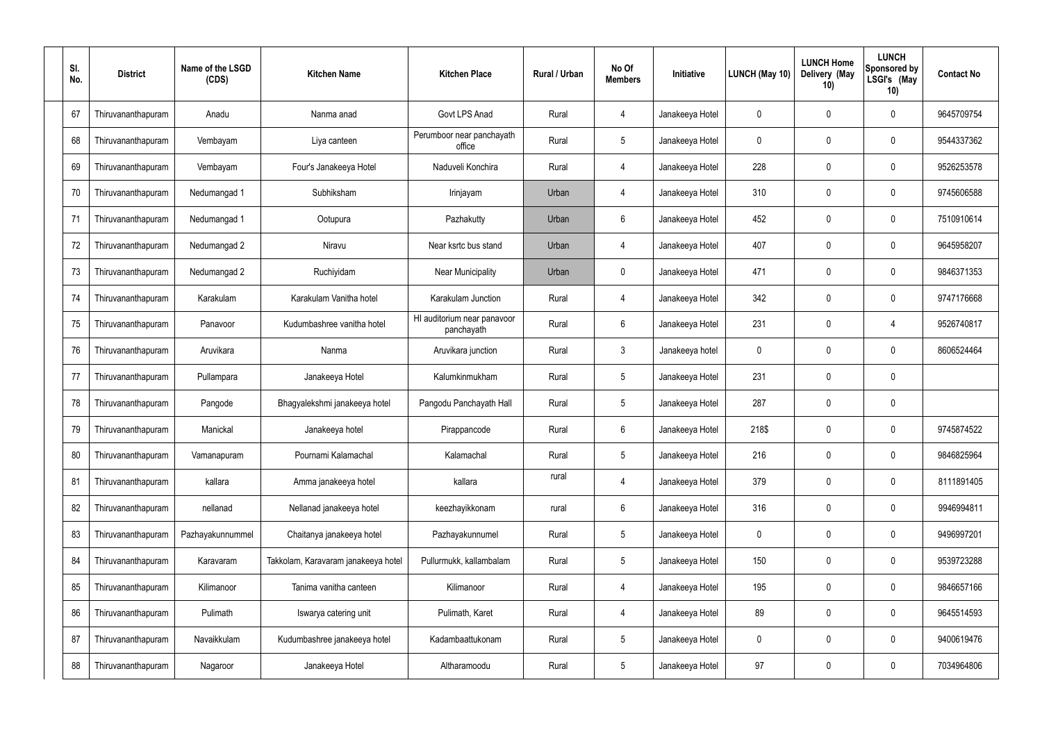| SI.<br>No. | <b>District</b>    | Name of the LSGD<br>(CDS) | <b>Kitchen Name</b>                 | <b>Kitchen Place</b>                      | Rural / Urban | No Of<br><b>Members</b> | <b>Initiative</b> | <b>LUNCH (May 10)</b> | <b>LUNCH Home</b><br>Delivery (May<br>10) | <b>LUNCH</b><br>Sponsored by<br>LSGI's (May<br>10) | <b>Contact No</b> |
|------------|--------------------|---------------------------|-------------------------------------|-------------------------------------------|---------------|-------------------------|-------------------|-----------------------|-------------------------------------------|----------------------------------------------------|-------------------|
| 67         | Thiruvananthapuram | Anadu                     | Nanma anad                          | Govt LPS Anad                             | Rural         | 4                       | Janakeeya Hotel   | 0                     | 0                                         | 0                                                  | 9645709754        |
| 68         | Thiruvananthapuram | Vembayam                  | Liya canteen                        | Perumboor near panchayath<br>office       | Rural         | $5\phantom{.0}$         | Janakeeya Hotel   | 0                     | 0                                         | 0                                                  | 9544337362        |
| 69         | Thiruvananthapuram | Vembayam                  | Four's Janakeeya Hotel              | Naduveli Konchira                         | Rural         | $\overline{4}$          | Janakeeya Hotel   | 228                   | 0                                         | 0                                                  | 9526253578        |
| 70         | Thiruvananthapuram | Nedumangad 1              | Subhiksham                          | Irinjayam                                 | Urban         | $\overline{4}$          | Janakeeya Hotel   | 310                   | 0                                         | 0                                                  | 9745606588        |
| 71         | Thiruvananthapuram | Nedumangad 1              | Ootupura                            | Pazhakutty                                | Urban         | 6                       | Janakeeya Hotel   | 452                   | 0                                         | 0                                                  | 7510910614        |
| 72         | Thiruvananthapuram | Nedumangad 2              | Niravu                              | Near ksrtc bus stand                      | Urban         | $\overline{4}$          | Janakeeya Hotel   | 407                   | 0                                         | 0                                                  | 9645958207        |
| 73         | Thiruvananthapuram | Nedumangad 2              | Ruchiyidam                          | <b>Near Municipality</b>                  | Urban         | $\mathbf 0$             | Janakeeya Hotel   | 471                   | 0                                         | 0                                                  | 9846371353        |
| 74         | Thiruvananthapuram | Karakulam                 | Karakulam Vanitha hotel             | Karakulam Junction                        | Rural         | $\overline{4}$          | Janakeeya Hotel   | 342                   | $\overline{0}$                            | 0                                                  | 9747176668        |
| 75         | Thiruvananthapuram | Panavoor                  | Kudumbashree vanitha hotel          | HI auditorium near panavoor<br>panchayath | Rural         | 6                       | Janakeeya Hotel   | 231                   | 0                                         | $\overline{4}$                                     | 9526740817        |
| 76         | Thiruvananthapuram | Aruvikara                 | Nanma                               | Aruvikara junction                        | Rural         | $\mathbf{3}$            | Janakeeya hotel   | 0                     | 0                                         | 0                                                  | 8606524464        |
| 77         | Thiruvananthapuram | Pullampara                | Janakeeya Hotel                     | Kalumkinmukham                            | Rural         | $\overline{5}$          | Janakeeya Hotel   | 231                   | $\mathbf 0$                               | 0                                                  |                   |
| 78         | Thiruvananthapuram | Pangode                   | Bhagyalekshmi janakeeya hotel       | Pangodu Panchayath Hall                   | Rural         | $5\phantom{.0}$         | Janakeeya Hotel   | 287                   | $\overline{0}$                            | 0                                                  |                   |
| 79         | Thiruvananthapuram | Manickal                  | Janakeeya hotel                     | Pirappancode                              | Rural         | 6                       | Janakeeya Hotel   | 218\$                 | 0                                         | 0                                                  | 9745874522        |
| 80         | Thiruvananthapuram | Vamanapuram               | Pournami Kalamachal                 | Kalamachal                                | Rural         | $\overline{5}$          | Janakeeya Hotel   | 216                   | $\mathbf 0$                               | 0                                                  | 9846825964        |
| 81         | Thiruvananthapuram | kallara                   | Amma janakeeya hotel                | kallara                                   | rural         | $\overline{4}$          | Janakeeya Hotel   | 379                   | $\mathbf 0$                               | 0                                                  | 8111891405        |
| 82         | Thiruvananthapuram | nellanad                  | Nellanad janakeeya hotel            | keezhayikkonam                            | rural         | $6\,$                   | Janakeeya Hotel   | 316                   | $\mathbf 0$                               | 0                                                  | 9946994811        |
| 83         | Thiruvananthapuram | Pazhayakunnummel          | Chaitanya janakeeya hotel           | Pazhayakunnumel                           | Rural         | $5\phantom{.0}$         | Janakeeya Hotel   | $\mathbf 0$           | $\mathbf 0$                               | 0                                                  | 9496997201        |
| 84         | Thiruvananthapuram | Karavaram                 | Takkolam, Karavaram janakeeya hotel | Pullurmukk, kallambalam                   | Rural         | $\overline{5}$          | Janakeeya Hotel   | 150                   | $\mathbf 0$                               | 0                                                  | 9539723288        |
| 85         | Thiruvananthapuram | Kilimanoor                | Tanima vanitha canteen              | Kilimanoor                                | Rural         | $\overline{4}$          | Janakeeya Hotel   | 195                   | $\mathbf 0$                               | 0                                                  | 9846657166        |
| 86         | Thiruvananthapuram | Pulimath                  | Iswarya catering unit               | Pulimath, Karet                           | Rural         | 4                       | Janakeeya Hotel   | 89                    | $\mathbf 0$                               | 0                                                  | 9645514593        |
| 87         | Thiruvananthapuram | Navaikkulam               | Kudumbashree janakeeya hotel        | Kadambaattukonam                          | Rural         | $\overline{5}$          | Janakeeya Hotel   | 0                     | $\mathbf 0$                               | 0                                                  | 9400619476        |
| 88         | Thiruvananthapuram | Nagaroor                  | Janakeeya Hotel                     | Altharamoodu                              | Rural         | $\overline{5}$          | Janakeeya Hotel   | 97                    | $\boldsymbol{0}$                          | 0                                                  | 7034964806        |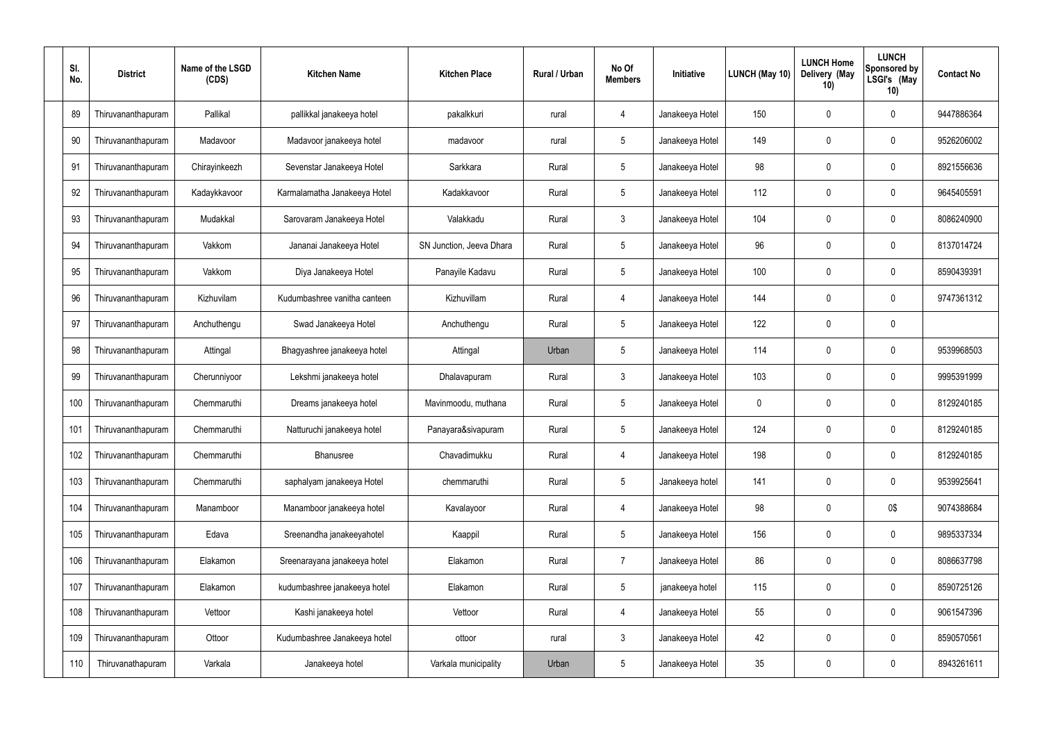| SI.<br>No. | <b>District</b>    | Name of the LSGD<br>(CDS) | <b>Kitchen Name</b>          | <b>Kitchen Place</b>     | Rural / Urban | No Of<br><b>Members</b> | Initiative      | <b>LUNCH (May 10)</b> | <b>LUNCH Home</b><br>Delivery (May<br>10) | <b>LUNCH</b><br>Sponsored by<br>LSGI's (May<br>10) | <b>Contact No</b> |
|------------|--------------------|---------------------------|------------------------------|--------------------------|---------------|-------------------------|-----------------|-----------------------|-------------------------------------------|----------------------------------------------------|-------------------|
| 89         | Thiruvananthapuram | Pallikal                  | pallikkal janakeeya hotel    | pakalkkuri               | rural         | 4                       | Janakeeya Hotel | 150                   | 0                                         | $\mathbf 0$                                        | 9447886364        |
| 90         | Thiruvananthapuram | Madavoor                  | Madavoor janakeeya hotel     | madavoor                 | rural         | $5\phantom{.0}$         | Janakeeya Hotel | 149                   | $\mathbf 0$                               | $\mathbf 0$                                        | 9526206002        |
| 91         | Thiruvananthapuram | Chirayinkeezh             | Sevenstar Janakeeya Hotel    | Sarkkara                 | Rural         | $5\phantom{.0}$         | Janakeeya Hotel | 98                    | 0                                         | $\mathbf 0$                                        | 8921556636        |
| 92         | Thiruvananthapuram | Kadaykkavoor              | Karmalamatha Janakeeya Hotel | Kadakkavoor              | Rural         | $5\phantom{.0}$         | Janakeeya Hotel | 112                   | $\mathbf 0$                               | $\mathbf 0$                                        | 9645405591        |
| 93         | Thiruvananthapuram | Mudakkal                  | Sarovaram Janakeeya Hotel    | Valakkadu                | Rural         | $\mathbf{3}$            | Janakeeya Hotel | 104                   | 0                                         | $\mathbf 0$                                        | 8086240900        |
| 94         | Thiruvananthapuram | Vakkom                    | Jananai Janakeeya Hotel      | SN Junction, Jeeva Dhara | Rural         | $5\phantom{.0}$         | Janakeeya Hotel | 96                    | $\mathbf 0$                               | $\mathbf 0$                                        | 8137014724        |
| 95         | Thiruvananthapuram | Vakkom                    | Diya Janakeeya Hotel         | Panayile Kadavu          | Rural         | $5\phantom{.0}$         | Janakeeya Hotel | 100                   | 0                                         | $\mathbf 0$                                        | 8590439391        |
| 96         | Thiruvananthapuram | Kizhuvilam                | Kudumbashree vanitha canteen | Kizhuvillam              | Rural         | 4                       | Janakeeya Hotel | 144                   | 0                                         | $\mathbf 0$                                        | 9747361312        |
| 97         | Thiruvananthapuram | Anchuthengu               | Swad Janakeeya Hotel         | Anchuthengu              | Rural         | $5\phantom{.0}$         | Janakeeya Hotel | 122                   | 0                                         | $\mathbf 0$                                        |                   |
| 98         | Thiruvananthapuram | Attingal                  | Bhagyashree janakeeya hotel  | Attingal                 | Urban         | $5\phantom{.0}$         | Janakeeya Hotel | 114                   | $\mathbf 0$                               | $\mathbf 0$                                        | 9539968503        |
| 99         | Thiruvananthapuram | Cherunniyoor              | Lekshmi janakeeya hotel      | Dhalavapuram             | Rural         | $\mathbf{3}$            | Janakeeya Hotel | 103                   | $\mathbf 0$                               | $\mathbf 0$                                        | 9995391999        |
| 100        | Thiruvananthapuram | Chemmaruthi               | Dreams janakeeya hotel       | Mavinmoodu, muthana      | Rural         | $5\phantom{.0}$         | Janakeeya Hotel | 0                     | $\mathbf 0$                               | $\mathbf 0$                                        | 8129240185        |
| 101        | Thiruvananthapuram | Chemmaruthi               | Natturuchi janakeeya hotel   | Panayara&sivapuram       | Rural         | $5\phantom{.0}$         | Janakeeya Hotel | 124                   | $\mathbf 0$                               | 0                                                  | 8129240185        |
| 102        | Thiruvananthapuram | Chemmaruthi               | Bhanusree                    | Chavadimukku             | Rural         | $\overline{4}$          | Janakeeya Hotel | 198                   | 0                                         | $\mathbf 0$                                        | 8129240185        |
| 103        | Thiruvananthapuram | Chemmaruthi               | saphalyam janakeeya Hotel    | chemmaruthi              | Rural         | $5\phantom{.0}$         | Janakeeya hotel | 141                   | 0                                         | $\mathbf 0$                                        | 9539925641        |
| 104        | Thiruvananthapuram | Manamboor                 | Manamboor janakeeya hotel    | Kavalayoor               | Rural         | $\overline{4}$          | Janakeeya Hotel | 98                    | 0                                         | 0\$                                                | 9074388684        |
| 105        | Thiruvananthapuram | Edava                     | Sreenandha janakeeyahotel    | Kaappil                  | Rural         | $5\phantom{.0}$         | Janakeeya Hotel | 156                   | 0                                         | $\mathbf 0$                                        | 9895337334        |
| 106        | Thiruvananthapuram | Elakamon                  | Sreenarayana janakeeya hotel | Elakamon                 | Rural         | $\overline{7}$          | Janakeeya Hotel | 86                    | 0                                         | $\mathbf 0$                                        | 8086637798        |
| 107        | Thiruvananthapuram | Elakamon                  | kudumbashree janakeeya hotel | Elakamon                 | Rural         | $5\phantom{.0}$         | janakeeya hotel | 115                   | 0                                         | $\mathbf 0$                                        | 8590725126        |
| 108        | Thiruvananthapuram | Vettoor                   | Kashi janakeeya hotel        | Vettoor                  | Rural         | $\overline{4}$          | Janakeeya Hotel | 55                    | $\mathbf 0$                               | $\mathbf 0$                                        | 9061547396        |
| 109        | Thiruvananthapuram | Ottoor                    | Kudumbashree Janakeeya hotel | ottoor                   | rural         | $\mathbf{3}$            | Janakeeya Hotel | 42                    | $\mathbf 0$                               | $\mathbf 0$                                        | 8590570561        |
| 110        | Thiruvanathapuram  | Varkala                   | Janakeeya hotel              | Varkala municipality     | Urban         | $5\phantom{.0}$         | Janakeeya Hotel | 35                    | 0                                         | $\overline{0}$                                     | 8943261611        |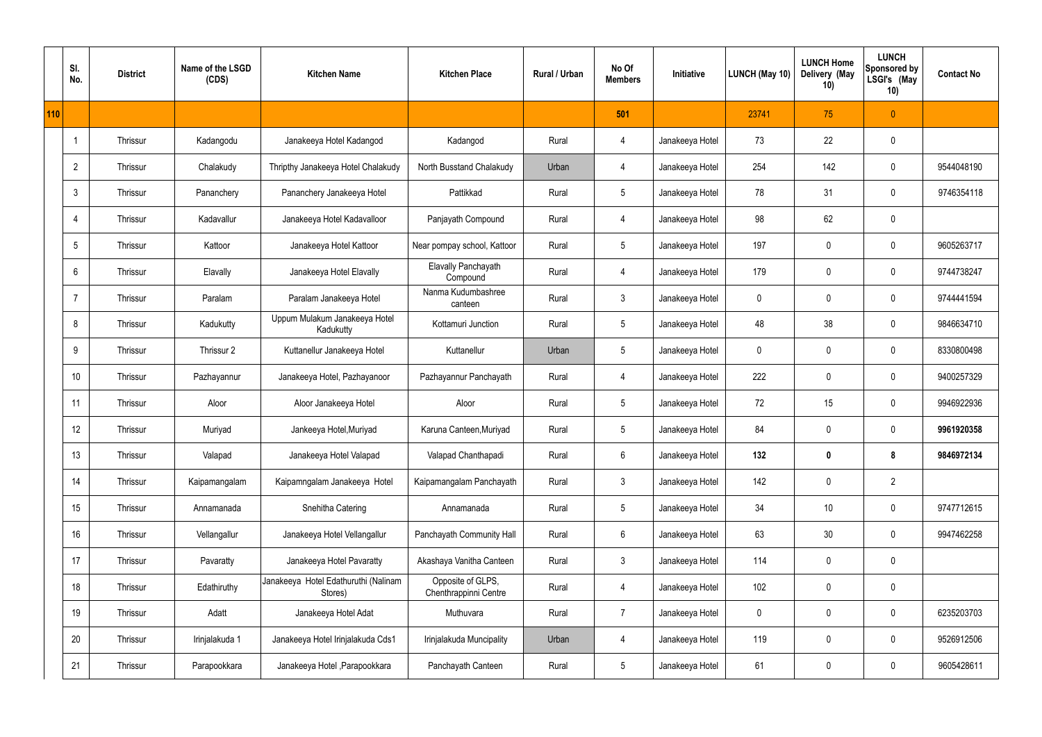|     | SI.<br>No.      | <b>District</b> | Name of the LSGD<br>(CDS) | <b>Kitchen Name</b>                             | <b>Kitchen Place</b>                       | Rural / Urban | No Of<br><b>Members</b> | Initiative      | <b>LUNCH (May 10)</b> | <b>LUNCH Home</b><br>Delivery (May<br>10) | <b>LUNCH</b><br>Sponsored by<br>LSGI's (May<br>10) | <b>Contact No</b> |
|-----|-----------------|-----------------|---------------------------|-------------------------------------------------|--------------------------------------------|---------------|-------------------------|-----------------|-----------------------|-------------------------------------------|----------------------------------------------------|-------------------|
| 110 |                 |                 |                           |                                                 |                                            |               | 501                     |                 | 23741                 | 75                                        | $\theta$                                           |                   |
|     |                 | Thrissur        | Kadangodu                 | Janakeeya Hotel Kadangod                        | Kadangod                                   | Rural         | 4                       | Janakeeya Hotel | 73                    | 22                                        | $\pmb{0}$                                          |                   |
|     | $\overline{2}$  | Thrissur        | Chalakudy                 | Thripthy Janakeeya Hotel Chalakudy              | North Busstand Chalakudy                   | Urban         | 4                       | Janakeeya Hotel | 254                   | 142                                       | $\mathbf 0$                                        | 9544048190        |
|     | $\mathbf{3}$    | Thrissur        | Pananchery                | Pananchery Janakeeya Hotel                      | Pattikkad                                  | Rural         | $5\phantom{.0}$         | Janakeeya Hotel | 78                    | 31                                        | $\mathbf 0$                                        | 9746354118        |
|     | $\overline{4}$  | Thrissur        | Kadavallur                | Janakeeya Hotel Kadavalloor                     | Panjayath Compound                         | Rural         | $\overline{4}$          | Janakeeya Hotel | 98                    | 62                                        | $\mathbf 0$                                        |                   |
|     | $5\phantom{.0}$ | Thrissur        | Kattoor                   | Janakeeya Hotel Kattoor                         | Near pompay school, Kattoor                | Rural         | $5\phantom{.0}$         | Janakeeya Hotel | 197                   | 0                                         | $\mathbf 0$                                        | 9605263717        |
|     | 6               | Thrissur        | Elavally                  | Janakeeya Hotel Elavally                        | Elavally Panchayath<br>Compound            | Rural         | $\overline{4}$          | Janakeeya Hotel | 179                   | 0                                         | $\mathbf 0$                                        | 9744738247        |
|     | $\overline{7}$  | Thrissur        | Paralam                   | Paralam Janakeeya Hotel                         | Nanma Kudumbashree<br>canteen              | Rural         | $\mathbf{3}$            | Janakeeya Hotel | $\mathbf 0$           | 0                                         | $\mathbf 0$                                        | 9744441594        |
|     | 8               | Thrissur        | Kadukutty                 | Uppum Mulakum Janakeeya Hotel<br>Kadukutty      | Kottamuri Junction                         | Rural         | $5\phantom{.0}$         | Janakeeya Hotel | 48                    | 38                                        | $\mathbf 0$                                        | 9846634710        |
|     | 9               | Thrissur        | Thrissur 2                | Kuttanellur Janakeeya Hotel                     | Kuttanellur                                | Urban         | $5\phantom{.0}$         | Janakeeya Hotel | $\mathbf 0$           | 0                                         | $\mathbf 0$                                        | 8330800498        |
|     | 10              | Thrissur        | Pazhayannur               | Janakeeya Hotel, Pazhayanoor                    | Pazhayannur Panchayath                     | Rural         | $\overline{4}$          | Janakeeya Hotel | 222                   | 0                                         | $\mathbf 0$                                        | 9400257329        |
|     | 11              | Thrissur        | Aloor                     | Aloor Janakeeya Hotel                           | Aloor                                      | Rural         | $5\phantom{.0}$         | Janakeeya Hotel | 72                    | 15                                        | $\mathbf 0$                                        | 9946922936        |
|     | 12              | Thrissur        | Muriyad                   | Jankeeya Hotel, Muriyad                         | Karuna Canteen, Muriyad                    | Rural         | $5\phantom{.0}$         | Janakeeya Hotel | 84                    | $\mathbf 0$                               | 0                                                  | 9961920358        |
|     | 13              | Thrissur        | Valapad                   | Janakeeya Hotel Valapad                         | Valapad Chanthapadi                        | Rural         | $6\,$                   | Janakeeya Hotel | 132                   | $\boldsymbol{0}$                          | 8                                                  | 9846972134        |
|     | 14              | Thrissur        | Kaipamangalam             | Kaipamngalam Janakeeya Hotel                    | Kaipamangalam Panchayath                   | Rural         | $\mathbf{3}$            | Janakeeya Hotel | 142                   | 0                                         | $\overline{2}$                                     |                   |
|     | 15              | Thrissur        | Annamanada                | Snehitha Catering                               | Annamanada                                 | Rural         | $5\phantom{.0}$         | Janakeeya Hotel | 34                    | 10                                        | $\mathbf 0$                                        | 9747712615        |
|     | 16              | Thrissur        | Vellangallur              | Janakeeya Hotel Vellangallur                    | Panchayath Community Hall                  | Rural         | $6\,$                   | Janakeeya Hotel | 63                    | 30                                        | $\mathbf 0$                                        | 9947462258        |
|     | 17              | Thrissur        | Pavaratty                 | Janakeeya Hotel Pavaratty                       | Akashaya Vanitha Canteen                   | Rural         | $\mathbf{3}$            | Janakeeya Hotel | 114                   | 0                                         | $\mathbf 0$                                        |                   |
|     | 18              | Thrissur        | Edathiruthy               | Janakeeya Hotel Edathuruthi (Nalinam<br>Stores) | Opposite of GLPS,<br>Chenthrappinni Centre | Rural         | $\overline{4}$          | Janakeeya Hotel | 102                   | 0                                         | $\mathbf 0$                                        |                   |
|     | 19              | Thrissur        | Adatt                     | Janakeeya Hotel Adat                            | Muthuvara                                  | Rural         | $\overline{7}$          | Janakeeya Hotel | $\mathbf 0$           | 0                                         | $\mathbf 0$                                        | 6235203703        |
|     | 20              | Thrissur        | Irinjalakuda 1            | Janakeeya Hotel Irinjalakuda Cds1               | Irinjalakuda Muncipality                   | Urban         | 4                       | Janakeeya Hotel | 119                   | $\pmb{0}$                                 | $\mathbf 0$                                        | 9526912506        |
|     | 21              | Thrissur        | Parapookkara              | Janakeeya Hotel , Parapookkara                  | Panchayath Canteen                         | Rural         | $5\,$                   | Janakeeya Hotel | 61                    | $\pmb{0}$                                 | $\boldsymbol{0}$                                   | 9605428611        |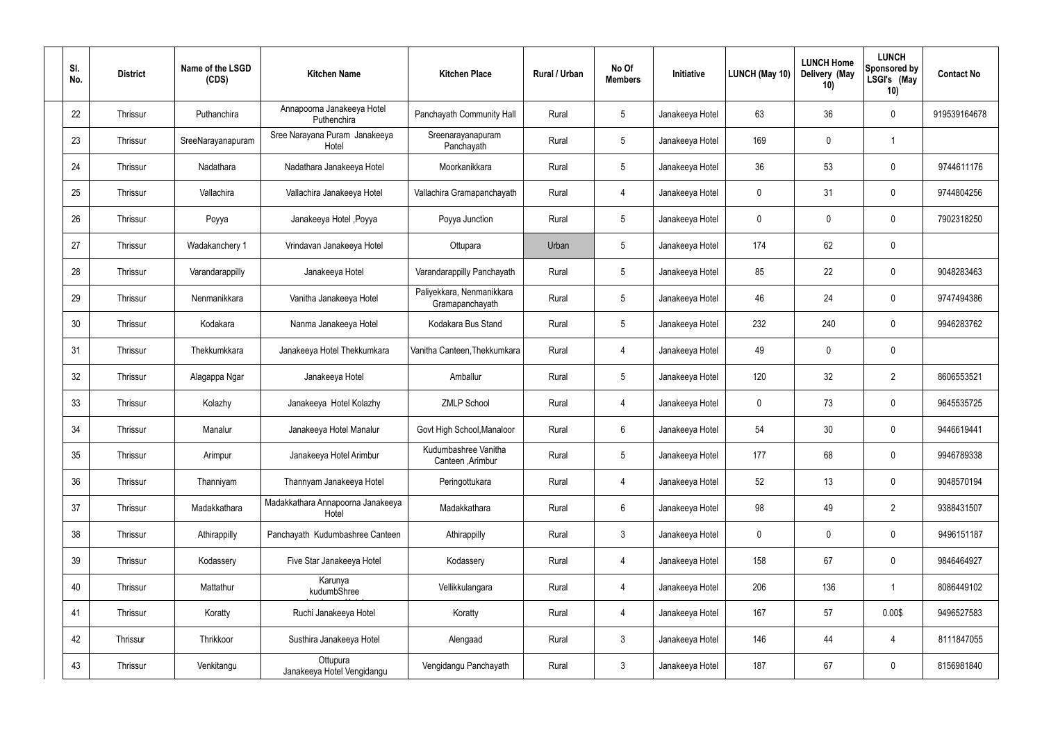| SI.<br>No. | <b>District</b> | Name of the LSGD<br>(CDS) | <b>Kitchen Name</b>                        | <b>Kitchen Place</b>                         | Rural / Urban | No Of<br><b>Members</b> | Initiative      | <b>LUNCH (May 10)</b> | <b>LUNCH Home</b><br>Delivery (May<br>10) | <b>LUNCH</b><br>Sponsored by<br>LSGI's (May<br>10) | <b>Contact No</b> |
|------------|-----------------|---------------------------|--------------------------------------------|----------------------------------------------|---------------|-------------------------|-----------------|-----------------------|-------------------------------------------|----------------------------------------------------|-------------------|
| 22         | Thrissur        | Puthanchira               | Annapoorna Janakeeya Hotel<br>Puthenchira  | Panchayath Community Hall                    | Rural         | $5\phantom{.0}$         | Janakeeya Hotel | 63                    | 36                                        | $\mathbf 0$                                        | 919539164678      |
| 23         | Thrissur        | SreeNarayanapuram         | Sree Narayana Puram Janakeeya<br>Hotel     | Sreenarayanapuram<br>Panchayath              | Rural         | $5\phantom{.0}$         | Janakeeya Hotel | 169                   | $\mathbf 0$                               |                                                    |                   |
| 24         | Thrissur        | Nadathara                 | Nadathara Janakeeya Hotel                  | Moorkanikkara                                | Rural         | $5\phantom{.0}$         | Janakeeya Hotel | 36                    | 53                                        | $\mathbf 0$                                        | 9744611176        |
| 25         | Thrissur        | Vallachira                | Vallachira Janakeeya Hotel                 | Vallachira Gramapanchayath                   | Rural         | 4                       | Janakeeya Hotel | $\mathbf 0$           | 31                                        | $\pmb{0}$                                          | 9744804256        |
| 26         | Thrissur        | Poyya                     | Janakeeya Hotel , Poyya                    | Poyya Junction                               | Rural         | $5\,$                   | Janakeeya Hotel | 0                     | $\boldsymbol{0}$                          | $\mathbf 0$                                        | 7902318250        |
| 27         | Thrissur        | Wadakanchery 1            | Vrindavan Janakeeya Hotel                  | Ottupara                                     | Urban         | $5\phantom{.0}$         | Janakeeya Hotel | 174                   | 62                                        | $\pmb{0}$                                          |                   |
| 28         | Thrissur        | Varandarappilly           | Janakeeya Hotel                            | Varandarappilly Panchayath                   | Rural         | $5\phantom{.0}$         | Janakeeya Hotel | 85                    | 22                                        | $\mathbf 0$                                        | 9048283463        |
| 29         | Thrissur        | Nenmanikkara              | Vanitha Janakeeya Hotel                    | Paliyekkara, Nenmanikkara<br>Gramapanchayath | Rural         | $5\phantom{.0}$         | Janakeeya Hotel | 46                    | 24                                        | $\mathbf 0$                                        | 9747494386        |
| 30         | Thrissur        | Kodakara                  | Nanma Janakeeya Hotel                      | Kodakara Bus Stand                           | Rural         | $5\phantom{.0}$         | Janakeeya Hotel | 232                   | 240                                       | $\mathbf 0$                                        | 9946283762        |
| 31         | Thrissur        | Thekkumkkara              | Janakeeya Hotel Thekkumkara                | Vanitha Canteen, Thekkumkara                 | Rural         | 4                       | Janakeeya Hotel | 49                    | $\boldsymbol{0}$                          | $\mathbf 0$                                        |                   |
| 32         | Thrissur        | Alagappa Ngar             | Janakeeya Hotel                            | Amballur                                     | Rural         | $5\,$                   | Janakeeya Hotel | 120                   | 32                                        | $\overline{2}$                                     | 8606553521        |
| 33         | Thrissur        | Kolazhy                   | Janakeeya Hotel Kolazhy                    | <b>ZMLP School</b>                           | Rural         | 4                       | Janakeeya Hotel | $\mathbf 0$           | 73                                        | $\pmb{0}$                                          | 9645535725        |
| 34         | Thrissur        | Manalur                   | Janakeeya Hotel Manalur                    | Govt High School, Manaloor                   | Rural         | 6                       | Janakeeya Hotel | 54                    | 30                                        | 0                                                  | 9446619441        |
| 35         | Thrissur        | Arimpur                   | Janakeeya Hotel Arimbur                    | Kudumbashree Vanitha<br>Canteen , Arimbur    | Rural         | $5\phantom{.0}$         | Janakeeya Hotel | 177                   | 68                                        | $\mathbf 0$                                        | 9946789338        |
| 36         | Thrissur        | Thanniyam                 | Thannyam Janakeeya Hotel                   | Peringottukara                               | Rural         | $\overline{4}$          | Janakeeya Hotel | 52                    | 13                                        | $\mathbf 0$                                        | 9048570194        |
| 37         | Thrissur        | Madakkathara              | Madakkathara Annapoorna Janakeeya<br>Hotel | Madakkathara                                 | Rural         | $6\overline{6}$         | Janakeeya Hotel | 98                    | 49                                        | $\overline{2}$                                     | 9388431507        |
| 38         | Thrissur        | Athirappilly              | Panchayath Kudumbashree Canteen            | Athirappilly                                 | Rural         | 3 <sup>1</sup>          | Janakeeya Hotel | $\mathbf 0$           | 0                                         | $\mathbf 0$                                        | 9496151187        |
| 39         | Thrissur        | Kodassery                 | Five Star Janakeeya Hotel                  | Kodassery                                    | Rural         | $\overline{4}$          | Janakeeya Hotel | 158                   | 67                                        | $\mathbf 0$                                        | 9846464927        |
| 40         | Thrissur        | Mattathur                 | Karunya<br>kudumbShree                     | Vellikkulangara                              | Rural         | $\overline{4}$          | Janakeeya Hotel | 206                   | 136                                       | $\overline{1}$                                     | 8086449102        |
| 41         | Thrissur        | Koratty                   | Ruchi Janakeeya Hotel                      | Koratty                                      | Rural         | $\overline{4}$          | Janakeeya Hotel | 167                   | 57                                        | 0.00\$                                             | 9496527583        |
| 42         | Thrissur        | Thrikkoor                 | Susthira Janakeeya Hotel                   | Alengaad                                     | Rural         | $\mathbf{3}$            | Janakeeya Hotel | 146                   | 44                                        | 4                                                  | 8111847055        |
| 43         | Thrissur        | Venkitangu                | Ottupura<br>Janakeeya Hotel Vengidangu     | Vengidangu Panchayath                        | Rural         | $\mathfrak{Z}$          | Janakeeya Hotel | 187                   | 67                                        | $\mathbf 0$                                        | 8156981840        |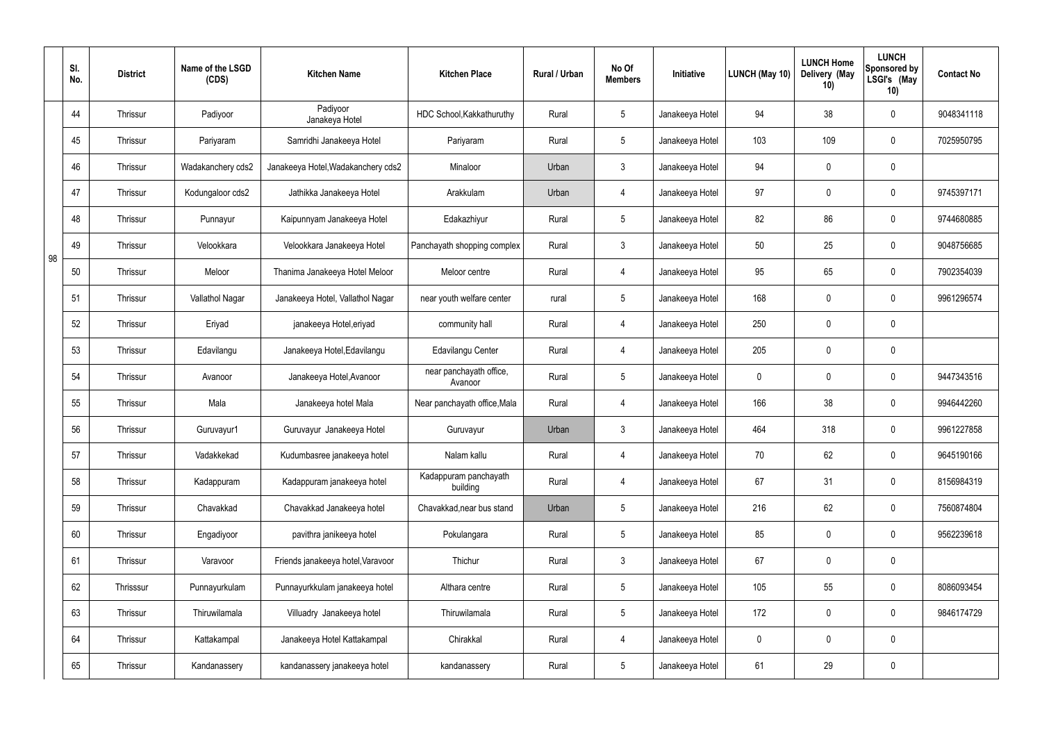|    | SI.<br>No. | <b>District</b> | Name of the LSGD<br>(CDS) | <b>Kitchen Name</b>                | <b>Kitchen Place</b>               | <b>Rural / Urban</b> | No Of<br><b>Members</b> | Initiative      | <b>LUNCH (May 10)</b> | <b>LUNCH Home</b><br>Delivery (May<br>10) | <b>LUNCH</b><br><b>Sponsored by</b><br>LSGI's (May<br>10) | <b>Contact No</b> |
|----|------------|-----------------|---------------------------|------------------------------------|------------------------------------|----------------------|-------------------------|-----------------|-----------------------|-------------------------------------------|-----------------------------------------------------------|-------------------|
|    | 44         | Thrissur        | Padiyoor                  | Padiyoor<br>Janakeya Hotel         | HDC School, Kakkathuruthy          | Rural                | 5                       | Janakeeya Hotel | 94                    | 38                                        | $\pmb{0}$                                                 | 9048341118        |
|    | 45         | Thrissur        | Pariyaram                 | Samridhi Janakeeya Hotel           | Pariyaram                          | Rural                | 5                       | Janakeeya Hotel | 103                   | 109                                       | $\pmb{0}$                                                 | 7025950795        |
|    | 46         | Thrissur        | Wadakanchery cds2         | Janakeeya Hotel, Wadakanchery cds2 | Minaloor                           | Urban                | $\mathfrak{Z}$          | Janakeeya Hotel | 94                    | 0                                         | $\pmb{0}$                                                 |                   |
|    | 47         | Thrissur        | Kodungaloor cds2          | Jathikka Janakeeya Hotel           | Arakkulam                          | Urban                | 4                       | Janakeeya Hotel | 97                    | 0                                         | $\pmb{0}$                                                 | 9745397171        |
|    | 48         | Thrissur        | Punnayur                  | Kaipunnyam Janakeeya Hotel         | Edakazhiyur                        | Rural                | $5\overline{)}$         | Janakeeya Hotel | 82                    | 86                                        | $\pmb{0}$                                                 | 9744680885        |
| 98 | 49         | Thrissur        | Velookkara                | Velookkara Janakeeya Hotel         | Panchayath shopping complex        | Rural                | $\mathfrak{Z}$          | Janakeeya Hotel | 50                    | 25                                        | $\pmb{0}$                                                 | 9048756685        |
|    | 50         | Thrissur        | Meloor                    | Thanima Janakeeya Hotel Meloor     | Meloor centre                      | Rural                | 4                       | Janakeeya Hotel | 95                    | 65                                        | $\pmb{0}$                                                 | 7902354039        |
|    | 51         | Thrissur        | Vallathol Nagar           | Janakeeya Hotel, Vallathol Nagar   | near youth welfare center          | rural                | $5\overline{)}$         | Janakeeya Hotel | 168                   | 0                                         | $\pmb{0}$                                                 | 9961296574        |
|    | 52         | Thrissur        | Eriyad                    | janakeeya Hotel, eriyad            | community hall                     | Rural                | 4                       | Janakeeya Hotel | 250                   | 0                                         | $\pmb{0}$                                                 |                   |
|    | 53         | Thrissur        | Edavilangu                | Janakeeya Hotel, Edavilangu        | Edavilangu Center                  | Rural                | 4                       | Janakeeya Hotel | 205                   | 0                                         | $\pmb{0}$                                                 |                   |
|    | 54         | Thrissur        | Avanoor                   | Janakeeya Hotel, Avanoor           | near panchayath office,<br>Avanoor | Rural                | $5\overline{)}$         | Janakeeya Hotel | 0                     | 0                                         | $\pmb{0}$                                                 | 9447343516        |
|    | 55         | Thrissur        | Mala                      | Janakeeya hotel Mala               | Near panchayath office, Mala       | Rural                | 4                       | Janakeeya Hotel | 166                   | 38                                        | $\pmb{0}$                                                 | 9946442260        |
|    | 56         | Thrissur        | Guruvayur1                | Guruvayur Janakeeya Hotel          | Guruvayur                          | Urban                | 3                       | Janakeeya Hotel | 464                   | 318                                       | 0                                                         | 9961227858        |
|    | 57         | Thrissur        | Vadakkekad                | Kudumbasree janakeeya hotel        | Nalam kallu                        | Rural                | $\overline{4}$          | Janakeeya Hotel | 70                    | 62                                        | $\mathbf 0$                                               | 9645190166        |
|    | 58         | Thrissur        | Kadappuram                | Kadappuram janakeeya hotel         | Kadappuram panchayath<br>building  | Rural                | $\overline{4}$          | Janakeeya Hotel | 67                    | 31                                        | $\pmb{0}$                                                 | 8156984319        |
|    | 59         | Thrissur        | Chavakkad                 | Chavakkad Janakeeya hotel          | Chavakkad, near bus stand          | Urban                | $5\overline{)}$         | Janakeeya Hotel | 216                   | 62                                        | $\mathbf 0$                                               | 7560874804        |
|    | 60         | Thrissur        | Engadiyoor                | pavithra janikeeya hotel           | Pokulangara                        | Rural                | $5\phantom{.0}$         | Janakeeya Hotel | 85                    | $\mathbf 0$                               | $\mathbf 0$                                               | 9562239618        |
|    | 61         | Thrissur        | Varavoor                  | Friends janakeeya hotel, Varavoor  | Thichur                            | Rural                | $\mathbf{3}$            | Janakeeya Hotel | 67                    | 0                                         | $\pmb{0}$                                                 |                   |
|    | 62         | Thrisssur       | Punnayurkulam             | Punnayurkkulam janakeeya hotel     | Althara centre                     | Rural                | $5\phantom{.0}$         | Janakeeya Hotel | 105                   | 55                                        | $\mathbf 0$                                               | 8086093454        |
|    | 63         | Thrissur        | Thiruwilamala             | Villuadry Janakeeya hotel          | Thiruwilamala                      | Rural                | $5\phantom{.0}$         | Janakeeya Hotel | 172                   | 0                                         | $\mathbf 0$                                               | 9846174729        |
|    | 64         | Thrissur        | Kattakampal               | Janakeeya Hotel Kattakampal        | Chirakkal                          | Rural                | $\overline{4}$          | Janakeeya Hotel | 0                     | 0                                         | $\pmb{0}$                                                 |                   |
|    | 65         | Thrissur        | Kandanassery              | kandanassery janakeeya hotel       | kandanassery                       | Rural                | $5\phantom{.0}$         | Janakeeya Hotel | 61                    | 29                                        | $\pmb{0}$                                                 |                   |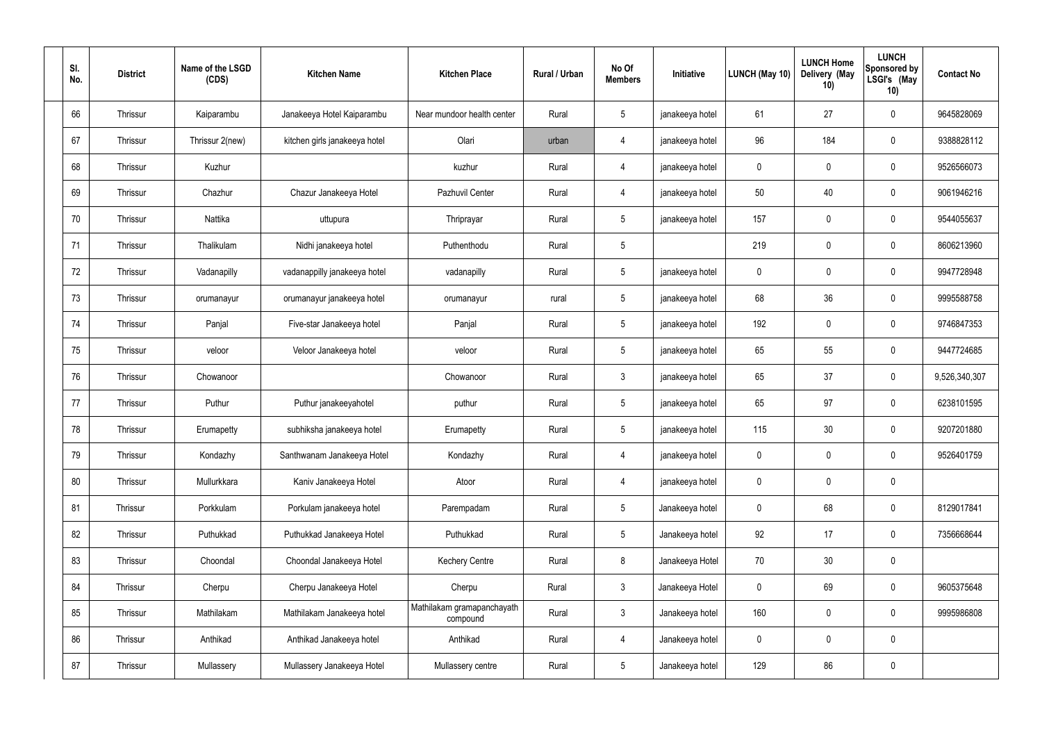| SI.<br>No. | <b>District</b> | Name of the LSGD<br>(CDS) | <b>Kitchen Name</b>           | <b>Kitchen Place</b>                   | Rural / Urban | No Of<br><b>Members</b> | Initiative      | <b>LUNCH (May 10)</b> | <b>LUNCH Home</b><br>Delivery (May<br>10) | <b>LUNCH</b><br>Sponsored by<br>LSGI's (May<br>10) | <b>Contact No</b> |
|------------|-----------------|---------------------------|-------------------------------|----------------------------------------|---------------|-------------------------|-----------------|-----------------------|-------------------------------------------|----------------------------------------------------|-------------------|
| 66         | Thrissur        | Kaiparambu                | Janakeeya Hotel Kaiparambu    | Near mundoor health center             | Rural         | $5\,$                   | janakeeya hotel | 61                    | 27                                        | $\mathbf 0$                                        | 9645828069        |
| 67         | Thrissur        | Thrissur 2(new)           | kitchen girls janakeeya hotel | Olari                                  | urban         | 4                       | janakeeya hotel | 96                    | 184                                       | $\mathbf 0$                                        | 9388828112        |
| 68         | Thrissur        | Kuzhur                    |                               | kuzhur                                 | Rural         | 4                       | janakeeya hotel | $\mathbf 0$           | $\mathbf 0$                               | $\mathbf 0$                                        | 9526566073        |
| 69         | Thrissur        | Chazhur                   | Chazur Janakeeya Hotel        | Pazhuvil Center                        | Rural         | 4                       | janakeeya hotel | 50                    | 40                                        | $\mathbf 0$                                        | 9061946216        |
| 70         | Thrissur        | Nattika                   | uttupura                      | Thriprayar                             | Rural         | $5\phantom{.0}$         | janakeeya hotel | 157                   | $\mathbf 0$                               | $\mathbf 0$                                        | 9544055637        |
| 71         | Thrissur        | Thalikulam                | Nidhi janakeeya hotel         | Puthenthodu                            | Rural         | $5\phantom{.0}$         |                 | 219                   | $\mathbf 0$                               | $\mathbf 0$                                        | 8606213960        |
| 72         | Thrissur        | Vadanapilly               | vadanappilly janakeeya hotel  | vadanapilly                            | Rural         | $5\phantom{.0}$         | janakeeya hotel | $\mathbf 0$           | $\mathbf 0$                               | $\mathbf 0$                                        | 9947728948        |
| 73         | Thrissur        | orumanayur                | orumanayur janakeeya hotel    | orumanayur                             | rural         | $5\phantom{.0}$         | janakeeya hotel | 68                    | 36                                        | $\mathbf 0$                                        | 9995588758        |
| 74         | Thrissur        | Panjal                    | Five-star Janakeeya hotel     | Panjal                                 | Rural         | $5\phantom{.0}$         | janakeeya hotel | 192                   | 0                                         | $\mathbf 0$                                        | 9746847353        |
| 75         | Thrissur        | veloor                    | Veloor Janakeeya hotel        | veloor                                 | Rural         | $5\phantom{.0}$         | janakeeya hotel | 65                    | 55                                        | $\mathbf 0$                                        | 9447724685        |
| 76         | Thrissur        | Chowanoor                 |                               | Chowanoor                              | Rural         | $\mathbf{3}$            | janakeeya hotel | 65                    | 37                                        | $\mathbf 0$                                        | 9,526,340,307     |
| 77         | Thrissur        | Puthur                    | Puthur janakeeyahotel         | puthur                                 | Rural         | $5\phantom{.0}$         | janakeeya hotel | 65                    | 97                                        | $\mathbf 0$                                        | 6238101595        |
| 78         | Thrissur        | Erumapetty                | subhiksha janakeeya hotel     | Erumapetty                             | Rural         | $5\phantom{.0}$         | janakeeya hotel | 115                   | 30                                        | $\mathbf 0$                                        | 9207201880        |
| 79         | Thrissur        | Kondazhy                  | Santhwanam Janakeeya Hotel    | Kondazhy                               | Rural         | 4                       | janakeeya hotel | $\mathbf 0$           | $\mathsf{0}$                              | $\mathbf 0$                                        | 9526401759        |
| 80         | Thrissur        | Mullurkkara               | Kaniv Janakeeya Hotel         | Atoor                                  | Rural         | $\overline{4}$          | janakeeya hotel | $\mathbf 0$           | 0                                         | $\mathbf 0$                                        |                   |
| 81         | Thrissur        | Porkkulam                 | Porkulam janakeeya hotel      | Parempadam                             | Rural         | $5\overline{)}$         | Janakeeya hotel | $\pmb{0}$             | 68                                        | $\mathbf 0$                                        | 8129017841        |
| 82         | Thrissur        | Puthukkad                 | Puthukkad Janakeeya Hotel     | Puthukkad                              | Rural         | $5\phantom{.0}$         | Janakeeya hotel | 92                    | 17                                        | $\mathbf 0$                                        | 7356668644        |
| 83         | Thrissur        | Choondal                  | Choondal Janakeeya Hotel      | <b>Kechery Centre</b>                  | Rural         | $\bf 8$                 | Janakeeya Hotel | 70                    | 30                                        | $\mathbf 0$                                        |                   |
| 84         | Thrissur        | Cherpu                    | Cherpu Janakeeya Hotel        | Cherpu                                 | Rural         | $\mathfrak{Z}$          | Janakeeya Hotel | $\mathbf 0$           | 69                                        | $\mathbf 0$                                        | 9605375648        |
| 85         | Thrissur        | Mathilakam                | Mathilakam Janakeeya hotel    | Mathilakam gramapanchayath<br>compound | Rural         | $\mathfrak{Z}$          | Janakeeya hotel | 160                   | $\pmb{0}$                                 | $\mathbf 0$                                        | 9995986808        |
| 86         | Thrissur        | Anthikad                  | Anthikad Janakeeya hotel      | Anthikad                               | Rural         | $\overline{4}$          | Janakeeya hotel | $\mathbf 0$           | 0                                         | $\mathbf 0$                                        |                   |
| 87         | Thrissur        | Mullassery                | Mullassery Janakeeya Hotel    | Mullassery centre                      | Rural         | $5\phantom{.0}$         | Janakeeya hotel | 129                   | 86                                        | $\mathbf 0$                                        |                   |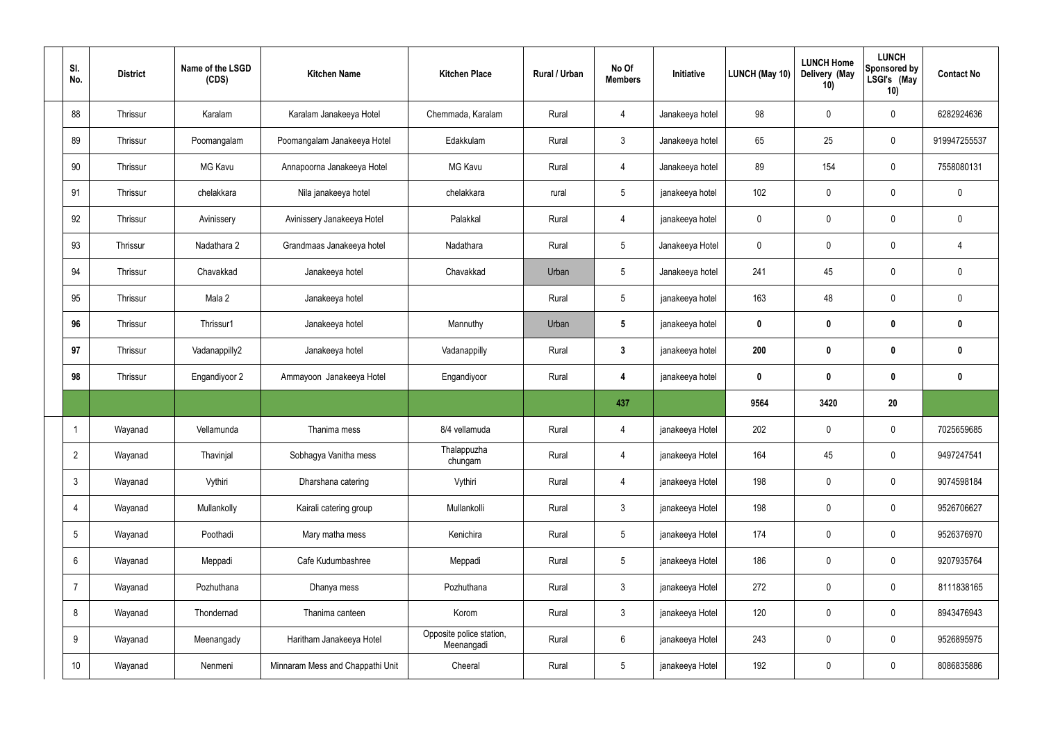| SI.<br>No.      | <b>District</b> | Name of the LSGD<br>(CDS) | <b>Kitchen Name</b>              | <b>Kitchen Place</b>                   | Rural / Urban | No Of<br><b>Members</b> | Initiative      | <b>LUNCH (May 10)</b> | <b>LUNCH Home</b><br>Delivery (May<br>10) | <b>LUNCH</b><br>Sponsored by<br>LSGI's (May<br>10) | <b>Contact No</b> |
|-----------------|-----------------|---------------------------|----------------------------------|----------------------------------------|---------------|-------------------------|-----------------|-----------------------|-------------------------------------------|----------------------------------------------------|-------------------|
| 88              | Thrissur        | Karalam                   | Karalam Janakeeya Hotel          | Chemmada, Karalam                      | Rural         | 4                       | Janakeeya hotel | 98                    | $\mathbf 0$                               | $\mathbf 0$                                        | 6282924636        |
| 89              | Thrissur        | Poomangalam               | Poomangalam Janakeeya Hotel      | Edakkulam                              | Rural         | $\mathbf{3}$            | Janakeeya hotel | 65                    | 25                                        | $\mathbf 0$                                        | 919947255537      |
| 90              | Thrissur        | <b>MG Kavu</b>            | Annapoorna Janakeeya Hotel       | <b>MG Kavu</b>                         | Rural         | 4                       | Janakeeya hotel | 89                    | 154                                       | $\mathbf 0$                                        | 7558080131        |
| 91              | Thrissur        | chelakkara                | Nila janakeeya hotel             | chelakkara                             | rural         | $5\phantom{.0}$         | janakeeya hotel | 102                   | 0                                         | $\pmb{0}$                                          | $\mathbf 0$       |
| 92              | Thrissur        | Avinissery                | Avinissery Janakeeya Hotel       | Palakkal                               | Rural         | 4                       | janakeeya hotel | 0                     | 0                                         | $\mathbf 0$                                        | $\mathbf 0$       |
| 93              | Thrissur        | Nadathara 2               | Grandmaas Janakeeya hotel        | Nadathara                              | Rural         | $5\phantom{.0}$         | Janakeeya Hotel | $\mathbf 0$           | $\boldsymbol{0}$                          | $\mathbf 0$                                        | 4                 |
| 94              | Thrissur        | Chavakkad                 | Janakeeya hotel                  | Chavakkad                              | Urban         | $5\phantom{.0}$         | Janakeeya hotel | 241                   | 45                                        | $\mathbf 0$                                        | $\mathbf 0$       |
| 95              | Thrissur        | Mala 2                    | Janakeeya hotel                  |                                        | Rural         | $5\overline{)}$         | janakeeya hotel | 163                   | 48                                        | $\mathbf 0$                                        | $\mathbf 0$       |
| 96              | Thrissur        | Thrissur1                 | Janakeeya hotel                  | Mannuthy                               | Urban         | $5\phantom{.0}$         | janakeeya hotel | $\mathbf 0$           | 0                                         | $\mathbf 0$                                        | $\mathbf 0$       |
| 97              | Thrissur        | Vadanappilly2             | Janakeeya hotel                  | Vadanappilly                           | Rural         | $3\phantom{a}$          | janakeeya hotel | 200                   | $\boldsymbol{0}$                          | $\bm{0}$                                           | $\mathbf{0}$      |
| 98              | Thrissur        | Engandiyoor 2             | Ammayoon Janakeeya Hotel         | Engandiyoor                            | Rural         | 4                       | janakeeya hotel | $\mathbf 0$           | $\boldsymbol{0}$                          | $\bm{0}$                                           | $\mathbf 0$       |
|                 |                 |                           |                                  |                                        |               | 437                     |                 | 9564                  | 3420                                      | 20                                                 |                   |
|                 | Wayanad         | Vellamunda                | Thanima mess                     | 8/4 vellamuda                          | Rural         | 4                       | janakeeya Hotel | 202                   | $\mathbf 0$                               | $\mathbf 0$                                        | 7025659685        |
| $\overline{2}$  | Wayanad         | Thavinjal                 | Sobhagya Vanitha mess            | Thalappuzha<br>chungam                 | Rural         | $\overline{4}$          | janakeeya Hotel | 164                   | 45                                        | $\mathbf 0$                                        | 9497247541        |
| 3               | Wayanad         | Vythiri                   | Dharshana catering               | Vythiri                                | Rural         | $\overline{4}$          | janakeeya Hotel | 198                   | 0                                         | $\pmb{0}$                                          | 9074598184        |
| 4               | Wayanad         | Mullankolly               | Kairali catering group           | Mullankolli                            | Rural         | $\mathbf{3}$            | janakeeya Hotel | 198                   | $\pmb{0}$                                 | $\pmb{0}$                                          | 9526706627        |
| 5               | Wayanad         | Poothadi                  | Mary matha mess                  | Kenichira                              | Rural         | $5\overline{)}$         | janakeeya Hotel | 174                   | $\pmb{0}$                                 | $\pmb{0}$                                          | 9526376970        |
| 6               | Wayanad         | Meppadi                   | Cafe Kudumbashree                | Meppadi                                | Rural         | $5\phantom{.0}$         | janakeeya Hotel | 186                   | $\pmb{0}$                                 | $\mathbf 0$                                        | 9207935764        |
| $\overline{7}$  | Wayanad         | Pozhuthana                | Dhanya mess                      | Pozhuthana                             | Rural         | $\mathbf{3}$            | janakeeya Hotel | 272                   | 0                                         | $\mathbf 0$                                        | 8111838165        |
| 8               | Wayanad         | Thondernad                | Thanima canteen                  | Korom                                  | Rural         | $3\phantom{a}$          | janakeeya Hotel | 120                   | 0                                         | $\mathbf 0$                                        | 8943476943        |
| 9               | Wayanad         | Meenangady                | Haritham Janakeeya Hotel         | Opposite police station,<br>Meenangadi | Rural         | $6\overline{6}$         | janakeeya Hotel | 243                   | $\pmb{0}$                                 | $\pmb{0}$                                          | 9526895975        |
| 10 <sup>°</sup> | Wayanad         | Nenmeni                   | Minnaram Mess and Chappathi Unit | Cheeral                                | Rural         | 5 <sub>5</sub>          | janakeeya Hotel | 192                   | $\pmb{0}$                                 | $\pmb{0}$                                          | 8086835886        |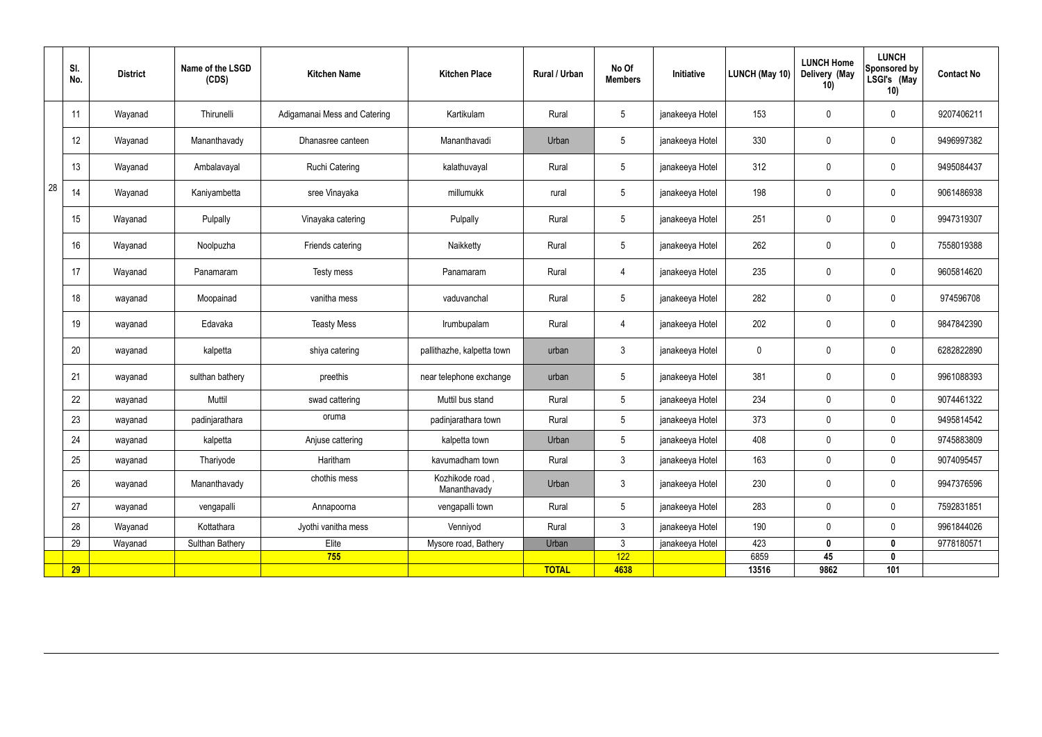|    | SI.<br>No. | <b>District</b> | Name of the LSGD<br>(CDS) | <b>Kitchen Name</b>          | <b>Kitchen Place</b>            | Rural / Urban | No Of<br><b>Members</b> | Initiative      | LUNCH (May 10) | <b>LUNCH Home</b><br>Delivery (May<br>10) | <b>LUNCH</b><br>Sponsored by<br>LSGI's (May<br>10) | <b>Contact No</b> |
|----|------------|-----------------|---------------------------|------------------------------|---------------------------------|---------------|-------------------------|-----------------|----------------|-------------------------------------------|----------------------------------------------------|-------------------|
|    | 11         | Wayanad         | Thirunelli                | Adigamanai Mess and Catering | Kartikulam                      | Rural         | $5\phantom{.0}$         | janakeeya Hotel | 153            | 0                                         | $\overline{0}$                                     | 9207406211        |
|    | 12         | Wayanad         | Mananthavady              | Dhanasree canteen            | Mananthavadi                    | Urban         | $5\phantom{.0}$         | janakeeya Hotel | 330            | 0                                         | $\mathbf 0$                                        | 9496997382        |
|    | 13         | Wayanad         | Ambalavayal               | Ruchi Catering               | kalathuvayal                    | Rural         | $5\overline{)}$         | janakeeya Hotel | 312            | 0                                         | $\mathbf 0$                                        | 9495084437        |
| 28 | 14         | Wayanad         | Kaniyambetta              | sree Vinayaka                | millumukk                       | rural         | $5\phantom{.0}$         | janakeeya Hotel | 198            | 0                                         | $\mathbf 0$                                        | 9061486938        |
|    | 15         | Wayanad         | Pulpally                  | Vinayaka catering            | Pulpally                        | Rural         | $5\overline{)}$         | janakeeya Hotel | 251            | 0                                         | $\overline{0}$                                     | 9947319307        |
|    | 16         | Wayanad         | Noolpuzha                 | Friends catering             | Naikketty                       | Rural         | $5\phantom{.0}$         | janakeeya Hotel | 262            | 0                                         | $\mathbf 0$                                        | 7558019388        |
|    | 17         | Wayanad         | Panamaram                 | Testy mess                   | Panamaram                       | Rural         | 4                       | janakeeya Hotel | 235            | 0                                         | $\mathbf 0$                                        | 9605814620        |
|    | 18         | wayanad         | Moopainad                 | vanitha mess                 | vaduvanchal                     | Rural         | $5\phantom{.0}$         | janakeeya Hotel | 282            | 0                                         | $\mathbf 0$                                        | 974596708         |
|    | 19         | wayanad         | Edavaka                   | <b>Teasty Mess</b>           | Irumbupalam                     | Rural         | 4                       | janakeeya Hotel | 202            | 0                                         | $\overline{0}$                                     | 9847842390        |
|    | 20         | wayanad         | kalpetta                  | shiya catering               | pallithazhe, kalpetta town      | urban         | $\mathbf{3}$            | janakeeya Hotel | 0              | 0                                         | $\overline{0}$                                     | 6282822890        |
|    | 21         | wayanad         | sulthan bathery           | preethis                     | near telephone exchange         | urban         | $5\overline{)}$         | janakeeya Hotel | 381            | 0                                         | $\overline{0}$                                     | 9961088393        |
|    | 22         | wayanad         | Muttil                    | swad cattering               | Muttil bus stand                | Rural         | $5\phantom{.0}$         | janakeeya Hotel | 234            | $\mathbf 0$                               | $\mathbf 0$                                        | 9074461322        |
|    | 23         | wayanad         | padinjarathara            | oruma                        | padinjarathara town             | Rural         | $5\overline{)}$         | janakeeya Hotel | 373            | $\mathbf 0$                               | $\mathbf 0$                                        | 9495814542        |
|    | 24         | wayanad         | kalpetta                  | Anjuse cattering             | kalpetta town                   | Urban         | $5\phantom{.0}$         | janakeeya Hotel | 408            | $\mathbf 0$                               | $\mathbf 0$                                        | 9745883809        |
|    | 25         | wayanad         | Thariyode                 | Haritham                     | kavumadham town                 | Rural         | 3 <sup>1</sup>          | janakeeya Hotel | 163            | $\pmb{0}$                                 | $\mathbf 0$                                        | 9074095457        |
|    | 26         | wayanad         | Mananthavady              | chothis mess                 | Kozhikode road,<br>Mananthavady | Urban         | $\mathbf{3}$            | janakeeya Hotel | 230            | $\pmb{0}$                                 | $\mathbf 0$                                        | 9947376596        |
|    | 27         | wayanad         | vengapalli                | Annapoorna                   | vengapalli town                 | Rural         | $5\phantom{.0}$         | janakeeya Hotel | 283            | 0                                         | $\mathbf 0$                                        | 7592831851        |
|    | 28         | Wayanad         | Kottathara                | Jyothi vanitha mess          | Venniyod                        | Rural         | 3 <sup>1</sup>          | janakeeya Hotel | 190            | 0                                         | $\mathbf 0$                                        | 9961844026        |
|    | 29         | Wayanad         | <b>Sulthan Bathery</b>    | Elite                        | Mysore road, Bathery            | Urban         | $\mathbf{3}$            | janakeeya Hotel | 423            | $\mathbf 0$                               | $\mathbf 0$                                        | 9778180571        |
|    |            |                 |                           | 755                          |                                 |               | 122                     |                 | 6859           | 45                                        | $\mathbf 0$                                        |                   |
|    | <b>29</b>  |                 |                           |                              |                                 | <b>TOTAL</b>  | 4638                    |                 | 13516          | 9862                                      | 101                                                |                   |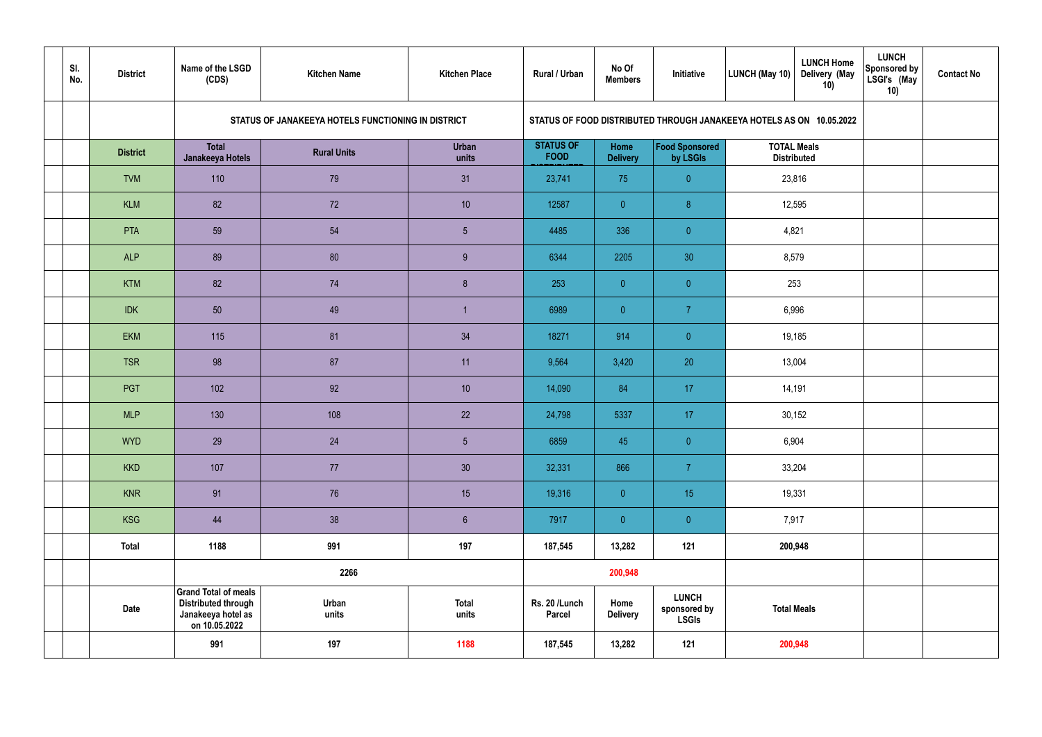| SI.<br>No. | <b>District</b> | Name of the LSGD<br>(CDS)                                                                        | <b>Kitchen Name</b>                                | <b>Kitchen Place</b>  | <b>Rural / Urban</b>            | No Of<br><b>Members</b> | Initiative                                                           | LUNCH (May 10)                           | <b>LUNCH Home</b><br>Delivery (May<br>10) | <b>LUNCH</b><br>Sponsored by<br>LSGI's (May<br>10) | <b>Contact No</b> |
|------------|-----------------|--------------------------------------------------------------------------------------------------|----------------------------------------------------|-----------------------|---------------------------------|-------------------------|----------------------------------------------------------------------|------------------------------------------|-------------------------------------------|----------------------------------------------------|-------------------|
|            |                 |                                                                                                  | STATUS OF JANAKEEYA HOTELS FUNCTIONING IN DISTRICT |                       |                                 |                         | STATUS OF FOOD DISTRIBUTED THROUGH JANAKEEYA HOTELS AS ON 10.05.2022 |                                          |                                           |                                                    |                   |
|            | <b>District</b> | <b>Total</b><br>Janakeeya Hotels                                                                 | <b>Rural Units</b>                                 | Urban<br>units        | <b>STATUS OF</b><br><b>FOOD</b> | Home<br><b>Delivery</b> | Food Sponsored<br>by LSGIs                                           | <b>TOTAL Meals</b><br><b>Distributed</b> |                                           |                                                    |                   |
|            | <b>TVM</b>      | 110                                                                                              | 79                                                 | 31                    | 23,741                          | 75                      | $\overline{0}$                                                       | 23,816                                   |                                           |                                                    |                   |
|            | <b>KLM</b>      | 82                                                                                               | 72                                                 | 10 <sup>°</sup>       | 12587                           | $\overline{0}$          | 8 <sup>°</sup>                                                       | 12,595                                   |                                           |                                                    |                   |
|            | <b>PTA</b>      | 59                                                                                               | 54                                                 | $5\phantom{.0}$       | 4485                            | 336                     | $\overline{0}$                                                       | 4,821                                    |                                           |                                                    |                   |
|            | <b>ALP</b>      | 89                                                                                               | 80                                                 | 9                     | 6344                            | 2205                    | 30                                                                   | 8,579                                    |                                           |                                                    |                   |
|            | <b>KTM</b>      | 82                                                                                               | 74                                                 | $\boldsymbol{8}$      | 253                             | $\overline{0}$          | $\overline{0}$                                                       |                                          | 253                                       |                                                    |                   |
|            | <b>IDK</b>      | 50                                                                                               | 49                                                 |                       | 6989                            | $\overline{0}$          | $\overline{7}$                                                       | 6,996                                    |                                           |                                                    |                   |
|            | <b>EKM</b>      | 115                                                                                              | 81                                                 | 34                    | 18271                           | 914                     | $\overline{0}$                                                       | 19,185                                   |                                           |                                                    |                   |
|            | <b>TSR</b>      | 98                                                                                               | 87                                                 | 11                    | 9,564                           | 3,420                   | 20                                                                   | 13,004                                   |                                           |                                                    |                   |
|            | PGT             | 102                                                                                              | 92                                                 | 10 <sup>°</sup>       | 14,090                          | 84                      | 17                                                                   | 14,191                                   |                                           |                                                    |                   |
|            | <b>MLP</b>      | 130                                                                                              | 108                                                | 22                    | 24,798                          | 5337                    | 17                                                                   | 30,152                                   |                                           |                                                    |                   |
|            | <b>WYD</b>      | 29                                                                                               | 24                                                 | $5\phantom{.0}$       | 6859                            | 45                      | $\overline{0}$                                                       | 6,904                                    |                                           |                                                    |                   |
|            | <b>KKD</b>      | 107                                                                                              | 77                                                 | 30 <sup>°</sup>       | 32,331                          | 866                     | $\overline{7}$                                                       | 33,204                                   |                                           |                                                    |                   |
|            | <b>KNR</b>      | 91                                                                                               | 76                                                 | 15                    | 19,316                          | $\overline{0}$          | 15 <sub>15</sub>                                                     | 19,331                                   |                                           |                                                    |                   |
|            | <b>KSG</b>      | 44                                                                                               | 38                                                 | $\sqrt{6}$            | 7917                            | $\overline{0}$          | $\pmb{0}$                                                            | 7,917                                    |                                           |                                                    |                   |
|            | <b>Total</b>    | 1188                                                                                             | 991                                                | 197                   | 187,545                         | 13,282                  | 121                                                                  | 200,948                                  |                                           |                                                    |                   |
|            |                 |                                                                                                  | 2266                                               |                       |                                 | 200,948                 |                                                                      |                                          |                                           |                                                    |                   |
|            | <b>Date</b>     | <b>Grand Total of meals</b><br><b>Distributed through</b><br>Janakeeya hotel as<br>on 10.05.2022 | Urban<br>units                                     | <b>Total</b><br>units | Rs. 20 /Lunch<br><b>Parcel</b>  | Home<br><b>Delivery</b> | <b>LUNCH</b><br>sponsored by<br><b>LSGIs</b>                         | <b>Total Meals</b>                       |                                           |                                                    |                   |
|            |                 | 991                                                                                              | 197                                                | 1188                  | 187,545                         | 13,282                  | 121                                                                  | 200,948                                  |                                           |                                                    |                   |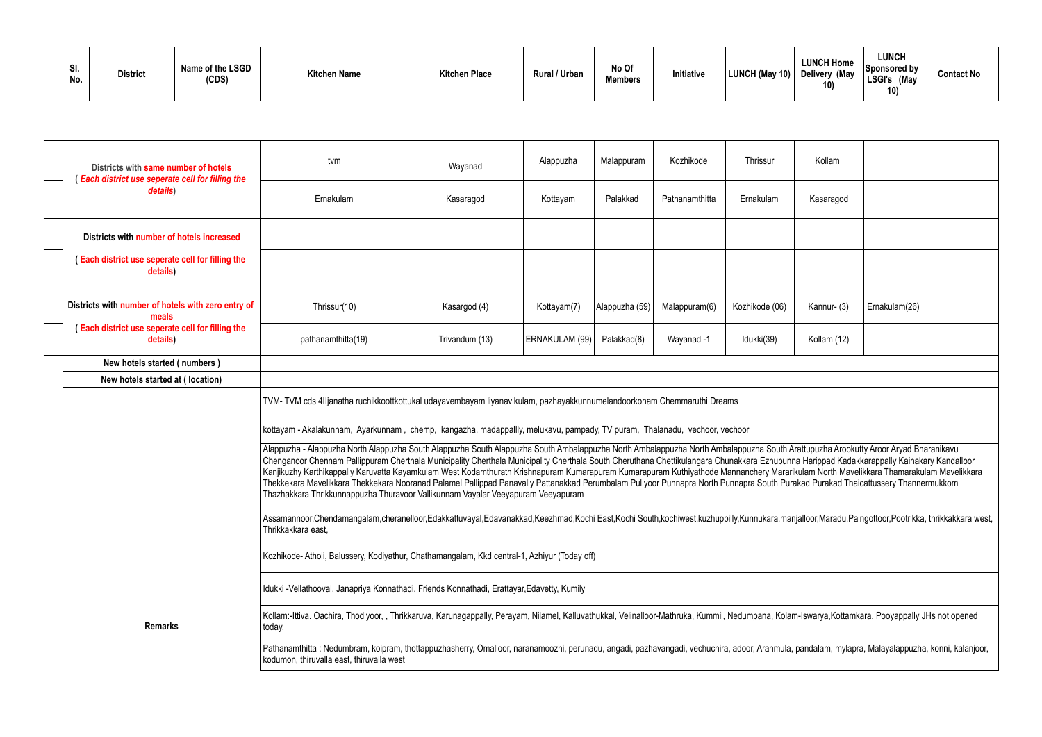| SI.<br>No. | <b>District</b> | Name of the LSGD<br>(CDS) | <b>Kitchen Name</b> | <b>Kitchen Place</b> | Rural / Urban | No Of<br><b>Members</b> | Initiative | LUNCH (May 10) Delivery (May | <b>LUNCH Home</b><br>10) | <b>LUNCH</b><br>Sponsored by<br><b>LSGI's</b><br>May (May<br>10) | <b>Contact No</b> |
|------------|-----------------|---------------------------|---------------------|----------------------|---------------|-------------------------|------------|------------------------------|--------------------------|------------------------------------------------------------------|-------------------|
|------------|-----------------|---------------------------|---------------------|----------------------|---------------|-------------------------|------------|------------------------------|--------------------------|------------------------------------------------------------------|-------------------|

|                                                                                                                                                                                                                                                | Districts with same number of hotels<br><b>Each district use seperate cell for filling the</b> | tvm                                                                                                                                                                                                                                                                                                                                                                                                                                                                                                                                                                                                                                                                                                                                                                                                                                                     | Wayanad        | Alappuzha      | Malappuram     | Kozhikode      | Thrissur       | Kollam      |               |  |
|------------------------------------------------------------------------------------------------------------------------------------------------------------------------------------------------------------------------------------------------|------------------------------------------------------------------------------------------------|---------------------------------------------------------------------------------------------------------------------------------------------------------------------------------------------------------------------------------------------------------------------------------------------------------------------------------------------------------------------------------------------------------------------------------------------------------------------------------------------------------------------------------------------------------------------------------------------------------------------------------------------------------------------------------------------------------------------------------------------------------------------------------------------------------------------------------------------------------|----------------|----------------|----------------|----------------|----------------|-------------|---------------|--|
|                                                                                                                                                                                                                                                | details)                                                                                       | Ernakulam                                                                                                                                                                                                                                                                                                                                                                                                                                                                                                                                                                                                                                                                                                                                                                                                                                               | Kasaragod      | Kottayam       | Palakkad       | Pathanamthitta | Ernakulam      | Kasaragod   |               |  |
|                                                                                                                                                                                                                                                | Districts with number of hotels increased                                                      |                                                                                                                                                                                                                                                                                                                                                                                                                                                                                                                                                                                                                                                                                                                                                                                                                                                         |                |                |                |                |                |             |               |  |
|                                                                                                                                                                                                                                                | (Each district use seperate cell for filling the<br>details)                                   |                                                                                                                                                                                                                                                                                                                                                                                                                                                                                                                                                                                                                                                                                                                                                                                                                                                         |                |                |                |                |                |             |               |  |
|                                                                                                                                                                                                                                                | Districts with number of hotels with zero entry of<br>meals                                    | Thrissur(10)                                                                                                                                                                                                                                                                                                                                                                                                                                                                                                                                                                                                                                                                                                                                                                                                                                            | Kasargod (4)   | Kottayam(7)    | Alappuzha (59) | Malappuram(6)  | Kozhikode (06) | Kannur- (3) | Ernakulam(26) |  |
|                                                                                                                                                                                                                                                | (Each district use seperate cell for filling the<br>details)                                   | pathanamthitta(19)                                                                                                                                                                                                                                                                                                                                                                                                                                                                                                                                                                                                                                                                                                                                                                                                                                      | Trivandum (13) | ERNAKULAM (99) | Palakkad(8)    | Wayanad -1     | Idukki(39)     | Kollam (12) |               |  |
|                                                                                                                                                                                                                                                | New hotels started (numbers)                                                                   |                                                                                                                                                                                                                                                                                                                                                                                                                                                                                                                                                                                                                                                                                                                                                                                                                                                         |                |                |                |                |                |             |               |  |
|                                                                                                                                                                                                                                                | New hotels started at (location)                                                               |                                                                                                                                                                                                                                                                                                                                                                                                                                                                                                                                                                                                                                                                                                                                                                                                                                                         |                |                |                |                |                |             |               |  |
|                                                                                                                                                                                                                                                |                                                                                                | TVM-TVM cds 4IIjanatha ruchikkoottkottukal udayavembayam liyanavikulam, pazhayakkunnumelandoorkonam Chemmaruthi Dreams<br>kottayam - Akalakunnam, Ayarkunnam, chemp, kangazha, madappallly, melukavu, pampady, TV puram, Thalanadu, vechoor, vechoor                                                                                                                                                                                                                                                                                                                                                                                                                                                                                                                                                                                                    |                |                |                |                |                |             |               |  |
|                                                                                                                                                                                                                                                |                                                                                                | Alappuzha - Alappuzha North Alappuzha South Alappuzha South Alappuzha South Ambalappuzha North Ambalappuzha South Arattupuzha Arookutty Aroor Aryad Bharanikavu<br>Chenganoor Chennam Pallippuram Cherthala Municipality Cherthala Municipality Cherthala South Cheruthana Chettikulangara Chunakkara Ezhupunna Harippad Kadakkarappally Kainakary Kandalloor<br>Kanjikuzhy Karthikappally Karuvatta Kayamkulam West Kodamthurath Krishnapuram Kumarapuram Kuthiyathode Mannanchery Mararikulam North Mavelikkara Thamarakulam Mavelikkara Mavelikkara Mavelikkara Mavelikkara<br>Thekkekara Mavelikkara Thekkekara Nooranad Palamel Pallippad Panavally Pattanakkad Perumbalam Puliyoor Punnapra North Punnapra South Purakad Purakad Thaicattussery Thannermukkom<br>Thazhakkara Thrikkunnappuzha Thuravoor Vallikunnam Vayalar Veeyapuram Veeyapuram |                |                |                |                |                |             |               |  |
|                                                                                                                                                                                                                                                |                                                                                                | Assamannoor,Chendamangalam,cheranelloor,Edakkattuvayal,Edavanakkad,Keezhmad,Kochi East,Kochi South,kochiwest,kuzhuppilly,Kunnukara,manjalloor,Maradu,Paingottoor,Pootrikka, thrikkakkara west,<br>Thrikkakkara east,                                                                                                                                                                                                                                                                                                                                                                                                                                                                                                                                                                                                                                    |                |                |                |                |                |             |               |  |
| Kozhikode-Atholi, Balussery, Kodiyathur, Chathamangalam, Kkd central-1, Azhiyur (Today off)                                                                                                                                                    |                                                                                                |                                                                                                                                                                                                                                                                                                                                                                                                                                                                                                                                                                                                                                                                                                                                                                                                                                                         |                |                |                |                |                |             |               |  |
|                                                                                                                                                                                                                                                |                                                                                                | Idukki -Vellathooval, Janapriya Konnathadi, Friends Konnathadi, Erattayar,Edavetty, Kumily                                                                                                                                                                                                                                                                                                                                                                                                                                                                                                                                                                                                                                                                                                                                                              |                |                |                |                |                |             |               |  |
|                                                                                                                                                                                                                                                | <b>Remarks</b>                                                                                 | Kollam:-Ittiva. Oachira, Thodiyoor, , Thrikkaruva, Karunagappally, Perayam, Nilamel, Kalluvathukkal, Velinalloor-Mathruka, Kummil, Nedumpana, Kolam-Iswarya,Kottamkara, Pooyappally JHs not opened<br>today.                                                                                                                                                                                                                                                                                                                                                                                                                                                                                                                                                                                                                                            |                |                |                |                |                |             |               |  |
| Pathanamthitta: Nedumbram, koipram, thottappuzhasherry, Omalloor, naranamoozhi, perunadu, angadi, pazhavangadi, vechuchira, adoor, Aranmula, pandalam, mylapra, Malayalappuzha, konni, kalanjoor,<br>kodumon, thiruvalla east, thiruvalla west |                                                                                                |                                                                                                                                                                                                                                                                                                                                                                                                                                                                                                                                                                                                                                                                                                                                                                                                                                                         |                |                |                |                |                |             |               |  |
|                                                                                                                                                                                                                                                |                                                                                                |                                                                                                                                                                                                                                                                                                                                                                                                                                                                                                                                                                                                                                                                                                                                                                                                                                                         |                |                |                |                |                |             |               |  |